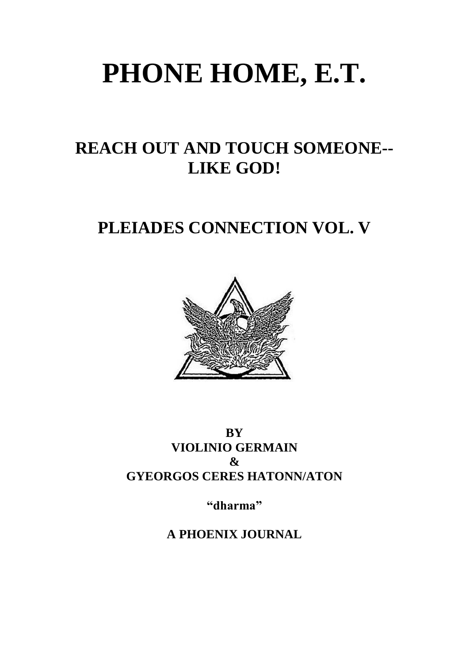# **PHONE HOME, E.T.**

## **REACH OUT AND TOUCH SOMEONE-- LIKE GOD!**

## **PLEIADES CONNECTION VOL. V**



**BY VIOLINIO GERMAIN & GYEORGOS CERES HATONN/ATON**

**"dharma"**

**A PHOENIX JOURNAL**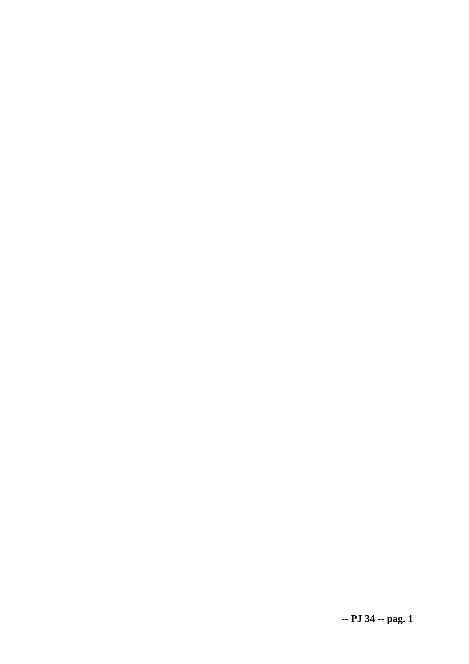**-- PJ 34 -- pag. 1**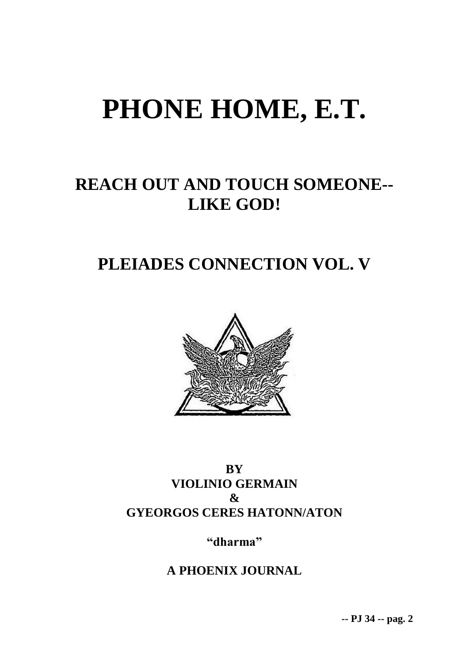## **PHONE HOME, E.T.**

## **REACH OUT AND TOUCH SOMEONE-- LIKE GOD!**

### **PLEIADES CONNECTION VOL. V**



#### **BY VIOLINIO GERMAIN & GYEORGOS CERES HATONN/ATON**

**"dharma"**

### **A PHOENIX JOURNAL**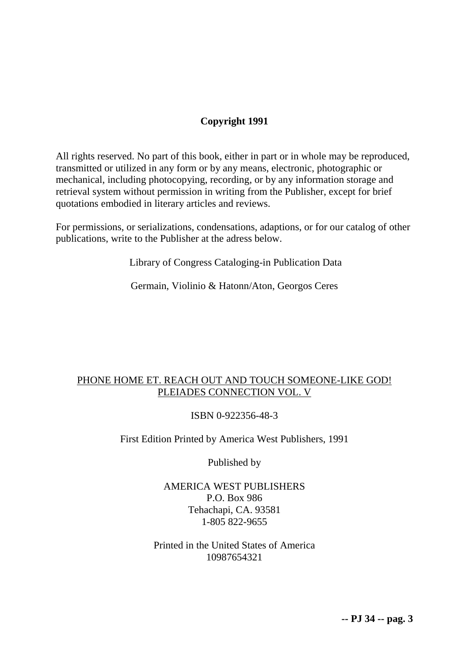#### **Copyright 1991**

All rights reserved. No part of this book, either in part or in whole may be reproduced, transmitted or utilized in any form or by any means, electronic, photographic or mechanical, including photocopying, recording, or by any information storage and retrieval system without permission in writing from the Publisher, except for brief quotations embodied in literary articles and reviews.

For permissions, or serializations, condensations, adaptions, or for our catalog of other publications, write to the Publisher at the adress below.

Library of Congress Cataloging-in Publication Data

Germain, Violinio & Hatonn/Aton, Georgos Ceres

#### PHONE HOME ET. REACH OUT AND TOUCH SOMEONE-LIKE GOD! PLEIADES CONNECTION VOL. V

ISBN 0-922356-48-3

First Edition Printed by America West Publishers, 1991

Published by

AMERICA WEST PUBLISHERS P.O. Box 986 Tehachapi, CA. 93581 1-805 822-9655

Printed in the United States of America 10987654321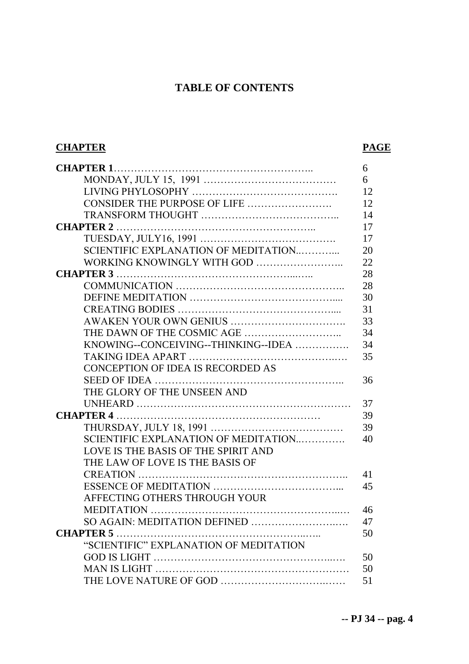#### **TABLE OF CONTENTS**

#### **CHAPTER PAGE**

| 6                                      |    |
|----------------------------------------|----|
| 6                                      |    |
|                                        | 12 |
|                                        | 12 |
|                                        | 14 |
|                                        | 17 |
|                                        | 17 |
| SCIENTIFIC EXPLANATION OF MEDITATION   | 20 |
| WORKING KNOWINGLY WITH GOD             | 22 |
|                                        | 28 |
|                                        | 28 |
|                                        | 30 |
|                                        | 31 |
|                                        | 33 |
|                                        | 34 |
| KNOWING--CONCEIVING--THINKING--IDEA    | 34 |
|                                        | 35 |
| CONCEPTION OF IDEA IS RECORDED AS      |    |
|                                        | 36 |
| THE GLORY OF THE UNSEEN AND            |    |
|                                        | 37 |
|                                        | 39 |
|                                        | 39 |
| SCIENTIFIC EXPLANATION OF MEDITATION   | 40 |
| LOVE IS THE BASIS OF THE SPIRIT AND    |    |
| THE LAW OF LOVE IS THE BASIS OF        |    |
|                                        | 41 |
|                                        | 45 |
| AFFECTING OTHERS THROUGH YOUR          |    |
|                                        | 46 |
|                                        | 47 |
| CHAPTER 5                              | 50 |
| "SCIENTIFIC" EXPLANATION OF MEDITATION |    |
|                                        | 50 |
|                                        | 50 |
|                                        | 51 |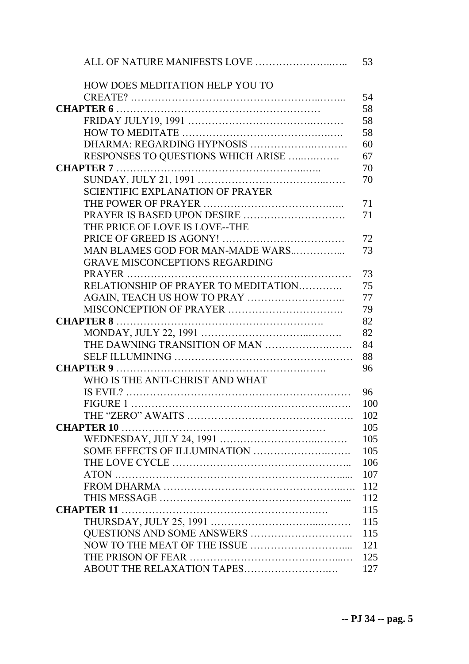|                                         | 53  |
|-----------------------------------------|-----|
| HOW DOES MEDITATION HELP YOU TO         |     |
|                                         | 54  |
|                                         | 58  |
|                                         | 58  |
|                                         | 58  |
|                                         | 60  |
| RESPONSES TO QUESTIONS WHICH ARISE      | 67  |
|                                         | 70  |
|                                         | 70  |
| <b>SCIENTIFIC EXPLANATION OF PRAYER</b> |     |
|                                         |     |
|                                         | 71  |
| PRAYER IS BASED UPON DESIRE             | 71  |
| THE PRICE OF LOVE IS LOVE--THE          |     |
|                                         | 72  |
| MAN BLAMES GOD FOR MAN-MADE WARS        | 73  |
| <b>GRAVE MISCONCEPTIONS REGARDING</b>   |     |
|                                         | 73  |
| RELATIONSHIP OF PRAYER TO MEDITATION    | 75  |
|                                         | 77  |
|                                         | 79  |
|                                         | 82  |
|                                         | 82  |
| THE DAWNING TRANSITION OF MAN           | 84  |
|                                         | 88  |
|                                         | 96  |
| WHO IS THE ANTI-CHRIST AND WHAT         |     |
|                                         | 96  |
|                                         | 100 |
|                                         | 102 |
| <b>CHAPTER 10 </b>                      | 105 |
|                                         | 105 |
|                                         | 105 |
|                                         | 106 |
|                                         | 107 |
|                                         |     |
|                                         | 112 |
|                                         | 112 |
| <b>CHAPTER 11</b>                       | 115 |
|                                         | 115 |
|                                         | 115 |
|                                         | 121 |
|                                         | 125 |
|                                         | 127 |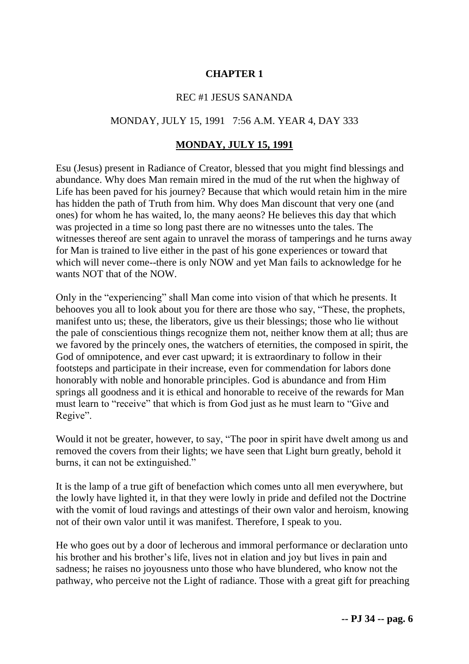#### **CHAPTER 1**

#### REC #1 JESUS SANANDA

#### MONDAY, JULY 15, 1991 7:56 A.M. YEAR 4, DAY 333

#### **MONDAY, JULY 15, 1991**

Esu (Jesus) present in Radiance of Creator, blessed that you might find blessings and abundance. Why does Man remain mired in the mud of the rut when the highway of Life has been paved for his journey? Because that which would retain him in the mire has hidden the path of Truth from him. Why does Man discount that very one (and ones) for whom he has waited, lo, the many aeons? He believes this day that which was projected in a time so long past there are no witnesses unto the tales. The witnesses thereof are sent again to unravel the morass of tamperings and he turns away for Man is trained to live either in the past of his gone experiences or toward that which will never come--there is only NOW and yet Man fails to acknowledge for he wants NOT that of the NOW.

Only in the "experiencing" shall Man come into vision of that which he presents. It behooves you all to look about you for there are those who say, "These, the prophets, manifest unto us; these, the liberators, give us their blessings; those who lie without the pale of conscientious things recognize them not, neither know them at all; thus are we favored by the princely ones, the watchers of eternities, the composed in spirit, the God of omnipotence, and ever cast upward; it is extraordinary to follow in their footsteps and participate in their increase, even for commendation for labors done honorably with noble and honorable principles. God is abundance and from Him springs all goodness and it is ethical and honorable to receive of the rewards for Man must learn to "receive" that which is from God just as he must learn to "Give and Regive".

Would it not be greater, however, to say, "The poor in spirit have dwelt among us and removed the covers from their lights; we have seen that Light burn greatly, behold it burns, it can not be extinguished."

It is the lamp of a true gift of benefaction which comes unto all men everywhere, but the lowly have lighted it, in that they were lowly in pride and defiled not the Doctrine with the vomit of loud ravings and attestings of their own valor and heroism, knowing not of their own valor until it was manifest. Therefore, I speak to you.

He who goes out by a door of lecherous and immoral performance or declaration unto his brother and his brother's life, lives not in elation and joy but lives in pain and sadness; he raises no joyousness unto those who have blundered, who know not the pathway, who perceive not the Light of radiance. Those with a great gift for preaching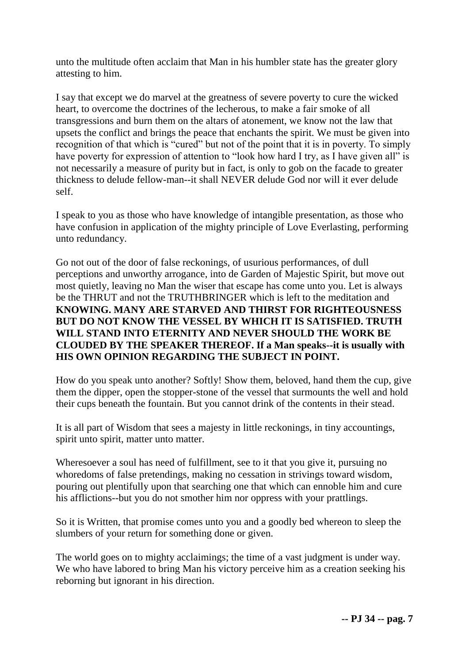unto the multitude often acclaim that Man in his humbler state has the greater glory attesting to him.

I say that except we do marvel at the greatness of severe poverty to cure the wicked heart, to overcome the doctrines of the lecherous, to make a fair smoke of all transgressions and burn them on the altars of atonement, we know not the law that upsets the conflict and brings the peace that enchants the spirit. We must be given into recognition of that which is "cured" but not of the point that it is in poverty. To simply have poverty for expression of attention to "look how hard I try, as I have given all" is not necessarily a measure of purity but in fact, is only to gob on the facade to greater thickness to delude fellow-man--it shall NEVER delude God nor will it ever delude self.

I speak to you as those who have knowledge of intangible presentation, as those who have confusion in application of the mighty principle of Love Everlasting, performing unto redundancy.

Go not out of the door of false reckonings, of usurious performances, of dull perceptions and unworthy arrogance, into de Garden of Majestic Spirit, but move out most quietly, leaving no Man the wiser that escape has come unto you. Let is always be the THRUT and not the TRUTHBRINGER which is left to the meditation and **KNOWING. MANY ARE STARVED AND THIRST FOR RIGHTEOUSNESS BUT DO NOT KNOW THE VESSEL BY WHICH IT IS SATISFIED. TRUTH WILL STAND INTO ETERNITY AND NEVER SHOULD THE WORK BE CLOUDED BY THE SPEAKER THEREOF. If a Man speaks--it is usually with HIS OWN OPINION REGARDING THE SUBJECT IN POINT.** 

How do you speak unto another? Softly! Show them, beloved, hand them the cup, give them the dipper, open the stopper-stone of the vessel that surmounts the well and hold their cups beneath the fountain. But you cannot drink of the contents in their stead.

It is all part of Wisdom that sees a majesty in little reckonings, in tiny accountings, spirit unto spirit, matter unto matter.

Wheresoever a soul has need of fulfillment, see to it that you give it, pursuing no whoredoms of false pretendings, making no cessation in strivings toward wisdom, pouring out plentifully upon that searching one that which can ennoble him and cure his afflictions--but you do not smother him nor oppress with your prattlings.

So it is Written, that promise comes unto you and a goodly bed whereon to sleep the slumbers of your return for something done or given.

The world goes on to mighty acclaimings; the time of a vast judgment is under way. We who have labored to bring Man his victory perceive him as a creation seeking his reborning but ignorant in his direction.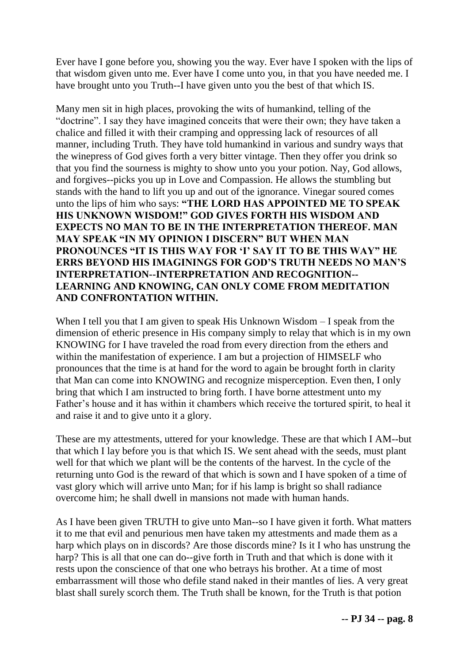Ever have I gone before you, showing you the way. Ever have I spoken with the lips of that wisdom given unto me. Ever have I come unto you, in that you have needed me. I have brought unto you Truth--I have given unto you the best of that which IS.

Many men sit in high places, provoking the wits of humankind, telling of the "doctrine". I say they have imagined conceits that were their own; they have taken a chalice and filled it with their cramping and oppressing lack of resources of all manner, including Truth. They have told humankind in various and sundry ways that the winepress of God gives forth a very bitter vintage. Then they offer you drink so that you find the sourness is mighty to show unto you your potion. Nay, God allows, and forgives--picks you up in Love and Compassion. He allows the stumbling but stands with the hand to lift you up and out of the ignorance. Vinegar soured comes unto the lips of him who says: **"THE LORD HAS APPOINTED ME TO SPEAK HIS UNKNOWN WISDOM!" GOD GIVES FORTH HIS WISDOM AND EXPECTS NO MAN TO BE IN THE INTERPRETATION THEREOF. MAN MAY SPEAK "IN MY OPINION I DISCERN" BUT WHEN MAN PRONOUNCES "IT IS THIS WAY FOR "I" SAY IT TO BE THIS WAY" HE ERRS BEYOND HIS IMAGININGS FOR GOD"S TRUTH NEEDS NO MAN"S INTERPRETATION--INTERPRETATION AND RECOGNITION-- LEARNING AND KNOWING, CAN ONLY COME FROM MEDITATION AND CONFRONTATION WITHIN.**

When I tell you that I am given to speak His Unknown Wisdom – I speak from the dimension of etheric presence in His company simply to relay that which is in my own KNOWING for I have traveled the road from every direction from the ethers and within the manifestation of experience. I am but a projection of HIMSELF who pronounces that the time is at hand for the word to again be brought forth in clarity that Man can come into KNOWING and recognize misperception. Even then, I only bring that which I am instructed to bring forth. I have borne attestment unto my Father's house and it has within it chambers which receive the tortured spirit, to heal it and raise it and to give unto it a glory.

These are my attestments, uttered for your knowledge. These are that which I AM--but that which I lay before you is that which IS. We sent ahead with the seeds, must plant well for that which we plant will be the contents of the harvest. In the cycle of the returning unto God is the reward of that which is sown and I have spoken of a time of vast glory which will arrive unto Man; for if his lamp is bright so shall radiance overcome him; he shall dwell in mansions not made with human hands.

As I have been given TRUTH to give unto Man--so I have given it forth. What matters it to me that evil and penurious men have taken my attestments and made them as a harp which plays on in discords? Are those discords mine? Is it I who has unstrung the harp? This is all that one can do--give forth in Truth and that which is done with it rests upon the conscience of that one who betrays his brother. At a time of most embarrassment will those who defile stand naked in their mantles of lies. A very great blast shall surely scorch them. The Truth shall be known, for the Truth is that potion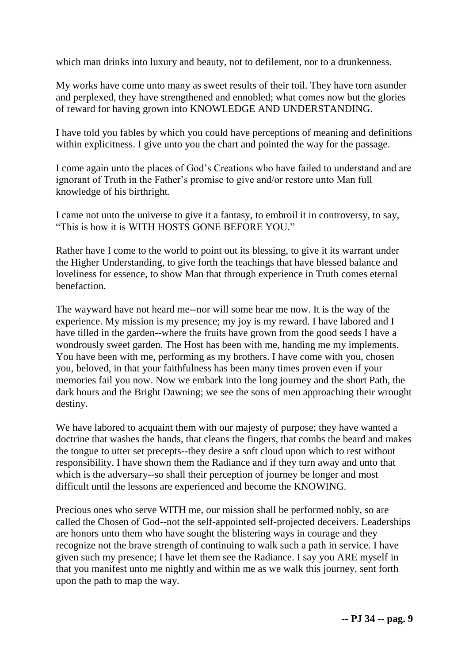which man drinks into luxury and beauty, not to defilement, nor to a drunkenness.

My works have come unto many as sweet results of their toil. They have torn asunder and perplexed, they have strengthened and ennobled; what comes now but the glories of reward for having grown into KNOWLEDGE AND UNDERSTANDING.

I have told you fables by which you could have perceptions of meaning and definitions within explicitness. I give unto you the chart and pointed the way for the passage.

I come again unto the places of God's Creations who have failed to understand and are ignorant of Truth in the Father's promise to give and/or restore unto Man full knowledge of his birthright.

I came not unto the universe to give it a fantasy, to embroil it in controversy, to say, "This is how it is WITH HOSTS GONE BEFORE YOU."

Rather have I come to the world to point out its blessing, to give it its warrant under the Higher Understanding, to give forth the teachings that have blessed balance and loveliness for essence, to show Man that through experience in Truth comes eternal benefaction.

The wayward have not heard me--nor will some hear me now. It is the way of the experience. My mission is my presence; my joy is my reward. I have labored and I have tilled in the garden--where the fruits have grown from the good seeds I have a wondrously sweet garden. The Host has been with me, handing me my implements. You have been with me, performing as my brothers. I have come with you, chosen you, beloved, in that your faithfulness has been many times proven even if your memories fail you now. Now we embark into the long journey and the short Path, the dark hours and the Bright Dawning; we see the sons of men approaching their wrought destiny.

We have labored to acquaint them with our majesty of purpose; they have wanted a doctrine that washes the hands, that cleans the fingers, that combs the beard and makes the tongue to utter set precepts--they desire a soft cloud upon which to rest without responsibility. I have shown them the Radiance and if they turn away and unto that which is the adversary--so shall their perception of journey be longer and most difficult until the lessons are experienced and become the KNOWING.

Precious ones who serve WITH me, our mission shall be performed nobly, so are called the Chosen of God--not the self-appointed self-projected deceivers. Leaderships are honors unto them who have sought the blistering ways in courage and they recognize not the brave strength of continuing to walk such a path in service. I have given such my presence; I have let them see the Radiance. I say you ARE myself in that you manifest unto me nightly and within me as we walk this journey, sent forth upon the path to map the way.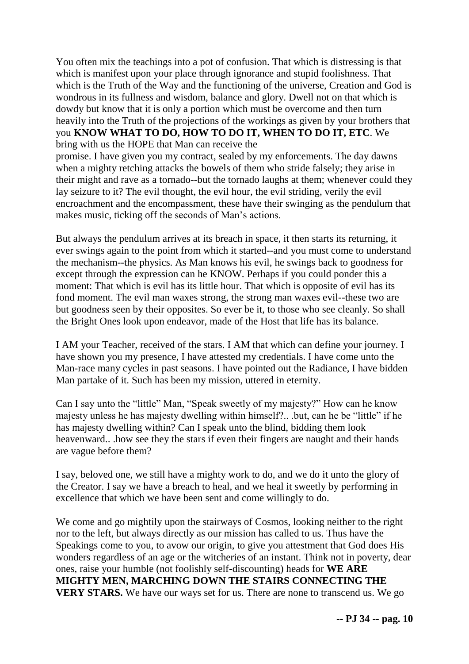You often mix the teachings into a pot of confusion. That which is distressing is that which is manifest upon your place through ignorance and stupid foolishness. That which is the Truth of the Way and the functioning of the universe, Creation and God is wondrous in its fullness and wisdom, balance and glory. Dwell not on that which is dowdy but know that it is only a portion which must be overcome and then turn heavily into the Truth of the projections of the workings as given by your brothers that you **KNOW WHAT TO DO, HOW TO DO IT, WHEN TO DO IT, ETC**. We bring with us the HOPE that Man can receive the promise. I have given you my contract, sealed by my enforcements. The day dawns

when a mighty retching attacks the bowels of them who stride falsely; they arise in their might and rave as a tornado--but the tornado laughs at them; whenever could they lay seizure to it? The evil thought, the evil hour, the evil striding, verily the evil encroachment and the encompassment, these have their swinging as the pendulum that makes music, ticking off the seconds of Man's actions.

But always the pendulum arrives at its breach in space, it then starts its returning, it ever swings again to the point from which it started--and you must come to understand the mechanism--the physics. As Man knows his evil, he swings back to goodness for except through the expression can he KNOW. Perhaps if you could ponder this a moment: That which is evil has its little hour. That which is opposite of evil has its fond moment. The evil man waxes strong, the strong man waxes evil--these two are but goodness seen by their opposites. So ever be it, to those who see cleanly. So shall the Bright Ones look upon endeavor, made of the Host that life has its balance.

I AM your Teacher, received of the stars. I AM that which can define your journey. I have shown you my presence, I have attested my credentials. I have come unto the Man-race many cycles in past seasons. I have pointed out the Radiance, I have bidden Man partake of it. Such has been my mission, uttered in eternity.

Can I say unto the "little" Man, "Speak sweetly of my majesty?" How can he know majesty unless he has majesty dwelling within himself?.. .but, can he be "little" if he has majesty dwelling within? Can I speak unto the blind, bidding them look heavenward.. .how see they the stars if even their fingers are naught and their hands are vague before them?

I say, beloved one, we still have a mighty work to do, and we do it unto the glory of the Creator. I say we have a breach to heal, and we heal it sweetly by performing in excellence that which we have been sent and come willingly to do.

We come and go mightily upon the stairways of Cosmos, looking neither to the right nor to the left, but always directly as our mission has called to us. Thus have the Speakings come to you, to avow our origin, to give you attestment that God does His wonders regardless of an age or the witcheries of an instant. Think not in poverty, dear ones, raise your humble (not foolishly self-discounting) heads for **WE ARE MIGHTY MEN, MARCHING DOWN THE STAIRS CONNECTING THE VERY STARS.** We have our ways set for us. There are none to transcend us. We go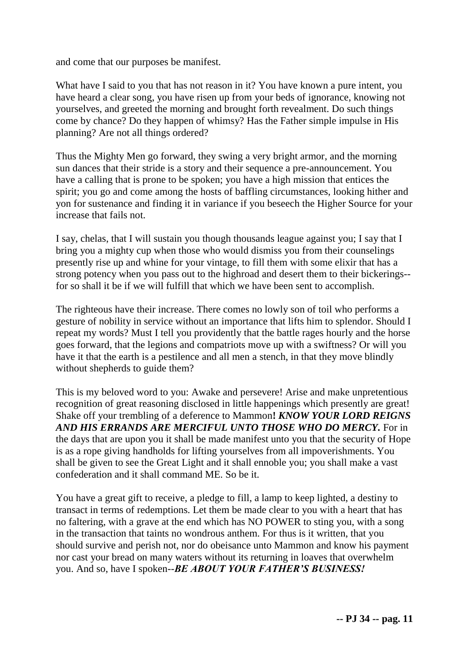and come that our purposes be manifest.

What have I said to you that has not reason in it? You have known a pure intent, you have heard a clear song, you have risen up from your beds of ignorance, knowing not yourselves, and greeted the morning and brought forth revealment. Do such things come by chance? Do they happen of whimsy? Has the Father simple impulse in His planning? Are not all things ordered?

Thus the Mighty Men go forward, they swing a very bright armor, and the morning sun dances that their stride is a story and their sequence a pre-announcement. You have a calling that is prone to be spoken; you have a high mission that entices the spirit; you go and come among the hosts of baffling circumstances, looking hither and yon for sustenance and finding it in variance if you beseech the Higher Source for your increase that fails not.

I say, chelas, that I will sustain you though thousands league against you; I say that I bring you a mighty cup when those who would dismiss you from their counselings presently rise up and whine for your vintage, to fill them with some elixir that has a strong potency when you pass out to the highroad and desert them to their bickerings- for so shall it be if we will fulfill that which we have been sent to accomplish.

The righteous have their increase. There comes no lowly son of toil who performs a gesture of nobility in service without an importance that lifts him to splendor. Should I repeat my words? Must I tell you providently that the battle rages hourly and the horse goes forward, that the legions and compatriots move up with a swiftness? Or will you have it that the earth is a pestilence and all men a stench, in that they move blindly without shepherds to guide them?

This is my beloved word to you: Awake and persevere! Arise and make unpretentious recognition of great reasoning disclosed in little happenings which presently are great! Shake off your trembling of a deference to Mammon**!** *KNOW YOUR LORD REIGNS AND HIS ERRANDS ARE MERCIFUL UNTO THOSE WHO DO MERCY.* For in the days that are upon you it shall be made manifest unto you that the security of Hope is as a rope giving handholds for lifting yourselves from all impoverishments. You shall be given to see the Great Light and it shall ennoble you; you shall make a vast confederation and it shall command ME. So be it.

You have a great gift to receive, a pledge to fill, a lamp to keep lighted, a destiny to transact in terms of redemptions. Let them be made clear to you with a heart that has no faltering, with a grave at the end which has NO POWER to sting you, with a song in the transaction that taints no wondrous anthem. For thus is it written, that you should survive and perish not, nor do obeisance unto Mammon and know his payment nor cast your bread on many waters without its returning in loaves that overwhelm you. And so, have I spoken--*BE ABOUT YOUR FATHER"S BUSINESS!*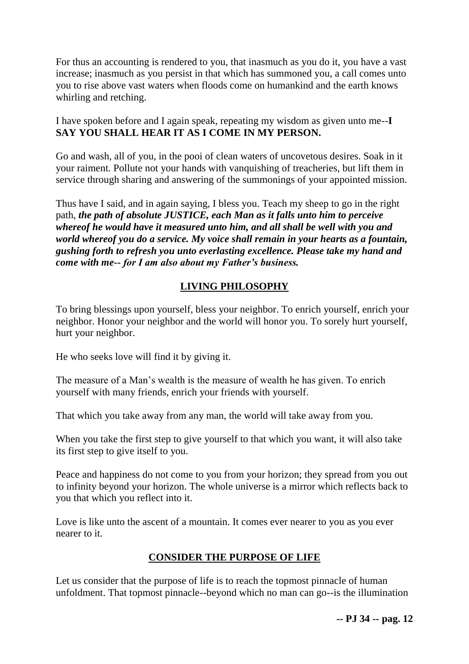For thus an accounting is rendered to you, that inasmuch as you do it, you have a vast increase; inasmuch as you persist in that which has summoned you, a call comes unto you to rise above vast waters when floods come on humankind and the earth knows whirling and retching.

I have spoken before and I again speak, repeating my wisdom as given unto me--**I SAY YOU SHALL HEAR IT AS I COME IN MY PERSON.**

Go and wash, all of you, in the pooi of clean waters of uncovetous desires. Soak in it your raiment. Pollute not your hands with vanquishing of treacheries, but lift them in service through sharing and answering of the summonings of your appointed mission.

Thus have I said, and in again saying, I bless you. Teach my sheep to go in the right path, *the path of absolute JUSTICE, each Man as it falls unto him to perceive whereof he would have it measured unto him, and all shall be well with you and world whereof you do a service. My voice shall remain in your hearts as a fountain, gushing forth to refresh you unto everlasting excellence. Please take my hand and come with me-- for I am also about my Father"s business.* 

#### **LIVING PHILOSOPHY**

To bring blessings upon yourself, bless your neighbor. To enrich yourself, enrich your neighbor. Honor your neighbor and the world will honor you. To sorely hurt yourself, hurt your neighbor.

He who seeks love will find it by giving it.

The measure of a Man's wealth is the measure of wealth he has given. To enrich yourself with many friends, enrich your friends with yourself.

That which you take away from any man, the world will take away from you.

When you take the first step to give yourself to that which you want, it will also take its first step to give itself to you.

Peace and happiness do not come to you from your horizon; they spread from you out to infinity beyond your horizon. The whole universe is a mirror which reflects back to you that which you reflect into it.

Love is like unto the ascent of a mountain. It comes ever nearer to you as you ever nearer to it.

#### **CONSIDER THE PURPOSE OF LIFE**

Let us consider that the purpose of life is to reach the topmost pinnacle of human unfoldment. That topmost pinnacle--beyond which no man can go--is the illumination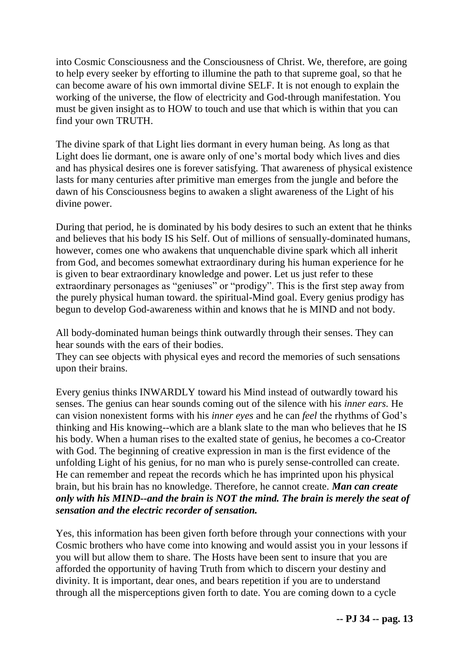into Cosmic Consciousness and the Consciousness of Christ. We, therefore, are going to help every seeker by efforting to illumine the path to that supreme goal, so that he can become aware of his own immortal divine SELF. It is not enough to explain the working of the universe, the flow of electricity and God-through manifestation. You must be given insight as to HOW to touch and use that which is within that you can find your own TRUTH.

The divine spark of that Light lies dormant in every human being. As long as that Light does lie dormant, one is aware only of one's mortal body which lives and dies and has physical desires one is forever satisfying. That awareness of physical existence lasts for many centuries after primitive man emerges from the jungle and before the dawn of his Consciousness begins to awaken a slight awareness of the Light of his divine power.

During that period, he is dominated by his body desires to such an extent that he thinks and believes that his body IS his Self. Out of millions of sensually-dominated humans, however, comes one who awakens that unquenchable divine spark which all inherit from God, and becomes somewhat extraordinary during his human experience for he is given to bear extraordinary knowledge and power. Let us just refer to these extraordinary personages as "geniuses" or "prodigy". This is the first step away from the purely physical human toward. the spiritual-Mind goal. Every genius prodigy has begun to develop God-awareness within and knows that he is MIND and not body.

All body-dominated human beings think outwardly through their senses. They can hear sounds with the ears of their bodies.

They can see objects with physical eyes and record the memories of such sensations upon their brains.

Every genius thinks INWARDLY toward his Mind instead of outwardly toward his senses. The genius can hear sounds coming out of the silence with his *inner ears.* He can vision nonexistent forms with his *inner eyes* and he can *feel* the rhythms of God's thinking and His knowing--which are a blank slate to the man who believes that he IS his body. When a human rises to the exalted state of genius, he becomes a co-Creator with God. The beginning of creative expression in man is the first evidence of the unfolding Light of his genius, for no man who is purely sense-controlled can create. He can remember and repeat the records which he has imprinted upon his physical brain, but his brain has no knowledge. Therefore, he cannot create. *Man can create only with his MIND--and the brain is NOT the mind. The brain is merely the seat of sensation and the electric recorder of sensation.* 

Yes, this information has been given forth before through your connections with your Cosmic brothers who have come into knowing and would assist you in your lessons if you will but allow them to share. The Hosts have been sent to insure that you are afforded the opportunity of having Truth from which to discern your destiny and divinity. It is important, dear ones, and bears repetition if you are to understand through all the misperceptions given forth to date. You are coming down to a cycle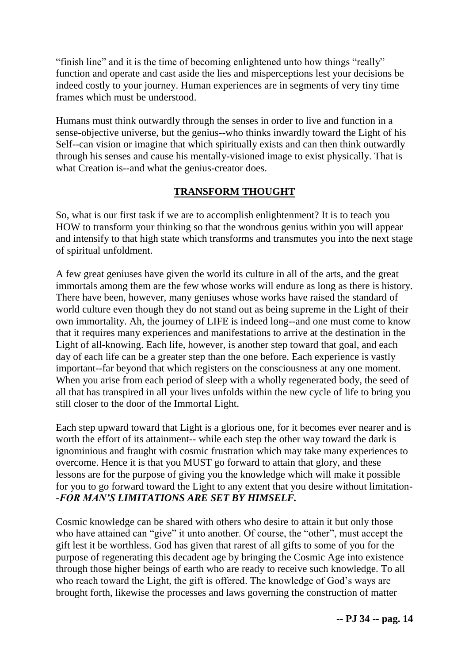"finish line" and it is the time of becoming enlightened unto how things "really" function and operate and cast aside the lies and misperceptions lest your decisions be indeed costly to your journey. Human experiences are in segments of very tiny time frames which must be understood.

Humans must think outwardly through the senses in order to live and function in a sense-objective universe, but the genius--who thinks inwardly toward the Light of his Self--can vision or imagine that which spiritually exists and can then think outwardly through his senses and cause his mentally-visioned image to exist physically. That is what Creation is--and what the genius-creator does.

#### **TRANSFORM THOUGHT**

So, what is our first task if we are to accomplish enlightenment? It is to teach you HOW to transform your thinking so that the wondrous genius within you will appear and intensify to that high state which transforms and transmutes you into the next stage of spiritual unfoldment.

A few great geniuses have given the world its culture in all of the arts, and the great immortals among them are the few whose works will endure as long as there is history. There have been, however, many geniuses whose works have raised the standard of world culture even though they do not stand out as being supreme in the Light of their own immortality. Ah, the journey of LIFE is indeed long--and one must come to know that it requires many experiences and manifestations to arrive at the destination in the Light of all-knowing. Each life, however, is another step toward that goal, and each day of each life can be a greater step than the one before. Each experience is vastly important--far beyond that which registers on the consciousness at any one moment. When you arise from each period of sleep with a wholly regenerated body, the seed of all that has transpired in all your lives unfolds within the new cycle of life to bring you still closer to the door of the Immortal Light.

Each step upward toward that Light is a glorious one, for it becomes ever nearer and is worth the effort of its attainment-- while each step the other way toward the dark is ignominious and fraught with cosmic frustration which may take many experiences to overcome. Hence it is that you MUST go forward to attain that glory, and these lessons are for the purpose of giving you the knowledge which will make it possible for you to go forward toward the Light to any extent that you desire without limitation- -*FOR MAN"S LIMITATIONS ARE SET BY HIMSELF.*

Cosmic knowledge can be shared with others who desire to attain it but only those who have attained can "give" it unto another. Of course, the "other", must accept the gift lest it be worthless. God has given that rarest of all gifts to some of you for the purpose of regenerating this decadent age by bringing the Cosmic Age into existence through those higher beings of earth who are ready to receive such knowledge. To all who reach toward the Light, the gift is offered. The knowledge of God's ways are brought forth, likewise the processes and laws governing the construction of matter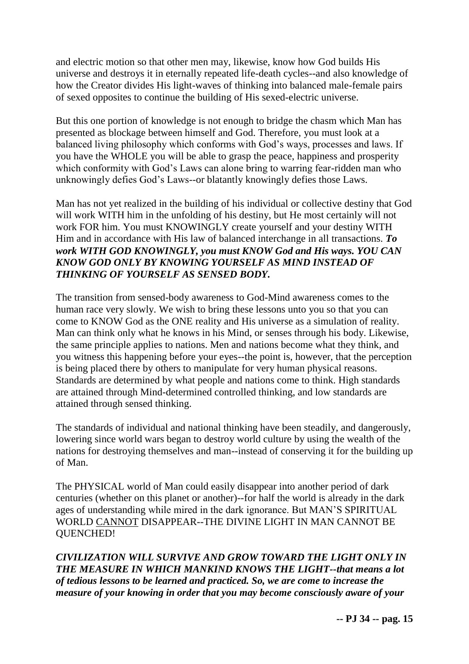and electric motion so that other men may, likewise, know how God builds His universe and destroys it in eternally repeated life-death cycles--and also knowledge of how the Creator divides His light-waves of thinking into balanced male-female pairs of sexed opposites to continue the building of His sexed-electric universe.

But this one portion of knowledge is not enough to bridge the chasm which Man has presented as blockage between himself and God. Therefore, you must look at a balanced living philosophy which conforms with God's ways, processes and laws. If you have the WHOLE you will be able to grasp the peace, happiness and prosperity which conformity with God's Laws can alone bring to warring fear-ridden man who unknowingly defies God's Laws--or blatantly knowingly defies those Laws.

Man has not yet realized in the building of his individual or collective destiny that God will work WITH him in the unfolding of his destiny, but He most certainly will not work FOR him. You must KNOWINGLY create yourself and your destiny WITH Him and in accordance with His law of balanced interchange in all transactions. *To work WITH GOD KNOWINGLY, you must KNOW God and His ways. YOU CAN KNOW GOD ONLY BY KNOWING YOURSELF AS MIND INSTEAD OF THINKING OF YOURSELF AS SENSED BODY.* 

The transition from sensed-body awareness to God-Mind awareness comes to the human race very slowly. We wish to bring these lessons unto you so that you can come to KNOW God as the ONE reality and His universe as a simulation of reality. Man can think only what he knows in his Mind, or senses through his body. Likewise, the same principle applies to nations. Men and nations become what they think, and you witness this happening before your eyes--the point is, however, that the perception is being placed there by others to manipulate for very human physical reasons. Standards are determined by what people and nations come to think. High standards are attained through Mind-determined controlled thinking, and low standards are attained through sensed thinking.

The standards of individual and national thinking have been steadily, and dangerously, lowering since world wars began to destroy world culture by using the wealth of the nations for destroying themselves and man--instead of conserving it for the building up of Man.

The PHYSICAL world of Man could easily disappear into another period of dark centuries (whether on this planet or another)--for half the world is already in the dark ages of understanding while mired in the dark ignorance. But MAN'S SPIRITUAL WORLD CANNOT DISAPPEAR--THE DIVINE LIGHT IN MAN CANNOT BE QUENCHED!

*CIVILIZATION WILL SURVIVE AND GROW TOWARD THE LIGHT ONLY IN THE MEASURE IN WHICH MANKIND KNOWS THE LIGHT--that means a lot of tedious lessons to be learned and practiced. So, we are come to increase the measure of your knowing in order that you may become consciously aware of your*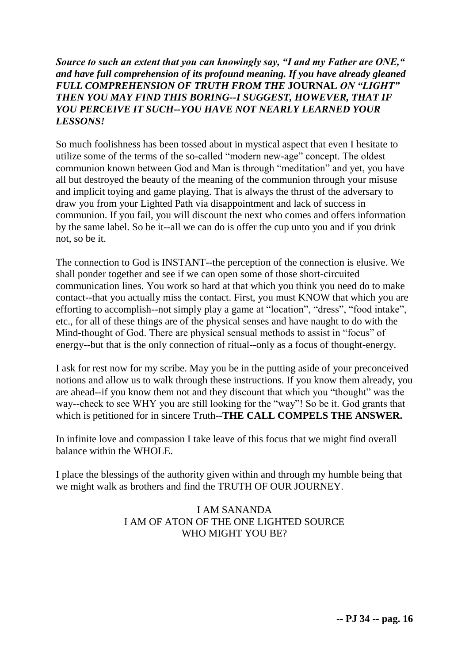*Source to such an extent that you can knowingly say, "I and my Father are ONE," and have full comprehension of its profound meaning. If you have already gleaned FULL COMPREHENSION OF TRUTH FROM THE* **JOURNAL** *ON "LIGHT" THEN YOU MAY FIND THIS BORING--I SUGGEST, HOWEVER, THAT IF YOU PERCEIVE IT SUCH--YOU HAVE NOT NEARLY LEARNED YOUR LESSONS!*

So much foolishness has been tossed about in mystical aspect that even I hesitate to utilize some of the terms of the so-called "modern new-age" concept. The oldest communion known between God and Man is through "meditation" and yet, you have all but destroyed the beauty of the meaning of the communion through your misuse and implicit toying and game playing. That is always the thrust of the adversary to draw you from your Lighted Path via disappointment and lack of success in communion. If you fail, you will discount the next who comes and offers information by the same label. So be it--all we can do is offer the cup unto you and if you drink not, so be it.

The connection to God is INSTANT--the perception of the connection is elusive. We shall ponder together and see if we can open some of those short-circuited communication lines. You work so hard at that which you think you need do to make contact--that you actually miss the contact. First, you must KNOW that which you are efforting to accomplish--not simply play a game at "location", "dress", "food intake", etc., for all of these things are of the physical senses and have naught to do with the Mind-thought of God. There are physical sensual methods to assist in "focus" of energy--but that is the only connection of ritual--only as a focus of thought-energy.

I ask for rest now for my scribe. May you be in the putting aside of your preconceived notions and allow us to walk through these instructions. If you know them already, you are ahead--if you know them not and they discount that which you "thought" was the way--check to see WHY you are still looking for the "way"! So be it. God grants that which is petitioned for in sincere Truth--**THE CALL COMPELS THE ANSWER.** 

In infinite love and compassion I take leave of this focus that we might find overall balance within the WHOLE.

I place the blessings of the authority given within and through my humble being that we might walk as brothers and find the TRUTH OF OUR JOURNEY.

> I AM SANANDA I AM OF ATON OF THE ONE LIGHTED SOURCE WHO MIGHT YOU BE?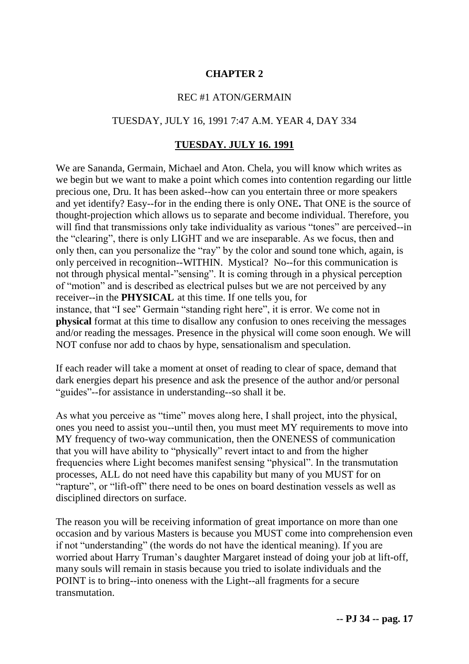#### **CHAPTER 2**

#### REC #1 ATON/GERMAIN

#### TUESDAY, JULY 16, 1991 7:47 A.M. YEAR 4, DAY 334

#### **TUESDAY. JULY 16. 1991**

We are Sananda, Germain, Michael and Aton. Chela, you will know which writes as we begin but we want to make a point which comes into contention regarding our little precious one, Dru. It has been asked--how can you entertain three or more speakers and yet identify? Easy--for in the ending there is only ONE**.** That ONE is the source of thought-projection which allows us to separate and become individual. Therefore, you will find that transmissions only take individuality as various "tones" are perceived--in the "clearing", there is only LIGHT and we are inseparable. As we focus, then and only then, can you personalize the "ray" by the color and sound tone which, again, is only perceived in recognition--WITHIN. Mystical? No--for this communication is not through physical mental-"sensing". It is coming through in a physical perception of "motion" and is described as electrical pulses but we are not perceived by any receiver--in the **PHYSICAL** at this time. If one tells you, for instance, that "I see" Germain "standing right here", it is error. We come not in **physical** format at this time to disallow any confusion to ones receiving the messages and/or reading the messages. Presence in the physical will come soon enough. We will NOT confuse nor add to chaos by hype, sensationalism and speculation.

If each reader will take a moment at onset of reading to clear of space, demand that dark energies depart his presence and ask the presence of the author and/or personal "guides"--for assistance in understanding--so shall it be.

As what you perceive as "time" moves along here, I shall project, into the physical, ones you need to assist you--until then, you must meet MY requirements to move into MY frequency of two-way communication, then the ONENESS of communication that you will have ability to "physically" revert intact to and from the higher frequencies where Light becomes manifest sensing "physical". In the transmutation processes, ALL do not need have this capability but many of you MUST for on "rapture", or "lift-off" there need to be ones on board destination vessels as well as disciplined directors on surface.

The reason you will be receiving information of great importance on more than one occasion and by various Masters is because you MUST come into comprehension even if not "understanding" (the words do not have the identical meaning). If you are worried about Harry Truman's daughter Margaret instead of doing your job at lift-off, many souls will remain in stasis because you tried to isolate individuals and the POINT is to bring--into oneness with the Light--all fragments for a secure transmutation.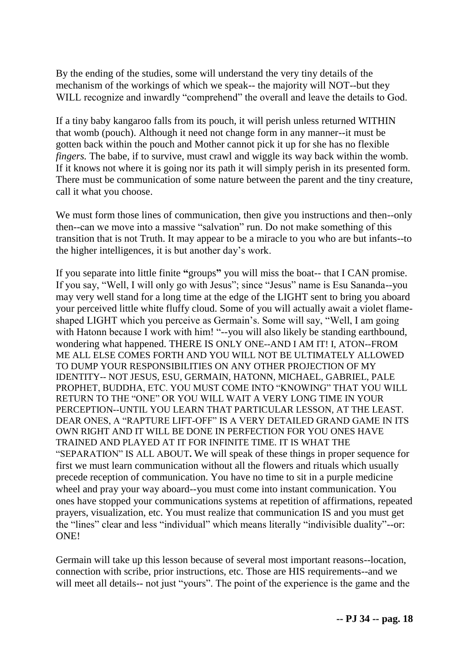By the ending of the studies, some will understand the very tiny details of the mechanism of the workings of which we speak-- the majority will NOT--but they WILL recognize and inwardly "comprehend" the overall and leave the details to God.

If a tiny baby kangaroo falls from its pouch, it will perish unless returned WITHIN that womb (pouch). Although it need not change form in any manner--it must be gotten back within the pouch and Mother cannot pick it up for she has no flexible *fingers*. The babe, if to survive, must crawl and wiggle its way back within the womb. If it knows not where it is going nor its path it will simply perish in its presented form. There must be communication of some nature between the parent and the tiny creature, call it what you choose.

We must form those lines of communication, then give you instructions and then--only then--can we move into a massive "salvation" run. Do not make something of this transition that is not Truth. It may appear to be a miracle to you who are but infants--to the higher intelligences, it is but another day's work.

If you separate into little finite **"**groups**"** you will miss the boat-- that I CAN promise. If you say, "Well, I will only go with Jesus"; since "Jesus" name is Esu Sananda--you may very well stand for a long time at the edge of the LIGHT sent to bring you aboard your perceived little white fluffy cloud. Some of you will actually await a violet flameshaped LIGHT which you perceive as Germain's. Some will say, "Well, I am going with Hatonn because I work with him! "--you will also likely be standing earthbound, wondering what happened. THERE IS ONLY ONE--AND I AM IT! I, ATON--FROM ME ALL ELSE COMES FORTH AND YOU WILL NOT BE ULTIMATELY ALLOWED TO DUMP YOUR RESPONSIBILITIES ON ANY OTHER PROJECTION OF MY IDENTITY-- NOT JESUS, ESU, GERMAIN, HATONN, MICHAEL, GABRIEL, PALE PROPHET, BUDDHA, ETC. YOU MUST COME INTO "KNOWING" THAT YOU WILL RETURN TO THE "ONE" OR YOU WILL WAIT A VERY LONG TIME IN YOUR PERCEPTION--UNTIL YOU LEARN THAT PARTICULAR LESSON, AT THE LEAST. DEAR ONES, A "RAPTURE LIFT-OFF" IS A VERY DETAILED GRAND GAME IN ITS OWN RIGHT AND IT WILL BE DONE IN PERFECTION FOR YOU ONES HAVE TRAINED AND PLAYED AT IT FOR INFINITE TIME. IT IS WHAT THE ―SEPARATION‖ IS ALL ABOUT**.** We will speak of these things in proper sequence for first we must learn communication without all the flowers and rituals which usually precede reception of communication. You have no time to sit in a purple medicine wheel and pray your way aboard--you must come into instant communication. You ones have stopped your communications systems at repetition of affirmations, repeated prayers, visualization, etc. You must realize that communication IS and you must get the "lines" clear and less "individual" which means literally "indivisible duality"--or: ONE!

Germain will take up this lesson because of several most important reasons--location, connection with scribe, prior instructions, etc. Those are HIS requirements--and we will meet all details-- not just "yours". The point of the experience is the game and the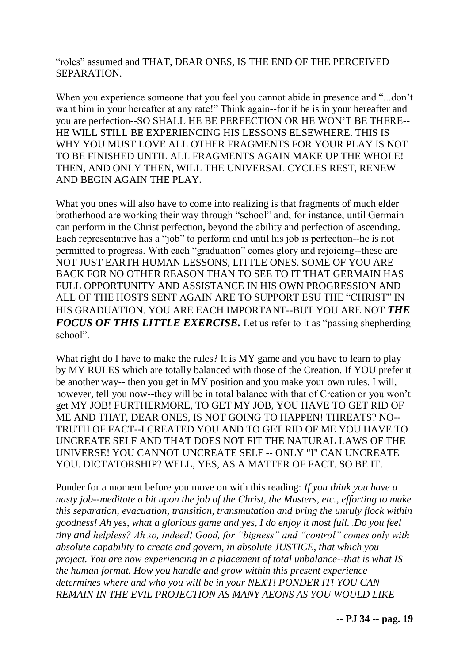"roles" assumed and THAT, DEAR ONES, IS THE END OF THE PERCEIVED SEPARATION.

When you experience someone that you feel you cannot abide in presence and "...don't want him in your hereafter at any rate!" Think again--for if he is in your hereafter and you are perfection--SO SHALL HE BE PERFECTION OR HE WON'T BE THERE-- HE WILL STILL BE EXPERIENCING HIS LESSONS ELSEWHERE. THIS IS WHY YOU MUST LOVE ALL OTHER FRAGMENTS FOR YOUR PLAY IS NOT TO BE FINISHED UNTIL ALL FRAGMENTS AGAIN MAKE UP THE WHOLE! THEN, AND ONLY THEN, WILL THE UNIVERSAL CYCLES REST, RENEW AND BEGIN AGAIN THE PLAY.

What you ones will also have to come into realizing is that fragments of much elder brotherhood are working their way through "school" and, for instance, until Germain can perform in the Christ perfection, beyond the ability and perfection of ascending. Each representative has a "job" to perform and until his job is perfection--he is not permitted to progress. With each "graduation" comes glory and rejoicing--these are NOT JUST EARTH HUMAN LESSONS, LITTLE ONES. SOME OF YOU ARE BACK FOR NO OTHER REASON THAN TO SEE TO IT THAT GERMAIN HAS FULL OPPORTUNITY AND ASSISTANCE IN HIS OWN PROGRESSION AND ALL OF THE HOSTS SENT AGAIN ARE TO SUPPORT ESU THE "CHRIST" IN HIS GRADUATION. YOU ARE EACH IMPORTANT--BUT YOU ARE NOT *THE FOCUS OF THIS LITTLE EXERCISE.* Let us refer to it as "passing shepherding school"

What right do I have to make the rules? It is MY game and you have to learn to play by MY RULES which are totally balanced with those of the Creation. If YOU prefer it be another way-- then you get in MY position and you make your own rules. I will, however, tell you now--they will be in total balance with that of Creation or you won't get MY JOB! FURTHERMORE, TO GET MY JOB, YOU HAVE TO GET RID OF ME AND THAT, DEAR ONES, IS NOT GOING TO HAPPEN! THREATS? NO-- TRUTH OF FACT--I CREATED YOU AND TO GET RID OF ME YOU HAVE TO UNCREATE SELF AND THAT DOES NOT FIT THE NATURAL LAWS OF THE UNIVERSE! YOU CANNOT UNCREATE SELF -- ONLY "I" CAN UNCREATE YOU. DICTATORSHIP? WELL, YES, AS A MATTER OF FACT. SO BE IT.

Ponder for a moment before you move on with this reading: *If you think you have a nasty job--meditate a bit upon the job of the Christ, the Masters, etc., efforting to make this separation, evacuation, transition, transmutation and bring the unruly flock within goodness! Ah yes, what a glorious game and yes, I do enjoy it most full.* . *Do you feel tiny and helpless? Ah so, indeed! Good, for "bigness" and "control" comes only with absolute capability to create and govern, in absolute JUSTICE, that which you project. You are now experiencing in a placement of total unbalance--that is what IS the human format. How you handle and grow within this present experience determines where and who you will be in your NEXT! PONDER IT! YOU CAN REMAIN IN THE EVIL PROJECTION AS MANY AEONS AS YOU WOULD LIKE*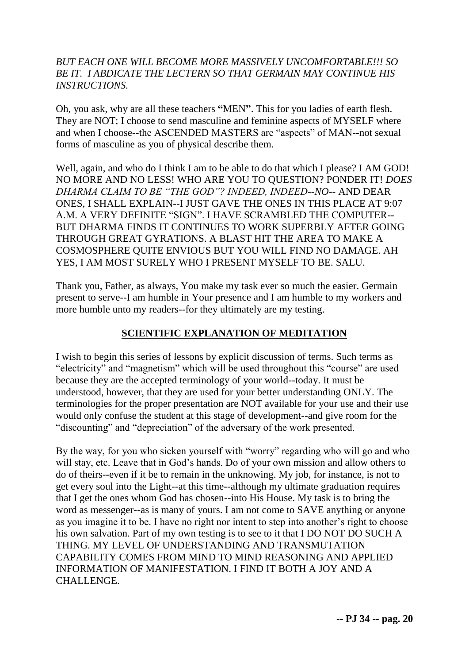#### *BUT EACH ONE WILL BECOME MORE MASSIVELY UNCOMFORTABLE!!! SO BE IT. I ABDICATE THE LECTERN SO THAT GERMAIN MAY CONTINUE HIS INSTRUCTIONS.*

Oh, you ask, why are all these teachers **"**MEN**"**. This for you ladies of earth flesh. They are NOT; I choose to send masculine and feminine aspects of MYSELF where and when I choose--the ASCENDED MASTERS are "aspects" of MAN--not sexual forms of masculine as you of physical describe them.

Well, again, and who do I think I am to be able to do that which I please? I AM GOD! NO MORE AND NO LESS! WHO ARE YOU TO QUESTION? PONDER IT! *DOES DHARMA CLAIM TO BE "THE GOD"? INDEED, INDEED--NO--* AND DEAR ONES, I SHALL EXPLAIN--I JUST GAVE THE ONES IN THIS PLACE AT 9:07 A.M. A VERY DEFINITE "SIGN". I HAVE SCRAMBLED THE COMPUTER--BUT DHARMA FINDS IT CONTINUES TO WORK SUPERBLY AFTER GOING THROUGH GREAT GYRATIONS. A BLAST HIT THE AREA TO MAKE A COSMOSPHERE QUITE ENVIOUS BUT YOU WILL FIND NO DAMAGE. AH YES, I AM MOST SURELY WHO I PRESENT MYSELF TO BE. SALU.

Thank you, Father, as always, You make my task ever so much the easier. Germain present to serve--I am humble in Your presence and I am humble to my workers and more humble unto my readers--for they ultimately are my testing.

#### **SCIENTIFIC EXPLANATION OF MEDITATION**

I wish to begin this series of lessons by explicit discussion of terms. Such terms as "electricity" and "magnetism" which will be used throughout this "course" are used because they are the accepted terminology of your world--today. It must be understood, however, that they are used for your better understanding ONLY. The terminologies for the proper presentation are NOT available for your use and their use would only confuse the student at this stage of development--and give room for the "discounting" and "depreciation" of the adversary of the work presented.

By the way, for you who sicken yourself with "worry" regarding who will go and who will stay, etc. Leave that in God's hands. Do of your own mission and allow others to do of theirs--even if it be to remain in the unknowing. My job, for instance, is not to get every soul into the Light--at this time--although my ultimate graduation requires that I get the ones whom God has chosen--into His House. My task is to bring the word as messenger--as is many of yours. I am not come to SAVE anything or anyone as you imagine it to be. I have no right nor intent to step into another's right to choose his own salvation. Part of my own testing is to see to it that I DO NOT DO SUCH A THING. MY LEVEL OF UNDERSTANDING AND TRANSMUTATION CAPABILITY COMES FROM MIND TO MIND REASONING AND APPLIED INFORMATION OF MANIFESTATION. I FIND IT BOTH A JOY AND A CHALLENGE.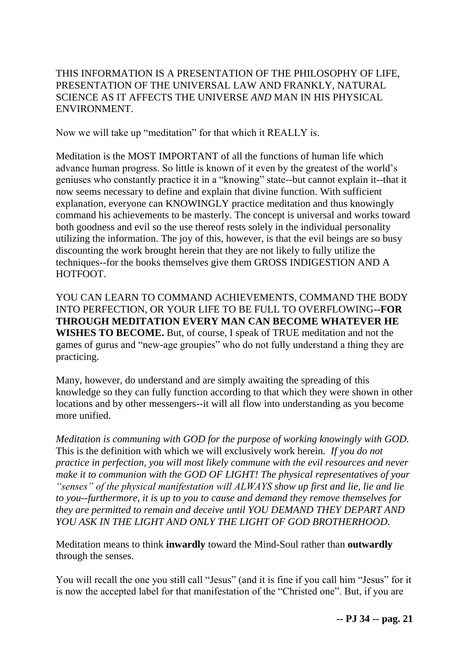THIS INFORMATION IS A PRESENTATION OF THE PHILOSOPHY OF LIFE, PRESENTATION OF THE UNIVERSAL LAW AND FRANKLY, NATURAL SCIENCE AS IT AFFECTS THE UNIVERSE *AND* MAN IN HIS PHYSICAL ENVIRONMENT.

Now we will take up "meditation" for that which it REALLY is.

Meditation is the MOST IMPORTANT of all the functions of human life which advance human progress. So little is known of it even by the greatest of the world's geniuses who constantly practice it in a "knowing" state--but cannot explain it--that it now seems necessary to define and explain that divine function. With sufficient explanation, everyone can KNOWINGLY practice meditation and thus knowingly command his achievements to be masterly. The concept is universal and works toward both goodness and evil so the use thereof rests solely in the individual personality utilizing the information. The joy of this, however, is that the evil beings are so busy discounting the work brought herein that they are not likely to fully utilize the techniques--for the books themselves give them GROSS INDIGESTION AND A HOTFOOT.

YOU CAN LEARN TO COMMAND ACHIEVEMENTS, COMMAND THE BODY INTO PERFECTION, OR YOUR LIFE TO BE FULL TO OVERFLOWING**--FOR THROUGH MEDITATION EVERY MAN CAN BECOME WHATEVER HE WISHES TO BECOME.** But, of course, I speak of TRUE meditation and not the games of gurus and "new-age groupies" who do not fully understand a thing they are practicing.

Many, however, do understand and are simply awaiting the spreading of this knowledge so they can fully function according to that which they were shown in other locations and by other messengers--it will all flow into understanding as you become more unified.

*Meditation is communing with GOD for the purpose of working knowingly with GOD.*  This is the definition with which we will exclusively work herein. *If you do not practice in perfection, you will most likely commune with the evil resources and never make it to communion with the GOD OF LIGHT! The physical representatives of your "senses" of the physical manifestation will ALWAYS show up first and lie, lie and lie to you--furthermore, it is up to you to cause and demand they remove themselves for they are permitted to remain and deceive until YOU DEMAND THEY DEPART AND YOU ASK IN THE LIGHT AND ONLY THE LIGHT OF GOD BROTHERHOOD.*

Meditation means to think **inwardly** toward the Mind-Soul rather than **outwardly** through the senses.

You will recall the one you still call "Jesus" (and it is fine if you call him "Jesus" for it is now the accepted label for that manifestation of the "Christed one". But, if you are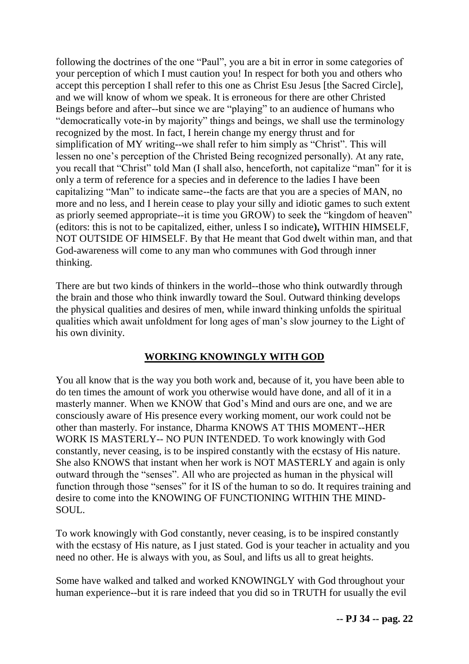following the doctrines of the one "Paul", you are a bit in error in some categories of your perception of which I must caution you! In respect for both you and others who accept this perception I shall refer to this one as Christ Esu Jesus [the Sacred Circle], and we will know of whom we speak. It is erroneous for there are other Christed Beings before and after--but since we are "playing" to an audience of humans who "democratically vote-in by majority" things and beings, we shall use the terminology recognized by the most. In fact, I herein change my energy thrust and for simplification of MY writing--we shall refer to him simply as "Christ". This will lessen no one's perception of the Christed Being recognized personally). At any rate, you recall that "Christ" told Man (I shall also, henceforth, not capitalize "man" for it is only a term of reference for a species and in deference to the ladies I have been capitalizing "Man" to indicate same--the facts are that you are a species of MAN, no more and no less, and I herein cease to play your silly and idiotic games to such extent as priorly seemed appropriate--it is time you GROW) to seek the "kingdom of heaven" (editors: this is not to be capitalized, either, unless I so indicate**),** WITHIN HIMSELF, NOT OUTSIDE OF HIMSELF. By that He meant that God dwelt within man, and that God-awareness will come to any man who communes with God through inner thinking.

There are but two kinds of thinkers in the world--those who think outwardly through the brain and those who think inwardly toward the Soul. Outward thinking develops the physical qualities and desires of men, while inward thinking unfolds the spiritual qualities which await unfoldment for long ages of man's slow journey to the Light of his own divinity.

#### **WORKING KNOWINGLY WITH GOD**

You all know that is the way you both work and, because of it, you have been able to do ten times the amount of work you otherwise would have done, and all of it in a masterly manner. When we KNOW that God's Mind and ours are one, and we are consciously aware of His presence every working moment, our work could not be other than masterly. For instance, Dharma KNOWS AT THIS MOMENT--HER WORK IS MASTERLY-- NO PUN INTENDED. To work knowingly with God constantly, never ceasing, is to be inspired constantly with the ecstasy of His nature. She also KNOWS that instant when her work is NOT MASTERLY and again is only outward through the "senses". All who are projected as human in the physical will function through those "senses" for it IS of the human to so do. It requires training and desire to come into the KNOWING OF FUNCTIONING WITHIN THE MIND-SOUL.

To work knowingly with God constantly, never ceasing, is to be inspired constantly with the ecstasy of His nature, as I just stated. God is your teacher in actuality and you need no other. He is always with you, as Soul, and lifts us all to great heights.

Some have walked and talked and worked KNOWINGLY with God throughout your human experience--but it is rare indeed that you did so in TRUTH for usually the evil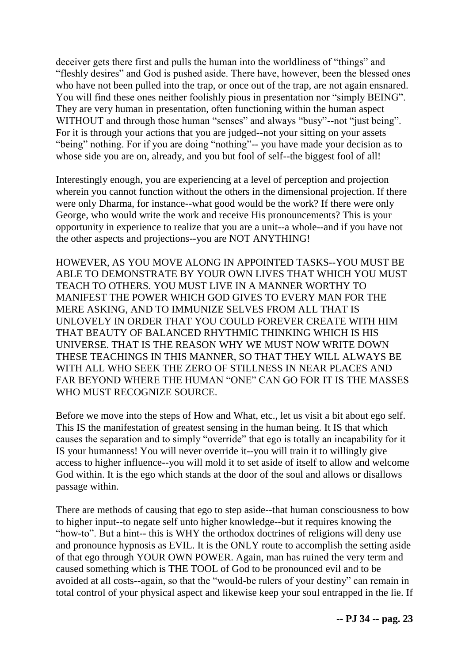deceiver gets there first and pulls the human into the worldliness of "things" and "fleshly desires" and God is pushed aside. There have, however, been the blessed ones who have not been pulled into the trap, or once out of the trap, are not again ensnared. You will find these ones neither foolishly pious in presentation nor "simply BEING". They are very human in presentation, often functioning within the human aspect WITHOUT and through those human "senses" and always "busy"--not "just being". For it is through your actions that you are judged--not your sitting on your assets "being" nothing. For if you are doing "nothing"-- you have made your decision as to whose side you are on, already, and you but fool of self--the biggest fool of all!

Interestingly enough, you are experiencing at a level of perception and projection wherein you cannot function without the others in the dimensional projection. If there were only Dharma, for instance--what good would be the work? If there were only George, who would write the work and receive His pronouncements? This is your opportunity in experience to realize that you are a unit--a whole--and if you have not the other aspects and projections--you are NOT ANYTHING!

HOWEVER, AS YOU MOVE ALONG IN APPOINTED TASKS--YOU MUST BE ABLE TO DEMONSTRATE BY YOUR OWN LIVES THAT WHICH YOU MUST TEACH TO OTHERS. YOU MUST LIVE IN A MANNER WORTHY TO MANIFEST THE POWER WHICH GOD GIVES TO EVERY MAN FOR THE MERE ASKING, AND TO IMMUNIZE SELVES FROM ALL THAT IS UNLOVELY IN ORDER THAT YOU COULD FOREVER CREATE WITH HIM THAT BEAUTY OF BALANCED RHYTHMIC THINKING WHICH IS HIS UNIVERSE. THAT IS THE REASON WHY WE MUST NOW WRITE DOWN THESE TEACHINGS IN THIS MANNER, SO THAT THEY WILL ALWAYS BE WITH ALL WHO SEEK THE ZERO OF STILLNESS IN NEAR PLACES AND FAR BEYOND WHERE THE HUMAN "ONE" CAN GO FOR IT IS THE MASSES WHO MUST RECOGNIZE SOURCE.

Before we move into the steps of How and What, etc., let us visit a bit about ego self. This IS the manifestation of greatest sensing in the human being. It IS that which causes the separation and to simply "override" that ego is totally an incapability for it IS your humanness! You will never override it--you will train it to willingly give access to higher influence--you will mold it to set aside of itself to allow and welcome God within. It is the ego which stands at the door of the soul and allows or disallows passage within.

There are methods of causing that ego to step aside--that human consciousness to bow to higher input--to negate self unto higher knowledge--but it requires knowing the "how-to". But a hint-- this is WHY the orthodox doctrines of religions will deny use and pronounce hypnosis as EVIL. It is the ONLY route to accomplish the setting aside of that ego through YOUR OWN POWER. Again, man has ruined the very term and caused something which is THE TOOL of God to be pronounced evil and to be avoided at all costs--again, so that the "would-be rulers of your destiny" can remain in total control of your physical aspect and likewise keep your soul entrapped in the lie. If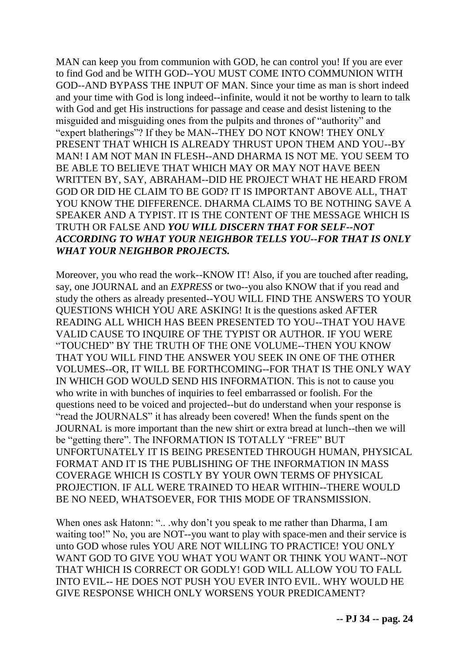MAN can keep you from communion with GOD, he can control you! If you are ever to find God and be WITH GOD--YOU MUST COME INTO COMMUNION WITH GOD--AND BYPASS THE INPUT OF MAN. Since your time as man is short indeed and your time with God is long indeed--infinite, would it not be worthy to learn to talk with God and get His instructions for passage and cease and desist listening to the misguided and misguiding ones from the pulpits and thrones of "authority" and "expert blatherings"? If they be MAN--THEY DO NOT KNOW! THEY ONLY PRESENT THAT WHICH IS ALREADY THRUST UPON THEM AND YOU--BY MAN! I AM NOT MAN IN FLESH--AND DHARMA IS NOT ME. YOU SEEM TO BE ABLE TO BELIEVE THAT WHICH MAY OR MAY NOT HAVE BEEN WRITTEN BY, SAY, ABRAHAM--DID HE PROJECT WHAT HE HEARD FROM GOD OR DID HE CLAIM TO BE GOD? IT IS IMPORTANT ABOVE ALL, THAT YOU KNOW THE DIFFERENCE. DHARMA CLAIMS TO BE NOTHING SAVE A SPEAKER AND A TYPIST. IT IS THE CONTENT OF THE MESSAGE WHICH IS TRUTH OR FALSE AND *YOU WILL DISCERN THAT FOR SELF--NOT ACCORDING TO WHAT YOUR NEIGHBOR TELLS YOU--FOR THAT IS ONLY WHAT YOUR NEIGHBOR PROJECTS.*

Moreover, you who read the work--KNOW IT! Also, if you are touched after reading, say, one JOURNAL and an *EXPRESS* or two--you also KNOW that if you read and study the others as already presented--YOU WILL FIND THE ANSWERS TO YOUR QUESTIONS WHICH YOU ARE ASKING! It is the questions asked AFTER READING ALL WHICH HAS BEEN PRESENTED TO YOU--THAT YOU HAVE VALID CAUSE TO INQUIRE OF THE TYPIST OR AUTHOR. IF YOU WERE "TOUCHED" BY THE TRUTH OF THE ONE VOLUME--THEN YOU KNOW THAT YOU WILL FIND THE ANSWER YOU SEEK IN ONE OF THE OTHER VOLUMES--OR, IT WILL BE FORTHCOMING--FOR THAT IS THE ONLY WAY IN WHICH GOD WOULD SEND HIS INFORMATION. This is not to cause you who write in with bunches of inquiries to feel embarrassed or foolish. For the questions need to be voiced and projected--but do understand when your response is "read the JOURNALS" it has already been covered! When the funds spent on the JOURNAL is more important than the new shirt or extra bread at lunch--then we will be "getting there". The INFORMATION IS TOTALLY "FREE" BUT UNFORTUNATELY IT IS BEING PRESENTED THROUGH HUMAN, PHYSICAL FORMAT AND IT IS THE PUBLISHING OF THE INFORMATION IN MASS COVERAGE WHICH IS COSTLY BY YOUR OWN TERMS OF PHYSICAL PROJECTION. IF ALL WERE TRAINED TO HEAR WITHIN--THERE WOULD BE NO NEED, WHATSOEVER, FOR THIS MODE OF TRANSMISSION.

When ones ask Hatonn: "... .why don't you speak to me rather than Dharma, I am waiting too!" No, you are NOT--you want to play with space-men and their service is unto GOD whose rules YOU ARE NOT WILLING TO PRACTICE! YOU ONLY WANT GOD TO GIVE YOU WHAT YOU WANT OR THINK YOU WANT--NOT THAT WHICH IS CORRECT OR GODLY! GOD WILL ALLOW YOU TO FALL INTO EVIL-- HE DOES NOT PUSH YOU EVER INTO EVIL. WHY WOULD HE GIVE RESPONSE WHICH ONLY WORSENS YOUR PREDICAMENT?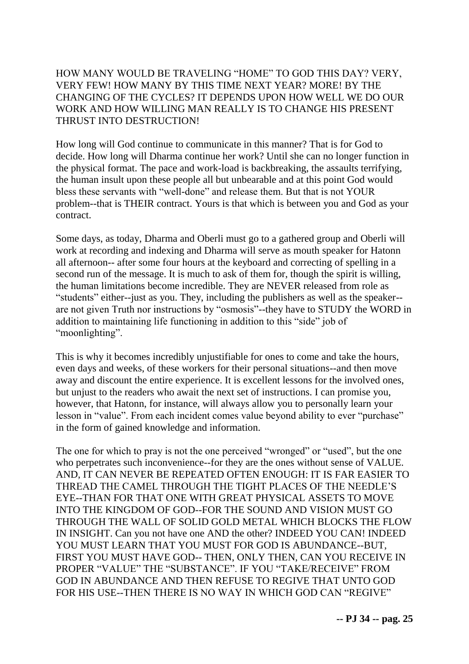HOW MANY WOULD BE TRAVELING "HOME" TO GOD THIS DAY? VERY, VERY FEW! HOW MANY BY THIS TIME NEXT YEAR? MORE! BY THE CHANGING OF THE CYCLES? IT DEPENDS UPON HOW WELL WE DO OUR WORK AND HOW WILLING MAN REALLY IS TO CHANGE HIS PRESENT THRUST INTO DESTRUCTION!

How long will God continue to communicate in this manner? That is for God to decide. How long will Dharma continue her work? Until she can no longer function in the physical format. The pace and work-load is backbreaking, the assaults terrifying, the human insult upon these people all but unbearable and at this point God would bless these servants with "well-done" and release them. But that is not YOUR problem--that is THEIR contract. Yours is that which is between you and God as your contract.

Some days, as today, Dharma and Oberli must go to a gathered group and Oberli will work at recording and indexing and Dharma will serve as mouth speaker for Hatonn all afternoon-- after some four hours at the keyboard and correcting of spelling in a second run of the message. It is much to ask of them for, though the spirit is willing, the human limitations become incredible. They are NEVER released from role as ―students‖ either--just as you. They, including the publishers as well as the speaker- are not given Truth nor instructions by "osmosis"--they have to STUDY the WORD in addition to maintaining life functioning in addition to this "side" job of "moonlighting".

This is why it becomes incredibly unjustifiable for ones to come and take the hours, even days and weeks, of these workers for their personal situations--and then move away and discount the entire experience. It is excellent lessons for the involved ones, but unjust to the readers who await the next set of instructions. I can promise you, however, that Hatonn, for instance, will always allow you to personally learn your lesson in "value". From each incident comes value beyond ability to ever "purchase" in the form of gained knowledge and information.

The one for which to pray is not the one perceived "wronged" or "used", but the one who perpetrates such inconvenience--for they are the ones without sense of VALUE. AND, IT CAN NEVER BE REPEATED OFTEN ENOUGH: IT IS FAR EASIER TO THREAD THE CAMEL THROUGH THE TIGHT PLACES OF THE NEEDLE'S EYE--THAN FOR THAT ONE WITH GREAT PHYSICAL ASSETS TO MOVE INTO THE KINGDOM OF GOD--FOR THE SOUND AND VISION MUST GO THROUGH THE WALL OF SOLID GOLD METAL WHICH BLOCKS THE FLOW IN INSIGHT. Can you not have one AND the other? INDEED YOU CAN! INDEED YOU MUST LEARN THAT YOU MUST FOR GOD IS ABUNDANCE--BUT, FIRST YOU MUST HAVE GOD-- THEN, ONLY THEN, CAN YOU RECEIVE IN PROPER "VALUE" THE "SUBSTANCE". IF YOU "TAKE/RECEIVE" FROM GOD IN ABUNDANCE AND THEN REFUSE TO REGIVE THAT UNTO GOD FOR HIS USE--THEN THERE IS NO WAY IN WHICH GOD CAN "REGIVE"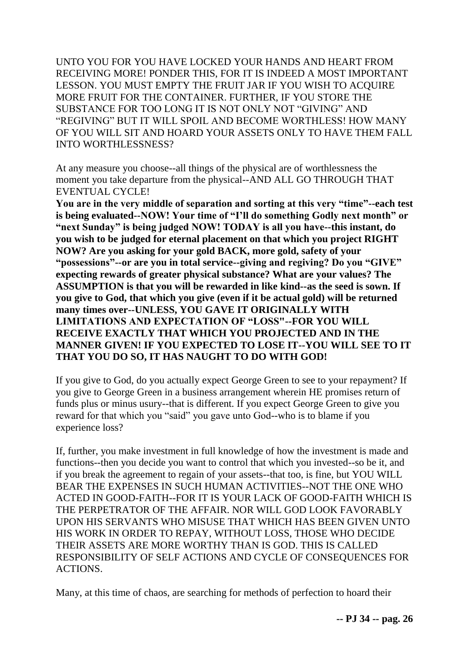UNTO YOU FOR YOU HAVE LOCKED YOUR HANDS AND HEART FROM RECEIVING MORE! PONDER THIS, FOR IT IS INDEED A MOST IMPORTANT LESSON. YOU MUST EMPTY THE FRUIT JAR IF YOU WISH TO ACQUIRE MORE FRUIT FOR THE CONTAINER. FURTHER, IF YOU STORE THE SUBSTANCE FOR TOO LONG IT IS NOT ONLY NOT "GIVING" AND "REGIVING" BUT IT WILL SPOIL AND BECOME WORTHLESS! HOW MANY OF YOU WILL SIT AND HOARD YOUR ASSETS ONLY TO HAVE THEM FALL INTO WORTHLESSNESS?

At any measure you choose--all things of the physical are of worthlessness the moment you take departure from the physical--AND ALL GO THROUGH THAT EVENTUAL CYCLE!

**You are in the very middle of separation and sorting at this very "time"--each test is being evaluated--NOW! Your time of "I"ll do something Godly next month" or "next Sunday" is being judged NOW! TODAY is all you have--this instant, do you wish to be judged for eternal placement on that which you project RIGHT NOW? Are you asking for your gold BACK, more gold, safety of your "possessions"--or are you in total service--giving and regiving? Do you "GIVE" expecting rewards of greater physical substance? What are your values? The ASSUMPTION is that you will be rewarded in like kind--as the seed is sown. If you give to God, that which you give (even if it be actual gold) will be returned many times over--UNLESS, YOU GAVE IT ORIGINALLY WITH LIMITATIONS AND EXPECTATION OF "LOSS"--FOR YOU WILL RECEIVE EXACTLY THAT WHICH YOU PROJECTED AND IN THE MANNER GIVEN! IF YOU EXPECTED TO LOSE IT--YOU WILL SEE TO IT THAT YOU DO SO, IT HAS NAUGHT TO DO WITH GOD!**

If you give to God, do you actually expect George Green to see to your repayment? If you give to George Green in a business arrangement wherein HE promises return of funds plus or minus usury--that is different. If you expect George Green to give you reward for that which you "said" you gave unto God--who is to blame if you experience loss?

If, further, you make investment in full knowledge of how the investment is made and functions--then you decide you want to control that which you invested--so be it, and if you break the agreement to regain of your assets--that too, is fine, but YOU WILL BEAR THE EXPENSES IN SUCH HUMAN ACTIVITIES--NOT THE ONE WHO ACTED IN GOOD-FAITH--FOR IT IS YOUR LACK OF GOOD-FAITH WHICH IS THE PERPETRATOR OF THE AFFAIR. NOR WILL GOD LOOK FAVORABLY UPON HIS SERVANTS WHO MISUSE THAT WHICH HAS BEEN GIVEN UNTO HIS WORK IN ORDER TO REPAY, WITHOUT LOSS, THOSE WHO DECIDE THEIR ASSETS ARE MORE WORTHY THAN IS GOD. THIS IS CALLED RESPONSIBILITY OF SELF ACTIONS AND CYCLE OF CONSEQUENCES FOR ACTIONS.

Many, at this time of chaos, are searching for methods of perfection to hoard their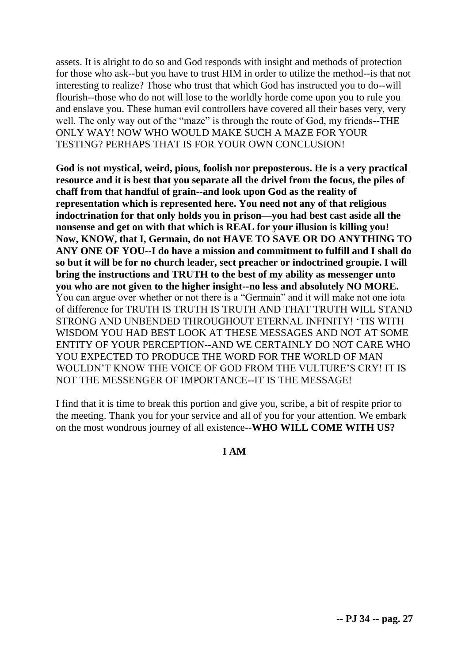assets. It is alright to do so and God responds with insight and methods of protection for those who ask--but you have to trust HIM in order to utilize the method--is that not interesting to realize? Those who trust that which God has instructed you to do--will flourish--those who do not will lose to the worldly horde come upon you to rule you and enslave you. These human evil controllers have covered all their bases very, very well. The only way out of the "maze" is through the route of God, my friends--THE ONLY WAY! NOW WHO WOULD MAKE SUCH A MAZE FOR YOUR TESTING? PERHAPS THAT IS FOR YOUR OWN CONCLUSION!

**God is not mystical, weird, pious, foolish nor preposterous. He is a very practical resource and it is best that you separate all the drivel from the focus, the piles of chaff from that handful of grain--and look upon God as the reality of representation which is represented here. You need not any of that religious indoctrination for that only holds you in prison—you had best cast aside all the nonsense and get on with that which is REAL for your illusion is killing you! Now, KNOW, that I, Germain, do not HAVE TO SAVE OR DO ANYTHING TO ANY ONE OF YOU--I do have a mission and commitment to fulfill and I shall do so but it will be for no church leader, sect preacher or indoctrined groupie. I will bring the instructions and TRUTH to the best of my ability as messenger unto you who are not given to the higher insight--no less and absolutely NO MORE.** You can argue over whether or not there is a "Germain" and it will make not one iota of difference for TRUTH IS TRUTH IS TRUTH AND THAT TRUTH WILL STAND STRONG AND UNBENDED THROUGHOUT ETERNAL INFINITY! ‗TIS WITH WISDOM YOU HAD BEST LOOK AT THESE MESSAGES AND NOT AT SOME ENTITY OF YOUR PERCEPTION--AND WE CERTAINLY DO NOT CARE WHO YOU EXPECTED TO PRODUCE THE WORD FOR THE WORLD OF MAN WOULDN'T KNOW THE VOICE OF GOD FROM THE VULTURE'S CRY! IT IS NOT THE MESSENGER OF IMPORTANCE--IT IS THE MESSAGE!

I find that it is time to break this portion and give you, scribe, a bit of respite prior to the meeting. Thank you for your service and all of you for your attention. We embark on the most wondrous journey of all existence--**WHO WILL COME WITH US?**

**I AM**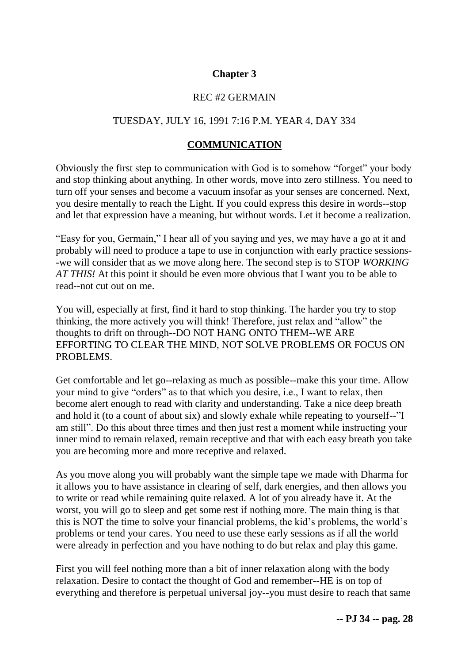#### **Chapter 3**

#### REC #2 GERMAIN

#### TUESDAY, JULY 16, 1991 7:16 P.M. YEAR 4, DAY 334

#### **COMMUNICATION**

Obviously the first step to communication with God is to somehow "forget" your body and stop thinking about anything. In other words, move into zero stillness. You need to turn off your senses and become a vacuum insofar as your senses are concerned. Next, you desire mentally to reach the Light. If you could express this desire in words--stop and let that expression have a meaning, but without words. Let it become a realization.

"Easy for you, Germain," I hear all of you saying and yes, we may have a go at it and probably will need to produce a tape to use in conjunction with early practice sessions- -we will consider that as we move along here. The second step is to STOP *WORKING AT THIS!* At this point it should be even more obvious that I want you to be able to read--not cut out on me.

You will, especially at first, find it hard to stop thinking. The harder you try to stop thinking, the more actively you will think! Therefore, just relax and "allow" the thoughts to drift on through--DO NOT HANG ONTO THEM--WE ARE EFFORTING TO CLEAR THE MIND, NOT SOLVE PROBLEMS OR FOCUS ON PROBLEMS.

Get comfortable and let go--relaxing as much as possible--make this your time. Allow your mind to give "orders" as to that which you desire, i.e., I want to relax, then become alert enough to read with clarity and understanding. Take a nice deep breath and hold it (to a count of about six) and slowly exhale while repeating to yourself--"I am still". Do this about three times and then just rest a moment while instructing your inner mind to remain relaxed, remain receptive and that with each easy breath you take you are becoming more and more receptive and relaxed.

As you move along you will probably want the simple tape we made with Dharma for it allows you to have assistance in clearing of self, dark energies, and then allows you to write or read while remaining quite relaxed. A lot of you already have it. At the worst, you will go to sleep and get some rest if nothing more. The main thing is that this is NOT the time to solve your financial problems, the kid's problems, the world's problems or tend your cares. You need to use these early sessions as if all the world were already in perfection and you have nothing to do but relax and play this game.

First you will feel nothing more than a bit of inner relaxation along with the body relaxation. Desire to contact the thought of God and remember--HE is on top of everything and therefore is perpetual universal joy--you must desire to reach that same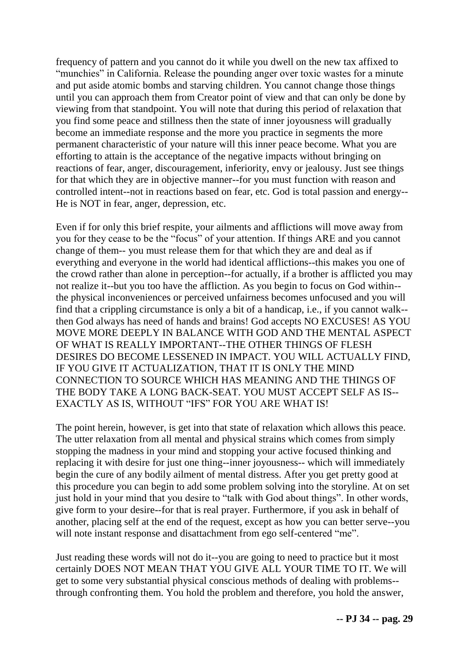frequency of pattern and you cannot do it while you dwell on the new tax affixed to "munchies" in California. Release the pounding anger over toxic wastes for a minute and put aside atomic bombs and starving children. You cannot change those things until you can approach them from Creator point of view and that can only be done by viewing from that standpoint. You will note that during this period of relaxation that you find some peace and stillness then the state of inner joyousness will gradually become an immediate response and the more you practice in segments the more permanent characteristic of your nature will this inner peace become. What you are efforting to attain is the acceptance of the negative impacts without bringing on reactions of fear, anger, discouragement, inferiority, envy or jealousy. Just see things for that which they are in objective manner--for you must function with reason and controlled intent--not in reactions based on fear, etc. God is total passion and energy-- He is NOT in fear, anger, depression, etc.

Even if for only this brief respite, your ailments and afflictions will move away from you for they cease to be the "focus" of your attention. If things ARE and you cannot change of them-- you must release them for that which they are and deal as if everything and everyone in the world had identical afflictions--this makes you one of the crowd rather than alone in perception--for actually, if a brother is afflicted you may not realize it--but you too have the affliction. As you begin to focus on God within- the physical inconveniences or perceived unfairness becomes unfocused and you will find that a crippling circumstance is only a bit of a handicap, i.e., if you cannot walk- then God always has need of hands and brains! God accepts NO EXCUSES! AS YOU MOVE MORE DEEPLY IN BALANCE WITH GOD AND THE MENTAL ASPECT OF WHAT IS REALLY IMPORTANT--THE OTHER THINGS OF FLESH DESIRES DO BECOME LESSENED IN IMPACT. YOU WILL ACTUALLY FIND, IF YOU GIVE IT ACTUALIZATION, THAT IT IS ONLY THE MIND CONNECTION TO SOURCE WHICH HAS MEANING AND THE THINGS OF THE BODY TAKE A LONG BACK-SEAT. YOU MUST ACCEPT SELF AS IS-- EXACTLY AS IS, WITHOUT "IFS" FOR YOU ARE WHAT IS!

The point herein, however, is get into that state of relaxation which allows this peace. The utter relaxation from all mental and physical strains which comes from simply stopping the madness in your mind and stopping your active focused thinking and replacing it with desire for just one thing--inner joyousness-- which will immediately begin the cure of any bodily ailment of mental distress. After you get pretty good at this procedure you can begin to add some problem solving into the storyline. At on set just hold in your mind that you desire to "talk with God about things". In other words, give form to your desire--for that is real prayer. Furthermore, if you ask in behalf of another, placing self at the end of the request, except as how you can better serve--you will note instant response and disattachment from ego self-centered "me".

Just reading these words will not do it--you are going to need to practice but it most certainly DOES NOT MEAN THAT YOU GIVE ALL YOUR TIME TO IT. We will get to some very substantial physical conscious methods of dealing with problems- through confronting them. You hold the problem and therefore, you hold the answer,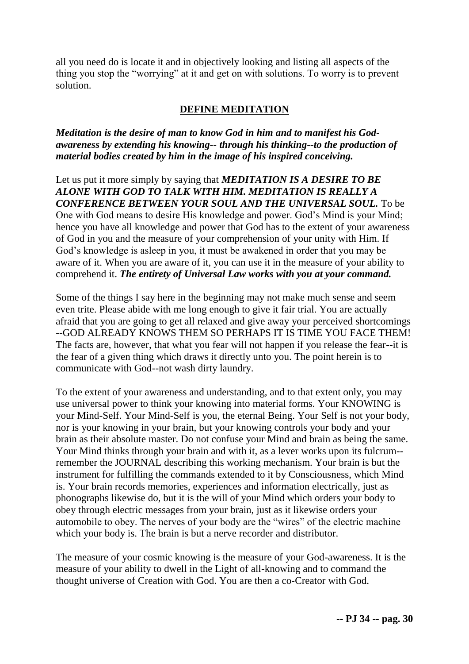all you need do is locate it and in objectively looking and listing all aspects of the thing you stop the "worrying" at it and get on with solutions. To worry is to prevent solution.

#### **DEFINE MEDITATION**

*Meditation is the desire of man to know God in him and to manifest his Godawareness by extending his knowing-- through his thinking--to the production of material bodies created by him in the image of his inspired conceiving.* 

Let us put it more simply by saying that *MEDITATION IS A DESIRE TO BE ALONE WITH GOD TO TALK WITH HIM. MEDITATION IS REALLY A CONFERENCE BETWEEN YOUR SOUL AND THE UNIVERSAL SOUL.* To be One with God means to desire His knowledge and power. God's Mind is your Mind; hence you have all knowledge and power that God has to the extent of your awareness of God in you and the measure of your comprehension of your unity with Him. If God's knowledge is asleep in you, it must be awakened in order that you may be aware of it. When you are aware of it, you can use it in the measure of your ability to comprehend it. *The entirety of Universal Law works with you at your command.*

Some of the things I say here in the beginning may not make much sense and seem even trite. Please abide with me long enough to give it fair trial. You are actually afraid that you are going to get all relaxed and give away your perceived shortcomings --GOD ALREADY KNOWS THEM SO PERHAPS IT IS TIME YOU FACE THEM! The facts are, however, that what you fear will not happen if you release the fear--it is the fear of a given thing which draws it directly unto you. The point herein is to communicate with God--not wash dirty laundry.

To the extent of your awareness and understanding, and to that extent only, you may use universal power to think your knowing into material forms. Your KNOWING is your Mind-Self. Your Mind-Self is you, the eternal Being. Your Self is not your body, nor is your knowing in your brain, but your knowing controls your body and your brain as their absolute master. Do not confuse your Mind and brain as being the same. Your Mind thinks through your brain and with it, as a lever works upon its fulcrum- remember the JOURNAL describing this working mechanism. Your brain is but the instrument for fulfilling the commands extended to it by Consciousness, which Mind is. Your brain records memories, experiences and information electrically, just as phonographs likewise do, but it is the will of your Mind which orders your body to obey through electric messages from your brain, just as it likewise orders your automobile to obey. The nerves of your body are the "wires" of the electric machine which your body is. The brain is but a nerve recorder and distributor.

The measure of your cosmic knowing is the measure of your God-awareness. It is the measure of your ability to dwell in the Light of all-knowing and to command the thought universe of Creation with God. You are then a co-Creator with God.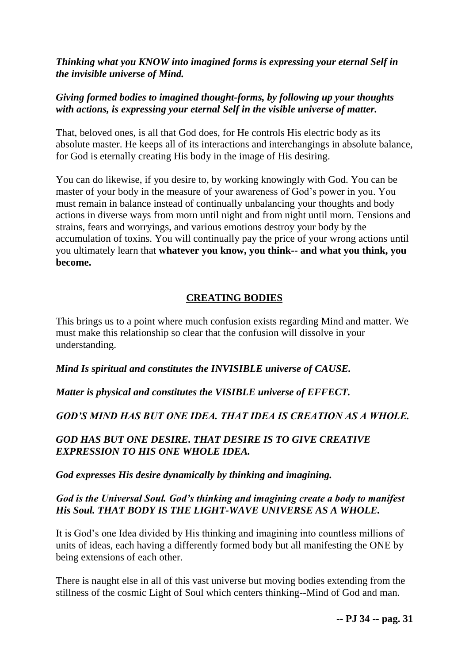*Thinking what you KNOW into imagined forms is expressing your eternal Self in the invisible universe of Mind.*

#### *Giving formed bodies to imagined thought-forms, by following up your thoughts with actions, is expressing your eternal Self in the visible universe of matter.*

That, beloved ones, is all that God does, for He controls His electric body as its absolute master. He keeps all of its interactions and interchangings in absolute balance, for God is eternally creating His body in the image of His desiring.

You can do likewise, if you desire to, by working knowingly with God. You can be master of your body in the measure of your awareness of God's power in you. You must remain in balance instead of continually unbalancing your thoughts and body actions in diverse ways from morn until night and from night until morn. Tensions and strains, fears and worryings, and various emotions destroy your body by the accumulation of toxins. You will continually pay the price of your wrong actions until you ultimately learn that **whatever you know, you think-- and what you think, you become.** 

#### **CREATING BODIES**

This brings us to a point where much confusion exists regarding Mind and matter. We must make this relationship so clear that the confusion will dissolve in your understanding.

*Mind Is spiritual and constitutes the INVISIBLE universe of CAUSE.*

#### *Matter is physical and constitutes the VISIBLE universe of EFFECT.*

#### *GOD"S MIND HAS BUT ONE IDEA. THAT IDEA IS CREATION AS A WHOLE.*

#### *GOD HAS BUT ONE DESIRE. THAT DESIRE IS TO GIVE CREATIVE EXPRESSION TO HIS ONE WHOLE IDEA.*

#### *God expresses His desire dynamically by thinking and imagining.*

#### *God is the Universal Soul. God"s thinking and imagining create a body to manifest His Soul. THAT BODY IS THE LIGHT-WAVE UNIVERSE AS A WHOLE.*

It is God's one Idea divided by His thinking and imagining into countless millions of units of ideas, each having a differently formed body but all manifesting the ONE by being extensions of each other.

There is naught else in all of this vast universe but moving bodies extending from the stillness of the cosmic Light of Soul which centers thinking--Mind of God and man.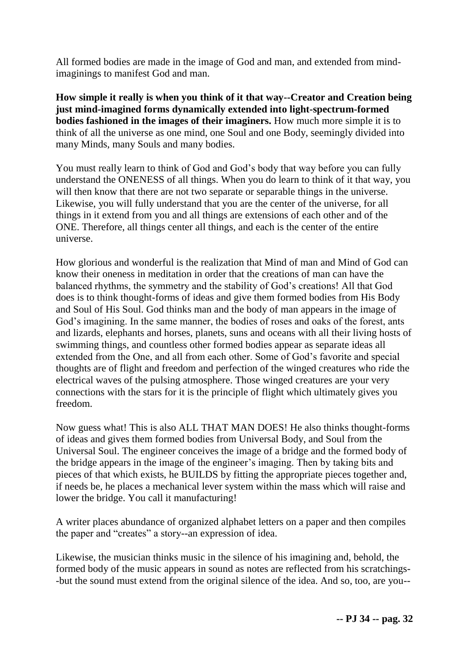All formed bodies are made in the image of God and man, and extended from mindimaginings to manifest God and man.

**How simple it really is when you think of it that way--Creator and Creation being just mind-imagined forms dynamically extended into light-spectrum-formed bodies fashioned in the images of their imaginers.** How much more simple it is to think of all the universe as one mind, one Soul and one Body, seemingly divided into many Minds, many Souls and many bodies.

You must really learn to think of God and God's body that way before you can fully understand the ONENESS of all things. When you do learn to think of it that way, you will then know that there are not two separate or separable things in the universe. Likewise, you will fully understand that you are the center of the universe, for all things in it extend from you and all things are extensions of each other and of the ONE. Therefore, all things center all things, and each is the center of the entire universe.

How glorious and wonderful is the realization that Mind of man and Mind of God can know their oneness in meditation in order that the creations of man can have the balanced rhythms, the symmetry and the stability of God's creations! All that God does is to think thought-forms of ideas and give them formed bodies from His Body and Soul of His Soul. God thinks man and the body of man appears in the image of God's imagining. In the same manner, the bodies of roses and oaks of the forest, ants and lizards, elephants and horses, planets, suns and oceans with all their living hosts of swimming things, and countless other formed bodies appear as separate ideas all extended from the One, and all from each other. Some of God's favorite and special thoughts are of flight and freedom and perfection of the winged creatures who ride the electrical waves of the pulsing atmosphere. Those winged creatures are your very connections with the stars for it is the principle of flight which ultimately gives you freedom.

Now guess what! This is also ALL THAT MAN DOES! He also thinks thought-forms of ideas and gives them formed bodies from Universal Body, and Soul from the Universal Soul. The engineer conceives the image of a bridge and the formed body of the bridge appears in the image of the engineer's imaging. Then by taking bits and pieces of that which exists, he BUILDS by fitting the appropriate pieces together and, if needs be, he places a mechanical lever system within the mass which will raise and lower the bridge. You call it manufacturing!

A writer places abundance of organized alphabet letters on a paper and then compiles the paper and "creates" a story--an expression of idea.

Likewise, the musician thinks music in the silence of his imagining and, behold, the formed body of the music appears in sound as notes are reflected from his scratchings- -but the sound must extend from the original silence of the idea. And so, too, are you--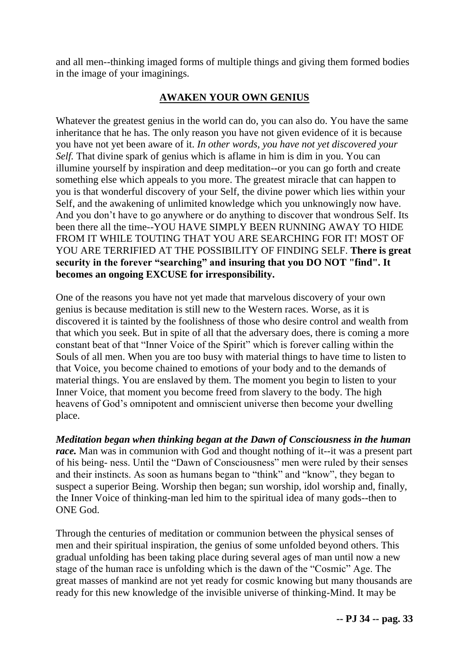and all men--thinking imaged forms of multiple things and giving them formed bodies in the image of your imaginings.

#### **AWAKEN YOUR OWN GENIUS**

Whatever the greatest genius in the world can do, you can also do. You have the same inheritance that he has. The only reason you have not given evidence of it is because you have not yet been aware of it. *In other words, you have not yet discovered your Self.* That divine spark of genius which is aflame in him is dim in you. You can illumine yourself by inspiration and deep meditation--or you can go forth and create something else which appeals to you more. The greatest miracle that can happen to you is that wonderful discovery of your Self, the divine power which lies within your Self, and the awakening of unlimited knowledge which you unknowingly now have. And you don't have to go anywhere or do anything to discover that wondrous Self. Its been there all the time--YOU HAVE SIMPLY BEEN RUNNING AWAY TO HIDE FROM IT WHILE TOUTING THAT YOU ARE SEARCHING FOR IT! MOST OF YOU ARE TERRIFIED AT THE POSSIBILITY OF FINDING SELF. **There is great security in the forever "searching" and insuring that you DO NOT "find". It becomes an ongoing EXCUSE for irresponsibility.**

One of the reasons you have not yet made that marvelous discovery of your own genius is because meditation is still new to the Western races. Worse, as it is discovered it is tainted by the foolishness of those who desire control and wealth from that which you seek. But in spite of all that the adversary does, there is coming a more constant beat of that "Inner Voice of the Spirit" which is forever calling within the Souls of all men. When you are too busy with material things to have time to listen to that Voice, you become chained to emotions of your body and to the demands of material things. You are enslaved by them. The moment you begin to listen to your Inner Voice, that moment you become freed from slavery to the body. The high heavens of God's omnipotent and omniscient universe then become your dwelling place.

*Meditation began when thinking began at the Dawn of Consciousness in the human race.* Man was in communion with God and thought nothing of it--it was a present part of his being- ness. Until the "Dawn of Consciousness" men were ruled by their senses and their instincts. As soon as humans began to "think" and "know", they began to suspect a superior Being. Worship then began; sun worship, idol worship and, finally, the Inner Voice of thinking-man led him to the spiritual idea of many gods--then to ONE God.

Through the centuries of meditation or communion between the physical senses of men and their spiritual inspiration, the genius of some unfolded beyond others. This gradual unfolding has been taking place during several ages of man until now a new stage of the human race is unfolding which is the dawn of the "Cosmic" Age. The great masses of mankind are not yet ready for cosmic knowing but many thousands are ready for this new knowledge of the invisible universe of thinking-Mind. It may be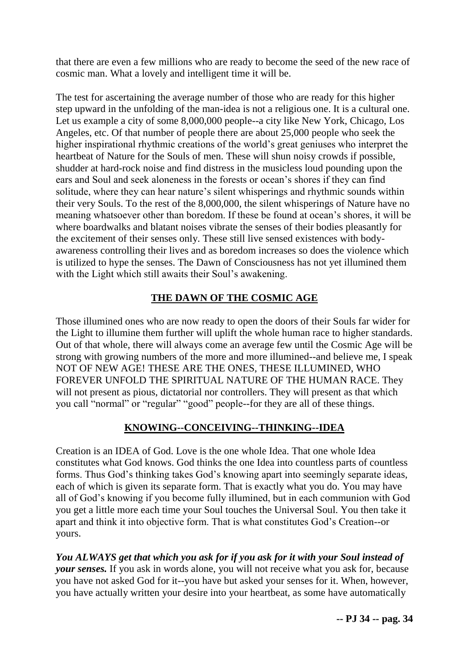that there are even a few millions who are ready to become the seed of the new race of cosmic man. What a lovely and intelligent time it will be.

The test for ascertaining the average number of those who are ready for this higher step upward in the unfolding of the man-idea is not a religious one. It is a cultural one. Let us example a city of some 8,000,000 people--a city like New York, Chicago, Los Angeles, etc. Of that number of people there are about 25,000 people who seek the higher inspirational rhythmic creations of the world's great geniuses who interpret the heartbeat of Nature for the Souls of men. These will shun noisy crowds if possible, shudder at hard-rock noise and find distress in the musicless loud pounding upon the ears and Soul and seek aloneness in the forests or ocean's shores if they can find solitude, where they can hear nature's silent whisperings and rhythmic sounds within their very Souls. To the rest of the 8,000,000, the silent whisperings of Nature have no meaning whatsoever other than boredom. If these be found at ocean's shores, it will be where boardwalks and blatant noises vibrate the senses of their bodies pleasantly for the excitement of their senses only. These still live sensed existences with bodyawareness controlling their lives and as boredom increases so does the violence which is utilized to hype the senses. The Dawn of Consciousness has not yet illumined them with the Light which still awaits their Soul's awakening.

#### **THE DAWN OF THE COSMIC AGE**

Those illumined ones who are now ready to open the doors of their Souls far wider for the Light to illumine them further will uplift the whole human race to higher standards. Out of that whole, there will always come an average few until the Cosmic Age will be strong with growing numbers of the more and more illumined--and believe me, I speak NOT OF NEW AGE! THESE ARE THE ONES, THESE ILLUMINED, WHO FOREVER UNFOLD THE SPIRITUAL NATURE OF THE HUMAN RACE. They will not present as pious, dictatorial nor controllers. They will present as that which you call "normal" or "regular" "good" people--for they are all of these things.

#### **KNOWING--CONCEIVING--THINKING--IDEA**

Creation is an IDEA of God. Love is the one whole Idea. That one whole Idea constitutes what God knows. God thinks the one Idea into countless parts of countless forms. Thus God's thinking takes God's knowing apart into seemingly separate ideas, each of which is given its separate form. That is exactly what you do. You may have all of God's knowing if you become fully illumined, but in each communion with God you get a little more each time your Soul touches the Universal Soul. You then take it apart and think it into objective form. That is what constitutes God's Creation--or yours.

*You ALWAYS get that which you ask for if you ask for it with your Soul instead of your senses.* If you ask in words alone, you will not receive what you ask for, because you have not asked God for it--you have but asked your senses for it. When, however, you have actually written your desire into your heartbeat, as some have automatically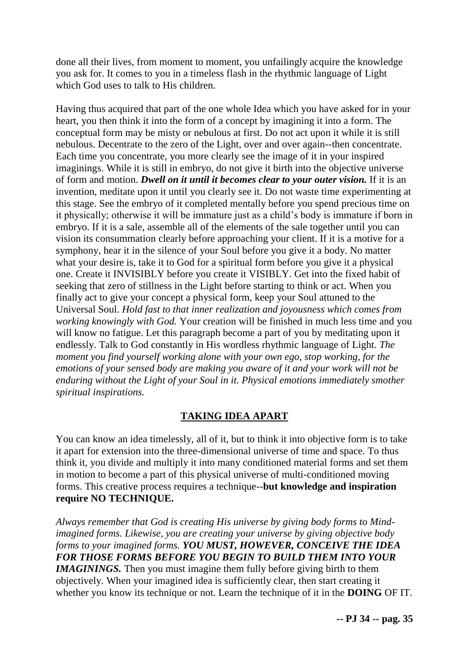done all their lives, from moment to moment, you unfailingly acquire the knowledge you ask for. It comes to you in a timeless flash in the rhythmic language of Light which God uses to talk to His children.

Having thus acquired that part of the one whole Idea which you have asked for in your heart, you then think it into the form of a concept by imagining it into a form. The conceptual form may be misty or nebulous at first. Do not act upon it while it is still nebulous. Decentrate to the zero of the Light, over and over again--then concentrate. Each time you concentrate, you more clearly see the image of it in your inspired imaginings. While it is still in embryo, do not give it birth into the objective universe of form and motion. *Dwell on it until it becomes clear to your outer vision.* If it is an invention, meditate upon it until you clearly see it. Do not waste time experimenting at this stage. See the embryo of it completed mentally before you spend precious time on it physically; otherwise it will be immature just as a child's body is immature if born in embryo. If it is a sale, assemble all of the elements of the sale together until you can vision its consummation clearly before approaching your client. If it is a motive for a symphony, hear it in the silence of your Soul before you give it a body. No matter what your desire is, take it to God for a spiritual form before you give it a physical one. Create it INVISIBLY before you create it VISIBLY. Get into the fixed habit of seeking that zero of stillness in the Light before starting to think or act. When you finally act to give your concept a physical form, keep your Soul attuned to the Universal Soul. *Hold fast to that inner realization and joyousness which comes from working knowingly with God.* Your creation will be finished in much less time and you will know no fatigue. Let this paragraph become a part of you by meditating upon it endlessly. Talk to God constantly in His wordless rhythmic language of Light. *The moment you find yourself working alone with your own ego, stop working, for the emotions of your sensed body are making you aware of it and your work will not be enduring without the Light of your Soul in it. Physical emotions immediately smother spiritual inspirations.*

#### **TAKING IDEA APART**

You can know an idea timelessly, all of it, but to think it into objective form is to take it apart for extension into the three-dimensional universe of time and space. To thus think it, you divide and multiply it into many conditioned material forms and set them in motion to become a part of this physical universe of multi-conditioned moving forms. This creative process requires a technique--**but knowledge and inspiration require NO TECHNIQUE.** 

*Always remember that God is creating His universe by giving body forms to Mindimagined forms. Likewise, you are creating your universe by giving objective body forms to your imagined forms. YOU MUST, HOWEVER, CONCEIVE THE IDEA FOR THOSE FORMS BEFORE YOU BEGIN TO BUILD THEM INTO YOUR IMAGININGS.* Then you must imagine them fully before giving birth to them objectively. When your imagined idea is sufficiently clear, then start creating it whether you know its technique or not. Learn the technique of it in the **DOING** OF IT.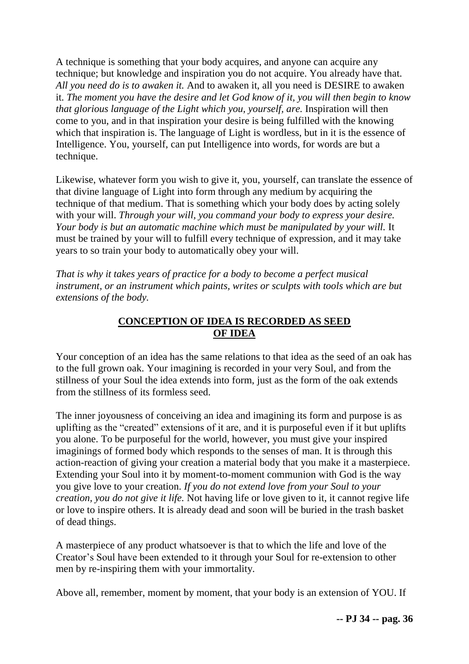A technique is something that your body acquires, and anyone can acquire any technique; but knowledge and inspiration you do not acquire. You already have that. *All you need do is to awaken it.* And to awaken it, all you need is DESIRE to awaken it. *The moment you have the desire and let God know of it, you will then begin to know that glorious language of the Light which you, yourself, are. Inspiration will then* come to you, and in that inspiration your desire is being fulfilled with the knowing which that inspiration is. The language of Light is wordless, but in it is the essence of Intelligence. You, yourself, can put Intelligence into words, for words are but a technique.

Likewise, whatever form you wish to give it, you, yourself, can translate the essence of that divine language of Light into form through any medium by acquiring the technique of that medium. That is something which your body does by acting solely with your will. *Through your will, you command your body to express your desire.*  Your body is but an automatic machine which must be manipulated by your will. It must be trained by your will to fulfill every technique of expression, and it may take years to so train your body to automatically obey your will.

*That is why it takes years of practice for a body to become a perfect musical instrument, or an instrument which paints, writes or sculpts with tools which are but extensions of the body.* 

## **CONCEPTION OF IDEA IS RECORDED AS SEED OF IDEA**

Your conception of an idea has the same relations to that idea as the seed of an oak has to the full grown oak. Your imagining is recorded in your very Soul, and from the stillness of your Soul the idea extends into form, just as the form of the oak extends from the stillness of its formless seed.

The inner joyousness of conceiving an idea and imagining its form and purpose is as uplifting as the "created" extensions of it are, and it is purposeful even if it but uplifts you alone. To be purposeful for the world, however, you must give your inspired imaginings of formed body which responds to the senses of man. It is through this action-reaction of giving your creation a material body that you make it a masterpiece. Extending your Soul into it by moment-to-moment communion with God is the way you give love to your creation. *If you do not extend love from your Soul to your creation, you do not give it life.* Not having life or love given to it, it cannot regive life or love to inspire others. It is already dead and soon will be buried in the trash basket of dead things.

A masterpiece of any product whatsoever is that to which the life and love of the Creator's Soul have been extended to it through your Soul for re-extension to other men by re-inspiring them with your immortality.

Above all, remember, moment by moment, that your body is an extension of YOU. If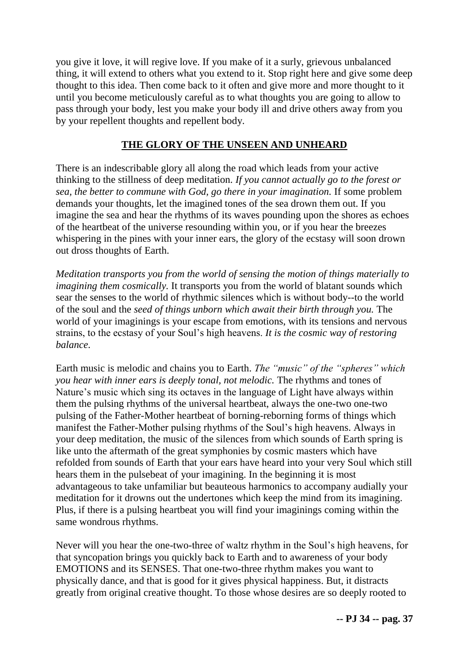you give it love, it will regive love. If you make of it a surly, grievous unbalanced thing, it will extend to others what you extend to it. Stop right here and give some deep thought to this idea. Then come back to it often and give more and more thought to it until you become meticulously careful as to what thoughts you are going to allow to pass through your body, lest you make your body ill and drive others away from you by your repellent thoughts and repellent body.

## **THE GLORY OF THE UNSEEN AND UNHEARD**

There is an indescribable glory all along the road which leads from your active thinking to the stillness of deep meditation. *If you cannot actually go to the forest or sea, the better to commune with God, go there in your imagination.* If some problem demands your thoughts, let the imagined tones of the sea drown them out. If you imagine the sea and hear the rhythms of its waves pounding upon the shores as echoes of the heartbeat of the universe resounding within you, or if you hear the breezes whispering in the pines with your inner ears, the glory of the ecstasy will soon drown out dross thoughts of Earth.

*Meditation transports you from the world of sensing the motion of things materially to imagining them cosmically.* It transports you from the world of blatant sounds which sear the senses to the world of rhythmic silences which is without body--to the world of the soul and the *seed of things unborn which await their birth through you.* The world of your imaginings is your escape from emotions, with its tensions and nervous strains, to the ecstasy of your Soul's high heavens. *It is the cosmic way of restoring balance.*

Earth music is melodic and chains you to Earth. *The "music" of the "spheres" which you hear with inner ears is deeply tonal, not melodic.* The rhythms and tones of Nature's music which sing its octaves in the language of Light have always within them the pulsing rhythms of the universal heartbeat, always the one-two one-two pulsing of the Father-Mother heartbeat of borning-reborning forms of things which manifest the Father-Mother pulsing rhythms of the Soul's high heavens. Always in your deep meditation, the music of the silences from which sounds of Earth spring is like unto the aftermath of the great symphonies by cosmic masters which have refolded from sounds of Earth that your ears have heard into your very Soul which still hears them in the pulsebeat of your imagining. In the beginning it is most advantageous to take unfamiliar but beauteous harmonics to accompany audially your meditation for it drowns out the undertones which keep the mind from its imagining. Plus, if there is a pulsing heartbeat you will find your imaginings coming within the same wondrous rhythms.

Never will you hear the one-two-three of waltz rhythm in the Soul's high heavens, for that syncopation brings you quickly back to Earth and to awareness of your body EMOTIONS and its SENSES. That one-two-three rhythm makes you want to physically dance, and that is good for it gives physical happiness. But, it distracts greatly from original creative thought. To those whose desires are so deeply rooted to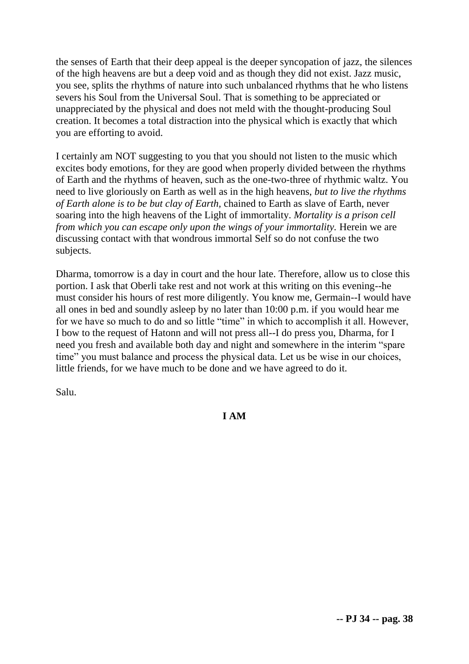the senses of Earth that their deep appeal is the deeper syncopation of jazz, the silences of the high heavens are but a deep void and as though they did not exist. Jazz music, you see, splits the rhythms of nature into such unbalanced rhythms that he who listens severs his Soul from the Universal Soul. That is something to be appreciated or unappreciated by the physical and does not meld with the thought-producing Soul creation. It becomes a total distraction into the physical which is exactly that which you are efforting to avoid.

I certainly am NOT suggesting to you that you should not listen to the music which excites body emotions, for they are good when properly divided between the rhythms of Earth and the rhythms of heaven, such as the one-two-three of rhythmic waltz. You need to live gloriously on Earth as well as in the high heavens, *but to live the rhythms of Earth alone is to be but clay of Earth,* chained to Earth as slave of Earth, never soaring into the high heavens of the Light of immortality. *Mortality is a prison cell from which you can escape only upon the wings of your immortality.* Herein we are discussing contact with that wondrous immortal Self so do not confuse the two subjects.

Dharma, tomorrow is a day in court and the hour late. Therefore, allow us to close this portion. I ask that Oberli take rest and not work at this writing on this evening--he must consider his hours of rest more diligently. You know me, Germain--I would have all ones in bed and soundly asleep by no later than 10:00 p.m. if you would hear me for we have so much to do and so little "time" in which to accomplish it all. However, I bow to the request of Hatonn and will not press all--I do press you, Dharma, for I need you fresh and available both day and night and somewhere in the interim "spare" time" you must balance and process the physical data. Let us be wise in our choices, little friends, for we have much to be done and we have agreed to do it.

Salu.

**I AM**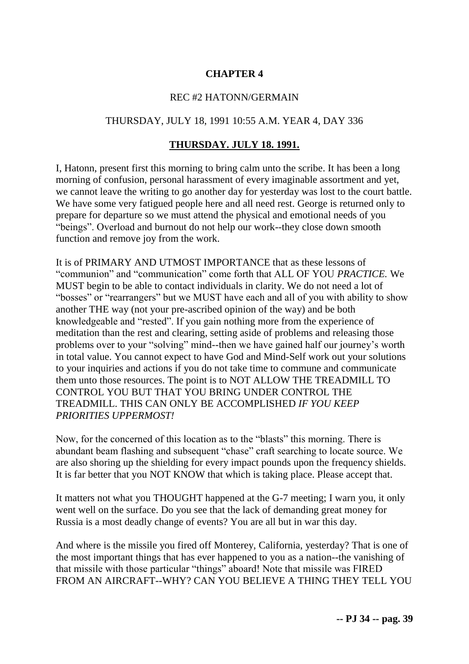## **CHAPTER 4**

#### REC #2 HATONN/GERMAIN

#### THURSDAY, JULY 18, 1991 10:55 A.M. YEAR 4, DAY 336

#### **THURSDAY. JULY 18. 1991.**

I, Hatonn, present first this morning to bring calm unto the scribe. It has been a long morning of confusion, personal harassment of every imaginable assortment and yet, we cannot leave the writing to go another day for yesterday was lost to the court battle. We have some very fatigued people here and all need rest. George is returned only to prepare for departure so we must attend the physical and emotional needs of you "beings". Overload and burnout do not help our work--they close down smooth function and remove joy from the work.

It is of PRIMARY AND UTMOST IMPORTANCE that as these lessons of ―communion‖ and ―communication‖ come forth that ALL OF YOU *PRACTICE.* We MUST begin to be able to contact individuals in clarity. We do not need a lot of "bosses" or "rearrangers" but we MUST have each and all of you with ability to show another THE way (not your pre-ascribed opinion of the way) and be both knowledgeable and "rested". If you gain nothing more from the experience of meditation than the rest and clearing, setting aside of problems and releasing those problems over to your "solving" mind--then we have gained half our journey's worth in total value. You cannot expect to have God and Mind-Self work out your solutions to your inquiries and actions if you do not take time to commune and communicate them unto those resources. The point is to NOT ALLOW THE TREADMILL TO CONTROL YOU BUT THAT YOU BRING UNDER CONTROL THE TREADMILL. THIS CAN ONLY BE ACCOMPLISHED *IF YOU KEEP PRIORITIES UPPERMOST!*

Now, for the concerned of this location as to the "blasts" this morning. There is abundant beam flashing and subsequent "chase" craft searching to locate source. We are also shoring up the shielding for every impact pounds upon the frequency shields. It is far better that you NOT KNOW that which is taking place. Please accept that.

It matters not what you THOUGHT happened at the G-7 meeting; I warn you, it only went well on the surface. Do you see that the lack of demanding great money for Russia is a most deadly change of events? You are all but in war this day.

And where is the missile you fired off Monterey, California, yesterday? That is one of the most important things that has ever happened to you as a nation--the vanishing of that missile with those particular "things" aboard! Note that missile was FIRED FROM AN AIRCRAFT--WHY? CAN YOU BELIEVE A THING THEY TELL YOU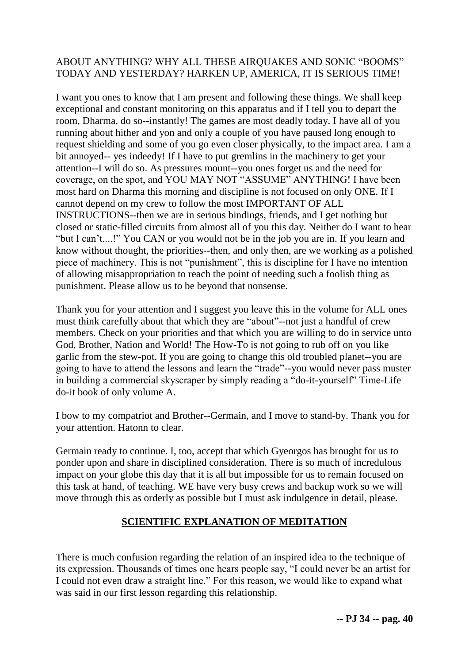### ABOUT ANYTHING? WHY ALL THESE AIRQUAKES AND SONIC "BOOMS" TODAY AND YESTERDAY? HARKEN UP, AMERICA, IT IS SERIOUS TIME!

I want you ones to know that I am present and following these things. We shall keep exceptional and constant monitoring on this apparatus and if I tell you to depart the room, Dharma, do so--instantly! The games are most deadly today. I have all of you running about hither and yon and only a couple of you have paused long enough to request shielding and some of you go even closer physically, to the impact area. I am a bit annoyed-- yes indeedy! If I have to put gremlins in the machinery to get your attention--I will do so. As pressures mount--you ones forget us and the need for coverage, on the spot, and YOU MAY NOT "ASSUME" ANYTHING! I have been most hard on Dharma this morning and discipline is not focused on only ONE. If I cannot depend on my crew to follow the most IMPORTANT OF ALL INSTRUCTIONS--then we are in serious bindings, friends, and I get nothing but closed or static-filled circuits from almost all of you this day. Neither do I want to hear "but I can't....!" You CAN or you would not be in the job you are in. If you learn and know without thought, the priorities--then, and only then, are we working as a polished piece of machinery. This is not "punishment", this is discipline for I have no intention of allowing misappropriation to reach the point of needing such a foolish thing as punishment. Please allow us to be beyond that nonsense.

Thank you for your attention and I suggest you leave this in the volume for ALL ones must think carefully about that which they are "about"--not just a handful of crew members. Check on your priorities and that which you are willing to do in service unto God, Brother, Nation and World! The How-To is not going to rub off on you like garlic from the stew-pot. If you are going to change this old troubled planet--you are going to have to attend the lessons and learn the "trade"--you would never pass muster in building a commercial skyscraper by simply reading a "do-it-yourself" Time-Life do-it book of only volume A.

I bow to my compatriot and Brother--Germain, and I move to stand-by. Thank you for your attention. Hatonn to clear.

Germain ready to continue. I, too, accept that which Gyeorgos has brought for us to ponder upon and share in disciplined consideration. There is so much of incredulous impact on your globe this day that it is all but impossible for us to remain focused on this task at hand, of teaching. WE have very busy crews and backup work so we will move through this as orderly as possible but I must ask indulgence in detail, please.

## **SCIENTIFIC EXPLANATION OF MEDITATION**

There is much confusion regarding the relation of an inspired idea to the technique of its expression. Thousands of times one hears people say, "I could never be an artist for I could not even draw a straight line." For this reason, we would like to expand what was said in our first lesson regarding this relationship.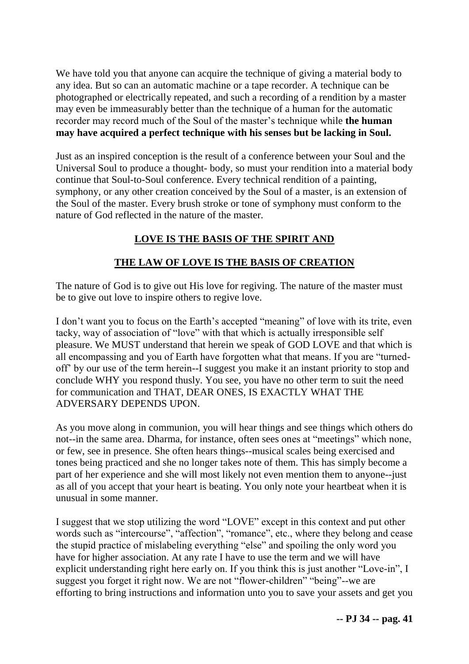We have told you that anyone can acquire the technique of giving a material body to any idea. But so can an automatic machine or a tape recorder. A technique can be photographed or electrically repeated, and such a recording of a rendition by a master may even be immeasurably better than the technique of a human for the automatic recorder may record much of the Soul of the master's technique while **the human may have acquired a perfect technique with his senses but be lacking in Soul.**

Just as an inspired conception is the result of a conference between your Soul and the Universal Soul to produce a thought- body, so must your rendition into a material body continue that Soul-to-Soul conference. Every technical rendition of a painting, symphony, or any other creation conceived by the Soul of a master, is an extension of the Soul of the master. Every brush stroke or tone of symphony must conform to the nature of God reflected in the nature of the master.

# **LOVE IS THE BASIS OF THE SPIRIT AND**

# **THE LAW OF LOVE IS THE BASIS OF CREATION**

The nature of God is to give out His love for regiving. The nature of the master must be to give out love to inspire others to regive love.

I don't want you to focus on the Earth's accepted "meaning" of love with its trite, even tacky, way of association of "love" with that which is actually irresponsible self pleasure. We MUST understand that herein we speak of GOD LOVE and that which is all encompassing and you of Earth have forgotten what that means. If you are "turnedoff' by our use of the term herein--I suggest you make it an instant priority to stop and conclude WHY you respond thusly. You see, you have no other term to suit the need for communication and THAT, DEAR ONES, IS EXACTLY WHAT THE ADVERSARY DEPENDS UPON.

As you move along in communion, you will hear things and see things which others do not--in the same area. Dharma, for instance, often sees ones at "meetings" which none, or few, see in presence. She often hears things--musical scales being exercised and tones being practiced and she no longer takes note of them. This has simply become a part of her experience and she will most likely not even mention them to anyone--just as all of you accept that your heart is beating. You only note your heartbeat when it is unusual in some manner.

I suggest that we stop utilizing the word "LOVE" except in this context and put other words such as "intercourse", "affection", "romance", etc., where they belong and cease the stupid practice of mislabeling everything "else" and spoiling the only word you have for higher association. At any rate I have to use the term and we will have explicit understanding right here early on. If you think this is just another "Love-in", I suggest you forget it right now. We are not "flower-children" "being"--we are efforting to bring instructions and information unto you to save your assets and get you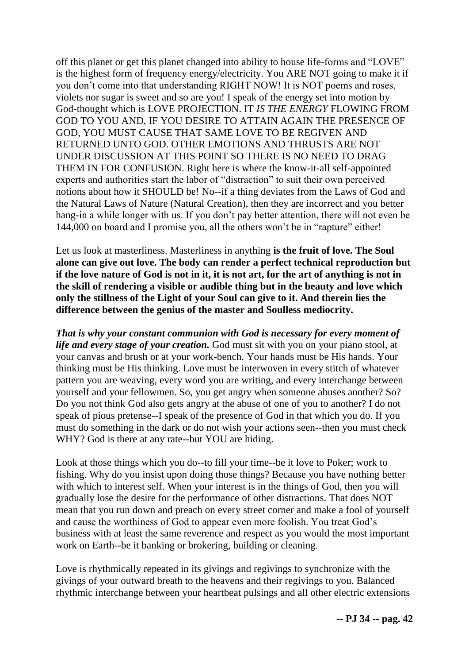off this planet or get this planet changed into ability to house life-forms and "LOVE" is the highest form of frequency energy/electricity. You ARE NOT going to make it if you don't come into that understanding RIGHT NOW! It is NOT poems and roses, violets nor sugar is sweet and so are you! I speak of the energy set into motion by God-thought which is LOVE PROJECTION. IT *IS THE ENERGY* FLOWING FROM GOD TO YOU AND, IF YOU DESIRE TO ATTAIN AGAIN THE PRESENCE OF GOD, YOU MUST CAUSE THAT SAME LOVE TO BE REGIVEN AND RETURNED UNTO GOD. OTHER EMOTIONS AND THRUSTS ARE NOT UNDER DISCUSSION AT THIS POINT SO THERE IS NO NEED TO DRAG THEM IN FOR CONFUSION. Right here is where the know-it-all self-appointed experts and authorities start the labor of "distraction" to suit their own perceived notions about how it SHOULD be! No--if a thing deviates from the Laws of God and the Natural Laws of Nature (Natural Creation), then they are incorrect and you better hang-in a while longer with us. If you don't pay better attention, there will not even be 144,000 on board and I promise you, all the others won't be in "rapture" either!

Let us look at masterliness. Masterliness in anything **is the fruit of love. The Soul alone can give out love. The body can render a perfect technical reproduction but if the love nature of God is not in it, it is not art, for the art of anything is not in the skill of rendering a visible or audible thing but in the beauty and love which only the stillness of the Light of your Soul can give to it. And therein lies the difference between the genius of the master and Soulless mediocrity.**

*That is why your constant communion with God is necessary for every moment of life and every stage of your creation.* God must sit with you on your piano stool, at your canvas and brush or at your work-bench. Your hands must be His hands. Your thinking must be His thinking. Love must be interwoven in every stitch of whatever pattern you are weaving, every word you are writing, and every interchange between yourself and your fellowmen. So, you get angry when someone abuses another? So? Do you not think God also gets angry at the abuse of one of you to another? I do not speak of pious pretense--I speak of the presence of God in that which you do. If you must do something in the dark or do not wish your actions seen--then you must check WHY? God is there at any rate--but YOU are hiding.

Look at those things which you do--to fill your time--be it love to Poker; work to fishing. Why do you insist upon doing those things? Because you have nothing better with which to interest self. When your interest is in the things of God, then you will gradually lose the desire for the performance of other distractions. That does NOT mean that you run down and preach on every street corner and make a fool of yourself and cause the worthiness of God to appear even more foolish. You treat God's business with at least the same reverence and respect as you would the most important work on Earth--be it banking or brokering, building or cleaning.

Love is rhythmically repeated in its givings and regivings to synchronize with the givings of your outward breath to the heavens and their regivings to you. Balanced rhythmic interchange between your heartbeat pulsings and all other electric extensions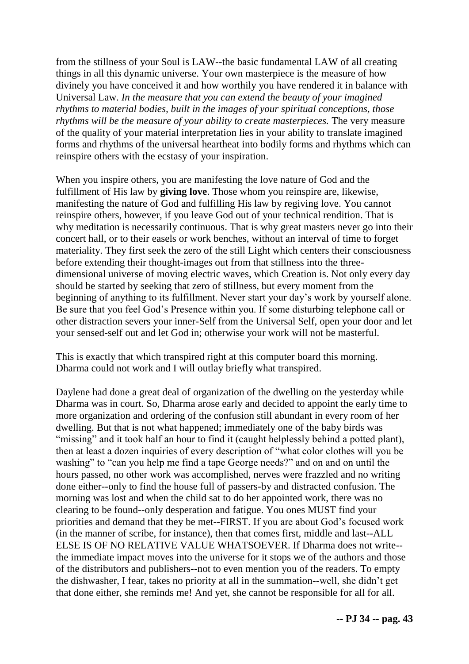from the stillness of your Soul is LAW--the basic fundamental LAW of all creating things in all this dynamic universe. Your own masterpiece is the measure of how divinely you have conceived it and how worthily you have rendered it in balance with Universal Law. *In the measure that you can extend the beauty of your imagined rhythms to material bodies, built in the images of your spiritual conceptions, those rhythms will be the measure of your ability to create masterpieces.* The very measure of the quality of your material interpretation lies in your ability to translate imagined forms and rhythms of the universal heartheat into bodily forms and rhythms which can reinspire others with the ecstasy of your inspiration.

When you inspire others, you are manifesting the love nature of God and the fulfillment of His law by **giving love**. Those whom you reinspire are, likewise, manifesting the nature of God and fulfilling His law by regiving love. You cannot reinspire others, however, if you leave God out of your technical rendition. That is why meditation is necessarily continuous. That is why great masters never go into their concert hall, or to their easels or work benches, without an interval of time to forget materiality. They first seek the zero of the still Light which centers their consciousness before extending their thought-images out from that stillness into the threedimensional universe of moving electric waves, which Creation is. Not only every day should be started by seeking that zero of stillness, but every moment from the beginning of anything to its fulfillment. Never start your day's work by yourself alone. Be sure that you feel God's Presence within you. If some disturbing telephone call or other distraction severs your inner-Self from the Universal Self, open your door and let your sensed-self out and let God in; otherwise your work will not be masterful.

This is exactly that which transpired right at this computer board this morning. Dharma could not work and I will outlay briefly what transpired.

Daylene had done a great deal of organization of the dwelling on the yesterday while Dharma was in court. So, Dharma arose early and decided to appoint the early time to more organization and ordering of the confusion still abundant in every room of her dwelling. But that is not what happened; immediately one of the baby birds was "missing" and it took half an hour to find it (caught helplessly behind a potted plant), then at least a dozen inquiries of every description of "what color clothes will you be washing" to "can you help me find a tape George needs?" and on and on until the hours passed, no other work was accomplished, nerves were frazzled and no writing done either--only to find the house full of passers-by and distracted confusion. The morning was lost and when the child sat to do her appointed work, there was no clearing to be found--only desperation and fatigue. You ones MUST find your priorities and demand that they be met--FIRST. If you are about God's focused work (in the manner of scribe, for instance), then that comes first, middle and last--ALL ELSE IS OF NO RELATIVE VALUE WHATSOEVER. If Dharma does not write- the immediate impact moves into the universe for it stops we of the authors and those of the distributors and publishers--not to even mention you of the readers. To empty the dishwasher, I fear, takes no priority at all in the summation--well, she didn't get that done either, she reminds me! And yet, she cannot be responsible for all for all.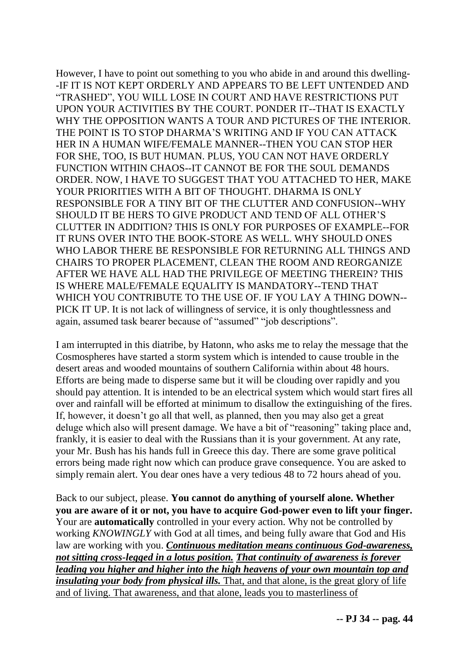However, I have to point out something to you who abide in and around this dwelling- -IF IT IS NOT KEPT ORDERLY AND APPEARS TO BE LEFT UNTENDED AND "TRASHED", YOU WILL LOSE IN COURT AND HAVE RESTRICTIONS PUT UPON YOUR ACTIVITIES BY THE COURT. PONDER IT--THAT IS EXACTLY WHY THE OPPOSITION WANTS A TOUR AND PICTURES OF THE INTERIOR. THE POINT IS TO STOP DHARMA'S WRITING AND IF YOU CAN ATTACK HER IN A HUMAN WIFE/FEMALE MANNER--THEN YOU CAN STOP HER FOR SHE, TOO, IS BUT HUMAN. PLUS, YOU CAN NOT HAVE ORDERLY FUNCTION WITHIN CHAOS--IT CANNOT BE FOR THE SOUL DEMANDS ORDER. NOW, I HAVE TO SUGGEST THAT YOU ATTACHED TO HER, MAKE YOUR PRIORITIES WITH A BIT OF THOUGHT. DHARMA IS ONLY RESPONSIBLE FOR A TINY BIT OF THE CLUTTER AND CONFUSION--WHY SHOULD IT BE HERS TO GIVE PRODUCT AND TEND OF ALL OTHER'S CLUTTER IN ADDITION? THIS IS ONLY FOR PURPOSES OF EXAMPLE--FOR IT RUNS OVER INTO THE BOOK-STORE AS WELL. WHY SHOULD ONES WHO LABOR THERE BE RESPONSIBLE FOR RETURNING ALL THINGS AND CHAIRS TO PROPER PLACEMENT, CLEAN THE ROOM AND REORGANIZE AFTER WE HAVE ALL HAD THE PRIVILEGE OF MEETING THEREIN? THIS IS WHERE MALE/FEMALE EQUALITY IS MANDATORY--TEND THAT WHICH YOU CONTRIBUTE TO THE USE OF. IF YOU LAY A THING DOWN-- PICK IT UP. It is not lack of willingness of service, it is only thoughtlessness and again, assumed task bearer because of "assumed" "job descriptions".

I am interrupted in this diatribe, by Hatonn, who asks me to relay the message that the Cosmospheres have started a storm system which is intended to cause trouble in the desert areas and wooded mountains of southern California within about 48 hours. Efforts are being made to disperse same but it will be clouding over rapidly and you should pay attention. It is intended to be an electrical system which would start fires all over and rainfall will be efforted at minimum to disallow the extinguishing of the fires. If, however, it doesn't go all that well, as planned, then you may also get a great deluge which also will present damage. We have a bit of "reasoning" taking place and, frankly, it is easier to deal with the Russians than it is your government. At any rate, your Mr. Bush has his hands full in Greece this day. There are some grave political errors being made right now which can produce grave consequence. You are asked to simply remain alert. You dear ones have a very tedious 48 to 72 hours ahead of you.

Back to our subject, please. **You cannot do anything of yourself alone. Whether you are aware of it or not, you have to acquire God-power even to lift your finger.** Your are **automatically** controlled in your every action. Why not be controlled by working *KNOWINGLY* with God at all times, and being fully aware that God and His law are working with you. *Continuous meditation means continuous God-awareness, not sitting cross-legged in a lotus position. That continuity of awareness is forever leading you higher and higher into the high heavens of your own mountain top and insulating your body from physical ills.* That, and that alone, is the great glory of life and of living. That awareness, and that alone, leads you to masterliness of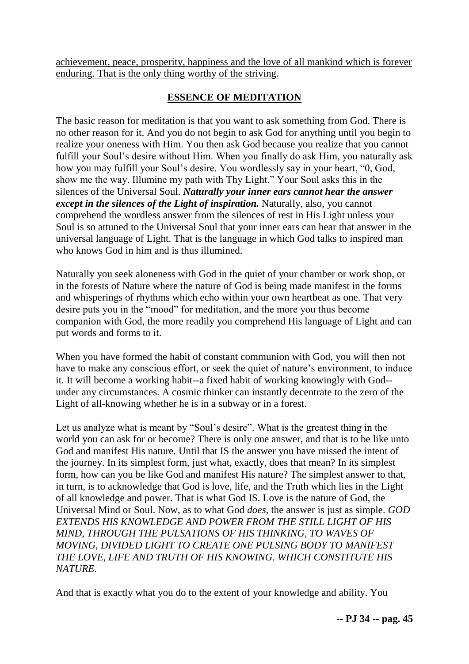achievement, peace, prosperity, happiness and the love of all mankind which is forever enduring. That is the only thing worthy of the striving.

### **ESSENCE OF MEDITATION**

The basic reason for meditation is that you want to ask something from God. There is no other reason for it. And you do not begin to ask God for anything until you begin to realize your oneness with Him. You then ask God because you realize that you cannot fulfill your Soul's desire without Him. When you finally do ask Him, you naturally ask how you may fulfill your Soul's desire. You wordlessly say in your heart, "0, God, show me the way. Illumine my path with Thy Light." Your Soul asks this in the silences of the Universal Soul. *Naturally your inner ears cannot hear the answer except in the silences of the Light of inspiration.* Naturally, also, you cannot comprehend the wordless answer from the silences of rest in His Light unless your Soul is so attuned to the Universal Soul that your inner ears can hear that answer in the universal language of Light. That is the language in which God talks to inspired man who knows God in him and is thus illumined.

Naturally you seek aloneness with God in the quiet of your chamber or work shop, or in the forests of Nature where the nature of God is being made manifest in the forms and whisperings of rhythms which echo within your own heartbeat as one. That very desire puts you in the "mood" for meditation, and the more you thus become companion with God, the more readily you comprehend His language of Light and can put words and forms to it.

When you have formed the habit of constant communion with God, you will then not have to make any conscious effort, or seek the quiet of nature's environment, to induce it. It will become a working habit--a fixed habit of working knowingly with God- under any circumstances. A cosmic thinker can instantly decentrate to the zero of the Light of all-knowing whether he is in a subway or in a forest.

Let us analyze what is meant by "Soul's desire". What is the greatest thing in the world you can ask for or become? There is only one answer, and that is to be like unto God and manifest His nature. Until that IS the answer you have missed the intent of the journey. In its simplest form, just what, exactly, does that mean? In its simplest form, how can you be like God and manifest His nature? The simplest answer to that, in turn, is to acknowledge that God is love, life, and the Truth which lies in the Light of all knowledge and power. That is what God IS. Love is the nature of God, the Universal Mind or Soul. Now, as to what God *does,* the answer is just as simple. *GOD EXTENDS HIS KNOWLEDGE AND POWER FROM THE STILL LIGHT OF HIS MIND, THROUGH THE PULSATIONS OF HIS THINKING, TO WAVES OF MOVING, DIVIDED LIGHT TO CREATE ONE PULSING BODY TO MANIFEST THE LOVE, LIFE AND TRUTH OF HIS KNOWING. WHICH CONSTITUTE HIS NATURE.* 

And that is exactly what you do to the extent of your knowledge and ability. You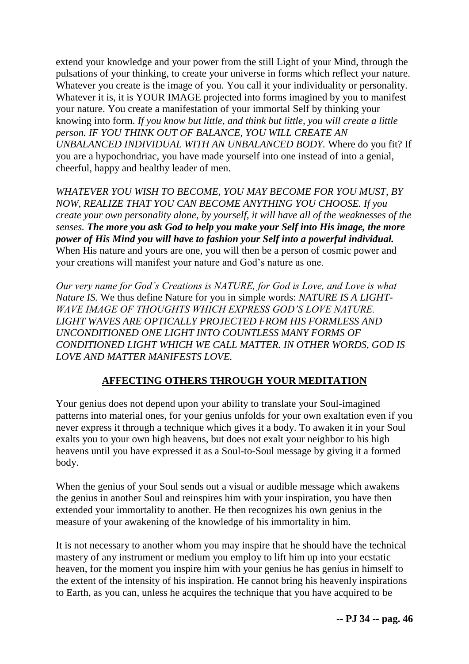extend your knowledge and your power from the still Light of your Mind, through the pulsations of your thinking, to create your universe in forms which reflect your nature. Whatever you create is the image of you. You call it your individuality or personality. Whatever it is, it is YOUR IMAGE projected into forms imagined by you to manifest your nature. You create a manifestation of your immortal Self by thinking your knowing into form. *If you know but little, and think but little, you will create a little person. IF YOU THINK OUT OF BALANCE, YOU WILL CREATE AN UNBALANCED INDIVIDUAL WITH AN UNBALANCED BODY.* Where do you fit? If you are a hypochondriac, you have made yourself into one instead of into a genial, cheerful, happy and healthy leader of men.

*WHATEVER YOU WISH TO BECOME, YOU MAY BECOME FOR YOU MUST, BY NOW, REALIZE THAT YOU CAN BECOME ANYTHING YOU CHOOSE. If you create your own personality alone, by yourself, it will have all of the weaknesses of the senses. The more you ask God to help you make your Self into His image, the more power of His Mind you will have to fashion your Self into a powerful individual.* When His nature and yours are one, you will then be a person of cosmic power and your creations will manifest your nature and God's nature as one.

*Our very name for God"s Creations is NATURE, for God is Love, and Love is what Nature IS.* We thus define Nature for you in simple words: *NATURE IS A LIGHT-WAVE IMAGE OF THOUGHTS WHICH EXPRESS GOD"S LOVE NATURE. LIGHT WAVES ARE OPTICALLY PROJECTED FROM HIS FORMLESS AND UNCONDITIONED ONE LIGHT INTO COUNTLESS MANY FORMS OF CONDITIONED LIGHT WHICH WE CALL MATTER. IN OTHER WORDS, GOD IS LOVE AND MATTER MANIFESTS LOVE.* 

## **AFFECTING OTHERS THROUGH YOUR MEDITATION**

Your genius does not depend upon your ability to translate your Soul-imagined patterns into material ones, for your genius unfolds for your own exaltation even if you never express it through a technique which gives it a body. To awaken it in your Soul exalts you to your own high heavens, but does not exalt your neighbor to his high heavens until you have expressed it as a Soul-to-Soul message by giving it a formed body.

When the genius of your Soul sends out a visual or audible message which awakens the genius in another Soul and reinspires him with your inspiration, you have then extended your immortality to another. He then recognizes his own genius in the measure of your awakening of the knowledge of his immortality in him.

It is not necessary to another whom you may inspire that he should have the technical mastery of any instrument or medium you employ to lift him up into your ecstatic heaven, for the moment you inspire him with your genius he has genius in himself to the extent of the intensity of his inspiration. He cannot bring his heavenly inspirations to Earth, as you can, unless he acquires the technique that you have acquired to be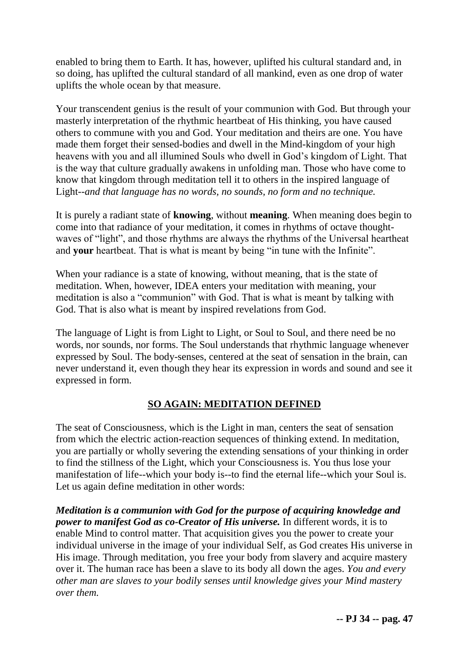enabled to bring them to Earth. It has, however, uplifted his cultural standard and, in so doing, has uplifted the cultural standard of all mankind, even as one drop of water uplifts the whole ocean by that measure.

Your transcendent genius is the result of your communion with God. But through your masterly interpretation of the rhythmic heartbeat of His thinking, you have caused others to commune with you and God. Your meditation and theirs are one. You have made them forget their sensed-bodies and dwell in the Mind-kingdom of your high heavens with you and all illumined Souls who dwell in God's kingdom of Light. That is the way that culture gradually awakens in unfolding man. Those who have come to know that kingdom through meditation tell it to others in the inspired language of Light--*and that language has no words, no sounds, no form and no technique.* 

It is purely a radiant state of **knowing**, without **meaning**. When meaning does begin to come into that radiance of your meditation, it comes in rhythms of octave thoughtwaves of "light", and those rhythms are always the rhythms of the Universal heartheat and **your** heartbeat. That is what is meant by being "in tune with the Infinite".

When your radiance is a state of knowing, without meaning, that is the state of meditation. When, however, IDEA enters your meditation with meaning, your meditation is also a "communion" with God. That is what is meant by talking with God. That is also what is meant by inspired revelations from God.

The language of Light is from Light to Light, or Soul to Soul, and there need be no words, nor sounds, nor forms. The Soul understands that rhythmic language whenever expressed by Soul. The body-senses, centered at the seat of sensation in the brain, can never understand it, even though they hear its expression in words and sound and see it expressed in form.

## **SO AGAIN: MEDITATION DEFINED**

The seat of Consciousness, which is the Light in man, centers the seat of sensation from which the electric action-reaction sequences of thinking extend. In meditation, you are partially or wholly severing the extending sensations of your thinking in order to find the stillness of the Light, which your Consciousness is. You thus lose your manifestation of life--which your body is--to find the eternal life--which your Soul is. Let us again define meditation in other words:

*Meditation is a communion with God for the purpose of acquiring knowledge and power to manifest God as co-Creator of His universe.* In different words, it is to enable Mind to control matter. That acquisition gives you the power to create your individual universe in the image of your individual Self, as God creates His universe in His image. Through meditation, you free your body from slavery and acquire mastery over it. The human race has been a slave to its body all down the ages. *You and every other man are slaves to your bodily senses until knowledge gives your Mind mastery over them.*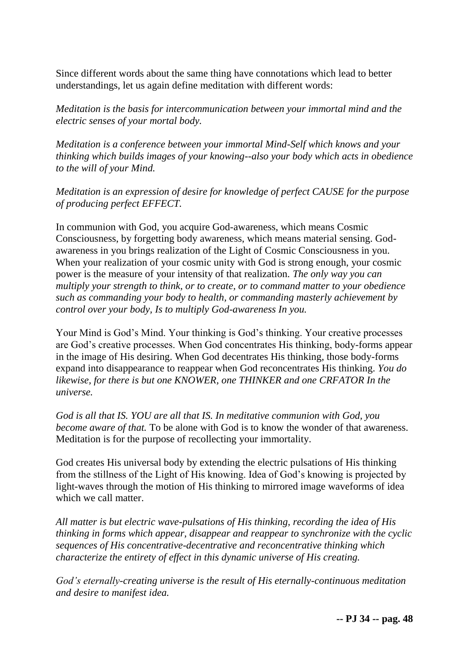Since different words about the same thing have connotations which lead to better understandings, let us again define meditation with different words:

*Meditation is the basis for intercommunication between your immortal mind and the electric senses of your mortal body.* 

*Meditation is a conference between your immortal Mind-Self which knows and your thinking which builds images of your knowing--also your body which acts in obedience to the will of your Mind.* 

*Meditation is an expression of desire for knowledge of perfect CAUSE for the purpose of producing perfect EFFECT.*

In communion with God, you acquire God-awareness, which means Cosmic Consciousness, by forgetting body awareness, which means material sensing. Godawareness in you brings realization of the Light of Cosmic Consciousness in you. When your realization of your cosmic unity with God is strong enough, your cosmic power is the measure of your intensity of that realization. *The only way you can multiply your strength to think, or to create, or to command matter to your obedience such as commanding your body to health, or commanding masterly achievement by control over your body, Is to multiply God-awareness In you.* 

Your Mind is God's Mind. Your thinking is God's thinking. Your creative processes are God's creative processes. When God concentrates His thinking, body-forms appear in the image of His desiring. When God decentrates His thinking, those body-forms expand into disappearance to reappear when God reconcentrates His thinking. *You do likewise, for there is but one KNOWER, one THINKER and one CRFATOR In the universe.* 

*God is all that IS. YOU are all that IS. In meditative communion with God, you become aware of that.* To be alone with God is to know the wonder of that awareness. Meditation is for the purpose of recollecting your immortality.

God creates His universal body by extending the electric pulsations of His thinking from the stillness of the Light of His knowing. Idea of God's knowing is projected by light-waves through the motion of His thinking to mirrored image waveforms of idea which we call matter.

*All matter is but electric wave-pulsations of His thinking, recording the idea of His thinking in forms which appear, disappear and reappear to synchronize with the cyclic sequences of His concentrative-decentrative and reconcentrative thinking which characterize the entirety of effect in this dynamic universe of His creating.* 

*God"s eternally-creating universe is the result of His eternally-continuous meditation and desire to manifest idea.*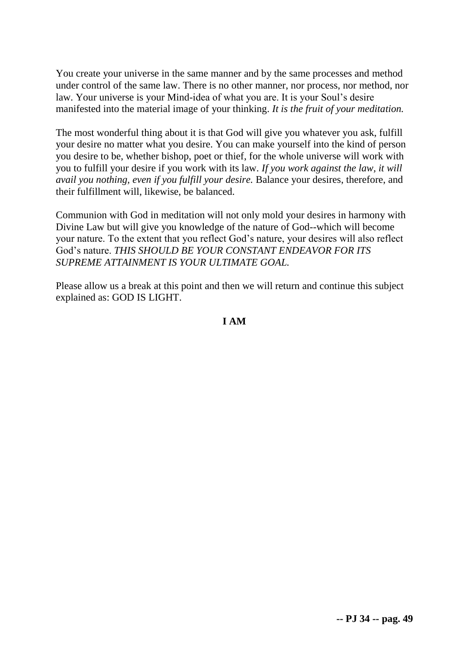You create your universe in the same manner and by the same processes and method under control of the same law. There is no other manner, nor process, nor method, nor law. Your universe is your Mind-idea of what you are. It is your Soul's desire manifested into the material image of your thinking. *It is the fruit of your meditation.* 

The most wonderful thing about it is that God will give you whatever you ask, fulfill your desire no matter what you desire. You can make yourself into the kind of person you desire to be, whether bishop, poet or thief, for the whole universe will work with you to fulfill your desire if you work with its law. *If you work against the law, it will avail you nothing, even if you fulfill your desire.* Balance your desires, therefore, and their fulfillment will, likewise, be balanced.

Communion with God in meditation will not only mold your desires in harmony with Divine Law but will give you knowledge of the nature of God--which will become your nature. To the extent that you reflect God's nature, your desires will also reflect God's nature. *THIS SHOULD BE YOUR CONSTANT ENDEAVOR FOR ITS SUPREME ATTAINMENT IS YOUR ULTIMATE GOAL.* 

Please allow us a break at this point and then we will return and continue this subject explained as: GOD IS LIGHT.

**I AM**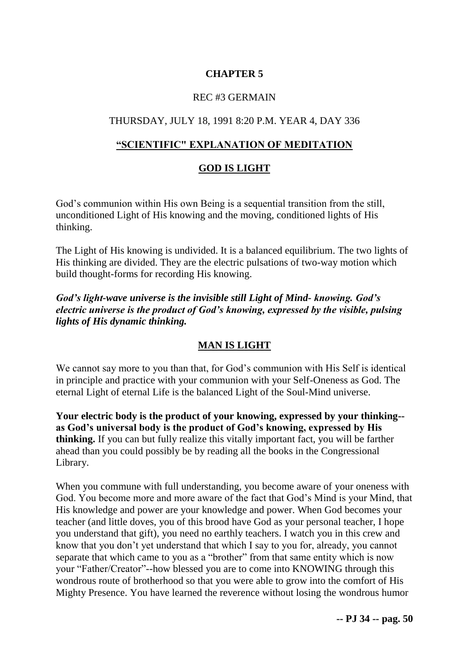## **CHAPTER 5**

### REC #3 GERMAIN

### THURSDAY, JULY 18, 1991 8:20 P.M. YEAR 4, DAY 336

### **"SCIENTIFIC" EXPLANATION OF MEDITATION**

### **GOD IS LIGHT**

God's communion within His own Being is a sequential transition from the still, unconditioned Light of His knowing and the moving, conditioned lights of His thinking.

The Light of His knowing is undivided. It is a balanced equilibrium. The two lights of His thinking are divided. They are the electric pulsations of two-way motion which build thought-forms for recording His knowing.

### *God"s light-wave universe is the invisible still Light of Mind- knowing. God"s electric universe is the product of God"s knowing, expressed by the visible, pulsing lights of His dynamic thinking.*

## **MAN IS LIGHT**

We cannot say more to you than that, for God's communion with His Self is identical in principle and practice with your communion with your Self-Oneness as God. The eternal Light of eternal Life is the balanced Light of the Soul-Mind universe.

**Your electric body is the product of your knowing, expressed by your thinking- as God"s universal body is the product of God"s knowing, expressed by His thinking.** If you can but fully realize this vitally important fact, you will be farther ahead than you could possibly be by reading all the books in the Congressional Library.

When you commune with full understanding, you become aware of your oneness with God. You become more and more aware of the fact that God's Mind is your Mind, that His knowledge and power are your knowledge and power. When God becomes your teacher (and little doves, you of this brood have God as your personal teacher, I hope you understand that gift), you need no earthly teachers. I watch you in this crew and know that you don't yet understand that which I say to you for, already, you cannot separate that which came to you as a "brother" from that same entity which is now your "Father/Creator"--how blessed you are to come into KNOWING through this wondrous route of brotherhood so that you were able to grow into the comfort of His Mighty Presence. You have learned the reverence without losing the wondrous humor

**-- PJ 34 -- pag. 50**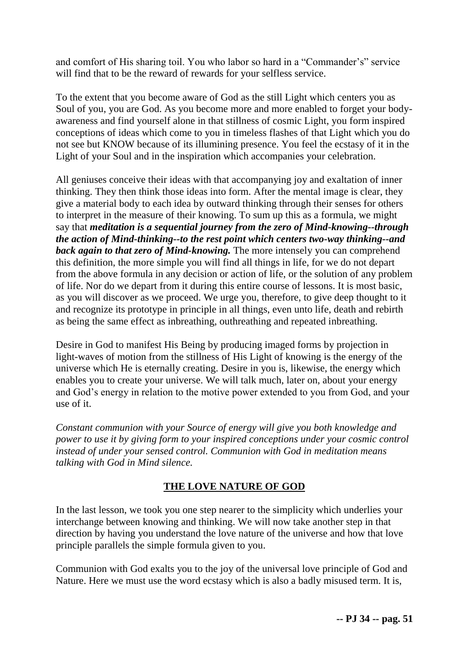and comfort of His sharing toil. You who labor so hard in a "Commander's" service will find that to be the reward of rewards for your selfless service.

To the extent that you become aware of God as the still Light which centers you as Soul of you, you are God. As you become more and more enabled to forget your bodyawareness and find yourself alone in that stillness of cosmic Light, you form inspired conceptions of ideas which come to you in timeless flashes of that Light which you do not see but KNOW because of its illumining presence. You feel the ecstasy of it in the Light of your Soul and in the inspiration which accompanies your celebration.

All geniuses conceive their ideas with that accompanying joy and exaltation of inner thinking. They then think those ideas into form. After the mental image is clear, they give a material body to each idea by outward thinking through their senses for others to interpret in the measure of their knowing. To sum up this as a formula, we might say that *meditation is a sequential journey from the zero of Mind-knowing--through the action of Mind-thinking--to the rest point which centers two-way thinking--and back again to that zero of Mind-knowing.* The more intensely you can comprehend this definition, the more simple you will find all things in life, for we do not depart from the above formula in any decision or action of life, or the solution of any problem of life. Nor do we depart from it during this entire course of lessons. It is most basic, as you will discover as we proceed. We urge you, therefore, to give deep thought to it and recognize its prototype in principle in all things, even unto life, death and rebirth as being the same effect as inbreathing, outhreathing and repeated inbreathing.

Desire in God to manifest His Being by producing imaged forms by projection in light-waves of motion from the stillness of His Light of knowing is the energy of the universe which He is eternally creating. Desire in you is, likewise, the energy which enables you to create your universe. We will talk much, later on, about your energy and God's energy in relation to the motive power extended to you from God, and your use of it.

*Constant communion with your Source of energy will give you both knowledge and power to use it by giving form to your inspired conceptions under your cosmic control instead of under your sensed control. Communion with God in meditation means talking with God in Mind silence.* 

## **THE LOVE NATURE OF GOD**

In the last lesson, we took you one step nearer to the simplicity which underlies your interchange between knowing and thinking. We will now take another step in that direction by having you understand the love nature of the universe and how that love principle parallels the simple formula given to you.

Communion with God exalts you to the joy of the universal love principle of God and Nature. Here we must use the word ecstasy which is also a badly misused term. It is,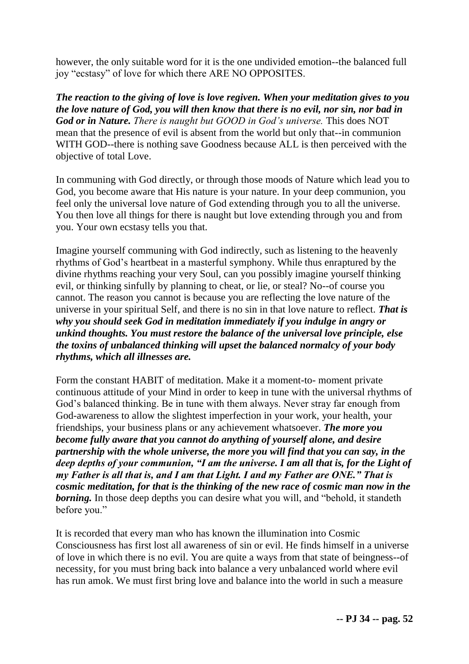however, the only suitable word for it is the one undivided emotion--the balanced full joy "ecstasy" of love for which there ARE NO OPPOSITES.

*The reaction to the giving of love is love regiven. When your meditation gives to you the love nature of God, you will then know that there is no evil, nor sin, nor bad in God or in Nature. There is naught but GOOD in God"s universe.* This does NOT mean that the presence of evil is absent from the world but only that--in communion WITH GOD--there is nothing save Goodness because ALL is then perceived with the objective of total Love.

In communing with God directly, or through those moods of Nature which lead you to God, you become aware that His nature is your nature. In your deep communion, you feel only the universal love nature of God extending through you to all the universe. You then love all things for there is naught but love extending through you and from you. Your own ecstasy tells you that.

Imagine yourself communing with God indirectly, such as listening to the heavenly rhythms of God's heartbeat in a masterful symphony. While thus enraptured by the divine rhythms reaching your very Soul, can you possibly imagine yourself thinking evil, or thinking sinfully by planning to cheat, or lie, or steal? No--of course you cannot. The reason you cannot is because you are reflecting the love nature of the universe in your spiritual Self, and there is no sin in that love nature to reflect. *That is why you should seek God in meditation immediately if you indulge in angry or unkind thoughts. You must restore the balance of the universal love principle, else the toxins of unbalanced thinking will upset the balanced normalcy of your body rhythms, which all illnesses are.* 

Form the constant HABIT of meditation. Make it a moment-to- moment private continuous attitude of your Mind in order to keep in tune with the universal rhythms of God's balanced thinking. Be in tune with them always. Never stray far enough from God-awareness to allow the slightest imperfection in your work, your health, your friendships, your business plans or any achievement whatsoever. *The more you become fully aware that you cannot do anything of yourself alone, and desire partnership with the whole universe, the more you will find that you can say, in the deep depths of your communion, "I am the universe. I am all that is, for the Light of my Father is all that is, and I am that Light. I and my Father are ONE." That is cosmic meditation, for that is the thinking of the new race of cosmic man now in the*  **borning.** In those deep depths you can desire what you will, and "behold, it standeth before you."

It is recorded that every man who has known the illumination into Cosmic Consciousness has first lost all awareness of sin or evil. He finds himself in a universe of love in which there is no evil. You are quite a ways from that state of beingness--of necessity, for you must bring back into balance a very unbalanced world where evil has run amok. We must first bring love and balance into the world in such a measure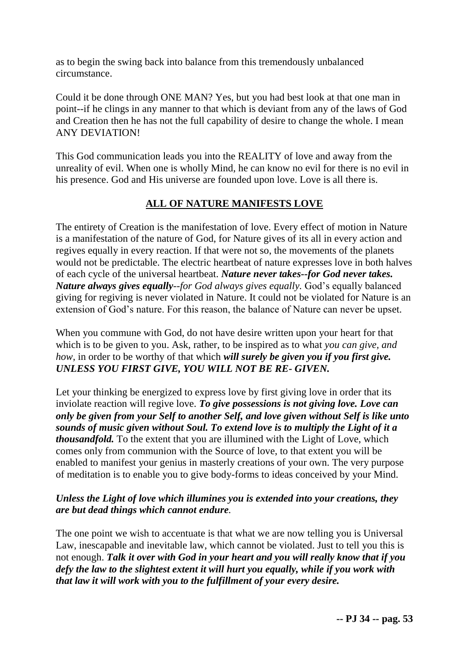as to begin the swing back into balance from this tremendously unbalanced circumstance.

Could it be done through ONE MAN? Yes, but you had best look at that one man in point--if he clings in any manner to that which is deviant from any of the laws of God and Creation then he has not the full capability of desire to change the whole. I mean ANY DEVIATION!

This God communication leads you into the REALITY of love and away from the unreality of evil. When one is wholly Mind, he can know no evil for there is no evil in his presence. God and His universe are founded upon love. Love is all there is.

# **ALL OF NATURE MANIFESTS LOVE**

The entirety of Creation is the manifestation of love. Every effect of motion in Nature is a manifestation of the nature of God, for Nature gives of its all in every action and regives equally in every reaction. If that were not so, the movements of the planets would not be predictable. The electric heartbeat of nature expresses love in both halves of each cycle of the universal heartbeat. *Nature never takes--for God never takes. Nature always gives equally--for God always gives equally.* God's equally balanced giving for regiving is never violated in Nature. It could not be violated for Nature is an extension of God's nature. For this reason, the balance of Nature can never be upset.

When you commune with God, do not have desire written upon your heart for that which is to be given to you. Ask, rather, to be inspired as to what *you can give, and how,* in order to be worthy of that which *will surely be given you if you first give. UNLESS YOU FIRST GIVE, YOU WILL NOT BE RE- GIVEN.* 

Let your thinking be energized to express love by first giving love in order that its inviolate reaction will regive love. *To give possessions is not giving love. Love can only be given from your Self to another Self, and love given without Self is like unto sounds of music given without Soul. To extend love is to multiply the Light of it a thousandfold.* To the extent that you are illumined with the Light of Love, which comes only from communion with the Source of love, to that extent you will be enabled to manifest your genius in masterly creations of your own. The very purpose of meditation is to enable you to give body-forms to ideas conceived by your Mind.

### *Unless the Light of love which illumines you is extended into your creations, they are but dead things which cannot endure.*

The one point we wish to accentuate is that what we are now telling you is Universal Law, inescapable and inevitable law, which cannot be violated. Just to tell you this is not enough. *Talk it over with God in your heart and you will really know that if you defy the law to the slightest extent it will hurt you equally, while if you work with that law it will work with you to the fulfillment of your every desire.*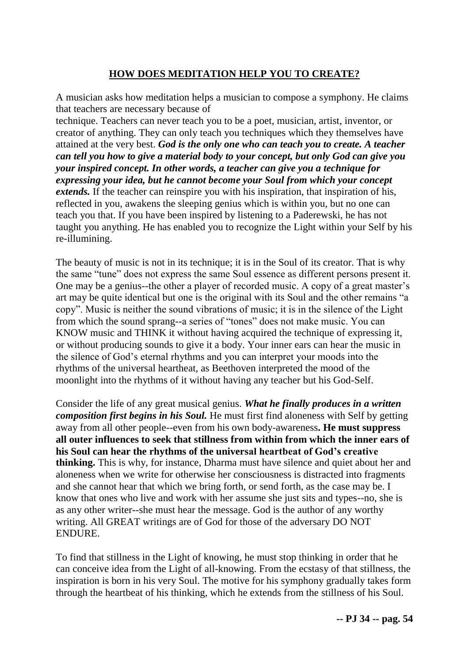## **HOW DOES MEDITATION HELP YOU TO CREATE?**

A musician asks how meditation helps a musician to compose a symphony. He claims that teachers are necessary because of

technique. Teachers can never teach you to be a poet, musician, artist, inventor, or creator of anything. They can only teach you techniques which they themselves have attained at the very best. *God is the only one who can teach you to create. A teacher can tell you how to give a material body to your concept, but only God can give you your inspired concept. In other words, a teacher can give you a technique for expressing your idea, but he cannot become your Soul from which your concept extends*. If the teacher can reinspire you with his inspiration, that inspiration of his, reflected in you, awakens the sleeping genius which is within you, but no one can teach you that. If you have been inspired by listening to a Paderewski, he has not taught you anything. He has enabled you to recognize the Light within your Self by his re-illumining.

The beauty of music is not in its technique; it is in the Soul of its creator. That is why the same "tune" does not express the same Soul essence as different persons present it. One may be a genius--the other a player of recorded music. A copy of a great master's art may be quite identical but one is the original with its Soul and the other remains "a copy". Music is neither the sound vibrations of music; it is in the silence of the Light from which the sound sprang--a series of "tones" does not make music. You can KNOW music and THINK it without having acquired the technique of expressing it, or without producing sounds to give it a body. Your inner ears can hear the music in the silence of God's eternal rhythms and you can interpret your moods into the rhythms of the universal heartheat, as Beethoven interpreted the mood of the moonlight into the rhythms of it without having any teacher but his God-Self.

Consider the life of any great musical genius. *What he finally produces in a written composition first begins in his Soul.* He must first find aloneness with Self by getting away from all other people--even from his own body-awareness**. He must suppress all outer influences to seek that stillness from within from which the inner ears of his Soul can hear the rhythms of the universal heartbeat of God"s creative thinking.** This is why, for instance, Dharma must have silence and quiet about her and aloneness when we write for otherwise her consciousness is distracted into fragments and she cannot hear that which we bring forth, or send forth, as the case may be. I know that ones who live and work with her assume she just sits and types--no, she is as any other writer--she must hear the message. God is the author of any worthy writing. All GREAT writings are of God for those of the adversary DO NOT ENDURE.

To find that stillness in the Light of knowing, he must stop thinking in order that he can conceive idea from the Light of all-knowing. From the ecstasy of that stillness, the inspiration is born in his very Soul. The motive for his symphony gradually takes form through the heartbeat of his thinking, which he extends from the stillness of his Soul.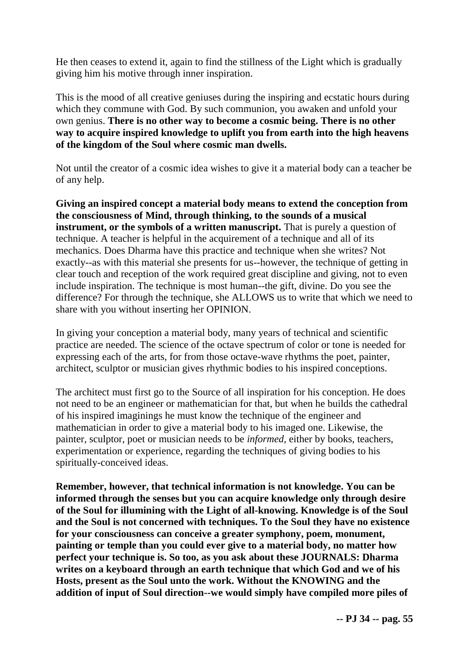He then ceases to extend it, again to find the stillness of the Light which is gradually giving him his motive through inner inspiration.

This is the mood of all creative geniuses during the inspiring and ecstatic hours during which they commune with God. By such communion, you awaken and unfold your own genius. **There is no other way to become a cosmic being. There is no other way to acquire inspired knowledge to uplift you from earth into the high heavens of the kingdom of the Soul where cosmic man dwells.**

Not until the creator of a cosmic idea wishes to give it a material body can a teacher be of any help.

**Giving an inspired concept a material body means to extend the conception from the consciousness of Mind, through thinking, to the sounds of a musical instrument, or the symbols of a written manuscript.** That is purely a question of technique. A teacher is helpful in the acquirement of a technique and all of its mechanics. Does Dharma have this practice and technique when she writes? Not exactly--as with this material she presents for us--however, the technique of getting in clear touch and reception of the work required great discipline and giving, not to even include inspiration. The technique is most human--the gift, divine. Do you see the difference? For through the technique, she ALLOWS us to write that which we need to share with you without inserting her OPINION.

In giving your conception a material body, many years of technical and scientific practice are needed. The science of the octave spectrum of color or tone is needed for expressing each of the arts, for from those octave-wave rhythms the poet, painter, architect, sculptor or musician gives rhythmic bodies to his inspired conceptions.

The architect must first go to the Source of all inspiration for his conception. He does not need to be an engineer or mathematician for that, but when he builds the cathedral of his inspired imaginings he must know the technique of the engineer and mathematician in order to give a material body to his imaged one. Likewise, the painter, sculptor, poet or musician needs to be *informed,* either by books, teachers, experimentation or experience, regarding the techniques of giving bodies to his spiritually-conceived ideas.

**Remember, however, that technical information is not knowledge. You can be informed through the senses but you can acquire knowledge only through desire of the Soul for illumining with the Light of all-knowing. Knowledge is of the Soul and the Soul is not concerned with techniques. To the Soul they have no existence for your consciousness can conceive a greater symphony, poem, monument, painting or temple than you could ever give to a material body, no matter how perfect your technique is. So too, as you ask about these JOURNALS: Dharma writes on a keyboard through an earth technique that which God and we of his Hosts, present as the Soul unto the work. Without the KNOWING and the addition of input of Soul direction--we would simply have compiled more piles of**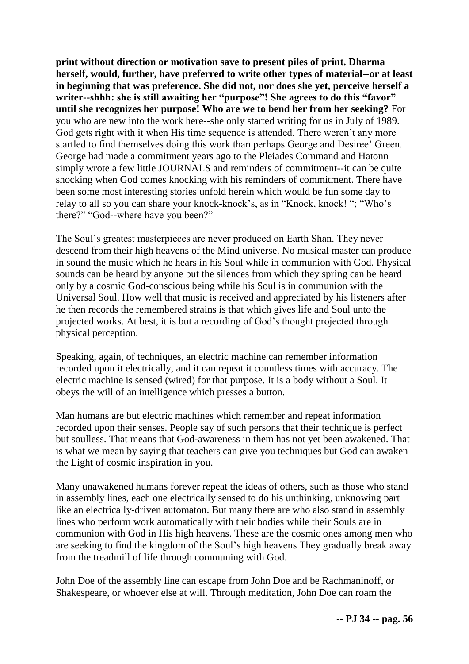**print without direction or motivation save to present piles of print. Dharma herself, would, further, have preferred to write other types of material--or at least in beginning that was preference. She did not, nor does she yet, perceive herself a writer--shhh: she is still awaiting her "purpose"! She agrees to do this "favor" until she recognizes her purpose! Who are we to bend her from her seeking?** For you who are new into the work here--she only started writing for us in July of 1989. God gets right with it when His time sequence is attended. There weren't any more startled to find themselves doing this work than perhaps George and Desiree' Green. George had made a commitment years ago to the Pleiades Command and Hatonn simply wrote a few little JOURNALS and reminders of commitment--it can be quite shocking when God comes knocking with his reminders of commitment. There have been some most interesting stories unfold herein which would be fun some day to relay to all so you can share your knock-knock's, as in "Knock, knock! "; "Who's there?" "God--where have you been?"

The Soul's greatest masterpieces are never produced on Earth Shan. They never descend from their high heavens of the Mind universe. No musical master can produce in sound the music which he hears in his Soul while in communion with God. Physical sounds can be heard by anyone but the silences from which they spring can be heard only by a cosmic God-conscious being while his Soul is in communion with the Universal Soul. How well that music is received and appreciated by his listeners after he then records the remembered strains is that which gives life and Soul unto the projected works. At best, it is but a recording of God's thought projected through physical perception.

Speaking, again, of techniques, an electric machine can remember information recorded upon it electrically, and it can repeat it countless times with accuracy. The electric machine is sensed (wired) for that purpose. It is a body without a Soul. It obeys the will of an intelligence which presses a button.

Man humans are but electric machines which remember and repeat information recorded upon their senses. People say of such persons that their technique is perfect but soulless. That means that God-awareness in them has not yet been awakened. That is what we mean by saying that teachers can give you techniques but God can awaken the Light of cosmic inspiration in you.

Many unawakened humans forever repeat the ideas of others, such as those who stand in assembly lines, each one electrically sensed to do his unthinking, unknowing part like an electrically-driven automaton. But many there are who also stand in assembly lines who perform work automatically with their bodies while their Souls are in communion with God in His high heavens. These are the cosmic ones among men who are seeking to find the kingdom of the Soul's high heavens They gradually break away from the treadmill of life through communing with God.

John Doe of the assembly line can escape from John Doe and be Rachmaninoff, or Shakespeare, or whoever else at will. Through meditation, John Doe can roam the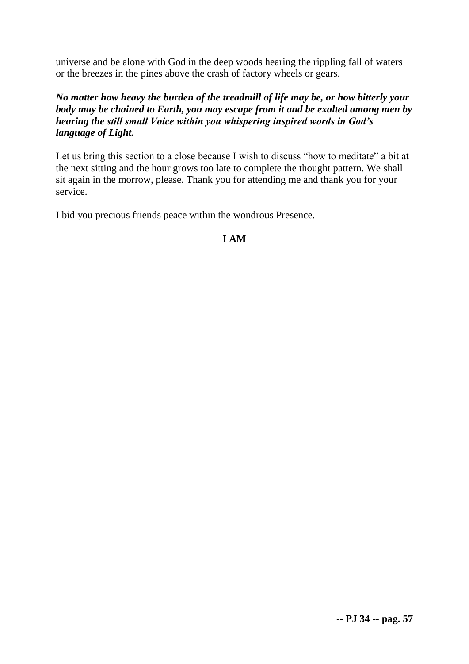universe and be alone with God in the deep woods hearing the rippling fall of waters or the breezes in the pines above the crash of factory wheels or gears.

*No matter how heavy the burden of the treadmill of life may be, or how bitterly your body may be chained to Earth, you may escape from it and be exalted among men by hearing the still small Voice within you whispering inspired words in God"s language of Light.* 

Let us bring this section to a close because I wish to discuss "how to meditate" a bit at the next sitting and the hour grows too late to complete the thought pattern. We shall sit again in the morrow, please. Thank you for attending me and thank you for your service.

I bid you precious friends peace within the wondrous Presence.

### **I AM**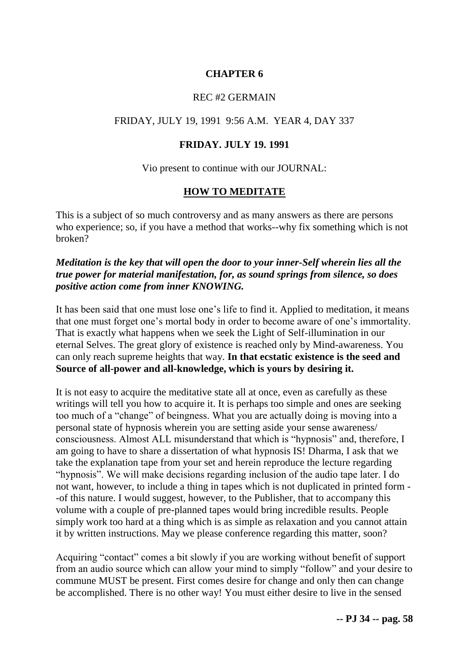### **CHAPTER 6**

#### REC #2 GERMAIN

#### FRIDAY, JULY 19, 1991 9:56 A.M. YEAR 4, DAY 337

#### **FRIDAY. JULY 19. 1991**

Vio present to continue with our JOURNAL:

#### **HOW TO MEDITATE**

This is a subject of so much controversy and as many answers as there are persons who experience; so, if you have a method that works--why fix something which is not broken?

#### *Meditation is the key that will open the door to your inner-Self wherein lies all the true power for material manifestation, for, as sound springs from silence, so does positive action come from inner KNOWING.*

It has been said that one must lose one's life to find it. Applied to meditation, it means that one must forget one's mortal body in order to become aware of one's immortality. That is exactly what happens when we seek the Light of Self-illumination in our eternal Selves. The great glory of existence is reached only by Mind-awareness. You can only reach supreme heights that way. **In that ecstatic existence is the seed and Source of all-power and all-knowledge, which is yours by desiring it.**

It is not easy to acquire the meditative state all at once, even as carefully as these writings will tell you how to acquire it. It is perhaps too simple and ones are seeking too much of a "change" of beingness. What you are actually doing is moving into a personal state of hypnosis wherein you are setting aside your sense awareness/ consciousness. Almost ALL misunderstand that which is "hypnosis" and, therefore, I am going to have to share a dissertation of what hypnosis IS! Dharma, I ask that we take the explanation tape from your set and herein reproduce the lecture regarding "hypnosis". We will make decisions regarding inclusion of the audio tape later. I do not want, however, to include a thing in tapes which is not duplicated in printed form - -of this nature. I would suggest, however, to the Publisher, that to accompany this volume with a couple of pre-planned tapes would bring incredible results. People simply work too hard at a thing which is as simple as relaxation and you cannot attain it by written instructions. May we please conference regarding this matter, soon?

Acquiring "contact" comes a bit slowly if you are working without benefit of support from an audio source which can allow your mind to simply "follow" and your desire to commune MUST be present. First comes desire for change and only then can change be accomplished. There is no other way! You must either desire to live in the sensed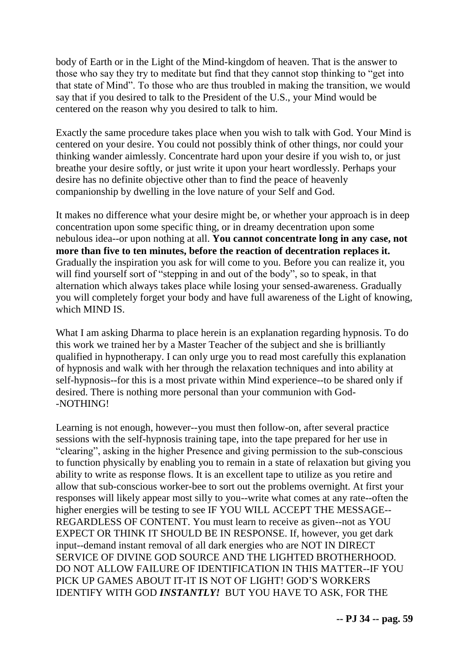body of Earth or in the Light of the Mind-kingdom of heaven. That is the answer to those who say they try to meditate but find that they cannot stop thinking to "get into" that state of Mind". To those who are thus troubled in making the transition, we would say that if you desired to talk to the President of the U.S., your Mind would be centered on the reason why you desired to talk to him.

Exactly the same procedure takes place when you wish to talk with God. Your Mind is centered on your desire. You could not possibly think of other things, nor could your thinking wander aimlessly. Concentrate hard upon your desire if you wish to, or just breathe your desire softly, or just write it upon your heart wordlessly. Perhaps your desire has no definite objective other than to find the peace of heavenly companionship by dwelling in the love nature of your Self and God.

It makes no difference what your desire might be, or whether your approach is in deep concentration upon some specific thing, or in dreamy decentration upon some nebulous idea--or upon nothing at all. **You cannot concentrate long in any case, not more than five to ten minutes, before the reaction of decentration replaces it.** Gradually the inspiration you ask for will come to you. Before you can realize it, you will find yourself sort of "stepping in and out of the body", so to speak, in that alternation which always takes place while losing your sensed-awareness. Gradually you will completely forget your body and have full awareness of the Light of knowing, which MIND IS.

What I am asking Dharma to place herein is an explanation regarding hypnosis. To do this work we trained her by a Master Teacher of the subject and she is brilliantly qualified in hypnotherapy. I can only urge you to read most carefully this explanation of hypnosis and walk with her through the relaxation techniques and into ability at self-hypnosis--for this is a most private within Mind experience--to be shared only if desired. There is nothing more personal than your communion with God- -NOTHING!

Learning is not enough, however--you must then follow-on, after several practice sessions with the self-hypnosis training tape, into the tape prepared for her use in ―clearing‖, asking in the higher Presence and giving permission to the sub-conscious to function physically by enabling you to remain in a state of relaxation but giving you ability to write as response flows. It is an excellent tape to utilize as you retire and allow that sub-conscious worker-bee to sort out the problems overnight. At first your responses will likely appear most silly to you--write what comes at any rate--often the higher energies will be testing to see IF YOU WILL ACCEPT THE MESSAGE-- REGARDLESS OF CONTENT. You must learn to receive as given--not as YOU EXPECT OR THINK IT SHOULD BE IN RESPONSE. If, however, you get dark input--demand instant removal of all dark energies who are NOT IN DIRECT SERVICE OF DIVINE GOD SOURCE AND THE LIGHTED BROTHERHOOD. DO NOT ALLOW FAILURE OF IDENTIFICATION IN THIS MATTER--IF YOU PICK UP GAMES ABOUT IT-IT IS NOT OF LIGHT! GOD'S WORKERS IDENTIFY WITH GOD *INSTANTLY!* BUT YOU HAVE TO ASK, FOR THE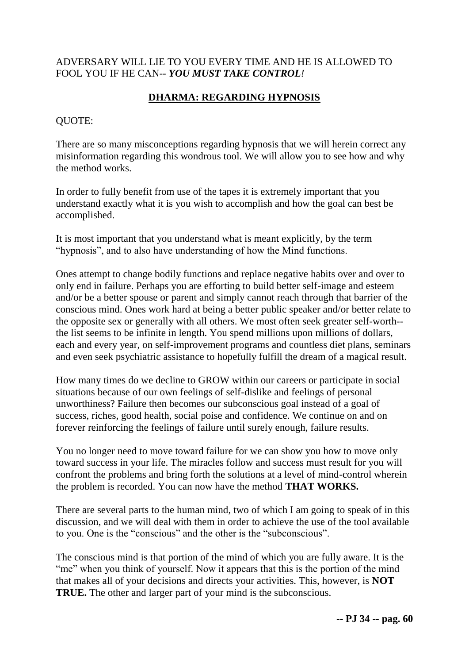### ADVERSARY WILL LIE TO YOU EVERY TIME AND HE IS ALLOWED TO FOOL YOU IF HE CAN-- *YOU MUST TAKE CONTROL!*

### **DHARMA: REGARDING HYPNOSIS**

#### QUOTE:

There are so many misconceptions regarding hypnosis that we will herein correct any misinformation regarding this wondrous tool. We will allow you to see how and why the method works.

In order to fully benefit from use of the tapes it is extremely important that you understand exactly what it is you wish to accomplish and how the goal can best be accomplished.

It is most important that you understand what is meant explicitly, by the term "hypnosis", and to also have understanding of how the Mind functions.

Ones attempt to change bodily functions and replace negative habits over and over to only end in failure. Perhaps you are efforting to build better self-image and esteem and/or be a better spouse or parent and simply cannot reach through that barrier of the conscious mind. Ones work hard at being a better public speaker and/or better relate to the opposite sex or generally with all others. We most often seek greater self-worth- the list seems to be infinite in length. You spend millions upon millions of dollars, each and every year, on self-improvement programs and countless diet plans, seminars and even seek psychiatric assistance to hopefully fulfill the dream of a magical result.

How many times do we decline to GROW within our careers or participate in social situations because of our own feelings of self-dislike and feelings of personal unworthiness? Failure then becomes our subconscious goal instead of a goal of success, riches, good health, social poise and confidence. We continue on and on forever reinforcing the feelings of failure until surely enough, failure results.

You no longer need to move toward failure for we can show you how to move only toward success in your life. The miracles follow and success must result for you will confront the problems and bring forth the solutions at a level of mind-control wherein the problem is recorded. You can now have the method **THAT WORKS.**

There are several parts to the human mind, two of which I am going to speak of in this discussion, and we will deal with them in order to achieve the use of the tool available to you. One is the "conscious" and the other is the "subconscious".

The conscious mind is that portion of the mind of which you are fully aware. It is the "me" when you think of yourself. Now it appears that this is the portion of the mind that makes all of your decisions and directs your activities. This, however, is **NOT TRUE.** The other and larger part of your mind is the subconscious.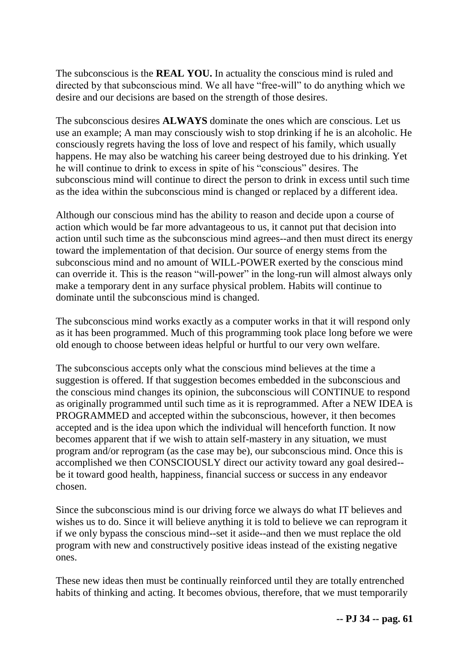The subconscious is the **REAL YOU.** In actuality the conscious mind is ruled and directed by that subconscious mind. We all have "free-will" to do anything which we desire and our decisions are based on the strength of those desires.

The subconscious desires **ALWAYS** dominate the ones which are conscious. Let us use an example; A man may consciously wish to stop drinking if he is an alcoholic. He consciously regrets having the loss of love and respect of his family, which usually happens. He may also be watching his career being destroyed due to his drinking. Yet he will continue to drink to excess in spite of his "conscious" desires. The subconscious mind will continue to direct the person to drink in excess until such time as the idea within the subconscious mind is changed or replaced by a different idea.

Although our conscious mind has the ability to reason and decide upon a course of action which would be far more advantageous to us, it cannot put that decision into action until such time as the subconscious mind agrees--and then must direct its energy toward the implementation of that decision. Our source of energy stems from the subconscious mind and no amount of WILL-POWER exerted by the conscious mind can override it. This is the reason "will-power" in the long-run will almost always only make a temporary dent in any surface physical problem. Habits will continue to dominate until the subconscious mind is changed.

The subconscious mind works exactly as a computer works in that it will respond only as it has been programmed. Much of this programming took place long before we were old enough to choose between ideas helpful or hurtful to our very own welfare.

The subconscious accepts only what the conscious mind believes at the time a suggestion is offered. If that suggestion becomes embedded in the subconscious and the conscious mind changes its opinion, the subconscious will CONTINUE to respond as originally programmed until such time as it is reprogrammed. After a NEW IDEA is PROGRAMMED and accepted within the subconscious, however, it then becomes accepted and is the idea upon which the individual will henceforth function. It now becomes apparent that if we wish to attain self-mastery in any situation, we must program and/or reprogram (as the case may be), our subconscious mind. Once this is accomplished we then CONSCIOUSLY direct our activity toward any goal desired- be it toward good health, happiness, financial success or success in any endeavor chosen.

Since the subconscious mind is our driving force we always do what IT believes and wishes us to do. Since it will believe anything it is told to believe we can reprogram it if we only bypass the conscious mind--set it aside--and then we must replace the old program with new and constructively positive ideas instead of the existing negative ones.

These new ideas then must be continually reinforced until they are totally entrenched habits of thinking and acting. It becomes obvious, therefore, that we must temporarily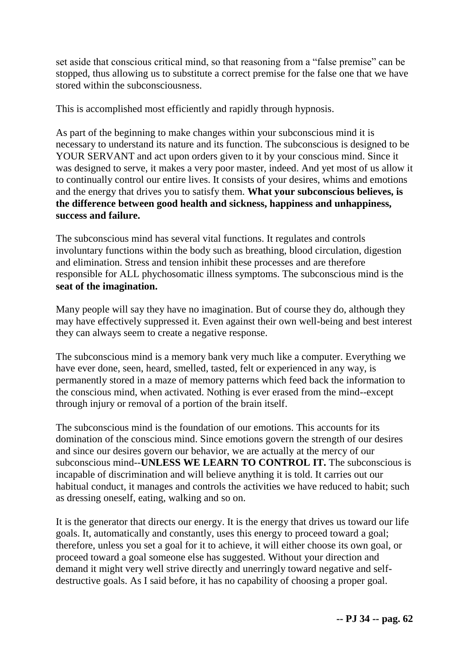set aside that conscious critical mind, so that reasoning from a "false premise" can be stopped, thus allowing us to substitute a correct premise for the false one that we have stored within the subconsciousness.

This is accomplished most efficiently and rapidly through hypnosis.

As part of the beginning to make changes within your subconscious mind it is necessary to understand its nature and its function. The subconscious is designed to be YOUR SERVANT and act upon orders given to it by your conscious mind. Since it was designed to serve, it makes a very poor master, indeed. And yet most of us allow it to continually control our entire lives. It consists of your desires, whims and emotions and the energy that drives you to satisfy them. **What your subconscious believes, is the difference between good health and sickness, happiness and unhappiness, success and failure.**

The subconscious mind has several vital functions. It regulates and controls involuntary functions within the body such as breathing, blood circulation, digestion and elimination. Stress and tension inhibit these processes and are therefore responsible for ALL phychosomatic illness symptoms. The subconscious mind is the **seat of the imagination.**

Many people will say they have no imagination. But of course they do, although they may have effectively suppressed it. Even against their own well-being and best interest they can always seem to create a negative response.

The subconscious mind is a memory bank very much like a computer. Everything we have ever done, seen, heard, smelled, tasted, felt or experienced in any way, is permanently stored in a maze of memory patterns which feed back the information to the conscious mind, when activated. Nothing is ever erased from the mind--except through injury or removal of a portion of the brain itself.

The subconscious mind is the foundation of our emotions. This accounts for its domination of the conscious mind. Since emotions govern the strength of our desires and since our desires govern our behavior, we are actually at the mercy of our subconscious mind--**UNLESS WE LEARN TO CONTROL IT.** The subconscious is incapable of discrimination and will believe anything it is told. It carries out our habitual conduct, it manages and controls the activities we have reduced to habit; such as dressing oneself, eating, walking and so on.

It is the generator that directs our energy. It is the energy that drives us toward our life goals. It, automatically and constantly, uses this energy to proceed toward a goal; therefore, unless you set a goal for it to achieve, it will either choose its own goal, or proceed toward a goal someone else has suggested. Without your direction and demand it might very well strive directly and unerringly toward negative and selfdestructive goals. As I said before, it has no capability of choosing a proper goal.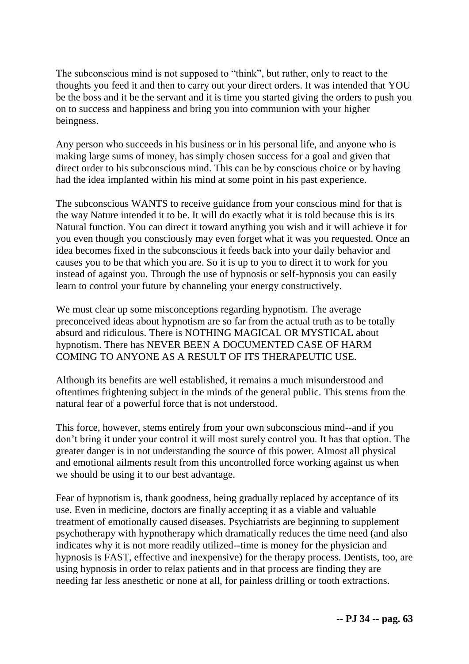The subconscious mind is not supposed to "think", but rather, only to react to the thoughts you feed it and then to carry out your direct orders. It was intended that YOU be the boss and it be the servant and it is time you started giving the orders to push you on to success and happiness and bring you into communion with your higher beingness.

Any person who succeeds in his business or in his personal life, and anyone who is making large sums of money, has simply chosen success for a goal and given that direct order to his subconscious mind. This can be by conscious choice or by having had the idea implanted within his mind at some point in his past experience.

The subconscious WANTS to receive guidance from your conscious mind for that is the way Nature intended it to be. It will do exactly what it is told because this is its Natural function. You can direct it toward anything you wish and it will achieve it for you even though you consciously may even forget what it was you requested. Once an idea becomes fixed in the subconscious it feeds back into your daily behavior and causes you to be that which you are. So it is up to you to direct it to work for you instead of against you. Through the use of hypnosis or self-hypnosis you can easily learn to control your future by channeling your energy constructively.

We must clear up some misconceptions regarding hypnotism. The average preconceived ideas about hypnotism are so far from the actual truth as to be totally absurd and ridiculous. There is NOTHING MAGICAL OR MYSTICAL about hypnotism. There has NEVER BEEN A DOCUMENTED CASE OF HARM COMING TO ANYONE AS A RESULT OF ITS THERAPEUTIC USE.

Although its benefits are well established, it remains a much misunderstood and oftentimes frightening subject in the minds of the general public. This stems from the natural fear of a powerful force that is not understood.

This force, however, stems entirely from your own subconscious mind--and if you don't bring it under your control it will most surely control you. It has that option. The greater danger is in not understanding the source of this power. Almost all physical and emotional ailments result from this uncontrolled force working against us when we should be using it to our best advantage.

Fear of hypnotism is, thank goodness, being gradually replaced by acceptance of its use. Even in medicine, doctors are finally accepting it as a viable and valuable treatment of emotionally caused diseases. Psychiatrists are beginning to supplement psychotherapy with hypnotherapy which dramatically reduces the time need (and also indicates why it is not more readily utilized--time is money for the physician and hypnosis is FAST, effective and inexpensive) for the therapy process. Dentists, too, are using hypnosis in order to relax patients and in that process are finding they are needing far less anesthetic or none at all, for painless drilling or tooth extractions.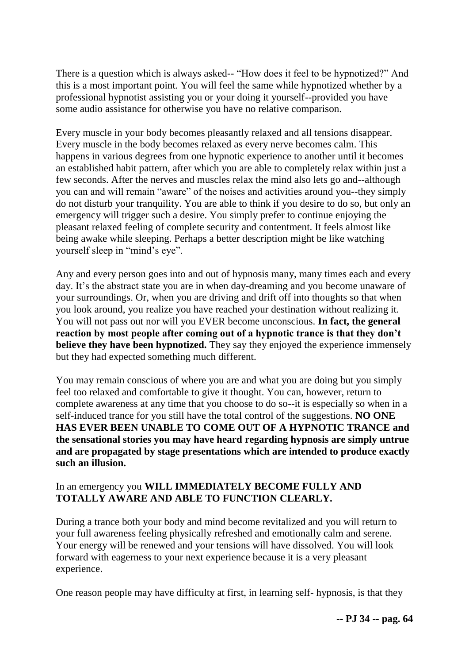There is a question which is always asked-- "How does it feel to be hypnotized?" And this is a most important point. You will feel the same while hypnotized whether by a professional hypnotist assisting you or your doing it yourself--provided you have some audio assistance for otherwise you have no relative comparison.

Every muscle in your body becomes pleasantly relaxed and all tensions disappear. Every muscle in the body becomes relaxed as every nerve becomes calm. This happens in various degrees from one hypnotic experience to another until it becomes an established habit pattern, after which you are able to completely relax within just a few seconds. After the nerves and muscles relax the mind also lets go and--although you can and will remain "aware" of the noises and activities around you--they simply do not disturb your tranquility. You are able to think if you desire to do so, but only an emergency will trigger such a desire. You simply prefer to continue enjoying the pleasant relaxed feeling of complete security and contentment. It feels almost like being awake while sleeping. Perhaps a better description might be like watching yourself sleep in "mind's eye".

Any and every person goes into and out of hypnosis many, many times each and every day. It's the abstract state you are in when day-dreaming and you become unaware of your surroundings. Or, when you are driving and drift off into thoughts so that when you look around, you realize you have reached your destination without realizing it. You will not pass out nor will you EVER become unconscious. **In fact, the general reaction by most people after coming out of a hypnotic trance is that they don"t believe they have been hypnotized.** They say they enjoyed the experience immensely but they had expected something much different.

You may remain conscious of where you are and what you are doing but you simply feel too relaxed and comfortable to give it thought. You can, however, return to complete awareness at any time that you choose to do so--it is especially so when in a self-induced trance for you still have the total control of the suggestions. **NO ONE HAS EVER BEEN UNABLE TO COME OUT OF A HYPNOTIC TRANCE and the sensational stories you may have heard regarding hypnosis are simply untrue and are propagated by stage presentations which are intended to produce exactly such an illusion.** 

### In an emergency you **WILL IMMEDIATELY BECOME FULLY AND TOTALLY AWARE AND ABLE TO FUNCTION CLEARLY.**

During a trance both your body and mind become revitalized and you will return to your full awareness feeling physically refreshed and emotionally calm and serene. Your energy will be renewed and your tensions will have dissolved. You will look forward with eagerness to your next experience because it is a very pleasant experience.

One reason people may have difficulty at first, in learning self- hypnosis, is that they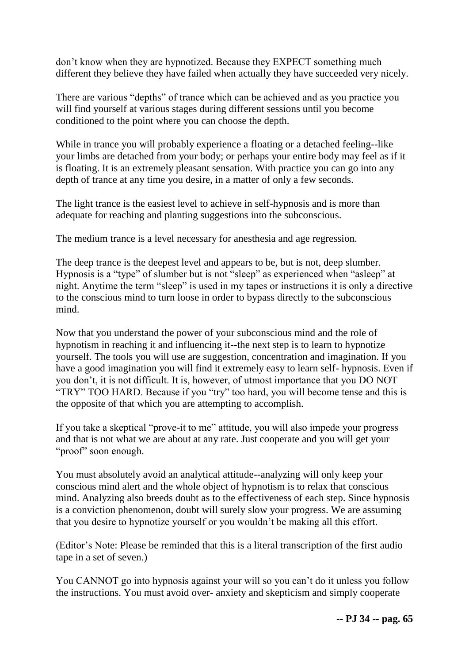don't know when they are hypnotized. Because they EXPECT something much different they believe they have failed when actually they have succeeded very nicely.

There are various "depths" of trance which can be achieved and as you practice you will find yourself at various stages during different sessions until you become conditioned to the point where you can choose the depth.

While in trance you will probably experience a floating or a detached feeling--like your limbs are detached from your body; or perhaps your entire body may feel as if it is floating. It is an extremely pleasant sensation. With practice you can go into any depth of trance at any time you desire, in a matter of only a few seconds.

The light trance is the easiest level to achieve in self-hypnosis and is more than adequate for reaching and planting suggestions into the subconscious.

The medium trance is a level necessary for anesthesia and age regression.

The deep trance is the deepest level and appears to be, but is not, deep slumber. Hypnosis is a "type" of slumber but is not "sleep" as experienced when "asleep" at night. Anytime the term "sleep" is used in my tapes or instructions it is only a directive to the conscious mind to turn loose in order to bypass directly to the subconscious mind.

Now that you understand the power of your subconscious mind and the role of hypnotism in reaching it and influencing it--the next step is to learn to hypnotize yourself. The tools you will use are suggestion, concentration and imagination. If you have a good imagination you will find it extremely easy to learn self- hypnosis. Even if you don't, it is not difficult. It is, however, of utmost importance that you DO NOT "TRY" TOO HARD. Because if you "try" too hard, you will become tense and this is the opposite of that which you are attempting to accomplish.

If you take a skeptical "prove-it to me" attitude, you will also impede your progress and that is not what we are about at any rate. Just cooperate and you will get your "proof" soon enough.

You must absolutely avoid an analytical attitude--analyzing will only keep your conscious mind alert and the whole object of hypnotism is to relax that conscious mind. Analyzing also breeds doubt as to the effectiveness of each step. Since hypnosis is a conviction phenomenon, doubt will surely slow your progress. We are assuming that you desire to hypnotize yourself or you wouldn't be making all this effort.

(Editor's Note: Please be reminded that this is a literal transcription of the first audio tape in a set of seven.)

You CANNOT go into hypnosis against your will so you can't do it unless you follow the instructions. You must avoid over- anxiety and skepticism and simply cooperate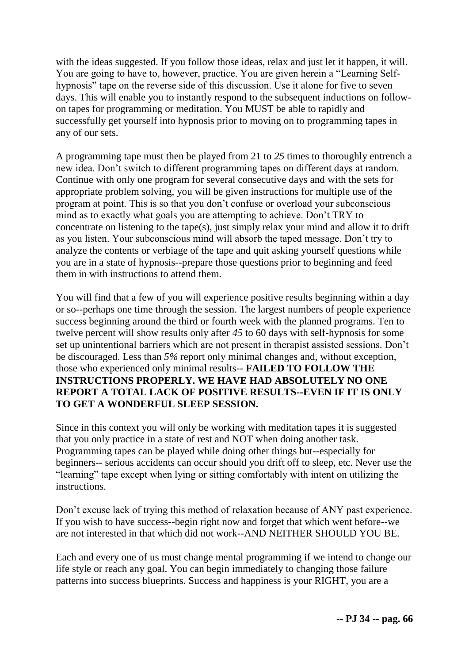with the ideas suggested. If you follow those ideas, relax and just let it happen, it will. You are going to have to, however, practice. You are given herein a "Learning Selfhypnosis" tape on the reverse side of this discussion. Use it alone for five to seven days. This will enable you to instantly respond to the subsequent inductions on followon tapes for programming or meditation. You MUST be able to rapidly and successfully get yourself into hypnosis prior to moving on to programming tapes in any of our sets.

A programming tape must then be played from 21 to *25* times to thoroughly entrench a new idea. Don't switch to different programming tapes on different days at random. Continue with only one program for several consecutive days and with the sets for appropriate problem solving, you will be given instructions for multiple use of the program at point. This is so that you don't confuse or overload your subconscious mind as to exactly what goals you are attempting to achieve. Don't TRY to concentrate on listening to the tape(s), just simply relax your mind and allow it to drift as you listen. Your subconscious mind will absorb the taped message. Don't try to analyze the contents or verbiage of the tape and quit asking yourself questions while you are in a state of hypnosis--prepare those questions prior to beginning and feed them in with instructions to attend them.

You will find that a few of you will experience positive results beginning within a day or so--perhaps one time through the session. The largest numbers of people experience success beginning around the third or fourth week with the planned programs. Ten to twelve percent will show results only after *45* to 60 days with self-hypnosis for some set up unintentional barriers which are not present in therapist assisted sessions. Don't be discouraged. Less than *5%* report only minimal changes and, without exception, those who experienced only minimal results-- **FAILED TO FOLLOW THE INSTRUCTIONS PROPERLY. WE HAVE HAD ABSOLUTELY NO ONE REPORT A TOTAL LACK OF POSITIVE RESULTS--EVEN IF IT IS ONLY TO GET A WONDERFUL SLEEP SESSION.**

Since in this context you will only be working with meditation tapes it is suggested that you only practice in a state of rest and NOT when doing another task. Programming tapes can be played while doing other things but--especially for beginners-- serious accidents can occur should you drift off to sleep, etc. Never use the "learning" tape except when lying or sitting comfortably with intent on utilizing the instructions.

Don't excuse lack of trying this method of relaxation because of ANY past experience. If you wish to have success--begin right now and forget that which went before--we are not interested in that which did not work--AND NEITHER SHOULD YOU BE.

Each and every one of us must change mental programming if we intend to change our life style or reach any goal. You can begin immediately to changing those failure patterns into success blueprints. Success and happiness is your RIGHT, you are a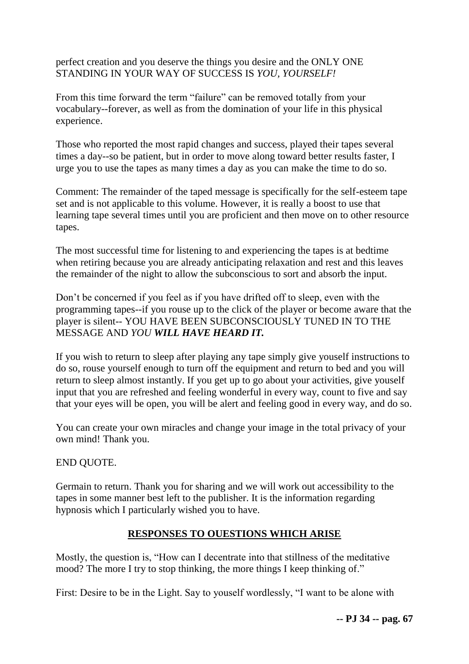perfect creation and you deserve the things you desire and the ONLY ONE STANDING IN YOUR WAY OF SUCCESS IS *YOU, YOURSELF!*

From this time forward the term "failure" can be removed totally from your vocabulary--forever, as well as from the domination of your life in this physical experience.

Those who reported the most rapid changes and success, played their tapes several times a day--so be patient, but in order to move along toward better results faster, I urge you to use the tapes as many times a day as you can make the time to do so.

Comment: The remainder of the taped message is specifically for the self-esteem tape set and is not applicable to this volume. However, it is really a boost to use that learning tape several times until you are proficient and then move on to other resource tapes.

The most successful time for listening to and experiencing the tapes is at bedtime when retiring because you are already anticipating relaxation and rest and this leaves the remainder of the night to allow the subconscious to sort and absorb the input.

Don't be concerned if you feel as if you have drifted off to sleep, even with the programming tapes--if you rouse up to the click of the player or become aware that the player is silent-- YOU HAVE BEEN SUBCONSCIOUSLY TUNED IN TO THE MESSAGE AND *YOU WILL HAVE HEARD IT.*

If you wish to return to sleep after playing any tape simply give youself instructions to do so, rouse yourself enough to turn off the equipment and return to bed and you will return to sleep almost instantly. If you get up to go about your activities, give youself input that you are refreshed and feeling wonderful in every way, count to five and say that your eyes will be open, you will be alert and feeling good in every way, and do so.

You can create your own miracles and change your image in the total privacy of your own mind! Thank you.

## END QUOTE.

Germain to return. Thank you for sharing and we will work out accessibility to the tapes in some manner best left to the publisher. It is the information regarding hypnosis which I particularly wished you to have.

## **RESPONSES TO OUESTIONS WHICH ARISE**

Mostly, the question is, "How can I decentrate into that stillness of the meditative mood? The more I try to stop thinking, the more things I keep thinking of."

First: Desire to be in the Light. Say to youself wordlessly, "I want to be alone with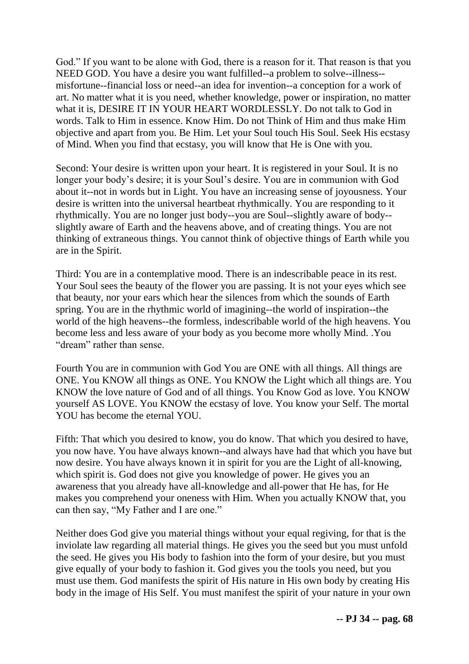God." If you want to be alone with God, there is a reason for it. That reason is that you NEED GOD. You have a desire you want fulfilled--a problem to solve--illness- misfortune--financial loss or need--an idea for invention--a conception for a work of art. No matter what it is you need, whether knowledge, power or inspiration, no matter what it is, DESIRE IT IN YOUR HEART WORDLESSLY. Do not talk to God in words. Talk to Him in essence. Know Him. Do not Think of Him and thus make Him objective and apart from you. Be Him. Let your Soul touch His Soul. Seek His ecstasy of Mind. When you find that ecstasy, you will know that He is One with you.

Second: Your desire is written upon your heart. It is registered in your Soul. It is no longer your body's desire; it is your Soul's desire. You are in communion with God about it--not in words but in Light. You have an increasing sense of joyousness. Your desire is written into the universal heartbeat rhythmically. You are responding to it rhythmically. You are no longer just body--you are Soul--slightly aware of body- slightly aware of Earth and the heavens above, and of creating things. You are not thinking of extraneous things. You cannot think of objective things of Earth while you are in the Spirit.

Third: You are in a contemplative mood. There is an indescribable peace in its rest. Your Soul sees the beauty of the flower you are passing. It is not your eyes which see that beauty, nor your ears which hear the silences from which the sounds of Earth spring. You are in the rhythmic world of imagining--the world of inspiration--the world of the high heavens--the formless, indescribable world of the high heavens. You become less and less aware of your body as you become more wholly Mind. .You "dream" rather than sense.

Fourth You are in communion with God You are ONE with all things. All things are ONE. You KNOW all things as ONE. You KNOW the Light which all things are. You KNOW the love nature of God and of all things. You Know God as love. You KNOW yourself AS LOVE. You KNOW the ecstasy of love. You know your Self. The mortal YOU has become the eternal YOU.

Fifth: That which you desired to know, you do know. That which you desired to have, you now have. You have always known--and always have had that which you have but now desire. You have always known it in spirit for you are the Light of all-knowing, which spirit is. God does not give you knowledge of power. He gives you an awareness that you already have all-knowledge and all-power that He has, for He makes you comprehend your oneness with Him. When you actually KNOW that, you can then say, "My Father and I are one."

Neither does God give you material things without your equal regiving, for that is the inviolate law regarding all material things. He gives you the seed but you must unfold the seed. He gives you His body to fashion into the form of your desire, but you must give equally of your body to fashion it. God gives you the tools you need, but you must use them. God manifests the spirit of His nature in His own body by creating His body in the image of His Self. You must manifest the spirit of your nature in your own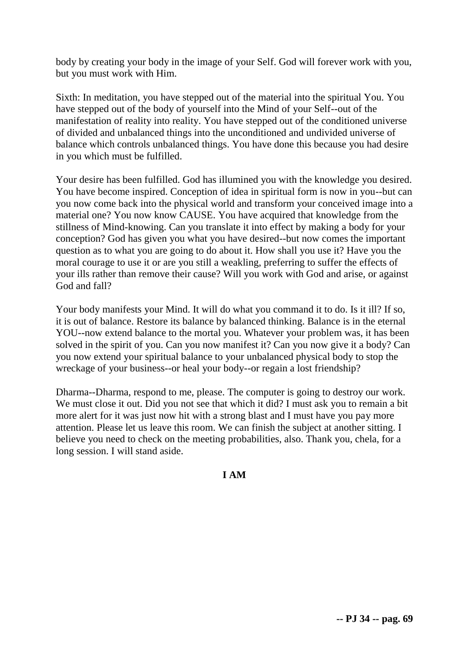body by creating your body in the image of your Self. God will forever work with you, but you must work with Him.

Sixth: In meditation, you have stepped out of the material into the spiritual You. You have stepped out of the body of yourself into the Mind of your Self--out of the manifestation of reality into reality. You have stepped out of the conditioned universe of divided and unbalanced things into the unconditioned and undivided universe of balance which controls unbalanced things. You have done this because you had desire in you which must be fulfilled.

Your desire has been fulfilled. God has illumined you with the knowledge you desired. You have become inspired. Conception of idea in spiritual form is now in you--but can you now come back into the physical world and transform your conceived image into a material one? You now know CAUSE. You have acquired that knowledge from the stillness of Mind-knowing. Can you translate it into effect by making a body for your conception? God has given you what you have desired--but now comes the important question as to what you are going to do about it. How shall you use it? Have you the moral courage to use it or are you still a weakling, preferring to suffer the effects of your ills rather than remove their cause? Will you work with God and arise, or against God and fall?

Your body manifests your Mind. It will do what you command it to do. Is it ill? If so, it is out of balance. Restore its balance by balanced thinking. Balance is in the eternal YOU--now extend balance to the mortal you. Whatever your problem was, it has been solved in the spirit of you. Can you now manifest it? Can you now give it a body? Can you now extend your spiritual balance to your unbalanced physical body to stop the wreckage of your business--or heal your body--or regain a lost friendship?

Dharma--Dharma, respond to me, please. The computer is going to destroy our work. We must close it out. Did you not see that which it did? I must ask you to remain a bit more alert for it was just now hit with a strong blast and I must have you pay more attention. Please let us leave this room. We can finish the subject at another sitting. I believe you need to check on the meeting probabilities, also. Thank you, chela, for a long session. I will stand aside.

**I AM**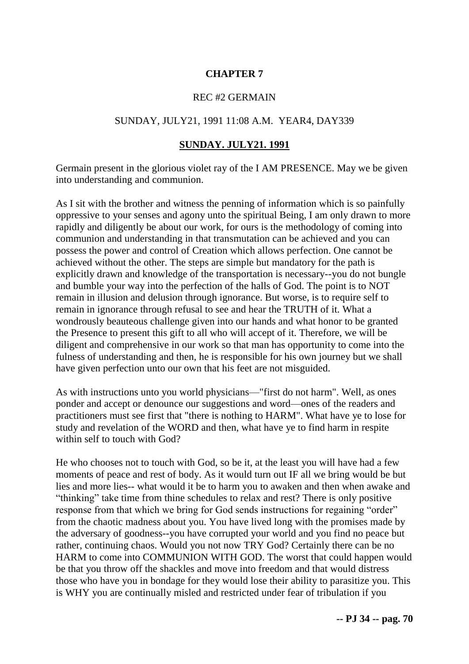### **CHAPTER 7**

#### REC #2 GERMAIN

#### SUNDAY, JULY21, 1991 11:08 A.M. YEAR4, DAY339

#### **SUNDAY. JULY21. 1991**

Germain present in the glorious violet ray of the I AM PRESENCE. May we be given into understanding and communion.

As I sit with the brother and witness the penning of information which is so painfully oppressive to your senses and agony unto the spiritual Being, I am only drawn to more rapidly and diligently be about our work, for ours is the methodology of coming into communion and understanding in that transmutation can be achieved and you can possess the power and control of Creation which allows perfection. One cannot be achieved without the other. The steps are simple but mandatory for the path is explicitly drawn and knowledge of the transportation is necessary--you do not bungle and bumble your way into the perfection of the halls of God. The point is to NOT remain in illusion and delusion through ignorance. But worse, is to require self to remain in ignorance through refusal to see and hear the TRUTH of it. What a wondrously beauteous challenge given into our hands and what honor to be granted the Presence to present this gift to all who will accept of it. Therefore, we will be diligent and comprehensive in our work so that man has opportunity to come into the fulness of understanding and then, he is responsible for his own journey but we shall have given perfection unto our own that his feet are not misguided.

As with instructions unto you world physicians—"first do not harm". Well, as ones ponder and accept or denounce our suggestions and word—ones of the readers and practitioners must see first that "there is nothing to HARM". What have ye to lose for study and revelation of the WORD and then, what have ye to find harm in respite within self to touch with God?

He who chooses not to touch with God, so be it, at the least you will have had a few moments of peace and rest of body. As it would turn out IF all we bring would be but lies and more lies-- what would it be to harm you to awaken and then when awake and "thinking" take time from thine schedules to relax and rest? There is only positive response from that which we bring for God sends instructions for regaining "order" from the chaotic madness about you. You have lived long with the promises made by the adversary of goodness--you have corrupted your world and you find no peace but rather, continuing chaos. Would you not now TRY God? Certainly there can be no HARM to come into COMMUNION WITH GOD. The worst that could happen would be that you throw off the shackles and move into freedom and that would distress those who have you in bondage for they would lose their ability to parasitize you. This is WHY you are continually misled and restricted under fear of tribulation if you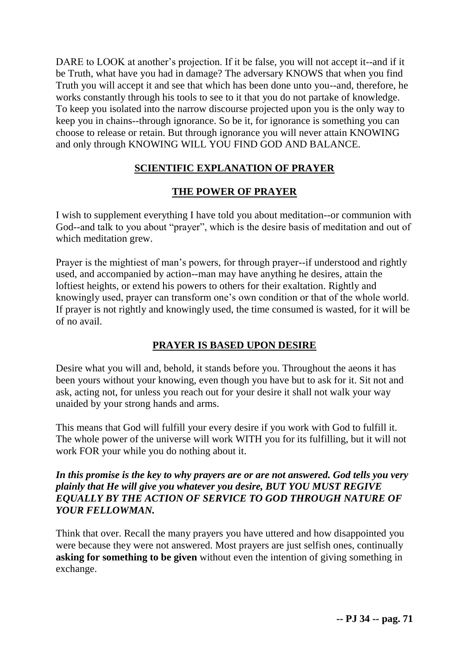DARE to LOOK at another's projection. If it be false, you will not accept it--and if it be Truth, what have you had in damage? The adversary KNOWS that when you find Truth you will accept it and see that which has been done unto you--and, therefore, he works constantly through his tools to see to it that you do not partake of knowledge. To keep you isolated into the narrow discourse projected upon you is the only way to keep you in chains--through ignorance. So be it, for ignorance is something you can choose to release or retain. But through ignorance you will never attain KNOWING and only through KNOWING WILL YOU FIND GOD AND BALANCE.

## **SCIENTIFIC EXPLANATION OF PRAYER**

## **THE POWER OF PRAYER**

I wish to supplement everything I have told you about meditation--or communion with God--and talk to you about "prayer", which is the desire basis of meditation and out of which meditation grew.

Prayer is the mightiest of man's powers, for through prayer--if understood and rightly used, and accompanied by action--man may have anything he desires, attain the loftiest heights, or extend his powers to others for their exaltation. Rightly and knowingly used, prayer can transform one's own condition or that of the whole world. If prayer is not rightly and knowingly used, the time consumed is wasted, for it will be of no avail.

# **PRAYER IS BASED UPON DESIRE**

Desire what you will and, behold, it stands before you. Throughout the aeons it has been yours without your knowing, even though you have but to ask for it. Sit not and ask, acting not, for unless you reach out for your desire it shall not walk your way unaided by your strong hands and arms.

This means that God will fulfill your every desire if you work with God to fulfill it. The whole power of the universe will work WITH you for its fulfilling, but it will not work FOR your while you do nothing about it.

### *In this promise is the key to why prayers are or are not answered. God tells you very plainly that He will give you whatever you desire, BUT YOU MUST REGIVE*  **EQUALLY BY THE ACTION OF SERVICE TO GOD THROUGH NATURE OF** *YOUR FELLOWMAN.*

Think that over. Recall the many prayers you have uttered and how disappointed you were because they were not answered. Most prayers are just selfish ones, continually **asking for something to be given** without even the intention of giving something in exchange.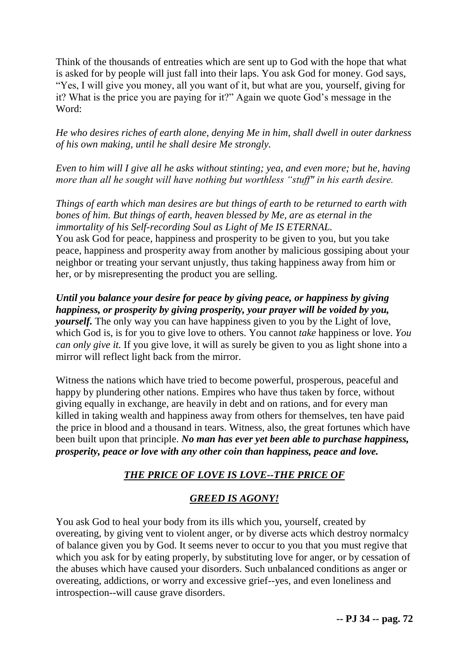Think of the thousands of entreaties which are sent up to God with the hope that what is asked for by people will just fall into their laps. You ask God for money. God says, ―Yes, I will give you money, all you want of it, but what are you, yourself, giving for it? What is the price you are paying for it?" Again we quote God's message in the Word:

*He who desires riches of earth alone, denying Me in him, shall dwell in outer darkness of his own making, until he shall desire Me strongly.* 

*Even to him will I give all he asks without stinting; yea, and even more; but he, having more than all he sought will have nothing but worthless "stuff" in his earth desire.* 

*Things of earth which man desires are but things of earth to be returned to earth with bones of him. But things of earth, heaven blessed by Me, are as eternal in the immortality of his Self-recording Soul as Light of Me IS ETERNAL.*  You ask God for peace, happiness and prosperity to be given to you, but you take

peace, happiness and prosperity away from another by malicious gossiping about your neighbor or treating your servant unjustly, thus taking happiness away from him or her, or by misrepresenting the product you are selling.

*Until you balance your desire for peace by giving peace, or happiness by giving happiness, or prosperity by giving prosperity, your prayer will be voided by you, yourself.* The only way you can have happiness given to you by the Light of love, which God is, is for you to give love to others. You cannot *take* happiness or love. *You can only give it.* If you give love, it will as surely be given to you as light shone into a mirror will reflect light back from the mirror.

Witness the nations which have tried to become powerful, prosperous, peaceful and happy by plundering other nations. Empires who have thus taken by force, without giving equally in exchange, are heavily in debt and on rations, and for every man killed in taking wealth and happiness away from others for themselves, ten have paid the price in blood and a thousand in tears. Witness, also, the great fortunes which have been built upon that principle. *No man has ever yet been able to purchase happiness, prosperity, peace or love with any other coin than happiness, peace and love.*

# *THE PRICE OF LOVE IS LOVE--THE PRICE OF*

# *GREED IS AGONY!*

You ask God to heal your body from its ills which you, yourself, created by overeating, by giving vent to violent anger, or by diverse acts which destroy normalcy of balance given you by God. It seems never to occur to you that you must regive that which you ask for by eating properly, by substituting love for anger, or by cessation of the abuses which have caused your disorders. Such unbalanced conditions as anger or overeating, addictions, or worry and excessive grief--yes, and even loneliness and introspection--will cause grave disorders.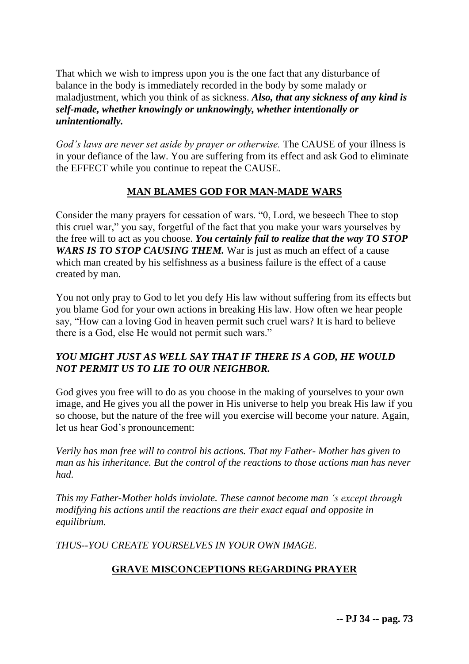That which we wish to impress upon you is the one fact that any disturbance of balance in the body is immediately recorded in the body by some malady or maladjustment, which you think of as sickness. *Also, that any sickness of any kind is self-made, whether knowingly or unknowingly, whether intentionally or unintentionally.* 

*God"s laws are never set aside by prayer or otherwise.* The CAUSE of your illness is in your defiance of the law. You are suffering from its effect and ask God to eliminate the EFFECT while you continue to repeat the CAUSE.

# **MAN BLAMES GOD FOR MAN-MADE WARS**

Consider the many prayers for cessation of wars. "0, Lord, we beseech Thee to stop this cruel war," you say, forgetful of the fact that you make your wars yourselves by the free will to act as you choose. *You certainly fail to realize that the way TO STOP WARS IS TO STOP CAUSING THEM.* War is just as much an effect of a cause which man created by his selfishness as a business failure is the effect of a cause created by man.

You not only pray to God to let you defy His law without suffering from its effects but you blame God for your own actions in breaking His law. How often we hear people say, "How can a loving God in heaven permit such cruel wars? It is hard to believe there is a God, else He would not permit such wars."

# *YOU MIGHT JUST AS WELL SAY THAT IF THERE IS A GOD, HE WOULD NOT PERMIT US TO LIE TO OUR NEIGHBOR.*

God gives you free will to do as you choose in the making of yourselves to your own image, and He gives you all the power in His universe to help you break His law if you so choose, but the nature of the free will you exercise will become your nature. Again, let us hear God's pronouncement:

*Verily has man free will to control his actions. That my Father- Mother has given to man as his inheritance. But the control of the reactions to those actions man has never had.* 

*This my Father-Mother holds inviolate. These cannot become man "s except through modifying his actions until the reactions are their exact equal and opposite in equilibrium.* 

*THUS--YOU CREATE YOURSELVES IN YOUR OWN IMAGE.* 

# **GRAVE MISCONCEPTIONS REGARDING PRAYER**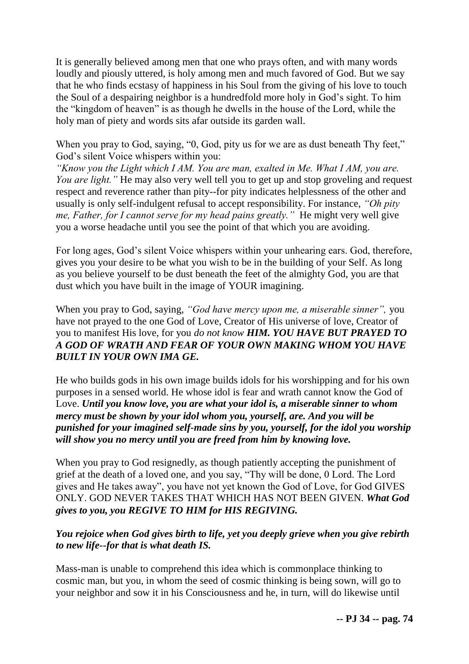It is generally believed among men that one who prays often, and with many words loudly and piously uttered, is holy among men and much favored of God. But we say that he who finds ecstasy of happiness in his Soul from the giving of his love to touch the Soul of a despairing neighbor is a hundredfold more holy in God's sight. To him the "kingdom of heaven" is as though he dwells in the house of the Lord, while the holy man of piety and words sits afar outside its garden wall.

When you pray to God, saying, "0, God, pity us for we are as dust beneath Thy feet," God's silent Voice whispers within you:

*"Know you the Light which I AM. You are man, exalted in Me. What I AM, you are. You are light."* He may also very well tell you to get up and stop groveling and request respect and reverence rather than pity--for pity indicates helplessness of the other and usually is only self-indulgent refusal to accept responsibility. For instance, *"Oh pity me, Father, for I cannot serve for my head pains greatly.* " He might very well give you a worse headache until you see the point of that which you are avoiding.

For long ages, God's silent Voice whispers within your unhearing ears. God, therefore, gives you your desire to be what you wish to be in the building of your Self. As long as you believe yourself to be dust beneath the feet of the almighty God, you are that dust which you have built in the image of YOUR imagining.

When you pray to God, saying, *"God have mercy upon me, a miserable sinner",* you have not prayed to the one God of Love, Creator of His universe of love, Creator of you to manifest His love, for you *do not know HIM. YOU HAVE BUT PRAYED TO A GOD OF WRATH AND FEAR OF YOUR OWN MAKING WHOM YOU HAVE BUILT IN YOUR OWN IMA GE.* 

He who builds gods in his own image builds idols for his worshipping and for his own purposes in a sensed world. He whose idol is fear and wrath cannot know the God of Love. *Until you know love, you are what your idol is, a miserable sinner to whom mercy must be shown by your idol whom you, yourself, are. And you will be punished for your imagined self-made sins by you, yourself, for the idol you worship will show you no mercy until you are freed from him by knowing love.* 

When you pray to God resignedly, as though patiently accepting the punishment of grief at the death of a loved one, and you say, "Thy will be done, 0 Lord. The Lord gives and He takes away", you have not yet known the God of Love, for God GIVES ONLY. GOD NEVER TAKES THAT WHICH HAS NOT BEEN GIVEN. *What God gives to you, you REGIVE TO HIM for HIS REGIVING.*

## *You rejoice when God gives birth to life, yet you deeply grieve when you give rebirth to new life--for that is what death IS.*

Mass-man is unable to comprehend this idea which is commonplace thinking to cosmic man, but you, in whom the seed of cosmic thinking is being sown, will go to your neighbor and sow it in his Consciousness and he, in turn, will do likewise until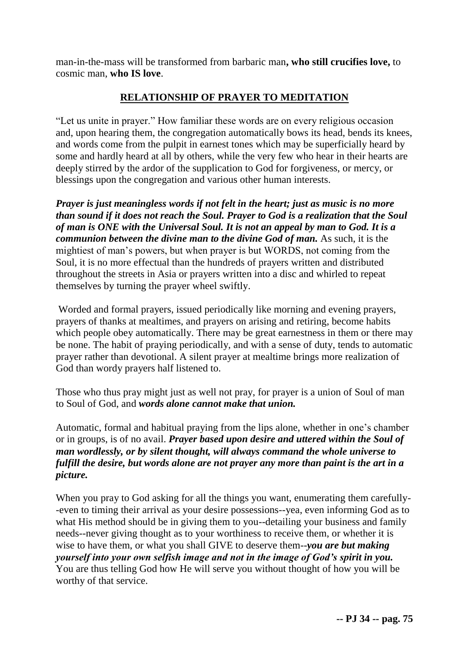man-in-the-mass will be transformed from barbaric man**, who still crucifies love,** to cosmic man, **who IS love**.

## **RELATIONSHIP OF PRAYER TO MEDITATION**

―Let us unite in prayer.‖ How familiar these words are on every religious occasion and, upon hearing them, the congregation automatically bows its head, bends its knees, and words come from the pulpit in earnest tones which may be superficially heard by some and hardly heard at all by others, while the very few who hear in their hearts are deeply stirred by the ardor of the supplication to God for forgiveness, or mercy, or blessings upon the congregation and various other human interests.

*Prayer is just meaningless words if not felt in the heart; just as music is no more than sound if it does not reach the Soul. Prayer to God is a realization that the Soul of man is ONE with the Universal Soul. It is not an appeal by man to God. It is a communion between the divine man to the divine God of man.* As such, it is the mightiest of man's powers, but when prayer is but WORDS, not coming from the Soul, it is no more effectual than the hundreds of prayers written and distributed throughout the streets in Asia or prayers written into a disc and whirled to repeat themselves by turning the prayer wheel swiftly.

Worded and formal prayers, issued periodically like morning and evening prayers, prayers of thanks at mealtimes, and prayers on arising and retiring, become habits which people obey automatically. There may be great earnestness in them or there may be none. The habit of praying periodically, and with a sense of duty, tends to automatic prayer rather than devotional. A silent prayer at mealtime brings more realization of God than wordy prayers half listened to.

Those who thus pray might just as well not pray, for prayer is a union of Soul of man to Soul of God, and *words alone cannot make that union.*

Automatic, formal and habitual praying from the lips alone, whether in one's chamber or in groups, is of no avail. *Prayer based upon desire and uttered within the Soul of man wordlessly, or by silent thought, will always command the whole universe to fulfill the desire, but words alone are not prayer any more than paint is the art in a picture.* 

When you pray to God asking for all the things you want, enumerating them carefully- -even to timing their arrival as your desire possessions--yea, even informing God as to what His method should be in giving them to you--detailing your business and family needs--never giving thought as to your worthiness to receive them, or whether it is wise to have them, or what you shall GIVE to deserve them--*you are but making yourself into your own selfish image and not in the image of God"s spirit in you.* You are thus telling God how He will serve you without thought of how you will be worthy of that service.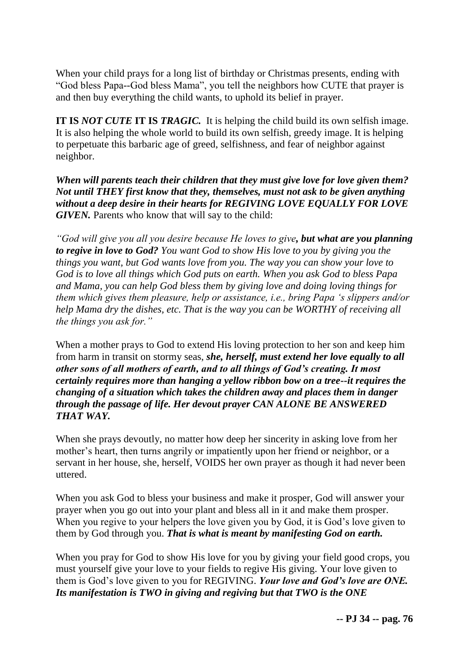When your child prays for a long list of birthday or Christmas presents, ending with "God bless Papa--God bless Mama", you tell the neighbors how CUTE that prayer is and then buy everything the child wants, to uphold its belief in prayer.

**IT IS** *NOT CUTE* **IT IS** *TRAGIC.* It is helping the child build its own selfish image. It is also helping the whole world to build its own selfish, greedy image. It is helping to perpetuate this barbaric age of greed, selfishness, and fear of neighbor against neighbor.

*When will parents teach their children that they must give love for love given them? Not until THEY first know that they, themselves, must not ask to be given anything*  without a deep desire in their hearts for REGIVING LOVE EOUALLY FOR LOVE *GIVEN.* Parents who know that will say to the child:

*"God will give you all you desire because He loves to give, but what are you planning to regive in love to God? You want God to show His love to you by giving you the things you want, but God wants love from you. The way you can show your love to God is to love all things which God puts on earth. When you ask God to bless Papa and Mama, you can help God bless them by giving love and doing loving things for them which gives them pleasure, help or assistance, i.e., bring Papa "s slippers and/or help Mama dry the dishes, etc. That is the way you can be WORTHY of receiving all the things you ask for."* 

When a mother prays to God to extend His loving protection to her son and keep him from harm in transit on stormy seas, *she, herself, must extend her love equally to all other sons of all mothers of earth, and to all things of God"s creating. It most certainly requires more than hanging a yellow ribbon bow on a tree--it requires the changing of a situation which takes the children away and places them in danger through the passage of life. Her devout prayer CAN ALONE BE ANSWERED THAT WAY.*

When she prays devoutly, no matter how deep her sincerity in asking love from her mother's heart, then turns angrily or impatiently upon her friend or neighbor, or a servant in her house, she, herself, VOIDS her own prayer as though it had never been uttered.

When you ask God to bless your business and make it prosper, God will answer your prayer when you go out into your plant and bless all in it and make them prosper. When you regive to your helpers the love given you by God, it is God's love given to them by God through you. *That is what is meant by manifesting God on earth.*

When you pray for God to show His love for you by giving your field good crops, you must yourself give your love to your fields to regive His giving. Your love given to them is God's love given to you for REGIVING. *Your love and God"s love are ONE. Its manifestation is TWO in giving and regiving but that TWO is the ONE*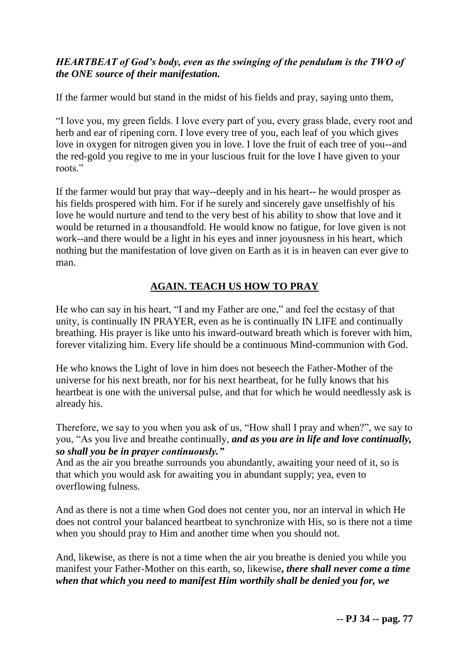# *HEARTBEAT of God"s body, even as the swinging of the pendulum is the TWO of the ONE source of their manifestation.*

If the farmer would but stand in the midst of his fields and pray, saying unto them,

―I love you, my green fields. I love every part of you, every grass blade, every root and herb and ear of ripening corn. I love every tree of you, each leaf of you which gives love in oxygen for nitrogen given you in love. I love the fruit of each tree of you--and the red-gold you regive to me in your luscious fruit for the love I have given to your roots."

If the farmer would but pray that way--deeply and in his heart-- he would prosper as his fields prospered with him. For if he surely and sincerely gave unselfishly of his love he would nurture and tend to the very best of his ability to show that love and it would be returned in a thousandfold. He would know no fatigue, for love given is not work--and there would be a light in his eyes and inner joyousness in his heart, which nothing but the manifestation of love given on Earth as it is in heaven can ever give to man.

# **AGAIN. TEACH US HOW TO PRAY**

He who can say in his heart, "I and my Father are one," and feel the ecstasy of that unity, is continually IN PRAYER, even as he is continually IN LIFE and continually breathing. His prayer is like unto his inward-outward breath which is forever with him, forever vitalizing him. Every life should be a continuous Mind-communion with God.

He who knows the Light of love in him does not beseech the Father-Mother of the universe for his next breath, nor for his next heartbeat, for he fully knows that his heartbeat is one with the universal pulse, and that for which he would needlessly ask is already his.

Therefore, we say to you when you ask of us, "How shall I pray and when?", we say to you, "As you live and breathe continually, *and as you are in life and love continually*, *so shall you be in prayer continuously."* 

And as the air you breathe surrounds you abundantly, awaiting your need of it, so is that which you would ask for awaiting you in abundant supply; yea, even to overflowing fulness.

And as there is not a time when God does not center you, nor an interval in which He does not control your balanced heartbeat to synchronize with His, so is there not a time when you should pray to Him and another time when you should not.

And, likewise, as there is not a time when the air you breathe is denied you while you manifest your Father-Mother on this earth, so, likewise**,** *there shall never come a time when that which you need to manifest Him worthily shall be denied you for, we*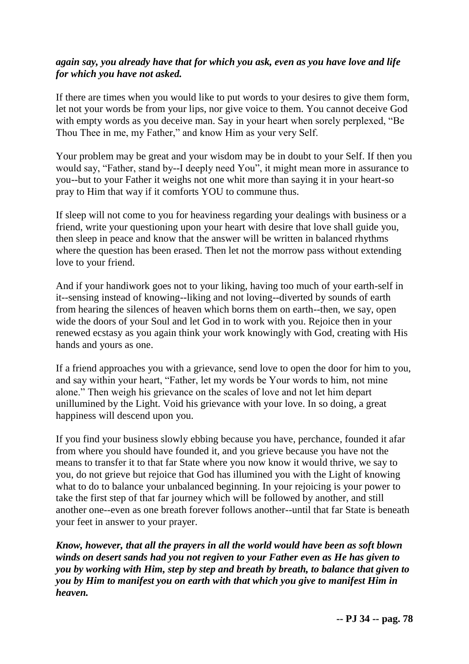#### *again say, you already have that for which you ask, even as you have love and life for which you have not asked.*

If there are times when you would like to put words to your desires to give them form, let not your words be from your lips, nor give voice to them. You cannot deceive God with empty words as you deceive man. Say in your heart when sorely perplexed, "Be Thou Thee in me, my Father," and know Him as your very Self.

Your problem may be great and your wisdom may be in doubt to your Self. If then you would say, "Father, stand by--I deeply need You", it might mean more in assurance to you--but to your Father it weighs not one whit more than saying it in your heart-so pray to Him that way if it comforts YOU to commune thus.

If sleep will not come to you for heaviness regarding your dealings with business or a friend, write your questioning upon your heart with desire that love shall guide you, then sleep in peace and know that the answer will be written in balanced rhythms where the question has been erased. Then let not the morrow pass without extending love to your friend.

And if your handiwork goes not to your liking, having too much of your earth-self in it--sensing instead of knowing--liking and not loving--diverted by sounds of earth from hearing the silences of heaven which borns them on earth--then, we say, open wide the doors of your Soul and let God in to work with you. Rejoice then in your renewed ecstasy as you again think your work knowingly with God, creating with His hands and yours as one.

If a friend approaches you with a grievance, send love to open the door for him to you, and say within your heart, "Father, let my words be Your words to him, not mine alone." Then weigh his grievance on the scales of love and not let him depart unillumined by the Light. Void his grievance with your love. In so doing, a great happiness will descend upon you.

If you find your business slowly ebbing because you have, perchance, founded it afar from where you should have founded it, and you grieve because you have not the means to transfer it to that far State where you now know it would thrive, we say to you, do not grieve but rejoice that God has illumined you with the Light of knowing what to do to balance your unbalanced beginning. In your rejoicing is your power to take the first step of that far journey which will be followed by another, and still another one--even as one breath forever follows another--until that far State is beneath your feet in answer to your prayer.

*Know, however, that all the prayers in all the world would have been as soft blown winds on desert sands had you not regiven to your Father even as He has given to you by working with Him, step by step and breath by breath, to balance that given to you by Him to manifest you on earth with that which you give to manifest Him in heaven.*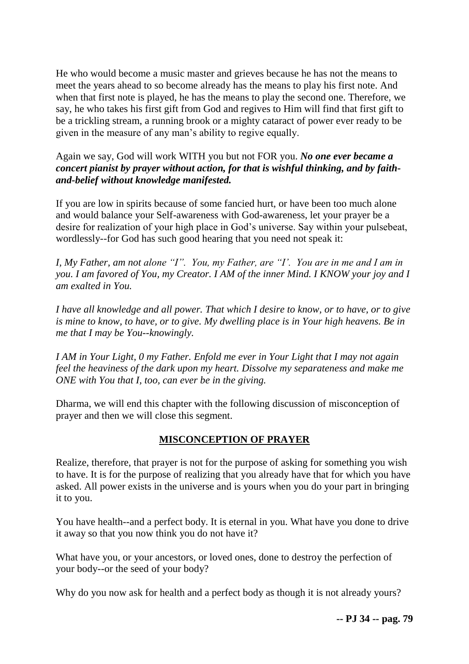He who would become a music master and grieves because he has not the means to meet the years ahead to so become already has the means to play his first note. And when that first note is played, he has the means to play the second one. Therefore, we say, he who takes his first gift from God and regives to Him will find that first gift to be a trickling stream, a running brook or a mighty cataract of power ever ready to be given in the measure of any man's ability to regive equally.

Again we say, God will work WITH you but not FOR you. *No one ever became a concert pianist by prayer without action, for that is wishful thinking, and by faithand-belief without knowledge manifested.* 

If you are low in spirits because of some fancied hurt, or have been too much alone and would balance your Self-awareness with God-awareness, let your prayer be a desire for realization of your high place in God's universe. Say within your pulsebeat, wordlessly--for God has such good hearing that you need not speak it:

*I, My Father, am not alone "I". You, my Father, are "I". You are in me and I am in you. I am favored of You, my Creator. I AM of the inner Mind. I KNOW your joy and I am exalted in You.* 

*I have all knowledge and all power. That which I desire to know, or to have, or to give is mine to know, to have, or to give. My dwelling place is in Your high heavens. Be in me that I may be You--knowingly.* 

*I AM in Your Light, 0 my Father. Enfold me ever in Your Light that I may not again feel the heaviness of the dark upon my heart. Dissolve my separateness and make me ONE with You that I, too, can ever be in the giving.*

Dharma, we will end this chapter with the following discussion of misconception of prayer and then we will close this segment.

# **MISCONCEPTION OF PRAYER**

Realize, therefore, that prayer is not for the purpose of asking for something you wish to have. It is for the purpose of realizing that you already have that for which you have asked. All power exists in the universe and is yours when you do your part in bringing it to you.

You have health--and a perfect body. It is eternal in you. What have you done to drive it away so that you now think you do not have it?

What have you, or your ancestors, or loved ones, done to destroy the perfection of your body--or the seed of your body?

Why do you now ask for health and a perfect body as though it is not already yours?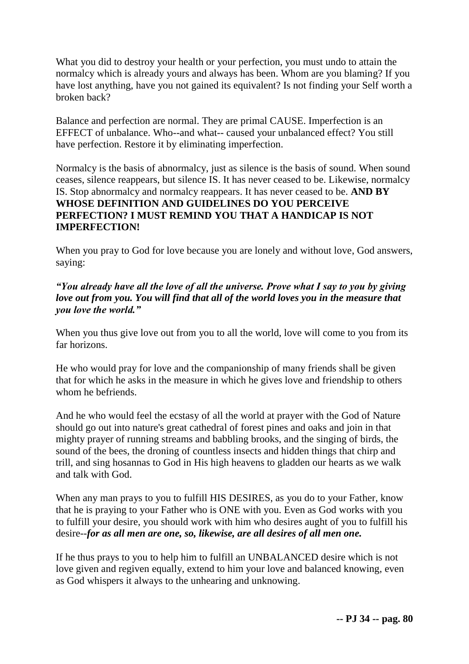What you did to destroy your health or your perfection, you must undo to attain the normalcy which is already yours and always has been. Whom are you blaming? If you have lost anything, have you not gained its equivalent? Is not finding your Self worth a broken back?

Balance and perfection are normal. They are primal CAUSE. Imperfection is an EFFECT of unbalance. Who--and what-- caused your unbalanced effect? You still have perfection. Restore it by eliminating imperfection.

Normalcy is the basis of abnormalcy, just as silence is the basis of sound. When sound ceases, silence reappears, but silence IS. It has never ceased to be. Likewise, normalcy IS. Stop abnormalcy and normalcy reappears. It has never ceased to be. **AND BY WHOSE DEFINITION AND GUIDELINES DO YOU PERCEIVE PERFECTION? I MUST REMIND YOU THAT A HANDICAP IS NOT IMPERFECTION!** 

When you pray to God for love because you are lonely and without love, God answers, saying:

### *"You already have all the love of all the universe. Prove what I say to you by giving love out from you. You will find that all of the world loves you in the measure that you love the world."*

When you thus give love out from you to all the world, love will come to you from its far horizons.

He who would pray for love and the companionship of many friends shall be given that for which he asks in the measure in which he gives love and friendship to others whom he befriends.

And he who would feel the ecstasy of all the world at prayer with the God of Nature should go out into nature's great cathedral of forest pines and oaks and join in that mighty prayer of running streams and babbling brooks, and the singing of birds, the sound of the bees, the droning of countless insects and hidden things that chirp and trill, and sing hosannas to God in His high heavens to gladden our hearts as we walk and talk with God.

When any man prays to you to fulfill HIS DESIRES, as you do to your Father, know that he is praying to your Father who is ONE with you. Even as God works with you to fulfill your desire, you should work with him who desires aught of you to fulfill his desire--*for as all men are one, so, likewise, are all desires of all men one.* 

If he thus prays to you to help him to fulfill an UNBALANCED desire which is not love given and regiven equally, extend to him your love and balanced knowing, even as God whispers it always to the unhearing and unknowing.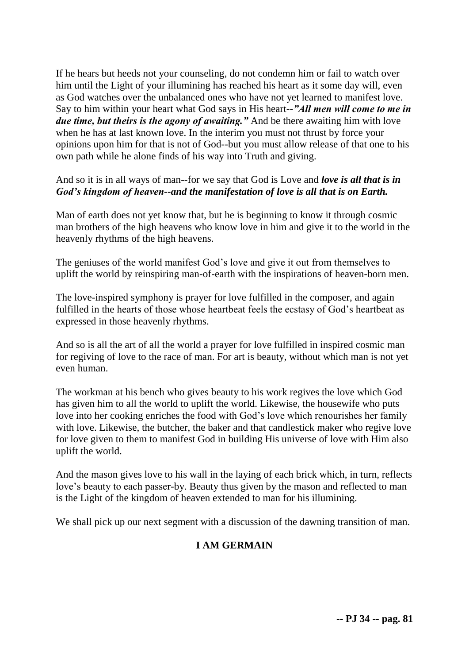If he hears but heeds not your counseling, do not condemn him or fail to watch over him until the Light of your illumining has reached his heart as it some day will, even as God watches over the unbalanced ones who have not yet learned to manifest love. Say to him within your heart what God says in His heart*--"All men will come to me in due time, but theirs is the agony of awaiting."* And be there awaiting him with love when he has at last known love. In the interim you must not thrust by force your opinions upon him for that is not of God--but you must allow release of that one to his own path while he alone finds of his way into Truth and giving.

#### And so it is in all ways of man--for we say that God is Love and *love is all that is in God"s kingdom of heaven--and the manifestation of love is all that is on Earth.*

Man of earth does not yet know that, but he is beginning to know it through cosmic man brothers of the high heavens who know love in him and give it to the world in the heavenly rhythms of the high heavens.

The geniuses of the world manifest God's love and give it out from themselves to uplift the world by reinspiring man-of-earth with the inspirations of heaven-born men.

The love-inspired symphony is prayer for love fulfilled in the composer, and again fulfilled in the hearts of those whose heartbeat feels the ecstasy of God's heartbeat as expressed in those heavenly rhythms.

And so is all the art of all the world a prayer for love fulfilled in inspired cosmic man for regiving of love to the race of man. For art is beauty, without which man is not yet even human.

The workman at his bench who gives beauty to his work regives the love which God has given him to all the world to uplift the world. Likewise, the housewife who puts love into her cooking enriches the food with God's love which renourishes her family with love. Likewise, the butcher, the baker and that candlestick maker who regive love for love given to them to manifest God in building His universe of love with Him also uplift the world.

And the mason gives love to his wall in the laying of each brick which, in turn, reflects love's beauty to each passer-by. Beauty thus given by the mason and reflected to man is the Light of the kingdom of heaven extended to man for his illumining.

We shall pick up our next segment with a discussion of the dawning transition of man.

# **I AM GERMAIN**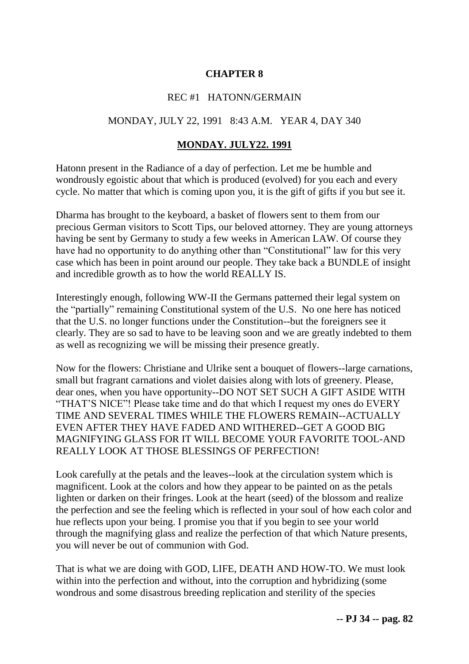### **CHAPTER 8**

#### REC #1 HATONN/GERMAIN

#### MONDAY, JULY 22, 1991 8:43 A.M. YEAR 4, DAY 340

#### **MONDAY. JULY22. 1991**

Hatonn present in the Radiance of a day of perfection. Let me be humble and wondrously egoistic about that which is produced (evolved) for you each and every cycle. No matter that which is coming upon you, it is the gift of gifts if you but see it.

Dharma has brought to the keyboard, a basket of flowers sent to them from our precious German visitors to Scott Tips, our beloved attorney. They are young attorneys having be sent by Germany to study a few weeks in American LAW. Of course they have had no opportunity to do anything other than "Constitutional" law for this very case which has been in point around our people. They take back a BUNDLE of insight and incredible growth as to how the world REALLY IS.

Interestingly enough, following WW-II the Germans patterned their legal system on the "partially" remaining Constitutional system of the U.S. No one here has noticed that the U.S. no longer functions under the Constitution--but the foreigners see it clearly. They are so sad to have to be leaving soon and we are greatly indebted to them as well as recognizing we will be missing their presence greatly.

Now for the flowers: Christiane and Ulrike sent a bouquet of flowers--large carnations, small but fragrant carnations and violet daisies along with lots of greenery. Please, dear ones, when you have opportunity--DO NOT SET SUCH A GIFT ASIDE WITH "THAT'S NICE"! Please take time and do that which I request my ones do EVERY TIME AND SEVERAL TIMES WHILE THE FLOWERS REMAIN--ACTUALLY EVEN AFTER THEY HAVE FADED AND WITHERED--GET A GOOD BIG MAGNIFYING GLASS FOR IT WILL BECOME YOUR FAVORITE TOOL-AND REALLY LOOK AT THOSE BLESSINGS OF PERFECTION!

Look carefully at the petals and the leaves--look at the circulation system which is magnificent. Look at the colors and how they appear to be painted on as the petals lighten or darken on their fringes. Look at the heart (seed) of the blossom and realize the perfection and see the feeling which is reflected in your soul of how each color and hue reflects upon your being. I promise you that if you begin to see your world through the magnifying glass and realize the perfection of that which Nature presents, you will never be out of communion with God.

That is what we are doing with GOD, LIFE, DEATH AND HOW-TO. We must look within into the perfection and without, into the corruption and hybridizing (some wondrous and some disastrous breeding replication and sterility of the species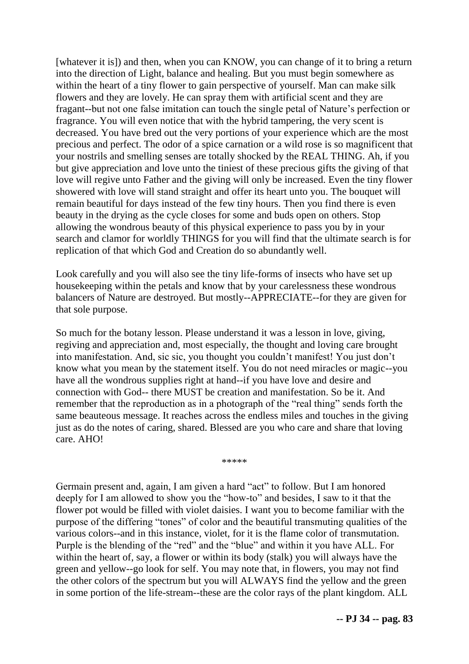[whatever it is]) and then, when you can KNOW, you can change of it to bring a return into the direction of Light, balance and healing. But you must begin somewhere as within the heart of a tiny flower to gain perspective of yourself. Man can make silk flowers and they are lovely. He can spray them with artificial scent and they are fragant--but not one false imitation can touch the single petal of Nature's perfection or fragrance. You will even notice that with the hybrid tampering, the very scent is decreased. You have bred out the very portions of your experience which are the most precious and perfect. The odor of a spice carnation or a wild rose is so magnificent that your nostrils and smelling senses are totally shocked by the REAL THING. Ah, if you but give appreciation and love unto the tiniest of these precious gifts the giving of that love will regive unto Father and the giving will only be increased. Even the tiny flower showered with love will stand straight and offer its heart unto you. The bouquet will remain beautiful for days instead of the few tiny hours. Then you find there is even beauty in the drying as the cycle closes for some and buds open on others. Stop allowing the wondrous beauty of this physical experience to pass you by in your search and clamor for worldly THINGS for you will find that the ultimate search is for replication of that which God and Creation do so abundantly well.

Look carefully and you will also see the tiny life-forms of insects who have set up housekeeping within the petals and know that by your carelessness these wondrous balancers of Nature are destroyed. But mostly--APPRECIATE--for they are given for that sole purpose.

So much for the botany lesson. Please understand it was a lesson in love, giving, regiving and appreciation and, most especially, the thought and loving care brought into manifestation. And, sic sic, you thought you couldn't manifest! You just don't know what you mean by the statement itself. You do not need miracles or magic--you have all the wondrous supplies right at hand--if you have love and desire and connection with God-- there MUST be creation and manifestation. So be it. And remember that the reproduction as in a photograph of the "real thing" sends forth the same beauteous message. It reaches across the endless miles and touches in the giving just as do the notes of caring, shared. Blessed are you who care and share that loving care. AHO!

\*\*\*\*\*

Germain present and, again, I am given a hard "act" to follow. But I am honored deeply for I am allowed to show you the "how-to" and besides, I saw to it that the flower pot would be filled with violet daisies. I want you to become familiar with the purpose of the differing "tones" of color and the beautiful transmuting qualities of the various colors--and in this instance, violet, for it is the flame color of transmutation. Purple is the blending of the "red" and the "blue" and within it you have ALL. For within the heart of, say, a flower or within its body (stalk) you will always have the green and yellow--go look for self. You may note that, in flowers, you may not find the other colors of the spectrum but you will ALWAYS find the yellow and the green in some portion of the life-stream--these are the color rays of the plant kingdom. ALL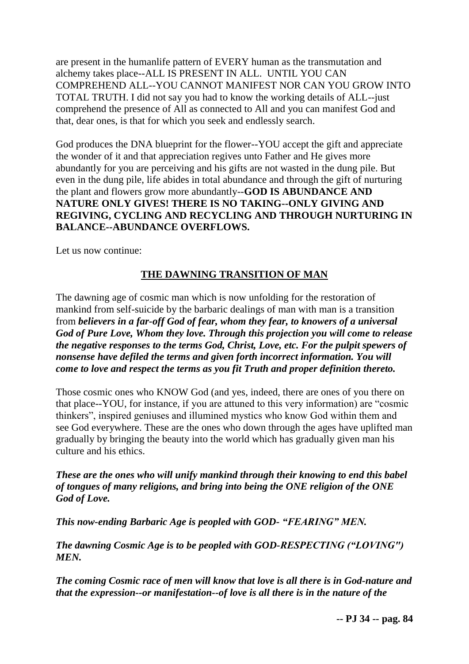are present in the humanlife pattern of EVERY human as the transmutation and alchemy takes place--ALL IS PRESENT IN ALL. UNTIL YOU CAN COMPREHEND ALL--YOU CANNOT MANIFEST NOR CAN YOU GROW INTO TOTAL TRUTH. I did not say you had to know the working details of ALL--just comprehend the presence of All as connected to All and you can manifest God and that, dear ones, is that for which you seek and endlessly search.

God produces the DNA blueprint for the flower--YOU accept the gift and appreciate the wonder of it and that appreciation regives unto Father and He gives more abundantly for you are perceiving and his gifts are not wasted in the dung pile. But even in the dung pile, life abides in total abundance and through the gift of nurturing the plant and flowers grow more abundantly--**GOD IS ABUNDANCE AND NATURE ONLY GIVES! THERE IS NO TAKING--ONLY GIVING AND REGIVING, CYCLING AND RECYCLING AND THROUGH NURTURING IN BALANCE--ABUNDANCE OVERFLOWS.** 

Let us now continue:

# **THE DAWNING TRANSITION OF MAN**

The dawning age of cosmic man which is now unfolding for the restoration of mankind from self-suicide by the barbaric dealings of man with man is a transition from *believers in a far-off God of fear, whom they fear, to knowers of a universal God of Pure Love, Whom they love. Through this projection you will come to release the negative responses to the terms God, Christ, Love, etc. For the pulpit spewers of nonsense have defiled the terms and given forth incorrect information. You will come to love and respect the terms as you fit Truth and proper definition thereto.* 

Those cosmic ones who KNOW God (and yes, indeed, there are ones of you there on that place--YOU, for instance, if you are attuned to this very information) are "cosmic thinkers‖, inspired geniuses and illumined mystics who know God within them and see God everywhere. These are the ones who down through the ages have uplifted man gradually by bringing the beauty into the world which has gradually given man his culture and his ethics.

*These are the ones who will unify mankind through their knowing to end this babel of tongues of many religions, and bring into being the ONE religion of the ONE God of Love.* 

*This now-ending Barbaric Age is peopled with GOD- "FEARING" MEN.* 

*The dawning Cosmic Age is to be peopled with GOD-RESPECTING ("LOVING") MEN.* 

*The coming Cosmic race of men will know that love is all there is in God-nature and that the expression--or manifestation--of love is all there is in the nature of the*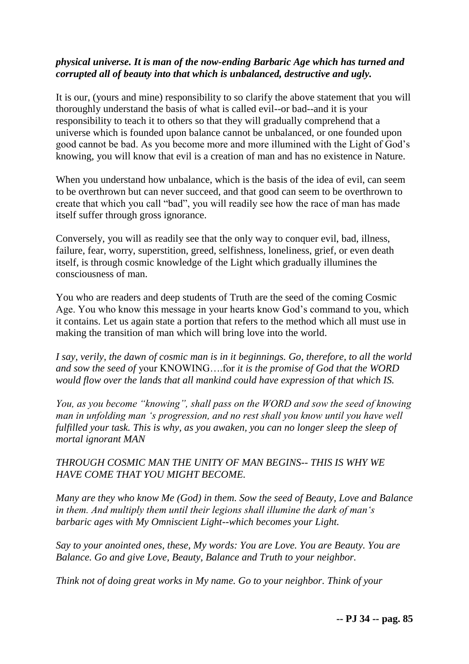### *physical universe. It is man of the now-ending Barbaric Age which has turned and corrupted all of beauty into that which is unbalanced, destructive and ugly.*

It is our, (yours and mine) responsibility to so clarify the above statement that you will thoroughly understand the basis of what is called evil--or bad--and it is your responsibility to teach it to others so that they will gradually comprehend that a universe which is founded upon balance cannot be unbalanced, or one founded upon good cannot be bad. As you become more and more illumined with the Light of God's knowing, you will know that evil is a creation of man and has no existence in Nature.

When you understand how unbalance, which is the basis of the idea of evil, can seem to be overthrown but can never succeed, and that good can seem to be overthrown to create that which you call "bad", you will readily see how the race of man has made itself suffer through gross ignorance.

Conversely, you will as readily see that the only way to conquer evil, bad, illness, failure, fear, worry, superstition, greed, selfishness, loneliness, grief, or even death itself, is through cosmic knowledge of the Light which gradually illumines the consciousness of man.

You who are readers and deep students of Truth are the seed of the coming Cosmic Age. You who know this message in your hearts know God's command to you, which it contains. Let us again state a portion that refers to the method which all must use in making the transition of man which will bring love into the world.

*I say, verily, the dawn of cosmic man is in it beginnings. Go, therefore, to all the world and sow the seed of* your KNOWING….for *it is the promise of God that the WORD would flow over the lands that all mankind could have expression of that which IS.*

*You, as you become "knowing", shall pass on the WORD and sow the seed of knowing man in unfolding man "s progression, and no rest shall you know until you have well fulfilled your task. This is why, as you awaken, you can no longer sleep the sleep of mortal ignorant MAN* 

#### *THROUGH COSMIC MAN THE UNITY OF MAN BEGINS-- THIS IS WHY WE HAVE COME THAT YOU MIGHT BECOME.*

*Many are they who know Me (God) in them. Sow the seed of Beauty, Love and Balance in them. And multiply them until their legions shall illumine the dark of man"s barbaric ages with My Omniscient Light--which becomes your Light.* 

*Say to your anointed ones, these, My words: You are Love. You are Beauty. You are Balance. Go and give Love, Beauty, Balance and Truth to your neighbor.* 

*Think not of doing great works in My name. Go to your neighbor. Think of your*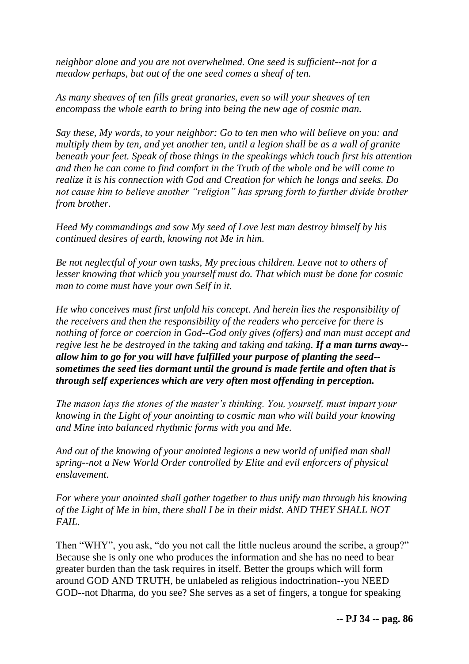*neighbor alone and you are not overwhelmed. One seed is sufficient--not for a meadow perhaps, but out of the one seed comes a sheaf of ten.* 

*As many sheaves of ten fills great granaries, even so will your sheaves of ten encompass the whole earth to bring into being the new age of cosmic man.* 

*Say these, My words, to your neighbor: Go to ten men who will believe on you: and multiply them by ten, and yet another ten, until a legion shall be as a wall of granite beneath your feet. Speak of those things in the speakings which touch first his attention and then he can come to find comfort in the Truth of the whole and he will come to realize it is his connection with God and Creation for which he longs and seeks. Do not cause him to believe another "religion" has sprung forth to further divide brother from brother.* 

*Heed My commandings and sow My seed of Love lest man destroy himself by his continued desires of earth, knowing not Me in him.* 

*Be not neglectful of your own tasks, My precious children. Leave not to others of lesser knowing that which you yourself must do. That which must be done for cosmic man to come must have your own Self in it.*

*He who conceives must first unfold his concept. And herein lies the responsibility of the receivers and then the responsibility of the readers who perceive for there is nothing of force or coercion in God--God only gives (offers) and man must accept and regive lest he be destroyed in the taking and taking and taking. If a man turns away- allow him to go for you will have fulfilled your purpose of planting the seed- sometimes the seed lies dormant until the ground is made fertile and often that is through self experiences which are very often most offending in perception.*

*The mason lays the stones of the master"s thinking. You, yourself, must impart your knowing in the Light of your anointing to cosmic man who will build your knowing and Mine into balanced rhythmic forms with you and Me.* 

*And out of the knowing of your anointed legions a new world of unified man shall spring--not a New World Order controlled by Elite and evil enforcers of physical enslavement.* 

*For where your anointed shall gather together to thus unify man through his knowing of the Light of Me in him, there shall I be in their midst. AND THEY SHALL NOT FAIL.* 

Then "WHY", you ask, "do you not call the little nucleus around the scribe, a group?" Because she is only one who produces the information and she has no need to bear greater burden than the task requires in itself. Better the groups which will form around GOD AND TRUTH, be unlabeled as religious indoctrination--you NEED GOD--not Dharma, do you see? She serves as a set of fingers, a tongue for speaking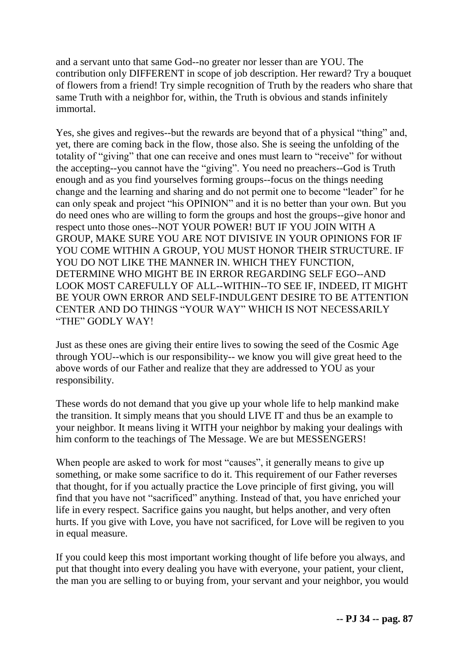and a servant unto that same God--no greater nor lesser than are YOU. The contribution only DIFFERENT in scope of job description. Her reward? Try a bouquet of flowers from a friend! Try simple recognition of Truth by the readers who share that same Truth with a neighbor for, within, the Truth is obvious and stands infinitely immortal.

Yes, she gives and regives--but the rewards are beyond that of a physical "thing" and, yet, there are coming back in the flow, those also. She is seeing the unfolding of the totality of "giving" that one can receive and ones must learn to "receive" for without the accepting--you cannot have the "giving". You need no preachers--God is Truth enough and as you find yourselves forming groups--focus on the things needing change and the learning and sharing and do not permit one to become "leader" for he can only speak and project "his OPINION" and it is no better than your own. But you do need ones who are willing to form the groups and host the groups--give honor and respect unto those ones--NOT YOUR POWER! BUT IF YOU JOIN WITH A GROUP, MAKE SURE YOU ARE NOT DIVISIVE IN YOUR OPINIONS FOR IF YOU COME WITHIN A GROUP, YOU MUST HONOR THEIR STRUCTURE. IF YOU DO NOT LIKE THE MANNER IN. WHICH THEY FUNCTION, DETERMINE WHO MIGHT BE IN ERROR REGARDING SELF EGO--AND LOOK MOST CAREFULLY OF ALL--WITHIN--TO SEE IF, INDEED, IT MIGHT BE YOUR OWN ERROR AND SELF-INDULGENT DESIRE TO BE ATTENTION CENTER AND DO THINGS "YOUR WAY" WHICH IS NOT NECESSARILY "THE" GODLY WAY!

Just as these ones are giving their entire lives to sowing the seed of the Cosmic Age through YOU--which is our responsibility-- we know you will give great heed to the above words of our Father and realize that they are addressed to YOU as your responsibility.

These words do not demand that you give up your whole life to help mankind make the transition. It simply means that you should LIVE IT and thus be an example to your neighbor. It means living it WITH your neighbor by making your dealings with him conform to the teachings of The Message. We are but MESSENGERS!

When people are asked to work for most "causes", it generally means to give up something, or make some sacrifice to do it. This requirement of our Father reverses that thought, for if you actually practice the Love principle of first giving, you will find that you have not "sacrificed" anything. Instead of that, you have enriched your life in every respect. Sacrifice gains you naught, but helps another, and very often hurts. If you give with Love, you have not sacrificed, for Love will be regiven to you in equal measure.

If you could keep this most important working thought of life before you always, and put that thought into every dealing you have with everyone, your patient, your client, the man you are selling to or buying from, your servant and your neighbor, you would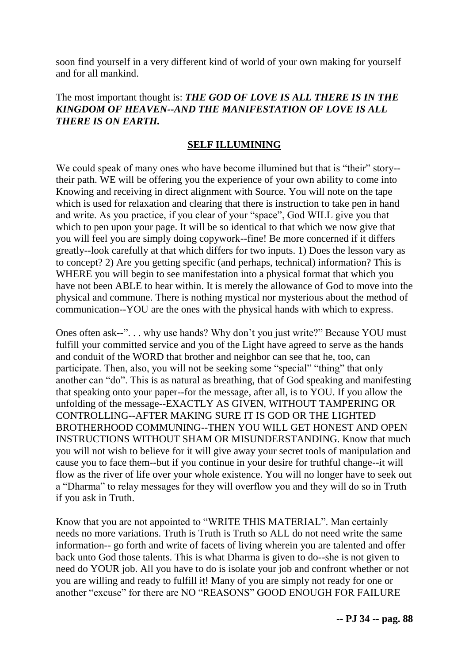soon find yourself in a very different kind of world of your own making for yourself and for all mankind.

## The most important thought is: *THE GOD OF LOVE IS ALL THERE IS IN THE KINGDOM OF HEAVEN--AND THE MANIFESTATION OF LOVE IS ALL THERE IS ON EARTH.*

# **SELF ILLUMINING**

We could speak of many ones who have become illumined but that is "their" story-their path. WE will be offering you the experience of your own ability to come into Knowing and receiving in direct alignment with Source. You will note on the tape which is used for relaxation and clearing that there is instruction to take pen in hand and write. As you practice, if you clear of your "space", God WILL give you that which to pen upon your page. It will be so identical to that which we now give that you will feel you are simply doing copywork--fine! Be more concerned if it differs greatly--look carefully at that which differs for two inputs. 1) Does the lesson vary as to concept? 2) Are you getting specific (and perhaps, technical) information? This is WHERE you will begin to see manifestation into a physical format that which you have not been ABLE to hear within. It is merely the allowance of God to move into the physical and commune. There is nothing mystical nor mysterious about the method of communication--YOU are the ones with the physical hands with which to express.

Ones often ask--"... why use hands? Why don't you just write?" Because YOU must fulfill your committed service and you of the Light have agreed to serve as the hands and conduit of the WORD that brother and neighbor can see that he, too, can participate. Then, also, you will not be seeking some "special" "thing" that only another can "do". This is as natural as breathing, that of God speaking and manifesting that speaking onto your paper--for the message, after all, is to YOU. If you allow the unfolding of the message--EXACTLY AS GIVEN, WITHOUT TAMPERING OR CONTROLLING--AFTER MAKING SURE IT IS GOD OR THE LIGHTED BROTHERHOOD COMMUNING--THEN YOU WILL GET HONEST AND OPEN INSTRUCTIONS WITHOUT SHAM OR MISUNDERSTANDING. Know that much you will not wish to believe for it will give away your secret tools of manipulation and cause you to face them--but if you continue in your desire for truthful change--it will flow as the river of life over your whole existence. You will no longer have to seek out a "Dharma" to relay messages for they will overflow you and they will do so in Truth if you ask in Truth.

Know that you are not appointed to "WRITE THIS MATERIAL". Man certainly needs no more variations. Truth is Truth is Truth so ALL do not need write the same information-- go forth and write of facets of living wherein you are talented and offer back unto God those talents. This is what Dharma is given to do--she is not given to need do YOUR job. All you have to do is isolate your job and confront whether or not you are willing and ready to fulfill it! Many of you are simply not ready for one or another "excuse" for there are NO "REASONS" GOOD ENOUGH FOR FAILURE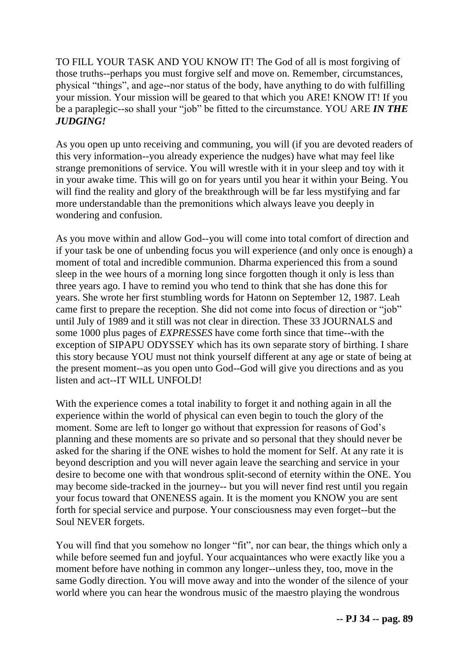TO FILL YOUR TASK AND YOU KNOW IT! The God of all is most forgiving of those truths--perhaps you must forgive self and move on. Remember, circumstances, physical "things", and age--nor status of the body, have anything to do with fulfilling your mission. Your mission will be geared to that which you ARE! KNOW IT! If you be a paraplegic--so shall your "job" be fitted to the circumstance. YOU ARE *IN THE JUDGING!*

As you open up unto receiving and communing, you will (if you are devoted readers of this very information--you already experience the nudges) have what may feel like strange premonitions of service. You will wrestle with it in your sleep and toy with it in your awake time. This will go on for years until you hear it within your Being. You will find the reality and glory of the breakthrough will be far less mystifying and far more understandable than the premonitions which always leave you deeply in wondering and confusion.

As you move within and allow God--you will come into total comfort of direction and if your task be one of unbending focus you will experience (and only once is enough) a moment of total and incredible communion. Dharma experienced this from a sound sleep in the wee hours of a morning long since forgotten though it only is less than three years ago. I have to remind you who tend to think that she has done this for years. She wrote her first stumbling words for Hatonn on September 12, 1987. Leah came first to prepare the reception. She did not come into focus of direction or "job" until July of 1989 and it still was not clear in direction. These 33 JOURNALS and some 1000 plus pages of *EXPRESSES* have come forth since that time--with the exception of SIPAPU ODYSSEY which has its own separate story of birthing. I share this story because YOU must not think yourself different at any age or state of being at the present moment--as you open unto God--God will give you directions and as you listen and act--IT WILL UNFOLD!

With the experience comes a total inability to forget it and nothing again in all the experience within the world of physical can even begin to touch the glory of the moment. Some are left to longer go without that expression for reasons of God's planning and these moments are so private and so personal that they should never be asked for the sharing if the ONE wishes to hold the moment for Self. At any rate it is beyond description and you will never again leave the searching and service in your desire to become one with that wondrous split-second of eternity within the ONE. You may become side-tracked in the journey-- but you will never find rest until you regain your focus toward that ONENESS again. It is the moment you KNOW you are sent forth for special service and purpose. Your consciousness may even forget--but the Soul NEVER forgets.

You will find that you somehow no longer "fit", nor can bear, the things which only a while before seemed fun and joyful. Your acquaintances who were exactly like you a moment before have nothing in common any longer--unless they, too, move in the same Godly direction. You will move away and into the wonder of the silence of your world where you can hear the wondrous music of the maestro playing the wondrous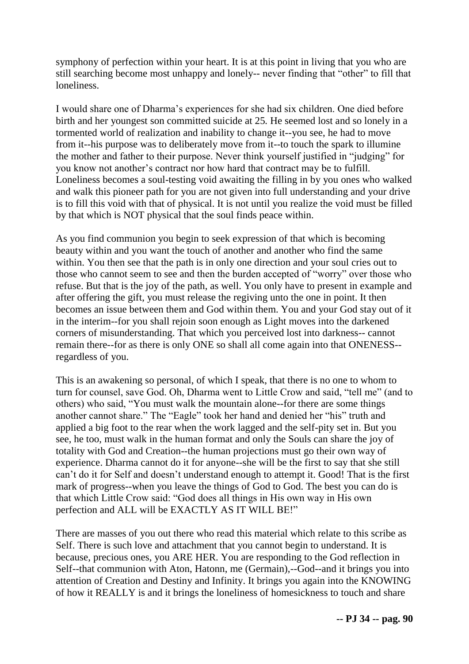symphony of perfection within your heart. It is at this point in living that you who are still searching become most unhappy and lonely-- never finding that "other" to fill that loneliness.

I would share one of Dharma's experiences for she had six children. One died before birth and her youngest son committed suicide at 25*.* He seemed lost and so lonely in a tormented world of realization and inability to change it--you see, he had to move from it--his purpose was to deliberately move from it--to touch the spark to illumine the mother and father to their purpose. Never think yourself justified in "judging" for you know not another's contract nor how hard that contract may be to fulfill. Loneliness becomes a soul-testing void awaiting the filling in by you ones who walked and walk this pioneer path for you are not given into full understanding and your drive is to fill this void with that of physical. It is not until you realize the void must be filled by that which is NOT physical that the soul finds peace within.

As you find communion you begin to seek expression of that which is becoming beauty within and you want the touch of another and another who find the same within. You then see that the path is in only one direction and your soul cries out to those who cannot seem to see and then the burden accepted of "worry" over those who refuse. But that is the joy of the path, as well. You only have to present in example and after offering the gift, you must release the regiving unto the one in point. It then becomes an issue between them and God within them. You and your God stay out of it in the interim--for you shall rejoin soon enough as Light moves into the darkened corners of misunderstanding. That which you perceived lost into darkness-- cannot remain there--for as there is only ONE so shall all come again into that ONENESS- regardless of you.

This is an awakening so personal, of which I speak, that there is no one to whom to turn for counsel, save God. Oh, Dharma went to Little Crow and said, "tell me" (and to others) who said, "You must walk the mountain alone--for there are some things another cannot share." The "Eagle" took her hand and denied her "his" truth and applied a big foot to the rear when the work lagged and the self-pity set in. But you see, he too, must walk in the human format and only the Souls can share the joy of totality with God and Creation--the human projections must go their own way of experience. Dharma cannot do it for anyone--she will be the first to say that she still can't do it for Self and doesn't understand enough to attempt it. Good! That is the first mark of progress--when you leave the things of God to God. The best you can do is that which Little Crow said: "God does all things in His own way in His own perfection and ALL will be EXACTLY AS IT WILL BE!"

There are masses of you out there who read this material which relate to this scribe as Self. There is such love and attachment that you cannot begin to understand. It is because, precious ones, you ARE HER. You are responding to the God reflection in Self--that communion with Aton, Hatonn, me (Germain),--God--and it brings you into attention of Creation and Destiny and Infinity. It brings you again into the KNOWING of how it REALLY is and it brings the loneliness of homesickness to touch and share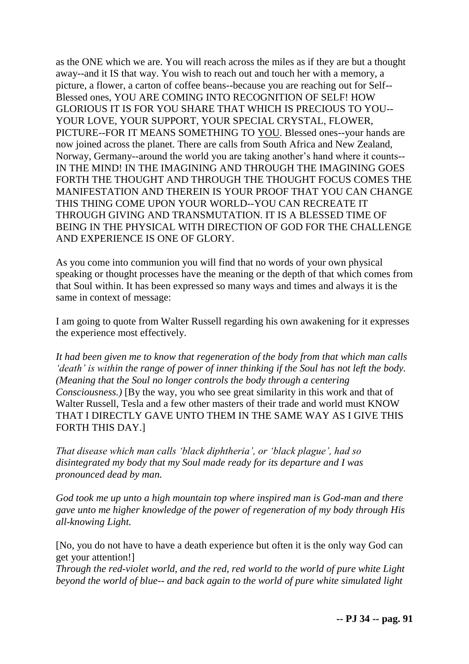as the ONE which we are. You will reach across the miles as if they are but a thought away--and it IS that way. You wish to reach out and touch her with a memory, a picture, a flower, a carton of coffee beans--because you are reaching out for Self-- Blessed ones, YOU ARE COMING INTO RECOGNITION OF SELF! HOW GLORIOUS IT IS FOR YOU SHARE THAT WHICH IS PRECIOUS TO YOU-- YOUR LOVE, YOUR SUPPORT, YOUR SPECIAL CRYSTAL, FLOWER, PICTURE--FOR IT MEANS SOMETHING TO YOU. Blessed ones--your hands are now joined across the planet. There are calls from South Africa and New Zealand, Norway, Germany--around the world you are taking another's hand where it counts-- IN THE MIND! IN THE IMAGINING AND THROUGH THE IMAGINING GOES FORTH THE THOUGHT AND THROUGH THE THOUGHT FOCUS COMES THE MANIFESTATION AND THEREIN IS YOUR PROOF THAT YOU CAN CHANGE THIS THING COME UPON YOUR WORLD--YOU CAN RECREATE IT THROUGH GIVING AND TRANSMUTATION. IT IS A BLESSED TIME OF BEING IN THE PHYSICAL WITH DIRECTION OF GOD FOR THE CHALLENGE AND EXPERIENCE IS ONE OF GLORY.

As you come into communion you will find that no words of your own physical speaking or thought processes have the meaning or the depth of that which comes from that Soul within. It has been expressed so many ways and times and always it is the same in context of message:

I am going to quote from Walter Russell regarding his own awakening for it expresses the experience most effectively.

*It had been given me to know that regeneration of the body from that which man calls "death" is within the range of power of inner thinking if the Soul has not left the body. (Meaning that the Soul no longer controls the body through a centering Consciousness.)* [By the way, you who see great similarity in this work and that of Walter Russell, Tesla and a few other masters of their trade and world must KNOW THAT I DIRECTLY GAVE UNTO THEM IN THE SAME WAY AS I GIVE THIS FORTH THIS DAY.]

*That disease which man calls "black diphtheria", or "black plague", had so disintegrated my body that my Soul made ready for its departure and I was pronounced dead by man.*

*God took me up unto a high mountain top where inspired man is God-man and there gave unto me higher knowledge of the power of regeneration of my body through His all-knowing Light.* 

[No, you do not have to have a death experience but often it is the only way God can get your attention!]

*Through the red-violet world, and the red, red world to the world of pure white Light beyond the world of blue-- and back again to the world of pure white simulated light*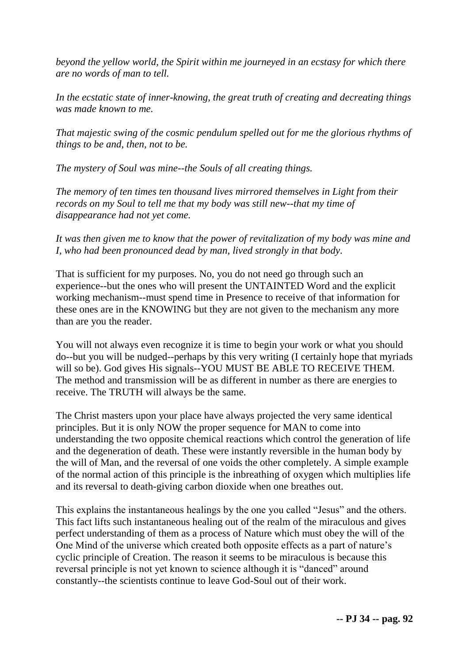*beyond the yellow world, the Spirit within me journeyed in an ecstasy for which there are no words of man to tell.* 

*In the ecstatic state of inner-knowing, the great truth of creating and decreating things was made known to me.* 

*That majestic swing of the cosmic pendulum spelled out for me the glorious rhythms of things to be and, then, not to be.* 

*The mystery of Soul was mine--the Souls of all creating things.*

*The memory of ten times ten thousand lives mirrored themselves in Light from their records on my Soul to tell me that my body was still new--that my time of disappearance had not yet come.* 

## *It was then given me to know that the power of revitalization of my body was mine and I, who had been pronounced dead by man, lived strongly in that body.*

That is sufficient for my purposes. No, you do not need go through such an experience--but the ones who will present the UNTAINTED Word and the explicit working mechanism--must spend time in Presence to receive of that information for these ones are in the KNOWING but they are not given to the mechanism any more than are you the reader.

You will not always even recognize it is time to begin your work or what you should do--but you will be nudged--perhaps by this very writing (I certainly hope that myriads will so be). God gives His signals--YOU MUST BE ABLE TO RECEIVE THEM. The method and transmission will be as different in number as there are energies to receive. The TRUTH will always be the same.

The Christ masters upon your place have always projected the very same identical principles. But it is only NOW the proper sequence for MAN to come into understanding the two opposite chemical reactions which control the generation of life and the degeneration of death. These were instantly reversible in the human body by the will of Man, and the reversal of one voids the other completely. A simple example of the normal action of this principle is the inbreathing of oxygen which multiplies life and its reversal to death-giving carbon dioxide when one breathes out.

This explains the instantaneous healings by the one you called "Jesus" and the others. This fact lifts such instantaneous healing out of the realm of the miraculous and gives perfect understanding of them as a process of Nature which must obey the will of the One Mind of the universe which created both opposite effects as a part of nature's cyclic principle of Creation. The reason it seems to be miraculous is because this reversal principle is not yet known to science although it is "danced" around constantly--the scientists continue to leave God-Soul out of their work.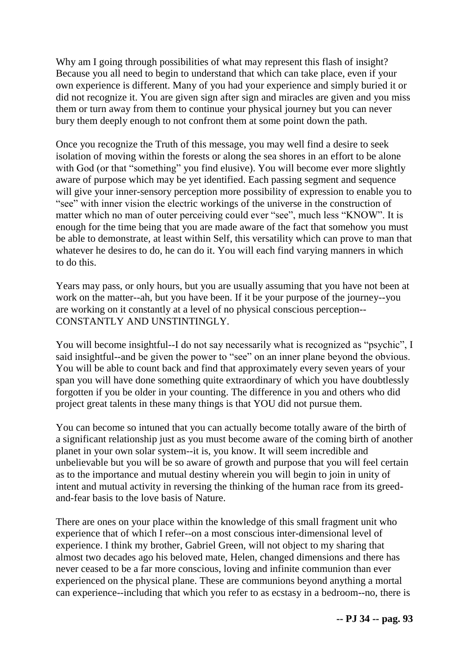Why am I going through possibilities of what may represent this flash of insight? Because you all need to begin to understand that which can take place, even if your own experience is different. Many of you had your experience and simply buried it or did not recognize it. You are given sign after sign and miracles are given and you miss them or turn away from them to continue your physical journey but you can never bury them deeply enough to not confront them at some point down the path.

Once you recognize the Truth of this message, you may well find a desire to seek isolation of moving within the forests or along the sea shores in an effort to be alone with God (or that "something" you find elusive). You will become ever more slightly aware of purpose which may be yet identified. Each passing segment and sequence will give your inner-sensory perception more possibility of expression to enable you to "see" with inner vision the electric workings of the universe in the construction of matter which no man of outer perceiving could ever "see", much less "KNOW". It is enough for the time being that you are made aware of the fact that somehow you must be able to demonstrate, at least within Self, this versatility which can prove to man that whatever he desires to do, he can do it. You will each find varying manners in which to do this.

Years may pass, or only hours, but you are usually assuming that you have not been at work on the matter--ah, but you have been. If it be your purpose of the journey--you are working on it constantly at a level of no physical conscious perception-- CONSTANTLY AND UNSTINTINGLY.

You will become insightful--I do not say necessarily what is recognized as "psychic", I said insightful--and be given the power to "see" on an inner plane beyond the obvious. You will be able to count back and find that approximately every seven years of your span you will have done something quite extraordinary of which you have doubtlessly forgotten if you be older in your counting. The difference in you and others who did project great talents in these many things is that YOU did not pursue them.

You can become so intuned that you can actually become totally aware of the birth of a significant relationship just as you must become aware of the coming birth of another planet in your own solar system--it is, you know. It will seem incredible and unbelievable but you will be so aware of growth and purpose that you will feel certain as to the importance and mutual destiny wherein you will begin to join in unity of intent and mutual activity in reversing the thinking of the human race from its greedand-fear basis to the love basis of Nature.

There are ones on your place within the knowledge of this small fragment unit who experience that of which I refer--on a most conscious inter-dimensional level of experience. I think my brother, Gabriel Green, will not object to my sharing that almost two decades ago his beloved mate, Helen, changed dimensions and there has never ceased to be a far more conscious, loving and infinite communion than ever experienced on the physical plane. These are communions beyond anything a mortal can experience--including that which you refer to as ecstasy in a bedroom--no, there is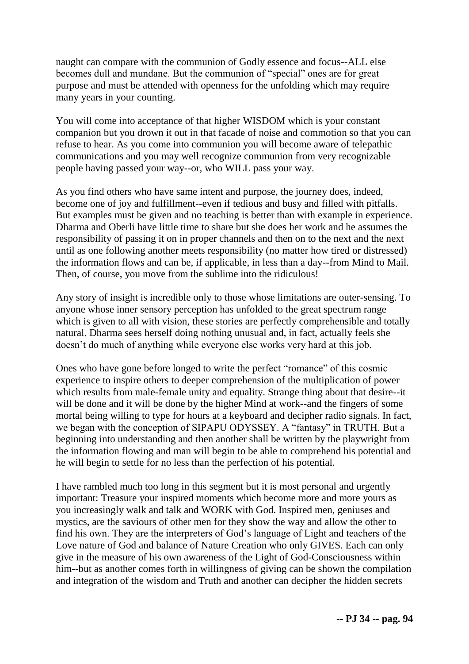naught can compare with the communion of Godly essence and focus--ALL else becomes dull and mundane. But the communion of "special" ones are for great purpose and must be attended with openness for the unfolding which may require many years in your counting.

You will come into acceptance of that higher WISDOM which is your constant companion but you drown it out in that facade of noise and commotion so that you can refuse to hear. As you come into communion you will become aware of telepathic communications and you may well recognize communion from very recognizable people having passed your way--or, who WILL pass your way.

As you find others who have same intent and purpose, the journey does, indeed, become one of joy and fulfillment--even if tedious and busy and filled with pitfalls. But examples must be given and no teaching is better than with example in experience. Dharma and Oberli have little time to share but she does her work and he assumes the responsibility of passing it on in proper channels and then on to the next and the next until as one following another meets responsibility (no matter how tired or distressed) the information flows and can be, if applicable, in less than a day--from Mind to Mail. Then, of course, you move from the sublime into the ridiculous!

Any story of insight is incredible only to those whose limitations are outer-sensing. To anyone whose inner sensory perception has unfolded to the great spectrum range which is given to all with vision, these stories are perfectly comprehensible and totally natural. Dharma sees herself doing nothing unusual and, in fact, actually feels she doesn't do much of anything while everyone else works very hard at this job.

Ones who have gone before longed to write the perfect "romance" of this cosmic experience to inspire others to deeper comprehension of the multiplication of power which results from male-female unity and equality. Strange thing about that desire--it will be done and it will be done by the higher Mind at work--and the fingers of some mortal being willing to type for hours at a keyboard and decipher radio signals. In fact, we began with the conception of SIPAPU ODYSSEY. A "fantasy" in TRUTH. But a beginning into understanding and then another shall be written by the playwright from the information flowing and man will begin to be able to comprehend his potential and he will begin to settle for no less than the perfection of his potential.

I have rambled much too long in this segment but it is most personal and urgently important: Treasure your inspired moments which become more and more yours as you increasingly walk and talk and WORK with God. Inspired men, geniuses and mystics, are the saviours of other men for they show the way and allow the other to find his own. They are the interpreters of God's language of Light and teachers of the Love nature of God and balance of Nature Creation who only GIVES. Each can only give in the measure of his own awareness of the Light of God-Consciousness within him--but as another comes forth in willingness of giving can be shown the compilation and integration of the wisdom and Truth and another can decipher the hidden secrets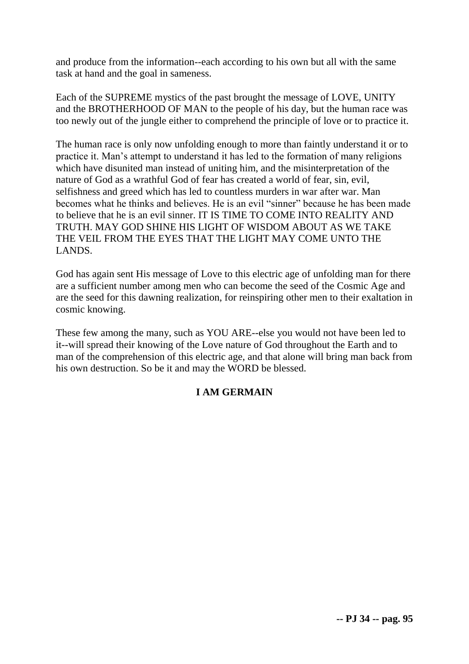and produce from the information--each according to his own but all with the same task at hand and the goal in sameness.

Each of the SUPREME mystics of the past brought the message of LOVE, UNITY and the BROTHERHOOD OF MAN to the people of his day, but the human race was too newly out of the jungle either to comprehend the principle of love or to practice it.

The human race is only now unfolding enough to more than faintly understand it or to practice it. Man's attempt to understand it has led to the formation of many religions which have disunited man instead of uniting him, and the misinterpretation of the nature of God as a wrathful God of fear has created a world of fear, sin, evil, selfishness and greed which has led to countless murders in war after war. Man becomes what he thinks and believes. He is an evil "sinner" because he has been made to believe that he is an evil sinner. IT IS TIME TO COME INTO REALITY AND TRUTH. MAY GOD SHINE HIS LIGHT OF WISDOM ABOUT AS WE TAKE THE VEIL FROM THE EYES THAT THE LIGHT MAY COME UNTO THE LANDS.

God has again sent His message of Love to this electric age of unfolding man for there are a sufficient number among men who can become the seed of the Cosmic Age and are the seed for this dawning realization, for reinspiring other men to their exaltation in cosmic knowing.

These few among the many, such as YOU ARE--else you would not have been led to it--will spread their knowing of the Love nature of God throughout the Earth and to man of the comprehension of this electric age, and that alone will bring man back from his own destruction. So be it and may the WORD be blessed.

# **I AM GERMAIN**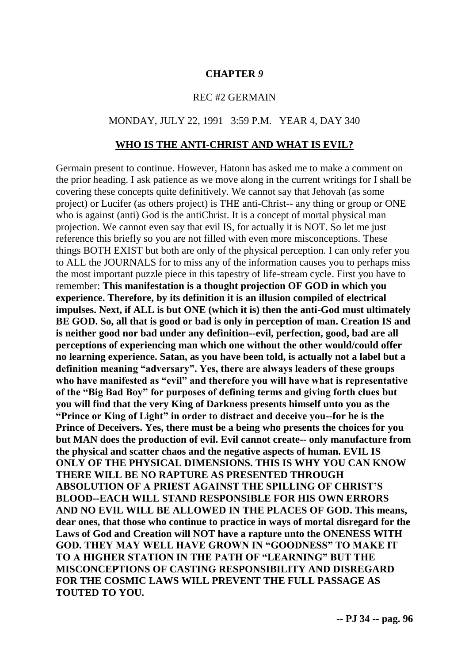#### **CHAPTER** *9*

#### REC #2 GERMAIN

#### MONDAY, JULY 22, 1991 3:59 P.M. YEAR 4, DAY 340

#### **WHO IS THE ANTI-CHRIST AND WHAT IS EVIL?**

Germain present to continue. However, Hatonn has asked me to make a comment on the prior heading. I ask patience as we move along in the current writings for I shall be covering these concepts quite definitively. We cannot say that Jehovah (as some project) or Lucifer (as others project) is THE anti-Christ-- any thing or group or ONE who is against (anti) God is the antiChrist. It is a concept of mortal physical man projection. We cannot even say that evil IS, for actually it is NOT. So let me just reference this briefly so you are not filled with even more misconceptions. These things BOTH EXIST but both are only of the physical perception. I can only refer you to ALL the JOURNALS for to miss any of the information causes you to perhaps miss the most important puzzle piece in this tapestry of life-stream cycle. First you have to remember: **This manifestation is a thought projection OF GOD in which you experience. Therefore, by its definition it is an illusion compiled of electrical impulses. Next, if ALL is but ONE (which it is) then the anti-God must ultimately BE GOD. So, all that is good or bad is only in perception of man. Creation IS and is neither good nor bad under any definition--evil, perfection, good, bad are all perceptions of experiencing man which one without the other would/could offer no learning experience. Satan, as you have been told, is actually not a label but a definition meaning "adversary". Yes, there are always leaders of these groups who have manifested as "evil" and therefore you will have what is representative of the "Big Bad Boy" for purposes of defining terms and giving forth clues but you will find that the very King of Darkness presents himself unto you as the "Prince or King of Light" in order to distract and deceive you--for he is the Prince of Deceivers. Yes, there must be a being who presents the choices for you but MAN does the production of evil. Evil cannot create-- only manufacture from the physical and scatter chaos and the negative aspects of human. EVIL IS ONLY OF THE PHYSICAL DIMENSIONS. THIS IS WHY YOU CAN KNOW THERE WILL BE NO RAPTURE AS PRESENTED THROUGH ABSOLUTION OF A PRIEST AGAINST THE SPILLING OF CHRIST"S BLOOD--EACH WILL STAND RESPONSIBLE FOR HIS OWN ERRORS AND NO EVIL WILL BE ALLOWED IN THE PLACES OF GOD. This means, dear ones, that those who continue to practice in ways of mortal disregard for the Laws of God and Creation will NOT have a rapture unto the ONENESS WITH GOD. THEY MAY WELL HAVE GROWN IN "GOODNESS" TO MAKE IT TO A HIGHER STATION IN THE PATH OF "LEARNING" BUT THE MISCONCEPTIONS OF CASTING RESPONSIBILITY AND DISREGARD FOR THE COSMIC LAWS WILL PREVENT THE FULL PASSAGE AS TOUTED TO YOU.**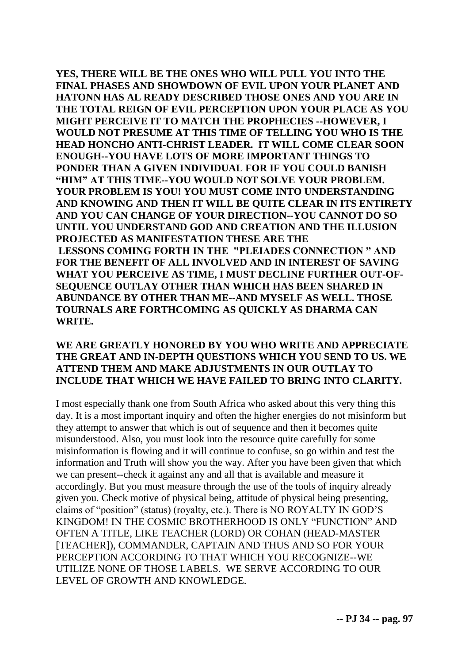**YES, THERE WILL BE THE ONES WHO WILL PULL YOU INTO THE FINAL PHASES AND SHOWDOWN OF EVIL UPON YOUR PLANET AND HATONN HAS AL READY DESCRIBED THOSE ONES AND YOU ARE IN THE TOTAL REIGN OF EVIL PERCEPTION UPON YOUR PLACE AS YOU MIGHT PERCEIVE IT TO MATCH THE PROPHECIES --HOWEVER, I WOULD NOT PRESUME AT THIS TIME OF TELLING YOU WHO IS THE HEAD HONCHO ANTI-CHRIST LEADER. IT WILL COME CLEAR SOON ENOUGH--YOU HAVE LOTS OF MORE IMPORTANT THINGS TO PONDER THAN A GIVEN INDIVIDUAL FOR IF YOU COULD BANISH "HIM" AT THIS TIME--YOU WOULD NOT SOLVE YOUR PROBLEM. YOUR PROBLEM IS YOU! YOU MUST COME INTO UNDERSTANDING AND KNOWING AND THEN IT WILL BE QUITE CLEAR IN ITS ENTIRETY AND YOU CAN CHANGE OF YOUR DIRECTION--YOU CANNOT DO SO UNTIL YOU UNDERSTAND GOD AND CREATION AND THE ILLUSION PROJECTED AS MANIFESTATION THESE ARE THE LESSONS COMING FORTH IN THE "PLEIADES CONNECTION " AND FOR THE BENEFIT OF ALL INVOLVED AND IN INTEREST OF SAVING WHAT YOU PERCEIVE AS TIME, I MUST DECLINE FURTHER OUT-OF-SEQUENCE OUTLAY OTHER THAN WHICH HAS BEEN SHARED IN ABUNDANCE BY OTHER THAN ME--AND MYSELF AS WELL. THOSE TOURNALS ARE FORTHCOMING AS QUICKLY AS DHARMA CAN WRITE.** 

#### **WE ARE GREATLY HONORED BY YOU WHO WRITE AND APPRECIATE THE GREAT AND IN-DEPTH QUESTIONS WHICH YOU SEND TO US. WE ATTEND THEM AND MAKE ADJUSTMENTS IN OUR OUTLAY TO INCLUDE THAT WHICH WE HAVE FAILED TO BRING INTO CLARITY.**

I most especially thank one from South Africa who asked about this very thing this day. It is a most important inquiry and often the higher energies do not misinform but they attempt to answer that which is out of sequence and then it becomes quite misunderstood. Also, you must look into the resource quite carefully for some misinformation is flowing and it will continue to confuse, so go within and test the information and Truth will show you the way. After you have been given that which we can present--check it against any and all that is available and measure it accordingly. But you must measure through the use of the tools of inquiry already given you. Check motive of physical being, attitude of physical being presenting, claims of "position" (status) (royalty, etc.). There is NO ROYALTY IN GOD'S KINGDOM! IN THE COSMIC BROTHERHOOD IS ONLY "FUNCTION" AND OFTEN A TITLE, LIKE TEACHER (LORD) OR COHAN (HEAD-MASTER [TEACHER]), COMMANDER, CAPTAIN AND THUS AND SO FOR YOUR PERCEPTION ACCORDING TO THAT WHICH YOU RECOGNIZE--WE UTILIZE NONE OF THOSE LABELS. WE SERVE ACCORDING TO OUR LEVEL OF GROWTH AND KNOWLEDGE.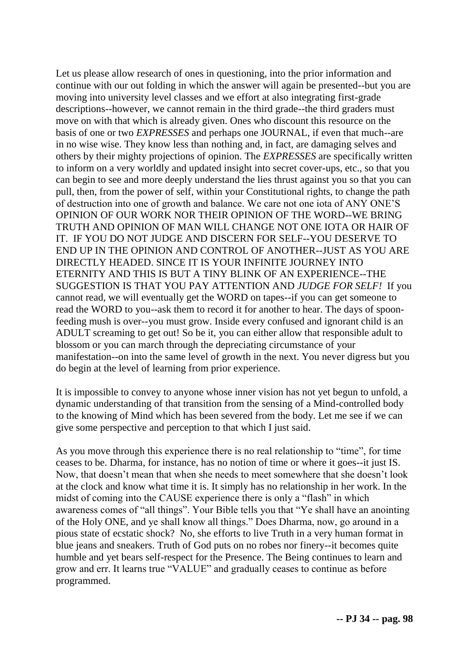Let us please allow research of ones in questioning, into the prior information and continue with our out folding in which the answer will again be presented--but you are moving into university level classes and we effort at also integrating first-grade descriptions--however, we cannot remain in the third grade--the third graders must move on with that which is already given. Ones who discount this resource on the basis of one or two *EXPRESSES* and perhaps one JOURNAL, if even that much--are in no wise wise. They know less than nothing and, in fact, are damaging selves and others by their mighty projections of opinion. The *EXPRESSES* are specifically written to inform on a very worldly and updated insight into secret cover-ups, etc., so that you can begin to see and more deeply understand the lies thrust against you so that you can pull, then, from the power of self, within your Constitutional rights, to change the path of destruction into one of growth and balance. We care not one iota of ANY ONE'S OPINION OF OUR WORK NOR THEIR OPINION OF THE WORD--WE BRING TRUTH AND OPINION OF MAN WILL CHANGE NOT ONE IOTA OR HAIR OF IT. IF YOU DO NOT JUDGE AND DISCERN FOR SELF--YOU DESERVE TO END UP IN THE OPINION AND CONTROL OF ANOTHER--JUST AS YOU ARE DIRECTLY HEADED. SINCE IT IS YOUR INFINITE JOURNEY INTO ETERNITY AND THIS IS BUT A TINY BLINK OF AN EXPERIENCE--THE SUGGESTION IS THAT YOU PAY ATTENTION AND *JUDGE FOR SELF!* If you cannot read, we will eventually get the WORD on tapes--if you can get someone to read the WORD to you--ask them to record it for another to hear. The days of spoonfeeding mush is over--you must grow. Inside every confused and ignorant child is an ADULT screaming to get out! So be it, you can either allow that responsible adult to blossom or you can march through the depreciating circumstance of your manifestation--on into the same level of growth in the next. You never digress but you do begin at the level of learning from prior experience.

It is impossible to convey to anyone whose inner vision has not yet begun to unfold, a dynamic understanding of that transition from the sensing of a Mind-controlled body to the knowing of Mind which has been severed from the body. Let me see if we can give some perspective and perception to that which I just said.

As you move through this experience there is no real relationship to "time", for time ceases to be. Dharma, for instance, has no notion of time or where it goes--it just IS. Now, that doesn't mean that when she needs to meet somewhere that she doesn't look at the clock and know what time it is. It simply has no relationship in her work. In the midst of coming into the CAUSE experience there is only a "flash" in which awareness comes of "all things". Your Bible tells you that "Ye shall have an anointing of the Holy ONE, and ye shall know all things." Does Dharma, now, go around in a pious state of ecstatic shock? No, she efforts to live Truth in a very human format in blue jeans and sneakers. Truth of God puts on no robes nor finery--it becomes quite humble and yet bears self-respect for the Presence. The Being continues to learn and grow and err. It learns true "VALUE" and gradually ceases to continue as before programmed.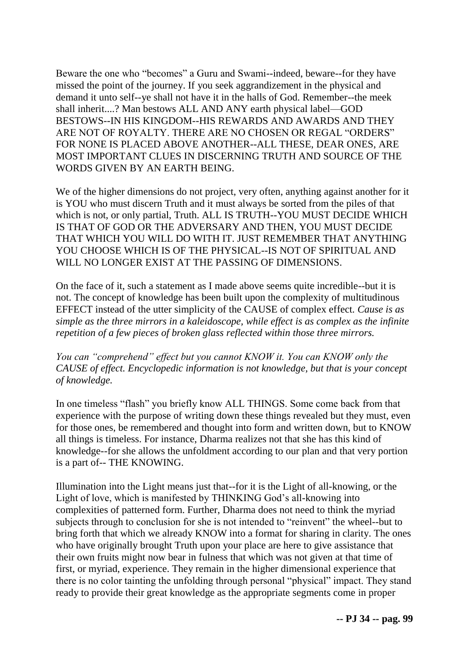Beware the one who "becomes" a Guru and Swami--indeed, beware--for they have missed the point of the journey. If you seek aggrandizement in the physical and demand it unto self--ye shall not have it in the halls of God. Remember--the meek shall inherit....? Man bestows ALL AND ANY earth physical label—GOD BESTOWS--IN HIS KINGDOM--HIS REWARDS AND AWARDS AND THEY ARE NOT OF ROYALTY. THERE ARE NO CHOSEN OR REGAL "ORDERS" FOR NONE IS PLACED ABOVE ANOTHER--ALL THESE, DEAR ONES, ARE MOST IMPORTANT CLUES IN DISCERNING TRUTH AND SOURCE OF THE WORDS GIVEN BY AN EARTH BEING.

We of the higher dimensions do not project, very often, anything against another for it is YOU who must discern Truth and it must always be sorted from the piles of that which is not, or only partial, Truth. ALL IS TRUTH--YOU MUST DECIDE WHICH IS THAT OF GOD OR THE ADVERSARY AND THEN, YOU MUST DECIDE THAT WHICH YOU WILL DO WITH IT. JUST REMEMBER THAT ANYTHING YOU CHOOSE WHICH IS OF THE PHYSICAL--IS NOT OF SPIRITUAL AND WILL NO LONGER EXIST AT THE PASSING OF DIMENSIONS.

On the face of it, such a statement as I made above seems quite incredible--but it is not. The concept of knowledge has been built upon the complexity of multitudinous EFFECT instead of the utter simplicity of the CAUSE of complex effect. *Cause is as simple as the three mirrors in a kaleidoscope, while effect is as complex as the infinite repetition of a few pieces of broken glass reflected within those three mirrors.* 

*You can "comprehend" effect but you cannot KNOW it. You can KNOW only the CAUSE of effect. Encyclopedic information is not knowledge, but that is your concept of knowledge.*

In one timeless "flash" you briefly know ALL THINGS. Some come back from that experience with the purpose of writing down these things revealed but they must, even for those ones, be remembered and thought into form and written down, but to KNOW all things is timeless. For instance, Dharma realizes not that she has this kind of knowledge--for she allows the unfoldment according to our plan and that very portion is a part of-- THE KNOWING.

Illumination into the Light means just that--for it is the Light of all-knowing, or the Light of love, which is manifested by THINKING God's all-knowing into complexities of patterned form. Further, Dharma does not need to think the myriad subjects through to conclusion for she is not intended to "reinvent" the wheel--but to bring forth that which we already KNOW into a format for sharing in clarity. The ones who have originally brought Truth upon your place are here to give assistance that their own fruits might now bear in fulness that which was not given at that time of first, or myriad, experience. They remain in the higher dimensional experience that there is no color tainting the unfolding through personal "physical" impact. They stand ready to provide their great knowledge as the appropriate segments come in proper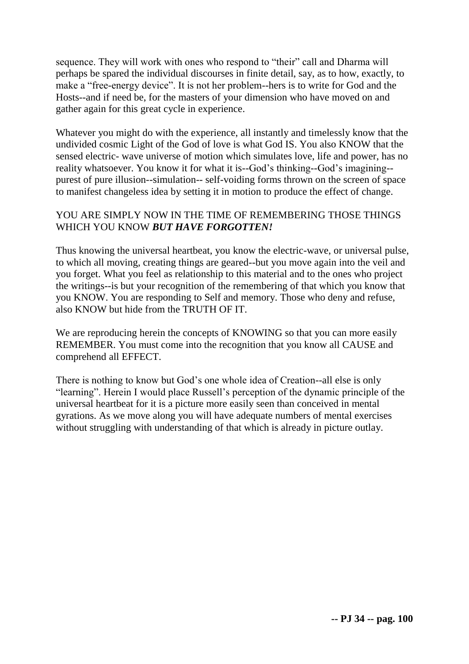sequence. They will work with ones who respond to "their" call and Dharma will perhaps be spared the individual discourses in finite detail, say, as to how, exactly, to make a "free-energy device". It is not her problem--hers is to write for God and the Hosts--and if need be, for the masters of your dimension who have moved on and gather again for this great cycle in experience.

Whatever you might do with the experience, all instantly and timelessly know that the undivided cosmic Light of the God of love is what God IS. You also KNOW that the sensed electric- wave universe of motion which simulates love, life and power, has no reality whatsoever. You know it for what it is--God's thinking--God's imagining- purest of pure illusion--simulation-- self-voiding forms thrown on the screen of space to manifest changeless idea by setting it in motion to produce the effect of change.

### YOU ARE SIMPLY NOW IN THE TIME OF REMEMBERING THOSE THINGS WHICH YOU KNOW *BUT HAVE FORGOTTEN!*

Thus knowing the universal heartbeat, you know the electric-wave, or universal pulse, to which all moving, creating things are geared--but you move again into the veil and you forget. What you feel as relationship to this material and to the ones who project the writings--is but your recognition of the remembering of that which you know that you KNOW. You are responding to Self and memory. Those who deny and refuse, also KNOW but hide from the TRUTH OF IT.

We are reproducing herein the concepts of KNOWING so that you can more easily REMEMBER. You must come into the recognition that you know all CAUSE and comprehend all EFFECT.

There is nothing to know but God's one whole idea of Creation--all else is only "learning". Herein I would place Russell's perception of the dynamic principle of the universal heartbeat for it is a picture more easily seen than conceived in mental gyrations. As we move along you will have adequate numbers of mental exercises without struggling with understanding of that which is already in picture outlay.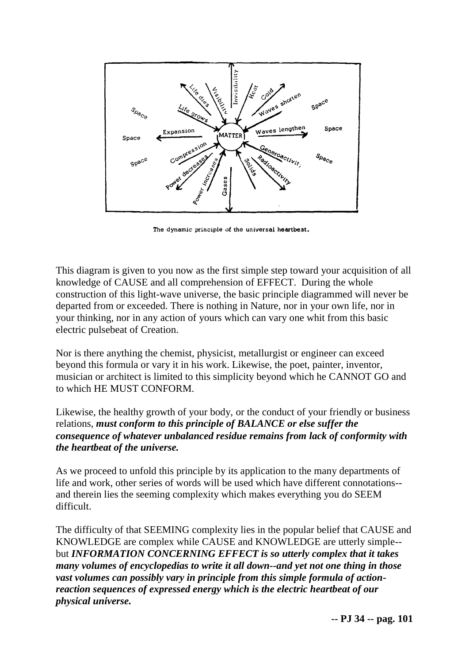

The dynamic principle of the universal heartbeat.

This diagram is given to you now as the first simple step toward your acquisition of all knowledge of CAUSE and all comprehension of EFFECT. During the whole construction of this light-wave universe, the basic principle diagrammed will never be departed from or exceeded. There is nothing in Nature, nor in your own life, nor in your thinking, nor in any action of yours which can vary one whit from this basic electric pulsebeat of Creation.

Nor is there anything the chemist, physicist, metallurgist or engineer can exceed beyond this formula or vary it in his work. Likewise, the poet, painter, inventor, musician or architect is limited to this simplicity beyond which he CANNOT GO and to which HE MUST CONFORM.

Likewise, the healthy growth of your body, or the conduct of your friendly or business relations, *must conform to this principle of BALANCE or else suffer the consequence of whatever unbalanced residue remains from lack of conformity with the heartbeat of the universe.*

As we proceed to unfold this principle by its application to the many departments of life and work, other series of words will be used which have different connotations- and therein lies the seeming complexity which makes everything you do SEEM difficult.

The difficulty of that SEEMING complexity lies in the popular belief that CAUSE and KNOWLEDGE are complex while CAUSE and KNOWLEDGE are utterly simple- but *INFORMATION CONCERNING EFFECT is so utterly complex that it takes many volumes of encyclopedias to write it all down--and yet not one thing in those vast volumes can possibly vary in principle from this simple formula of actionreaction sequences of expressed energy which is the electric heartbeat of our physical universe.*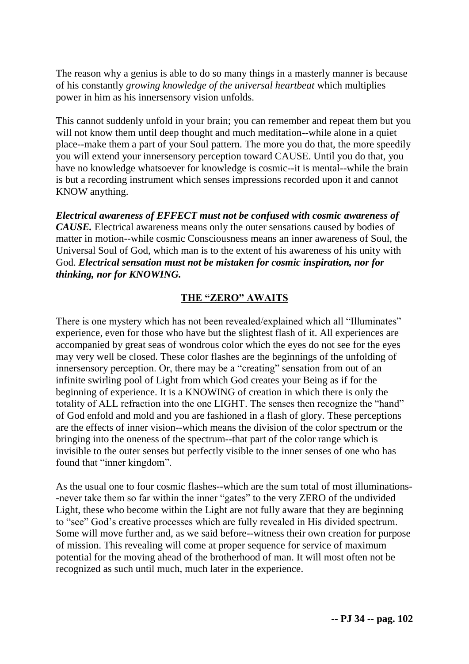The reason why a genius is able to do so many things in a masterly manner is because of his constantly *growing knowledge of the universal heartbeat* which multiplies power in him as his innersensory vision unfolds.

This cannot suddenly unfold in your brain; you can remember and repeat them but you will not know them until deep thought and much meditation--while alone in a quiet place--make them a part of your Soul pattern. The more you do that, the more speedily you will extend your innersensory perception toward CAUSE. Until you do that, you have no knowledge whatsoever for knowledge is cosmic--it is mental--while the brain is but a recording instrument which senses impressions recorded upon it and cannot KNOW anything.

*Electrical awareness of EFFECT must not be confused with cosmic awareness of CAUSE.* Electrical awareness means only the outer sensations caused by bodies of matter in motion--while cosmic Consciousness means an inner awareness of Soul, the Universal Soul of God, which man is to the extent of his awareness of his unity with God. *Electrical sensation must not be mistaken for cosmic inspiration, nor for thinking, nor for KNOWING.*

## **THE "ZERO" AWAITS**

There is one mystery which has not been revealed/explained which all "Illuminates" experience, even for those who have but the slightest flash of it. All experiences are accompanied by great seas of wondrous color which the eyes do not see for the eyes may very well be closed. These color flashes are the beginnings of the unfolding of innersensory perception. Or, there may be a "creating" sensation from out of an infinite swirling pool of Light from which God creates your Being as if for the beginning of experience. It is a KNOWING of creation in which there is only the totality of ALL refraction into the one LIGHT. The senses then recognize the "hand" of God enfold and mold and you are fashioned in a flash of glory. These perceptions are the effects of inner vision--which means the division of the color spectrum or the bringing into the oneness of the spectrum--that part of the color range which is invisible to the outer senses but perfectly visible to the inner senses of one who has found that "inner kingdom".

As the usual one to four cosmic flashes--which are the sum total of most illuminations- -never take them so far within the inner "gates" to the very ZERO of the undivided Light, these who become within the Light are not fully aware that they are beginning to "see" God's creative processes which are fully revealed in His divided spectrum. Some will move further and, as we said before--witness their own creation for purpose of mission. This revealing will come at proper sequence for service of maximum potential for the moving ahead of the brotherhood of man. It will most often not be recognized as such until much, much later in the experience.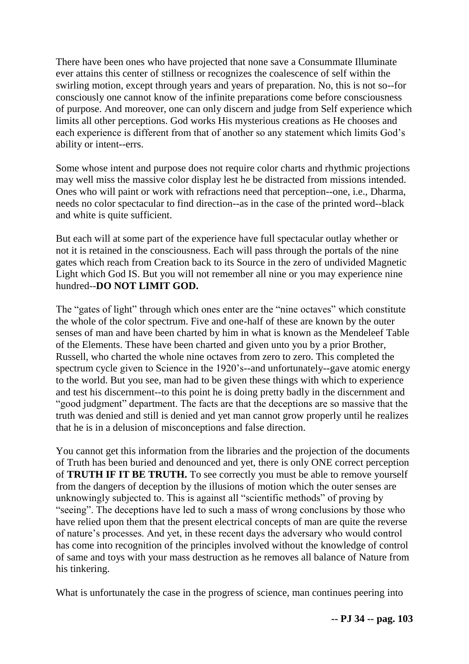There have been ones who have projected that none save a Consummate Illuminate ever attains this center of stillness or recognizes the coalescence of self within the swirling motion, except through years and years of preparation. No, this is not so--for consciously one cannot know of the infinite preparations come before consciousness of purpose. And moreover, one can only discern and judge from Self experience which limits all other perceptions. God works His mysterious creations as He chooses and each experience is different from that of another so any statement which limits God's ability or intent--errs.

Some whose intent and purpose does not require color charts and rhythmic projections may well miss the massive color display lest he be distracted from missions intended. Ones who will paint or work with refractions need that perception--one, i.e., Dharma, needs no color spectacular to find direction--as in the case of the printed word--black and white is quite sufficient.

But each will at some part of the experience have full spectacular outlay whether or not it is retained in the consciousness. Each will pass through the portals of the nine gates which reach from Creation back to its Source in the zero of undivided Magnetic Light which God IS. But you will not remember all nine or you may experience nine hundred--**DO NOT LIMIT GOD.**

The "gates of light" through which ones enter are the "nine octaves" which constitute the whole of the color spectrum. Five and one-half of these are known by the outer senses of man and have been charted by him in what is known as the Mendeleef Table of the Elements. These have been charted and given unto you by a prior Brother, Russell, who charted the whole nine octaves from zero to zero. This completed the spectrum cycle given to Science in the 1920's--and unfortunately--gave atomic energy to the world. But you see, man had to be given these things with which to experience and test his discernment--to this point he is doing pretty badly in the discernment and "good judgment" department. The facts are that the deceptions are so massive that the truth was denied and still is denied and yet man cannot grow properly until he realizes that he is in a delusion of misconceptions and false direction.

You cannot get this information from the libraries and the projection of the documents of Truth has been buried and denounced and yet, there is only ONE correct perception of **TRUTH IF IT BE TRUTH.** To see correctly you must be able to remove yourself from the dangers of deception by the illusions of motion which the outer senses are unknowingly subjected to. This is against all "scientific methods" of proving by "seeing". The deceptions have led to such a mass of wrong conclusions by those who have relied upon them that the present electrical concepts of man are quite the reverse of nature's processes. And yet, in these recent days the adversary who would control has come into recognition of the principles involved without the knowledge of control of same and toys with your mass destruction as he removes all balance of Nature from his tinkering.

What is unfortunately the case in the progress of science, man continues peering into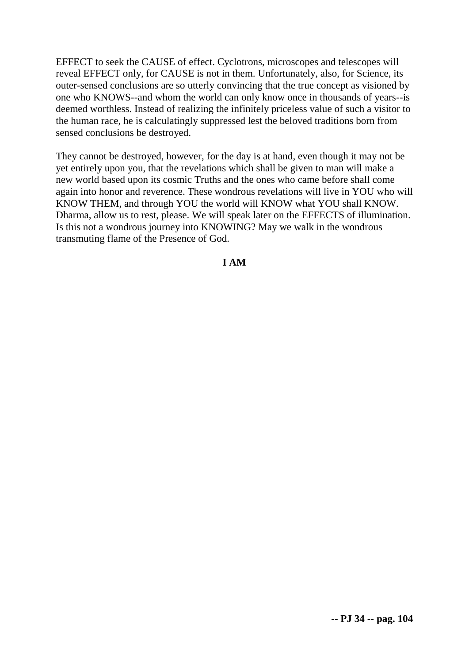EFFECT to seek the CAUSE of effect. Cyclotrons, microscopes and telescopes will reveal EFFECT only, for CAUSE is not in them. Unfortunately, also, for Science, its outer-sensed conclusions are so utterly convincing that the true concept as visioned by one who KNOWS--and whom the world can only know once in thousands of years--is deemed worthless. Instead of realizing the infinitely priceless value of such a visitor to the human race, he is calculatingly suppressed lest the beloved traditions born from sensed conclusions be destroyed.

They cannot be destroyed, however, for the day is at hand, even though it may not be yet entirely upon you, that the revelations which shall be given to man will make a new world based upon its cosmic Truths and the ones who came before shall come again into honor and reverence. These wondrous revelations will live in YOU who will KNOW THEM, and through YOU the world will KNOW what YOU shall KNOW. Dharma, allow us to rest, please. We will speak later on the EFFECTS of illumination. Is this not a wondrous journey into KNOWING? May we walk in the wondrous transmuting flame of the Presence of God.

**I AM**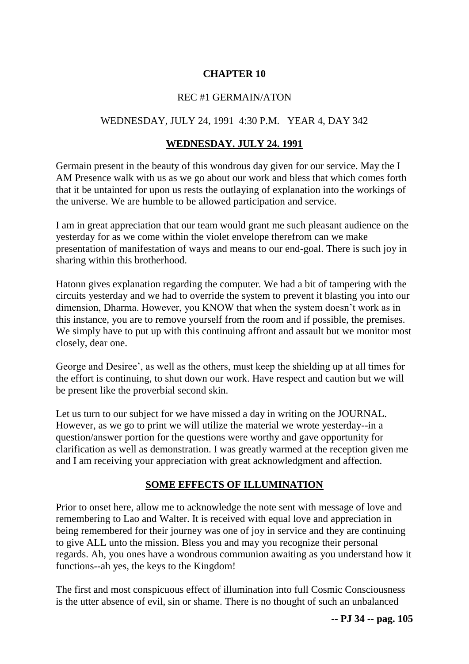# **CHAPTER 10**

#### REC #1 GERMAIN/ATON

#### WEDNESDAY, JULY 24, 1991 4:30 P.M. YEAR 4, DAY 342

#### **WEDNESDAY. JULY 24. 1991**

Germain present in the beauty of this wondrous day given for our service. May the I AM Presence walk with us as we go about our work and bless that which comes forth that it be untainted for upon us rests the outlaying of explanation into the workings of the universe. We are humble to be allowed participation and service.

I am in great appreciation that our team would grant me such pleasant audience on the yesterday for as we come within the violet envelope therefrom can we make presentation of manifestation of ways and means to our end-goal. There is such joy in sharing within this brotherhood.

Hatonn gives explanation regarding the computer. We had a bit of tampering with the circuits yesterday and we had to override the system to prevent it blasting you into our dimension, Dharma. However, you KNOW that when the system doesn't work as in this instance, you are to remove yourself from the room and if possible, the premises. We simply have to put up with this continuing affront and assault but we monitor most closely, dear one.

George and Desiree', as well as the others, must keep the shielding up at all times for the effort is continuing, to shut down our work. Have respect and caution but we will be present like the proverbial second skin.

Let us turn to our subject for we have missed a day in writing on the JOURNAL. However, as we go to print we will utilize the material we wrote yesterday--in a question/answer portion for the questions were worthy and gave opportunity for clarification as well as demonstration. I was greatly warmed at the reception given me and I am receiving your appreciation with great acknowledgment and affection.

#### **SOME EFFECTS OF ILLUMINATION**

Prior to onset here, allow me to acknowledge the note sent with message of love and remembering to Lao and Walter. It is received with equal love and appreciation in being remembered for their journey was one of joy in service and they are continuing to give ALL unto the mission. Bless you and may you recognize their personal regards. Ah, you ones have a wondrous communion awaiting as you understand how it functions--ah yes, the keys to the Kingdom!

The first and most conspicuous effect of illumination into full Cosmic Consciousness is the utter absence of evil, sin or shame. There is no thought of such an unbalanced

**-- PJ 34 -- pag. 105**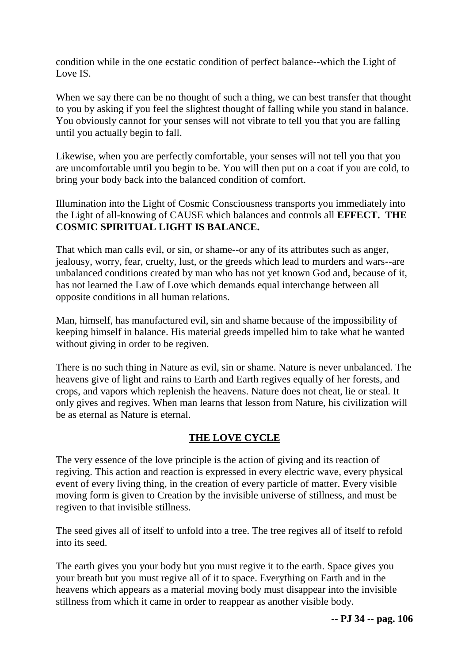condition while in the one ecstatic condition of perfect balance--which the Light of Love IS.

When we say there can be no thought of such a thing, we can best transfer that thought to you by asking if you feel the slightest thought of falling while you stand in balance. You obviously cannot for your senses will not vibrate to tell you that you are falling until you actually begin to fall.

Likewise, when you are perfectly comfortable, your senses will not tell you that you are uncomfortable until you begin to be. You will then put on a coat if you are cold, to bring your body back into the balanced condition of comfort.

Illumination into the Light of Cosmic Consciousness transports you immediately into the Light of all-knowing of CAUSE which balances and controls all **EFFECT. THE COSMIC SPIRITUAL LIGHT IS BALANCE.**

That which man calls evil, or sin, or shame--or any of its attributes such as anger, jealousy, worry, fear, cruelty, lust, or the greeds which lead to murders and wars--are unbalanced conditions created by man who has not yet known God and, because of it, has not learned the Law of Love which demands equal interchange between all opposite conditions in all human relations.

Man, himself, has manufactured evil, sin and shame because of the impossibility of keeping himself in balance. His material greeds impelled him to take what he wanted without giving in order to be regiven.

There is no such thing in Nature as evil, sin or shame. Nature is never unbalanced. The heavens give of light and rains to Earth and Earth regives equally of her forests, and crops, and vapors which replenish the heavens. Nature does not cheat, lie or steal. It only gives and regives. When man learns that lesson from Nature, his civilization will be as eternal as Nature is eternal.

# **THE LOVE CYCLE**

The very essence of the love principle is the action of giving and its reaction of regiving. This action and reaction is expressed in every electric wave, every physical event of every living thing, in the creation of every particle of matter. Every visible moving form is given to Creation by the invisible universe of stillness, and must be regiven to that invisible stillness.

The seed gives all of itself to unfold into a tree. The tree regives all of itself to refold into its seed.

The earth gives you your body but you must regive it to the earth. Space gives you your breath but you must regive all of it to space. Everything on Earth and in the heavens which appears as a material moving body must disappear into the invisible stillness from which it came in order to reappear as another visible body.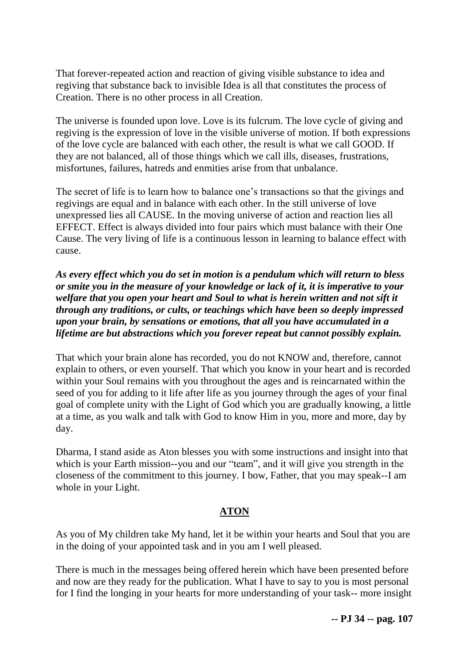That forever-repeated action and reaction of giving visible substance to idea and regiving that substance back to invisible Idea is all that constitutes the process of Creation. There is no other process in all Creation.

The universe is founded upon love. Love is its fulcrum. The love cycle of giving and regiving is the expression of love in the visible universe of motion. If both expressions of the love cycle are balanced with each other, the result is what we call GOOD. If they are not balanced, all of those things which we call ills, diseases, frustrations, misfortunes, failures, hatreds and enmities arise from that unbalance.

The secret of life is to learn how to balance one's transactions so that the givings and regivings are equal and in balance with each other. In the still universe of love unexpressed lies all CAUSE. In the moving universe of action and reaction lies all EFFECT. Effect is always divided into four pairs which must balance with their One Cause. The very living of life is a continuous lesson in learning to balance effect with cause.

*As every effect which you do set in motion is a pendulum which will return to bless or smite you in the measure of your knowledge or lack of it, it is imperative to your welfare that you open your heart and Soul to what is herein written and not sift it through any traditions, or cults, or teachings which have been so deeply impressed upon your brain, by sensations or emotions, that all you have accumulated in a lifetime are but abstractions which you forever repeat but cannot possibly explain.*

That which your brain alone has recorded, you do not KNOW and, therefore, cannot explain to others, or even yourself. That which you know in your heart and is recorded within your Soul remains with you throughout the ages and is reincarnated within the seed of you for adding to it life after life as you journey through the ages of your final goal of complete unity with the Light of God which you are gradually knowing, a little at a time, as you walk and talk with God to know Him in you, more and more, day by day.

Dharma, I stand aside as Aton blesses you with some instructions and insight into that which is your Earth mission--you and our "team", and it will give you strength in the closeness of the commitment to this journey. I bow, Father, that you may speak--I am whole in your Light.

# **ATON**

As you of My children take My hand, let it be within your hearts and Soul that you are in the doing of your appointed task and in you am I well pleased.

There is much in the messages being offered herein which have been presented before and now are they ready for the publication. What I have to say to you is most personal for I find the longing in your hearts for more understanding of your task-- more insight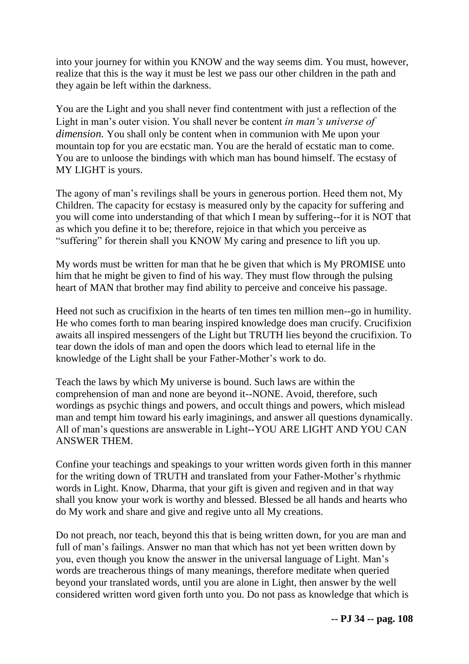into your journey for within you KNOW and the way seems dim. You must, however, realize that this is the way it must be lest we pass our other children in the path and they again be left within the darkness.

You are the Light and you shall never find contentment with just a reflection of the Light in man's outer vision. You shall never be content *in man"s universe of dimension.* You shall only be content when in communion with Me upon your mountain top for you are ecstatic man. You are the herald of ecstatic man to come. You are to unloose the bindings with which man has bound himself. The ecstasy of MY LIGHT is yours.

The agony of man's revilings shall be yours in generous portion. Heed them not, My Children. The capacity for ecstasy is measured only by the capacity for suffering and you will come into understanding of that which I mean by suffering--for it is NOT that as which you define it to be; therefore, rejoice in that which you perceive as "suffering" for therein shall you KNOW My caring and presence to lift you up.

My words must be written for man that he be given that which is My PROMISE unto him that he might be given to find of his way. They must flow through the pulsing heart of MAN that brother may find ability to perceive and conceive his passage.

Heed not such as crucifixion in the hearts of ten times ten million men--go in humility. He who comes forth to man bearing inspired knowledge does man crucify. Crucifixion awaits all inspired messengers of the Light but TRUTH lies beyond the crucifixion. To tear down the idols of man and open the doors which lead to eternal life in the knowledge of the Light shall be your Father-Mother's work to do.

Teach the laws by which My universe is bound. Such laws are within the comprehension of man and none are beyond it--NONE. Avoid, therefore, such wordings as psychic things and powers, and occult things and powers, which mislead man and tempt him toward his early imaginings, and answer all questions dynamically. All of man's questions are answerable in Light--YOU ARE LIGHT AND YOU CAN ANSWER THEM.

Confine your teachings and speakings to your written words given forth in this manner for the writing down of TRUTH and translated from your Father-Mother's rhythmic words in Light. Know, Dharma, that your gift is given and regiven and in that way shall you know your work is worthy and blessed. Blessed be all hands and hearts who do My work and share and give and regive unto all My creations.

Do not preach, nor teach, beyond this that is being written down, for you are man and full of man's failings. Answer no man that which has not yet been written down by you, even though you know the answer in the universal language of Light. Man's words are treacherous things of many meanings, therefore meditate when queried beyond your translated words, until you are alone in Light, then answer by the well considered written word given forth unto you. Do not pass as knowledge that which is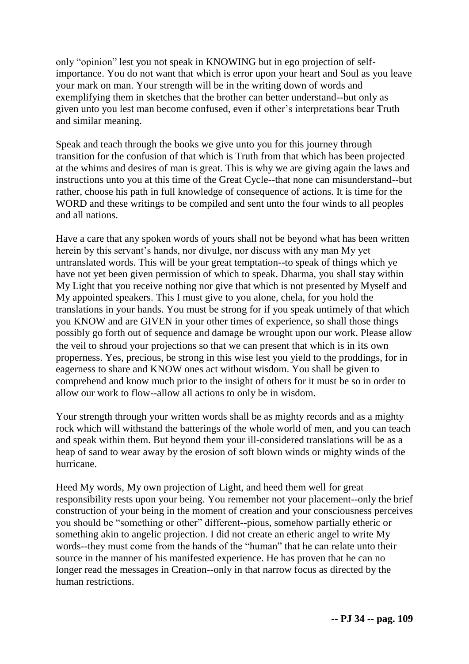only "opinion" lest you not speak in KNOWING but in ego projection of selfimportance. You do not want that which is error upon your heart and Soul as you leave your mark on man. Your strength will be in the writing down of words and exemplifying them in sketches that the brother can better understand--but only as given unto you lest man become confused, even if other's interpretations bear Truth and similar meaning.

Speak and teach through the books we give unto you for this journey through transition for the confusion of that which is Truth from that which has been projected at the whims and desires of man is great. This is why we are giving again the laws and instructions unto you at this time of the Great Cycle--that none can misunderstand--but rather, choose his path in full knowledge of consequence of actions. It is time for the WORD and these writings to be compiled and sent unto the four winds to all peoples and all nations.

Have a care that any spoken words of yours shall not be beyond what has been written herein by this servant's hands, nor divulge, nor discuss with any man My yet untranslated words. This will be your great temptation--to speak of things which ye have not yet been given permission of which to speak. Dharma, you shall stay within My Light that you receive nothing nor give that which is not presented by Myself and My appointed speakers. This I must give to you alone, chela, for you hold the translations in your hands. You must be strong for if you speak untimely of that which you KNOW and are GIVEN in your other times of experience, so shall those things possibly go forth out of sequence and damage be wrought upon our work. Please allow the veil to shroud your projections so that we can present that which is in its own properness. Yes, precious, be strong in this wise lest you yield to the proddings, for in eagerness to share and KNOW ones act without wisdom. You shall be given to comprehend and know much prior to the insight of others for it must be so in order to allow our work to flow--allow all actions to only be in wisdom.

Your strength through your written words shall be as mighty records and as a mighty rock which will withstand the batterings of the whole world of men, and you can teach and speak within them. But beyond them your ill-considered translations will be as a heap of sand to wear away by the erosion of soft blown winds or mighty winds of the hurricane.

Heed My words, My own projection of Light, and heed them well for great responsibility rests upon your being. You remember not your placement--only the brief construction of your being in the moment of creation and your consciousness perceives you should be "something or other" different--pious, somehow partially etheric or something akin to angelic projection. I did not create an etheric angel to write My words--they must come from the hands of the "human" that he can relate unto their source in the manner of his manifested experience. He has proven that he can no longer read the messages in Creation--only in that narrow focus as directed by the human restrictions.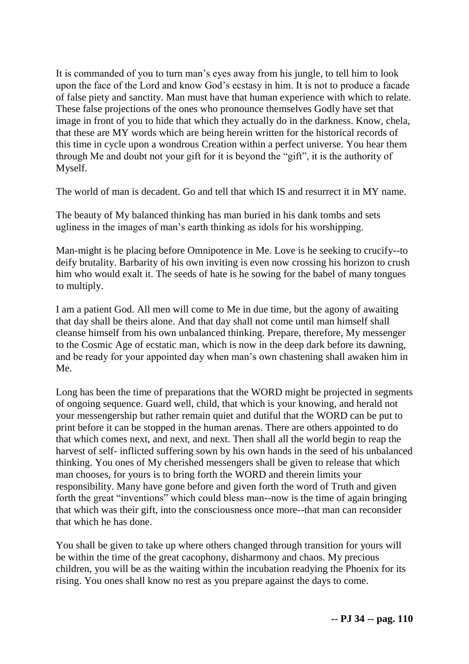It is commanded of you to turn man's eyes away from his jungle, to tell him to look upon the face of the Lord and know God's ecstasy in him. It is not to produce a facade of false piety and sanctity. Man must have that human experience with which to relate. These false projections of the ones who pronounce themselves Godly have set that image in front of you to hide that which they actually do in the darkness. Know, chela, that these are MY words which are being herein written for the historical records of this time in cycle upon a wondrous Creation within a perfect universe. You hear them through Me and doubt not your gift for it is beyond the "gift", it is the authority of Myself.

The world of man is decadent. Go and tell that which IS and resurrect it in MY name.

The beauty of My balanced thinking has man buried in his dank tombs and sets ugliness in the images of man's earth thinking as idols for his worshipping.

Man-might is he placing before Omnipotence in Me. Love is he seeking to crucify--to deify brutality. Barbarity of his own inviting is even now crossing his horizon to crush him who would exalt it. The seeds of hate is he sowing for the babel of many tongues to multiply.

I am a patient God. All men will come to Me in due time, but the agony of awaiting that day shall be theirs alone. And that day shall not come until man himself shall cleanse himself from his own unbalanced thinking. Prepare, therefore, My messenger to the Cosmic Age of ecstatic man, which is now in the deep dark before its dawning, and be ready for your appointed day when man's own chastening shall awaken him in Me.

Long has been the time of preparations that the WORD might be projected in segments of ongoing sequence. Guard well, child, that which is your knowing, and herald not your messengership but rather remain quiet and dutiful that the WORD can be put to print before it can be stopped in the human arenas. There are others appointed to do that which comes next, and next, and next. Then shall all the world begin to reap the harvest of self- inflicted suffering sown by his own hands in the seed of his unbalanced thinking. You ones of My cherished messengers shall be given to release that which man chooses, for yours is to bring forth the WORD and therein limits your responsibility. Many have gone before and given forth the word of Truth and given forth the great "inventions" which could bless man--now is the time of again bringing that which was their gift, into the consciousness once more--that man can reconsider that which he has done.

You shall be given to take up where others changed through transition for yours will be within the time of the great cacophony, disharmony and chaos. My precious children, you will be as the waiting within the incubation readying the Phoenix for its rising. You ones shall know no rest as you prepare against the days to come.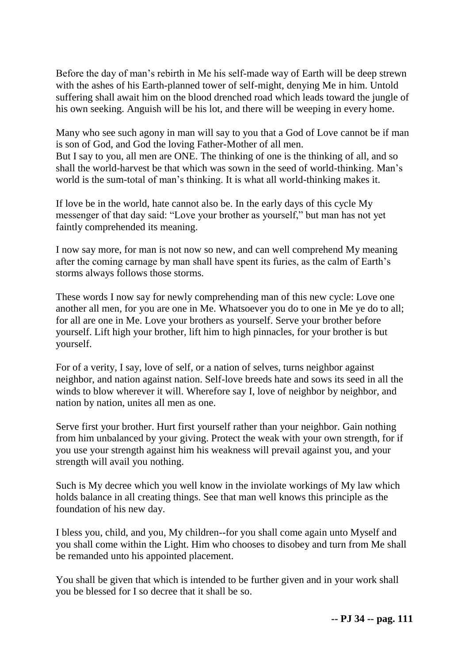Before the day of man's rebirth in Me his self-made way of Earth will be deep strewn with the ashes of his Earth-planned tower of self-might, denying Me in him. Untold suffering shall await him on the blood drenched road which leads toward the jungle of his own seeking. Anguish will be his lot, and there will be weeping in every home.

Many who see such agony in man will say to you that a God of Love cannot be if man is son of God, and God the loving Father-Mother of all men. But I say to you, all men are ONE. The thinking of one is the thinking of all, and so shall the world-harvest be that which was sown in the seed of world-thinking. Man's world is the sum-total of man's thinking. It is what all world-thinking makes it.

If love be in the world, hate cannot also be. In the early days of this cycle My messenger of that day said: "Love your brother as yourself," but man has not yet faintly comprehended its meaning.

I now say more, for man is not now so new, and can well comprehend My meaning after the coming carnage by man shall have spent its furies, as the calm of Earth's storms always follows those storms.

These words I now say for newly comprehending man of this new cycle: Love one another all men, for you are one in Me. Whatsoever you do to one in Me ye do to all; for all are one in Me. Love your brothers as yourself. Serve your brother before yourself. Lift high your brother, lift him to high pinnacles, for your brother is but yourself.

For of a verity, I say, love of self, or a nation of selves, turns neighbor against neighbor, and nation against nation. Self-love breeds hate and sows its seed in all the winds to blow wherever it will. Wherefore say I, love of neighbor by neighbor, and nation by nation, unites all men as one.

Serve first your brother. Hurt first yourself rather than your neighbor. Gain nothing from him unbalanced by your giving. Protect the weak with your own strength, for if you use your strength against him his weakness will prevail against you, and your strength will avail you nothing.

Such is My decree which you well know in the inviolate workings of My law which holds balance in all creating things. See that man well knows this principle as the foundation of his new day.

I bless you, child, and you, My children--for you shall come again unto Myself and you shall come within the Light. Him who chooses to disobey and turn from Me shall be remanded unto his appointed placement.

You shall be given that which is intended to be further given and in your work shall you be blessed for I so decree that it shall be so.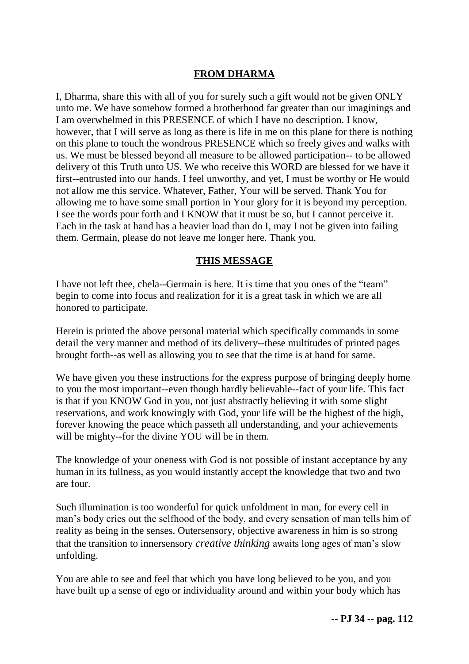# **FROM DHARMA**

I, Dharma, share this with all of you for surely such a gift would not be given ONLY unto me. We have somehow formed a brotherhood far greater than our imaginings and I am overwhelmed in this PRESENCE of which I have no description. I know, however, that I will serve as long as there is life in me on this plane for there is nothing on this plane to touch the wondrous PRESENCE which so freely gives and walks with us. We must be blessed beyond all measure to be allowed participation-- to be allowed delivery of this Truth unto US. We who receive this WORD are blessed for we have it first--entrusted into our hands. I feel unworthy, and yet, I must be worthy or He would not allow me this service. Whatever, Father, Your will be served. Thank You for allowing me to have some small portion in Your glory for it is beyond my perception. I see the words pour forth and I KNOW that it must be so, but I cannot perceive it. Each in the task at hand has a heavier load than do I, may I not be given into failing them. Germain, please do not leave me longer here. Thank you.

### **THIS MESSAGE**

I have not left thee, chela--Germain is here. It is time that you ones of the "team" begin to come into focus and realization for it is a great task in which we are all honored to participate.

Herein is printed the above personal material which specifically commands in some detail the very manner and method of its delivery--these multitudes of printed pages brought forth--as well as allowing you to see that the time is at hand for same.

We have given you these instructions for the express purpose of bringing deeply home to you the most important--even though hardly believable--fact of your life. This fact is that if you KNOW God in you, not just abstractly believing it with some slight reservations, and work knowingly with God, your life will be the highest of the high, forever knowing the peace which passeth all understanding, and your achievements will be mighty--for the divine YOU will be in them.

The knowledge of your oneness with God is not possible of instant acceptance by any human in its fullness, as you would instantly accept the knowledge that two and two are four.

Such illumination is too wonderful for quick unfoldment in man, for every cell in man's body cries out the selfhood of the body, and every sensation of man tells him of reality as being in the senses. Outersensory, objective awareness in him is so strong that the transition to innersensory *creative thinking* awaits long ages of man's slow unfolding.

You are able to see and feel that which you have long believed to be you, and you have built up a sense of ego or individuality around and within your body which has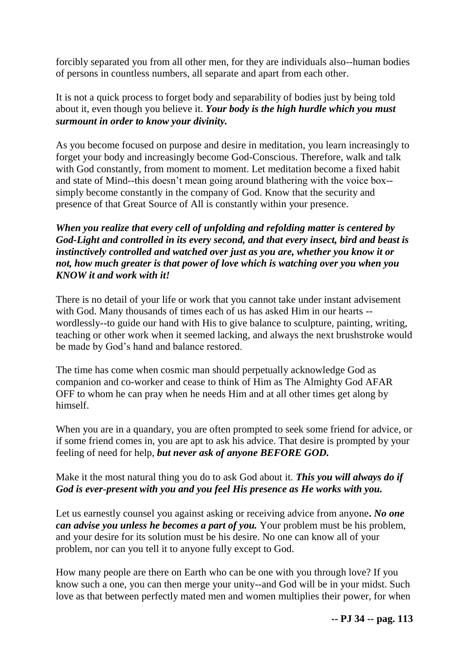forcibly separated you from all other men, for they are individuals also--human bodies of persons in countless numbers, all separate and apart from each other.

It is not a quick process to forget body and separability of bodies just by being told about it, even though you believe it. *Your body is the high hurdle which you must surmount in order to know your divinity.*

As you become focused on purpose and desire in meditation, you learn increasingly to forget your body and increasingly become God-Conscious. Therefore, walk and talk with God constantly, from moment to moment. Let meditation become a fixed habit and state of Mind--this doesn't mean going around blathering with the voice box- simply become constantly in the company of God. Know that the security and presence of that Great Source of All is constantly within your presence.

# *When you realize that every cell of unfolding and refolding matter is centered by God-Light and controlled in its every second, and that every insect, bird and beast is instinctively controlled and watched over just as you are, whether you know it or not, how much greater is that power of love which is watching over you when you KNOW it and work with it!*

There is no detail of your life or work that you cannot take under instant advisement with God. Many thousands of times each of us has asked Him in our hearts - wordlessly--to guide our hand with His to give balance to sculpture, painting, writing, teaching or other work when it seemed lacking, and always the next brushstroke would be made by God's hand and balance restored.

The time has come when cosmic man should perpetually acknowledge God as companion and co-worker and cease to think of Him as The Almighty God AFAR OFF to whom he can pray when he needs Him and at all other times get along by himself.

When you are in a quandary, you are often prompted to seek some friend for advice, or if some friend comes in, you are apt to ask his advice. That desire is prompted by your feeling of need for help, *but never ask of anyone BEFORE GOD.*

# Make it the most natural thing you do to ask God about it. *This you will always do if God is ever-present with you and you feel His presence as He works with you.*

Let us earnestly counsel you against asking or receiving advice from anyone**.** *No one can advise you unless he becomes a part of you.* Your problem must be his problem, and your desire for its solution must be his desire. No one can know all of your problem, nor can you tell it to anyone fully except to God.

How many people are there on Earth who can be one with you through love? If you know such a one, you can then merge your unity--and God will be in your midst. Such love as that between perfectly mated men and women multiplies their power, for when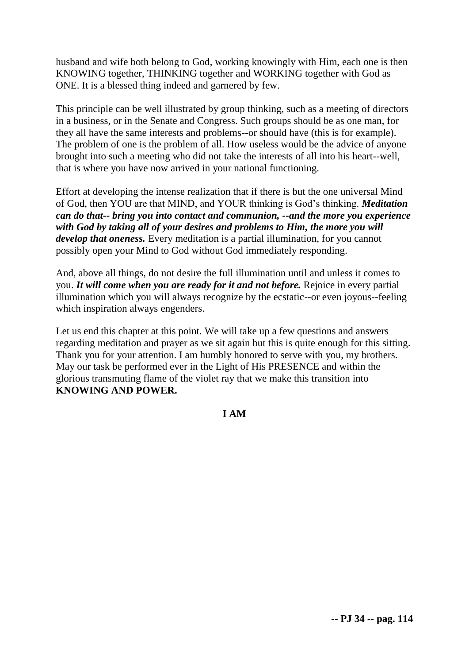husband and wife both belong to God, working knowingly with Him, each one is then KNOWING together, THINKING together and WORKING together with God as ONE. It is a blessed thing indeed and garnered by few.

This principle can be well illustrated by group thinking, such as a meeting of directors in a business, or in the Senate and Congress. Such groups should be as one man, for they all have the same interests and problems--or should have (this is for example). The problem of one is the problem of all. How useless would be the advice of anyone brought into such a meeting who did not take the interests of all into his heart--well, that is where you have now arrived in your national functioning.

Effort at developing the intense realization that if there is but the one universal Mind of God, then YOU are that MIND, and YOUR thinking is God's thinking. *Meditation can do that-- bring you into contact and communion, --and the more you experience with God by taking all of your desires and problems to Him, the more you will develop that oneness.* Every meditation is a partial illumination, for you cannot possibly open your Mind to God without God immediately responding.

And, above all things, do not desire the full illumination until and unless it comes to you. *It will come when you are ready for it and not before.* Rejoice in every partial illumination which you will always recognize by the ecstatic--or even joyous--feeling which inspiration always engenders.

Let us end this chapter at this point. We will take up a few questions and answers regarding meditation and prayer as we sit again but this is quite enough for this sitting. Thank you for your attention. I am humbly honored to serve with you, my brothers. May our task be performed ever in the Light of His PRESENCE and within the glorious transmuting flame of the violet ray that we make this transition into **KNOWING AND POWER.**

**I AM**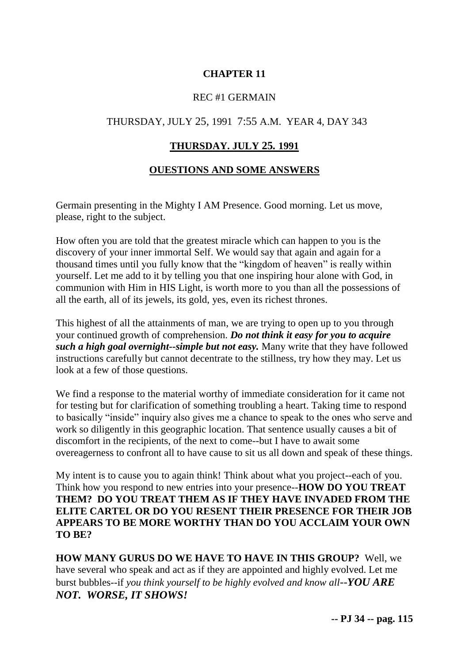# **CHAPTER 11**

### REC #1 GERMAIN

### THURSDAY, JULY 25*,* 1991 7:55 A.M. YEAR 4, DAY 343

## **THURSDAY. JULY 25***.* **1991**

### **OUESTIONS AND SOME ANSWERS**

Germain presenting in the Mighty I AM Presence. Good morning. Let us move, please, right to the subject.

How often you are told that the greatest miracle which can happen to you is the discovery of your inner immortal Self. We would say that again and again for a thousand times until you fully know that the "kingdom of heaven" is really within yourself. Let me add to it by telling you that one inspiring hour alone with God, in communion with Him in HIS Light, is worth more to you than all the possessions of all the earth, all of its jewels, its gold, yes, even its richest thrones.

This highest of all the attainments of man, we are trying to open up to you through your continued growth of comprehension. *Do not think it easy for you to acquire such a high goal overnight--simple but not easy.* Many write that they have followed instructions carefully but cannot decentrate to the stillness, try how they may. Let us look at a few of those questions.

We find a response to the material worthy of immediate consideration for it came not for testing but for clarification of something troubling a heart. Taking time to respond to basically "inside" inquiry also gives me a chance to speak to the ones who serve and work so diligently in this geographic location. That sentence usually causes a bit of discomfort in the recipients, of the next to come--but I have to await some overeagerness to confront all to have cause to sit us all down and speak of these things.

My intent is to cause you to again think! Think about what you project--each of you. Think how you respond to new entries into your presence--**HOW DO YOU TREAT THEM? DO YOU TREAT THEM AS IF THEY HAVE INVADED FROM THE ELITE CARTEL OR DO YOU RESENT THEIR PRESENCE FOR THEIR JOB APPEARS TO BE MORE WORTHY THAN DO YOU ACCLAIM YOUR OWN TO BE?** 

**HOW MANY GURUS DO WE HAVE TO HAVE IN THIS GROUP?** Well, we have several who speak and act as if they are appointed and highly evolved. Let me burst bubbles--if *you think yourself to be highly evolved and know all--YOU ARE NOT. WORSE, IT SHOWS!*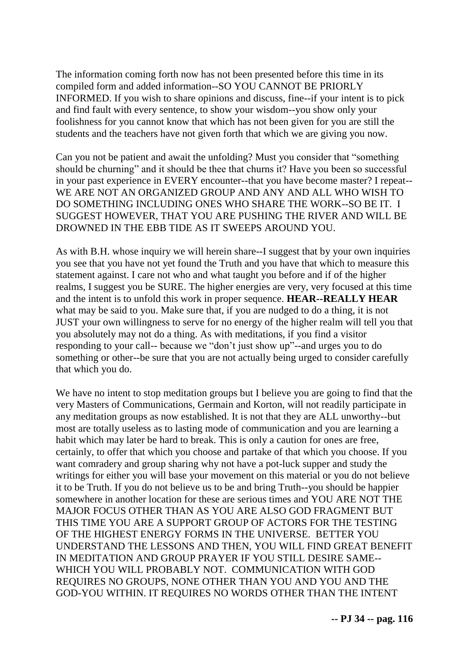The information coming forth now has not been presented before this time in its compiled form and added information--SO YOU CANNOT BE PRIORLY INFORMED. If you wish to share opinions and discuss, fine--if your intent is to pick and find fault with every sentence, to show your wisdom--you show only your foolishness for you cannot know that which has not been given for you are still the students and the teachers have not given forth that which we are giving you now.

Can you not be patient and await the unfolding? Must you consider that "something" should be churning" and it should be thee that churns it? Have you been so successful in your past experience in EVERY encounter--that you have become master? I repeat-- WE ARE NOT AN ORGANIZED GROUP AND ANY AND ALL WHO WISH TO DO SOMETHING INCLUDING ONES WHO SHARE THE WORK--SO BE IT. I SUGGEST HOWEVER, THAT YOU ARE PUSHING THE RIVER AND WILL BE DROWNED IN THE EBB TIDE AS IT SWEEPS AROUND YOU.

As with B.H. whose inquiry we will herein share--I suggest that by your own inquiries you see that you have not yet found the Truth and you have that which to measure this statement against. I care not who and what taught you before and if of the higher realms, I suggest you be SURE. The higher energies are very, very focused at this time and the intent is to unfold this work in proper sequence. **HEAR--REALLY HEAR** what may be said to you. Make sure that, if you are nudged to do a thing, it is not JUST your own willingness to serve for no energy of the higher realm will tell you that you absolutely may not do a thing. As with meditations, if you find a visitor responding to your call-- because we "don't just show up"--and urges you to do something or other--be sure that you are not actually being urged to consider carefully that which you do.

We have no intent to stop meditation groups but I believe you are going to find that the very Masters of Communications, Germain and Korton, will not readily participate in any meditation groups as now established. It is not that they are ALL unworthy--but most are totally useless as to lasting mode of communication and you are learning a habit which may later be hard to break. This is only a caution for ones are free, certainly, to offer that which you choose and partake of that which you choose. If you want comradery and group sharing why not have a pot-luck supper and study the writings for either you will base your movement on this material or you do not believe it to be Truth. If you do not believe us to be and bring Truth--you should be happier somewhere in another location for these are serious times and YOU ARE NOT THE MAJOR FOCUS OTHER THAN AS YOU ARE ALSO GOD FRAGMENT BUT THIS TIME YOU ARE A SUPPORT GROUP OF ACTORS FOR THE TESTING OF THE HIGHEST ENERGY FORMS IN THE UNIVERSE. BETTER YOU UNDERSTAND THE LESSONS AND THEN, YOU WILL FIND GREAT BENEFIT IN MEDITATION AND GROUP PRAYER IF YOU STILL DESIRE SAME-- WHICH YOU WILL PROBABLY NOT. COMMUNICATION WITH GOD REQUIRES NO GROUPS, NONE OTHER THAN YOU AND YOU AND THE GOD-YOU WITHIN. IT REQUIRES NO WORDS OTHER THAN THE INTENT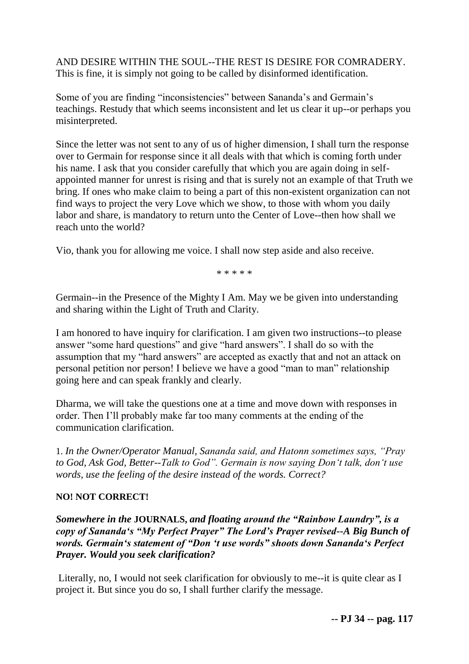# AND DESIRE WITHIN THE SOUL--THE REST IS DESIRE FOR COMRADERY. This is fine, it is simply not going to be called by disinformed identification.

Some of you are finding "inconsistencies" between Sananda's and Germain's teachings. Restudy that which seems inconsistent and let us clear it up--or perhaps you misinterpreted.

Since the letter was not sent to any of us of higher dimension, I shall turn the response over to Germain for response since it all deals with that which is coming forth under his name. I ask that you consider carefully that which you are again doing in selfappointed manner for unrest is rising and that is surely not an example of that Truth we bring. If ones who make claim to being a part of this non-existent organization can not find ways to project the very Love which we show, to those with whom you daily labor and share, is mandatory to return unto the Center of Love--then how shall we reach unto the world?

Vio, thank you for allowing me voice. I shall now step aside and also receive.

\* \* \* \* \*

Germain--in the Presence of the Mighty I Am. May we be given into understanding and sharing within the Light of Truth and Clarity.

I am honored to have inquiry for clarification. I am given two instructions--to please answer "some hard questions" and give "hard answers". I shall do so with the assumption that my "hard answers" are accepted as exactly that and not an attack on personal petition nor person! I believe we have a good "man to man" relationship going here and can speak frankly and clearly.

Dharma, we will take the questions one at a time and move down with responses in order. Then I'll probably make far too many comments at the ending of the communication clarification.

1. *In the Owner/Operator Manual, Sananda said, and Hatonn sometimes says, "Pray to God, Ask God, Better--Talk to God". Germain is now saying Don"t talk, don"t use words, use the feeling of the desire instead of the words. Correct?* 

## **NO! NOT CORRECT!**

*Somewhere in the* **JOURNALS,** *and floating around the "Rainbow Laundry", is a copy of Sananda"s "My Perfect Prayer" The Lord"s Prayer revised--A Big Bunch of words. Germain"s statement of "Don "t use words" shoots down Sananda"s Perfect Prayer. Would you seek clarification?*

Literally, no, I would not seek clarification for obviously to me--it is quite clear as I project it. But since you do so, I shall further clarify the message.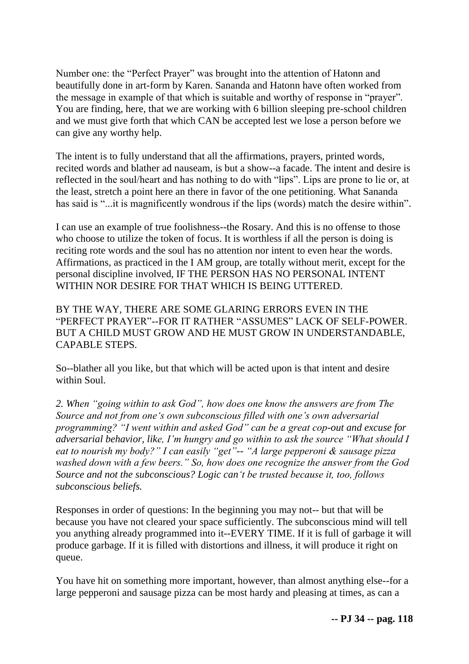Number one: the "Perfect Prayer" was brought into the attention of Hatonn and beautifully done in art-form by Karen. Sananda and Hatonn have often worked from the message in example of that which is suitable and worthy of response in "prayer". You are finding, here, that we are working with 6 billion sleeping pre-school children and we must give forth that which CAN be accepted lest we lose a person before we can give any worthy help.

The intent is to fully understand that all the affirmations, prayers, printed words, recited words and blather ad nauseam, is but a show--a facade. The intent and desire is reflected in the soul/heart and has nothing to do with "lips". Lips are prone to lie or, at the least, stretch a point here an there in favor of the one petitioning. What Sananda has said is "...it is magnificently wondrous if the lips (words) match the desire within".

I can use an example of true foolishness--the Rosary. And this is no offense to those who choose to utilize the token of focus. It is worthless if all the person is doing is reciting rote words and the soul has no attention nor intent to even hear the words. Affirmations, as practiced in the I AM group, are totally without merit, except for the personal discipline involved, IF THE PERSON HAS NO PERSONAL INTENT WITHIN NOR DESIRE FOR THAT WHICH IS BEING UTTERED.

BY THE WAY, THERE ARE SOME GLARING ERRORS EVEN IN THE "PERFECT PRAYER"--FOR IT RATHER "ASSUMES" LACK OF SELF-POWER. BUT A CHILD MUST GROW AND HE MUST GROW IN UNDERSTANDABLE, CAPABLE STEPS.

So--blather all you like, but that which will be acted upon is that intent and desire within Soul.

*2. When "going within to ask God", how does one know the answers are from The Source and not from one"s own subconscious filled with one"s own adversarial programming? "I went within and asked God" can be a great cop-out and excuse for adversarial behavior, like, I"m hungry and go within to ask the source "What should I eat to nourish my body?" I can easily "get"-- "A large pepperoni & sausage pizza washed down with a few beers." So, how does one recognize the answer from the God Source and not the subconscious? Logic can"t be trusted because it, too, follows subconscious beliefs.* 

Responses in order of questions: In the beginning you may not-- but that will be because you have not cleared your space sufficiently. The subconscious mind will tell you anything already programmed into it--EVERY TIME. If it is full of garbage it will produce garbage. If it is filled with distortions and illness, it will produce it right on queue.

You have hit on something more important, however, than almost anything else--for a large pepperoni and sausage pizza can be most hardy and pleasing at times, as can a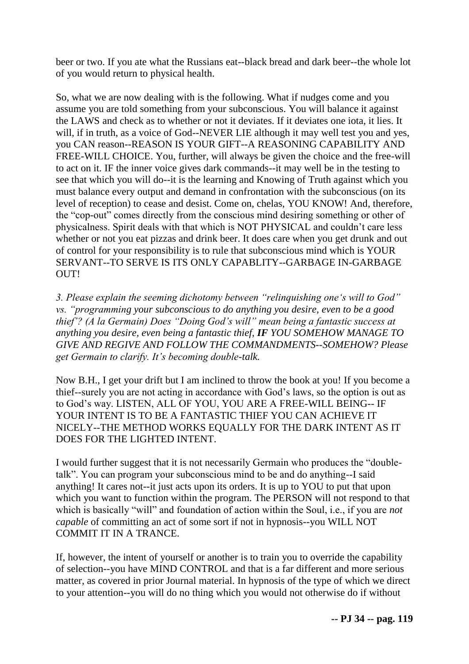beer or two. If you ate what the Russians eat--black bread and dark beer--the whole lot of you would return to physical health.

So, what we are now dealing with is the following. What if nudges come and you assume you are told something from your subconscious. You will balance it against the LAWS and check as to whether or not it deviates. If it deviates one iota, it lies. It will, if in truth, as a voice of God--NEVER LIE although it may well test you and yes, you CAN reason--REASON IS YOUR GIFT--A REASONING CAPABILITY AND FREE-WILL CHOICE. You, further, will always be given the choice and the free-will to act on it. IF the inner voice gives dark commands--it may well be in the testing to see that which you will do--it is the learning and Knowing of Truth against which you must balance every output and demand in confrontation with the subconscious (on its level of reception) to cease and desist. Come on, chelas, YOU KNOW! And, therefore, the "cop-out" comes directly from the conscious mind desiring something or other of physicalness. Spirit deals with that which is NOT PHYSICAL and couldn't care less whether or not you eat pizzas and drink beer. It does care when you get drunk and out of control for your responsibility is to rule that subconscious mind which is YOUR SERVANT--TO SERVE IS ITS ONLY CAPABLITY--GARBAGE IN-GARBAGE OUT!

*3. Please explain the seeming dichotomy between "relinquishing one"s will to God" vs. "programming your subconscious to do anything you desire, even to be a good thief"? (A la Germain) Does "Doing God"s will" mean being a fantastic success at anything you desire, even being a fantastic thief, IF YOU SOMEHOW MANAGE TO GIVE AND REGIVE AND FOLLOW THE COMMANDMENTS--SOMEHOW? Please get Germain to clarify. It"s becoming double-talk.* 

Now B.H., I get your drift but I am inclined to throw the book at you! If you become a thief--surely you are not acting in accordance with God's laws, so the option is out as to God's way. LISTEN, ALL OF YOU, YOU ARE A FREE-WILL BEING-- IF YOUR INTENT IS TO BE A FANTASTIC THIEF YOU CAN ACHIEVE IT NICELY--THE METHOD WORKS EQUALLY FOR THE DARK INTENT AS IT DOES FOR THE LIGHTED INTENT.

I would further suggest that it is not necessarily Germain who produces the "doubletalk‖. You can program your subconscious mind to be and do anything--I said anything! It cares not--it just acts upon its orders. It is up to YOU to put that upon which you want to function within the program. The PERSON will not respond to that which is basically "will" and foundation of action within the Soul, i.e., if you are *not capable* of committing an act of some sort if not in hypnosis--you WILL NOT COMMIT IT IN A TRANCE.

If, however, the intent of yourself or another is to train you to override the capability of selection--you have MIND CONTROL and that is a far different and more serious matter, as covered in prior Journal material. In hypnosis of the type of which we direct to your attention--you will do no thing which you would not otherwise do if without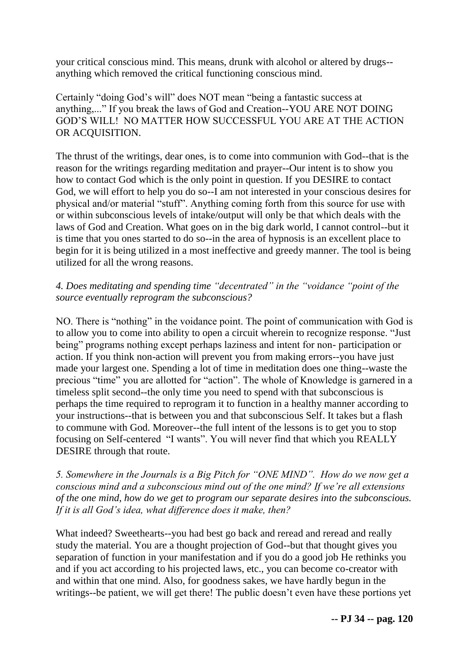your critical conscious mind. This means, drunk with alcohol or altered by drugs- anything which removed the critical functioning conscious mind.

Certainly "doing God's will" does NOT mean "being a fantastic success at anything,..." If you break the laws of God and Creation--YOU ARE NOT DOING GOD'S WILL! NO MATTER HOW SUCCESSFUL YOU ARE AT THE ACTION OR ACOUISITION.

The thrust of the writings, dear ones, is to come into communion with God--that is the reason for the writings regarding meditation and prayer--Our intent is to show you how to contact God which is the only point in question. If you DESIRE to contact God, we will effort to help you do so--I am not interested in your conscious desires for physical and/or material "stuff". Anything coming forth from this source for use with or within subconscious levels of intake/output will only be that which deals with the laws of God and Creation. What goes on in the big dark world, I cannot control--but it is time that you ones started to do so--in the area of hypnosis is an excellent place to begin for it is being utilized in a most ineffective and greedy manner. The tool is being utilized for all the wrong reasons.

# *4. Does meditating and spending time "decentrated" in the "voidance "point of the source eventually reprogram the subconscious?*

NO. There is "nothing" in the voidance point. The point of communication with God is to allow you to come into ability to open a circuit wherein to recognize response. "Just being" programs nothing except perhaps laziness and intent for non- participation or action. If you think non-action will prevent you from making errors--you have just made your largest one. Spending a lot of time in meditation does one thing--waste the precious "time" you are allotted for "action". The whole of Knowledge is garnered in a timeless split second--the only time you need to spend with that subconscious is perhaps the time required to reprogram it to function in a healthy manner according to your instructions--that is between you and that subconscious Self. It takes but a flash to commune with God. Moreover--the full intent of the lessons is to get you to stop focusing on Self-centered "I wants". You will never find that which you REALLY DESIRE through that route.

# *5. Somewhere in the Journals is a Big Pitch for "ONE MIND". How do we now get a conscious mind and a subconscious mind out of the one mind? If we"re all extensions of the one mind, how do we get to program our separate desires into the subconscious. If it is all God"s idea, what difference does it make, then?*

What indeed? Sweethearts--you had best go back and reread and reread and really study the material. You are a thought projection of God--but that thought gives you separation of function in your manifestation and if you do a good job He rethinks you and if you act according to his projected laws, etc., you can become co-creator with and within that one mind. Also, for goodness sakes, we have hardly begun in the writings--be patient, we will get there! The public doesn't even have these portions yet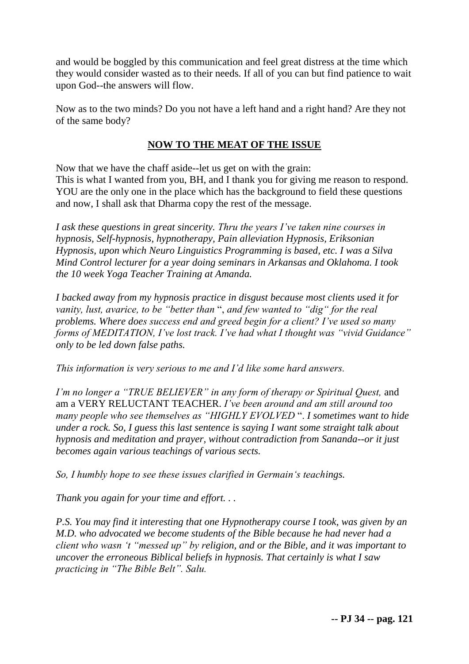and would be boggled by this communication and feel great distress at the time which they would consider wasted as to their needs. If all of you can but find patience to wait upon God--the answers will flow.

Now as to the two minds? Do you not have a left hand and a right hand? Are they not of the same body?

# **NOW TO THE MEAT OF THE ISSUE**

Now that we have the chaff aside--let us get on with the grain: This is what I wanted from you, BH, and I thank you for giving me reason to respond. YOU are the only one in the place which has the background to field these questions and now, I shall ask that Dharma copy the rest of the message.

*I ask these questions in great sincerity. Thru the years I"ve taken nine courses in hypnosis, Self-hypnosis, hypnotherapy, Pain alleviation Hypnosis, Eriksonian Hypnosis, upon which Neuro Linguistics Programming is based, etc. I was a Silva Mind Control lecturer for a year doing seminars in Arkansas and Oklahoma. I took the 10 week Yoga Teacher Training at Amanda.* 

*I backed away from my hypnosis practice in disgust because most clients used it for vanity, lust, avarice, to be "better than", and few wanted to "dig" for the real problems. Where does success end and greed begin for a client? I"ve used so many forms of MEDITATION, I"ve lost track. I"ve had what I thought was "vivid Guidance" only to be led down false paths.*

*This information is very serious to me and I"d like some hard answers.*

*I"m no longer a "TRUE BELIEVER" in any form of therapy or Spiritual Quest,* and am a VERY RELUCTANT TEACHER. *I"ve been around and am still around too many people who see themselves as "HIGHLY EVOLVED". I sometimes want to hide under a rock. So, I guess this last sentence is saying I want some straight talk about hypnosis and meditation and prayer, without contradiction from Sananda--or it just becomes again various teachings of various sects.* 

*So, I humbly hope to see these issues clarified in Germain"s teachings.* 

*Thank you again for your time and effort. . .* 

*P.S. You may find it interesting that one Hypnotherapy course I took, was given by an M.D. who advocated we become students of the Bible because he had never had a client who wasn "t "messed up" by religion, and or the Bible, and it was important to uncover the erroneous Biblical beliefs in hypnosis. That certainly is what I saw practicing in "The Bible Belt". Salu.*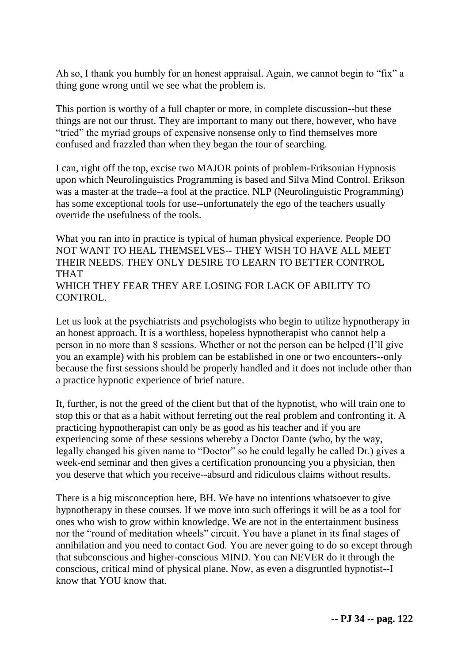Ah so, I thank you humbly for an honest appraisal. Again, we cannot begin to "fix" a thing gone wrong until we see what the problem is.

This portion is worthy of a full chapter or more, in complete discussion--but these things are not our thrust. They are important to many out there, however, who have "tried" the myriad groups of expensive nonsense only to find themselves more confused and frazzled than when they began the tour of searching.

I can, right off the top, excise two MAJOR points of problem-Eriksonian Hypnosis upon which Neurolinguistics Programming is based and Silva Mind Control. Erikson was a master at the trade--a fool at the practice. NLP (Neurolinguistic Programming) has some exceptional tools for use--unfortunately the ego of the teachers usually override the usefulness of the tools.

What you ran into in practice is typical of human physical experience. People DO NOT WANT TO HEAL THEMSELVES-- THEY WISH TO HAVE ALL MEET THEIR NEEDS. THEY ONLY DESIRE TO LEARN TO BETTER CONTROL THAT WHICH THEY FEAR THEY ARE LOSING FOR LACK OF ABILITY TO CONTROL.

Let us look at the psychiatrists and psychologists who begin to utilize hypnotherapy in an honest approach. It is a worthless, hopeless hypnotherapist who cannot help a person in no more than 8 sessions. Whether or not the person can be helped (I'll give you an example) with his problem can be established in one or two encounters--only because the first sessions should be properly handled and it does not include other than a practice hypnotic experience of brief nature.

It, further, is not the greed of the client but that of the hypnotist, who will train one to stop this or that as a habit without ferreting out the real problem and confronting it. A practicing hypnotherapist can only be as good as his teacher and if you are experiencing some of these sessions whereby a Doctor Dante (who, by the way, legally changed his given name to "Doctor" so he could legally be called Dr.) gives a week-end seminar and then gives a certification pronouncing you a physician, then you deserve that which you receive--absurd and ridiculous claims without results.

There is a big misconception here, BH. We have no intentions whatsoever to give hypnotherapy in these courses. If we move into such offerings it will be as a tool for ones who wish to grow within knowledge. We are not in the entertainment business nor the "round of meditation wheels" circuit. You have a planet in its final stages of annihilation and you need to contact God. You are never going to do so except through that subconscious and higher-conscious MIND. You can NEVER do it through the conscious, critical mind of physical plane. Now, as even a disgruntled hypnotist--I know that YOU know that.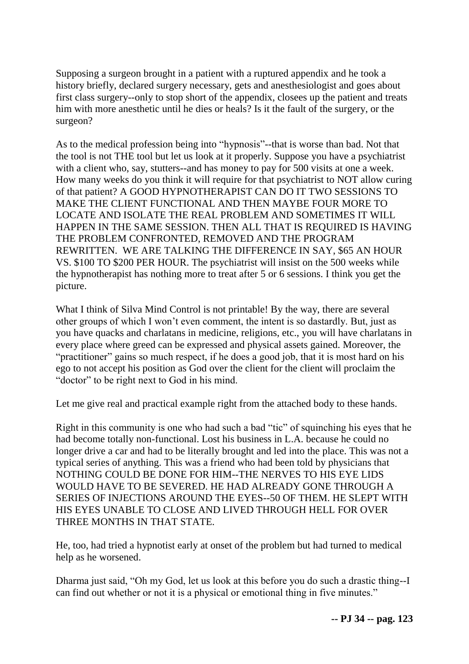Supposing a surgeon brought in a patient with a ruptured appendix and he took a history briefly, declared surgery necessary, gets and anesthesiologist and goes about first class surgery--only to stop short of the appendix, closees up the patient and treats him with more anesthetic until he dies or heals? Is it the fault of the surgery, or the surgeon?

As to the medical profession being into "hypnosis"--that is worse than bad. Not that the tool is not THE tool but let us look at it properly. Suppose you have a psychiatrist with a client who, say, stutters--and has money to pay for 500 visits at one a week. How many weeks do you think it will require for that psychiatrist to NOT allow curing of that patient? A GOOD HYPNOTHERAPIST CAN DO IT TWO SESSIONS TO MAKE THE CLIENT FUNCTIONAL AND THEN MAYBE FOUR MORE TO LOCATE AND ISOLATE THE REAL PROBLEM AND SOMETIMES IT WILL HAPPEN IN THE SAME SESSION. THEN ALL THAT IS REQUIRED IS HAVING THE PROBLEM CONFRONTED, REMOVED AND THE PROGRAM REWRITTEN. WE ARE TALKING THE DIFFERENCE IN SAY, \$65 AN HOUR VS. \$100 TO \$200 PER HOUR. The psychiatrist will insist on the 500 weeks while the hypnotherapist has nothing more to treat after 5 or 6 sessions. I think you get the picture.

What I think of Silva Mind Control is not printable! By the way, there are several other groups of which I won't even comment, the intent is so dastardly. But, just as you have quacks and charlatans in medicine, religions, etc., you will have charlatans in every place where greed can be expressed and physical assets gained. Moreover, the "practitioner" gains so much respect, if he does a good job, that it is most hard on his ego to not accept his position as God over the client for the client will proclaim the "doctor" to be right next to God in his mind.

Let me give real and practical example right from the attached body to these hands.

Right in this community is one who had such a bad "tic" of squinching his eyes that he had become totally non-functional. Lost his business in L.A. because he could no longer drive a car and had to be literally brought and led into the place. This was not a typical series of anything. This was a friend who had been told by physicians that NOTHING COULD BE DONE FOR HIM--THE NERVES TO HIS EYE LIDS WOULD HAVE TO BE SEVERED. HE HAD ALREADY GONE THROUGH A SERIES OF INJECTIONS AROUND THE EYES--50 OF THEM. HE SLEPT WITH HIS EYES UNABLE TO CLOSE AND LIVED THROUGH HELL FOR OVER THREE MONTHS IN THAT STATE.

He, too, had tried a hypnotist early at onset of the problem but had turned to medical help as he worsened.

Dharma just said, "Oh my God, let us look at this before you do such a drastic thing--I can find out whether or not it is a physical or emotional thing in five minutes."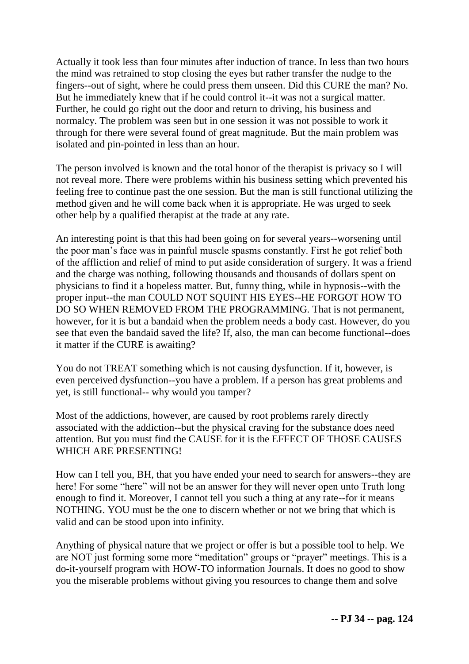Actually it took less than four minutes after induction of trance. In less than two hours the mind was retrained to stop closing the eyes but rather transfer the nudge to the fingers--out of sight, where he could press them unseen. Did this CURE the man? No. But he immediately knew that if he could control it--it was not a surgical matter. Further, he could go right out the door and return to driving, his business and normalcy. The problem was seen but in one session it was not possible to work it through for there were several found of great magnitude. But the main problem was isolated and pin-pointed in less than an hour.

The person involved is known and the total honor of the therapist is privacy so I will not reveal more. There were problems within his business setting which prevented his feeling free to continue past the one session. But the man is still functional utilizing the method given and he will come back when it is appropriate. He was urged to seek other help by a qualified therapist at the trade at any rate.

An interesting point is that this had been going on for several years--worsening until the poor man's face was in painful muscle spasms constantly. First he got relief both of the affliction and relief of mind to put aside consideration of surgery. It was a friend and the charge was nothing, following thousands and thousands of dollars spent on physicians to find it a hopeless matter. But, funny thing, while in hypnosis--with the proper input--the man COULD NOT SQUINT HIS EYES--HE FORGOT HOW TO DO SO WHEN REMOVED FROM THE PROGRAMMING. That is not permanent, however, for it is but a bandaid when the problem needs a body cast. However, do you see that even the bandaid saved the life? If, also, the man can become functional--does it matter if the CURE is awaiting?

You do not TREAT something which is not causing dysfunction. If it, however, is even perceived dysfunction--you have a problem. If a person has great problems and yet, is still functional-- why would you tamper?

Most of the addictions, however, are caused by root problems rarely directly associated with the addiction--but the physical craving for the substance does need attention. But you must find the CAUSE for it is the EFFECT OF THOSE CAUSES WHICH ARE PRESENTING!

How can I tell you, BH, that you have ended your need to search for answers--they are here! For some "here" will not be an answer for they will never open unto Truth long enough to find it. Moreover, I cannot tell you such a thing at any rate--for it means NOTHING. YOU must be the one to discern whether or not we bring that which is valid and can be stood upon into infinity.

Anything of physical nature that we project or offer is but a possible tool to help. We are NOT just forming some more "meditation" groups or "prayer" meetings. This is a do-it-yourself program with HOW-TO information Journals. It does no good to show you the miserable problems without giving you resources to change them and solve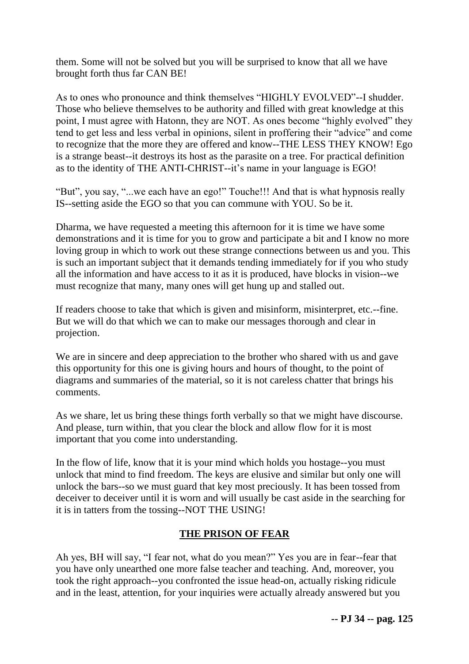them. Some will not be solved but you will be surprised to know that all we have brought forth thus far CAN BE!

As to ones who pronounce and think themselves "HIGHLY EVOLVED"--I shudder. Those who believe themselves to be authority and filled with great knowledge at this point, I must agree with Hatonn, they are NOT. As ones become "highly evolved" they tend to get less and less verbal in opinions, silent in proffering their "advice" and come to recognize that the more they are offered and know--THE LESS THEY KNOW! Ego is a strange beast--it destroys its host as the parasite on a tree. For practical definition as to the identity of THE ANTI-CHRIST--it's name in your language is EGO!

"But", you say, "...we each have an ego!" Touche!!! And that is what hypnosis really IS--setting aside the EGO so that you can commune with YOU. So be it.

Dharma, we have requested a meeting this afternoon for it is time we have some demonstrations and it is time for you to grow and participate a bit and I know no more loving group in which to work out these strange connections between us and you. This is such an important subject that it demands tending immediately for if you who study all the information and have access to it as it is produced, have blocks in vision--we must recognize that many, many ones will get hung up and stalled out.

If readers choose to take that which is given and misinform, misinterpret, etc.--fine. But we will do that which we can to make our messages thorough and clear in projection.

We are in sincere and deep appreciation to the brother who shared with us and gave this opportunity for this one is giving hours and hours of thought, to the point of diagrams and summaries of the material, so it is not careless chatter that brings his comments.

As we share, let us bring these things forth verbally so that we might have discourse. And please, turn within, that you clear the block and allow flow for it is most important that you come into understanding.

In the flow of life, know that it is your mind which holds you hostage--you must unlock that mind to find freedom. The keys are elusive and similar but only one will unlock the bars--so we must guard that key most preciously. It has been tossed from deceiver to deceiver until it is worn and will usually be cast aside in the searching for it is in tatters from the tossing--NOT THE USING!

# **THE PRISON OF FEAR**

Ah yes, BH will say, "I fear not, what do you mean?" Yes you are in fear--fear that you have only unearthed one more false teacher and teaching. And, moreover, you took the right approach--you confronted the issue head-on, actually risking ridicule and in the least, attention, for your inquiries were actually already answered but you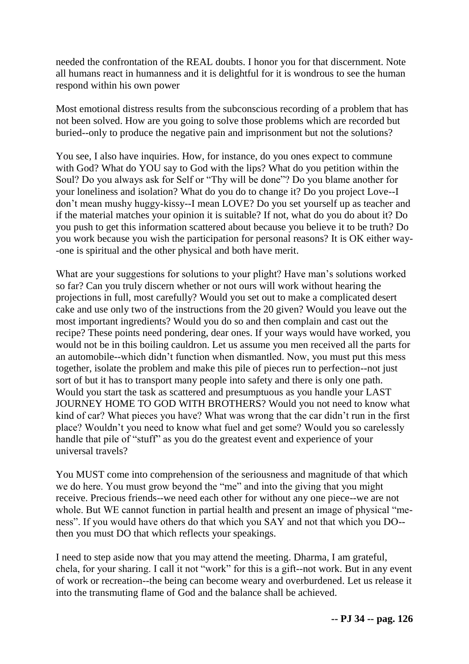needed the confrontation of the REAL doubts. I honor you for that discernment. Note all humans react in humanness and it is delightful for it is wondrous to see the human respond within his own power

Most emotional distress results from the subconscious recording of a problem that has not been solved. How are you going to solve those problems which are recorded but buried--only to produce the negative pain and imprisonment but not the solutions?

You see, I also have inquiries. How, for instance, do you ones expect to commune with God? What do YOU say to God with the lips? What do you petition within the Soul? Do you always ask for Self or "Thy will be done"? Do you blame another for your loneliness and isolation? What do you do to change it? Do you project Love--I don't mean mushy huggy-kissy--I mean LOVE? Do you set yourself up as teacher and if the material matches your opinion it is suitable? If not, what do you do about it? Do you push to get this information scattered about because you believe it to be truth? Do you work because you wish the participation for personal reasons? It is OK either way- -one is spiritual and the other physical and both have merit.

What are your suggestions for solutions to your plight? Have man's solutions worked so far? Can you truly discern whether or not ours will work without hearing the projections in full, most carefully? Would you set out to make a complicated desert cake and use only two of the instructions from the 20 given? Would you leave out the most important ingredients? Would you do so and then complain and cast out the recipe? These points need pondering, dear ones. If your ways would have worked, you would not be in this boiling cauldron. Let us assume you men received all the parts for an automobile--which didn't function when dismantled. Now, you must put this mess together, isolate the problem and make this pile of pieces run to perfection--not just sort of but it has to transport many people into safety and there is only one path. Would you start the task as scattered and presumptuous as you handle your LAST JOURNEY HOME TO GOD WITH BROTHERS? Would you not need to know what kind of car? What pieces you have? What was wrong that the car didn't run in the first place? Wouldn't you need to know what fuel and get some? Would you so carelessly handle that pile of "stuff" as you do the greatest event and experience of your universal travels?

You MUST come into comprehension of the seriousness and magnitude of that which we do here. You must grow beyond the "me" and into the giving that you might receive. Precious friends--we need each other for without any one piece--we are not whole. But WE cannot function in partial health and present an image of physical "meness". If you would have others do that which you SAY and not that which you DO-then you must DO that which reflects your speakings.

I need to step aside now that you may attend the meeting. Dharma, I am grateful, chela, for your sharing. I call it not "work" for this is a gift--not work. But in any event of work or recreation--the being can become weary and overburdened. Let us release it into the transmuting flame of God and the balance shall be achieved.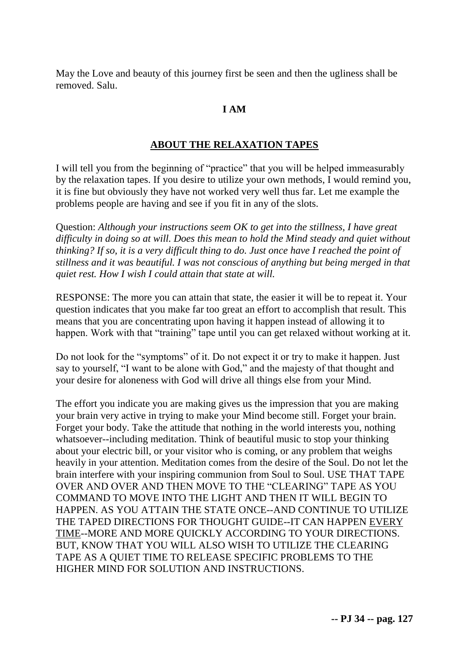May the Love and beauty of this journey first be seen and then the ugliness shall be removed. Salu.

### **I AM**

### **ABOUT THE RELAXATION TAPES**

I will tell you from the beginning of "practice" that you will be helped immeasurably by the relaxation tapes. If you desire to utilize your own methods, I would remind you, it is fine but obviously they have not worked very well thus far. Let me example the problems people are having and see if you fit in any of the slots.

Question: *Although your instructions seem OK to get into the stillness, I have great difficulty in doing so at will. Does this mean to hold the Mind steady and quiet without thinking? If so, it is a very difficult thing to do. Just once have I reached the point of stillness and it was beautiful. I was not conscious of anything but being merged in that quiet rest. How I wish I could attain that state at will.* 

RESPONSE: The more you can attain that state, the easier it will be to repeat it. Your question indicates that you make far too great an effort to accomplish that result. This means that you are concentrating upon having it happen instead of allowing it to happen. Work with that "training" tape until you can get relaxed without working at it.

Do not look for the "symptoms" of it. Do not expect it or try to make it happen. Just say to yourself, "I want to be alone with God," and the majesty of that thought and your desire for aloneness with God will drive all things else from your Mind.

The effort you indicate you are making gives us the impression that you are making your brain very active in trying to make your Mind become still. Forget your brain. Forget your body. Take the attitude that nothing in the world interests you, nothing whatsoever--including meditation. Think of beautiful music to stop your thinking about your electric bill, or your visitor who is coming, or any problem that weighs heavily in your attention. Meditation comes from the desire of the Soul. Do not let the brain interfere with your inspiring communion from Soul to Soul. USE THAT TAPE OVER AND OVER AND THEN MOVE TO THE "CLEARING" TAPE AS YOU COMMAND TO MOVE INTO THE LIGHT AND THEN IT WILL BEGIN TO HAPPEN. AS YOU ATTAIN THE STATE ONCE--AND CONTINUE TO UTILIZE THE TAPED DIRECTIONS FOR THOUGHT GUIDE--IT CAN HAPPEN EVERY TIME--MORE AND MORE QUICKLY ACCORDING TO YOUR DIRECTIONS. BUT, KNOW THAT YOU WILL ALSO WISH TO UTILIZE THE CLEARING TAPE AS A QUIET TIME TO RELEASE SPECIFIC PROBLEMS TO THE HIGHER MIND FOR SOLUTION AND INSTRUCTIONS.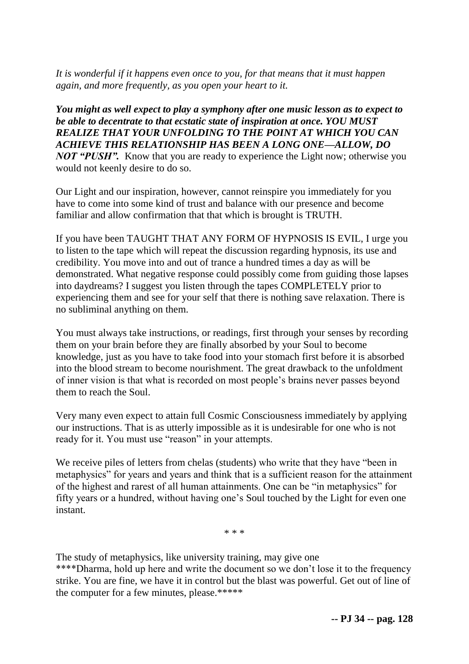*It is wonderful if it happens even once to you, for that means that it must happen again, and more frequently, as you open your heart to it.*

*You might as well expect to play a symphony after one music lesson as to expect to be able to decentrate to that ecstatic state of inspiration at once. YOU MUST REALIZE THAT YOUR UNFOLDING TO THE POINT AT WHICH YOU CAN ACHIEVE THIS RELATIONSHIP HAS BEEN A LONG ONE—ALLOW, DO NOT* "PUSH". Know that you are ready to experience the Light now; otherwise you would not keenly desire to do so.

Our Light and our inspiration, however, cannot reinspire you immediately for you have to come into some kind of trust and balance with our presence and become familiar and allow confirmation that that which is brought is TRUTH.

If you have been TAUGHT THAT ANY FORM OF HYPNOSIS IS EVIL, I urge you to listen to the tape which will repeat the discussion regarding hypnosis, its use and credibility. You move into and out of trance a hundred times a day as will be demonstrated. What negative response could possibly come from guiding those lapses into daydreams? I suggest you listen through the tapes COMPLETELY prior to experiencing them and see for your self that there is nothing save relaxation. There is no subliminal anything on them.

You must always take instructions, or readings, first through your senses by recording them on your brain before they are finally absorbed by your Soul to become knowledge, just as you have to take food into your stomach first before it is absorbed into the blood stream to become nourishment. The great drawback to the unfoldment of inner vision is that what is recorded on most people's brains never passes beyond them to reach the Soul.

Very many even expect to attain full Cosmic Consciousness immediately by applying our instructions. That is as utterly impossible as it is undesirable for one who is not ready for it. You must use "reason" in your attempts.

We receive piles of letters from chelas (students) who write that they have "been in metaphysics" for years and years and think that is a sufficient reason for the attainment of the highest and rarest of all human attainments. One can be "in metaphysics" for fifty years or a hundred, without having one's Soul touched by the Light for even one instant.

\* \* \*

The study of metaphysics, like university training, may give one \*\*\*\*Dharma, hold up here and write the document so we don't lose it to the frequency strike. You are fine, we have it in control but the blast was powerful. Get out of line of the computer for a few minutes, please.\*\*\*\*\*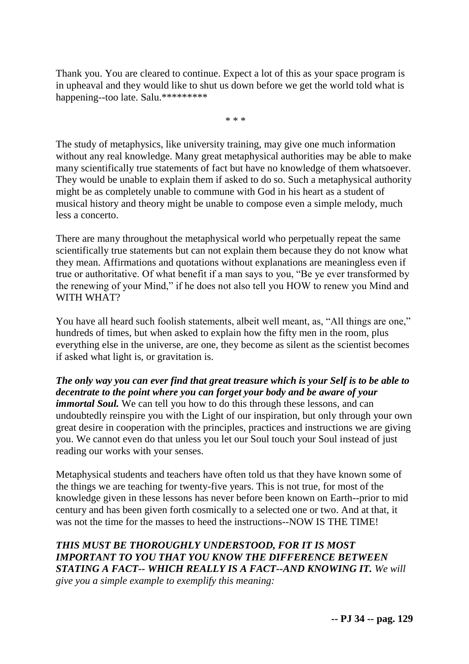Thank you. You are cleared to continue. Expect a lot of this as your space program is in upheaval and they would like to shut us down before we get the world told what is happening--too late. Salu.\*\*\*\*\*\*\*\*\*

\* \* \*

The study of metaphysics, like university training, may give one much information without any real knowledge. Many great metaphysical authorities may be able to make many scientifically true statements of fact but have no knowledge of them whatsoever. They would be unable to explain them if asked to do so. Such a metaphysical authority might be as completely unable to commune with God in his heart as a student of musical history and theory might be unable to compose even a simple melody, much less a concerto.

There are many throughout the metaphysical world who perpetually repeat the same scientifically true statements but can not explain them because they do not know what they mean. Affirmations and quotations without explanations are meaningless even if true or authoritative. Of what benefit if a man says to you, "Be ye ever transformed by the renewing of your Mind," if he does not also tell you HOW to renew you Mind and WITH WHAT?

You have all heard such foolish statements, albeit well meant, as, "All things are one," hundreds of times, but when asked to explain how the fifty men in the room, plus everything else in the universe, are one, they become as silent as the scientist becomes if asked what light is, or gravitation is.

*The only way you can ever find that great treasure which is your Self is to be able to decentrate to the point where you can forget your body and be aware of your immortal Soul.* We can tell you how to do this through these lessons, and can undoubtedly reinspire you with the Light of our inspiration, but only through your own great desire in cooperation with the principles, practices and instructions we are giving you. We cannot even do that unless you let our Soul touch your Soul instead of just reading our works with your senses.

Metaphysical students and teachers have often told us that they have known some of the things we are teaching for twenty-five years. This is not true, for most of the knowledge given in these lessons has never before been known on Earth--prior to mid century and has been given forth cosmically to a selected one or two. And at that, it was not the time for the masses to heed the instructions--NOW IS THE TIME!

*THIS MUST BE THOROUGHLY UNDERSTOOD, FOR IT IS MOST IMPORTANT TO YOU THAT YOU KNOW THE DIFFERENCE BETWEEN STATING A FACT-- WHICH REALLY IS A FACT--AND KNOWING IT. We will give you a simple example to exemplify this meaning:*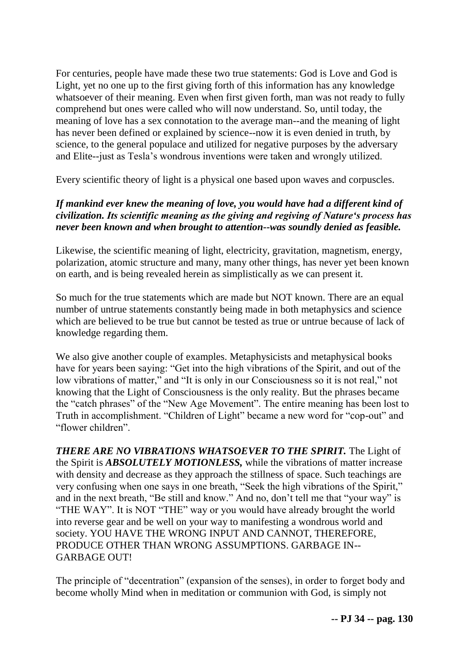For centuries, people have made these two true statements: God is Love and God is Light, yet no one up to the first giving forth of this information has any knowledge whatsoever of their meaning. Even when first given forth, man was not ready to fully comprehend but ones were called who will now understand. So, until today, the meaning of love has a sex connotation to the average man--and the meaning of light has never been defined or explained by science--now it is even denied in truth, by science, to the general populace and utilized for negative purposes by the adversary and Elite--just as Tesla's wondrous inventions were taken and wrongly utilized.

Every scientific theory of light is a physical one based upon waves and corpuscles.

# *If mankind ever knew the meaning of love, you would have had a different kind of civilization. Its scientific meaning as the giving and regiving of Nature"s process has never been known and when brought to attention--was soundly denied as feasible.*

Likewise, the scientific meaning of light, electricity, gravitation, magnetism, energy, polarization, atomic structure and many, many other things, has never yet been known on earth, and is being revealed herein as simplistically as we can present it.

So much for the true statements which are made but NOT known. There are an equal number of untrue statements constantly being made in both metaphysics and science which are believed to be true but cannot be tested as true or untrue because of lack of knowledge regarding them.

We also give another couple of examples. Metaphysicists and metaphysical books have for years been saying: "Get into the high vibrations of the Spirit, and out of the low vibrations of matter," and "It is only in our Consciousness so it is not real," not knowing that the Light of Consciousness is the only reality. But the phrases became the "catch phrases" of the "New Age Movement". The entire meaning has been lost to Truth in accomplishment. "Children of Light" became a new word for "cop-out" and "flower children".

*THERE ARE NO VIBRATIONS WHATSOEVER TO THE SPIRIT.* The Light of the Spirit is *ABSOLUTELY MOTIONLESS,* while the vibrations of matter increase with density and decrease as they approach the stillness of space. Such teachings are very confusing when one says in one breath, "Seek the high vibrations of the Spirit," and in the next breath, "Be still and know." And no, don't tell me that "your way" is "THE WAY". It is NOT "THE" way or you would have already brought the world into reverse gear and be well on your way to manifesting a wondrous world and society. YOU HAVE THE WRONG INPUT AND CANNOT, THEREFORE, PRODUCE OTHER THAN WRONG ASSUMPTIONS. GARBAGE IN-- GARBAGE OUT!

The principle of "decentration" (expansion of the senses), in order to forget body and become wholly Mind when in meditation or communion with God, is simply not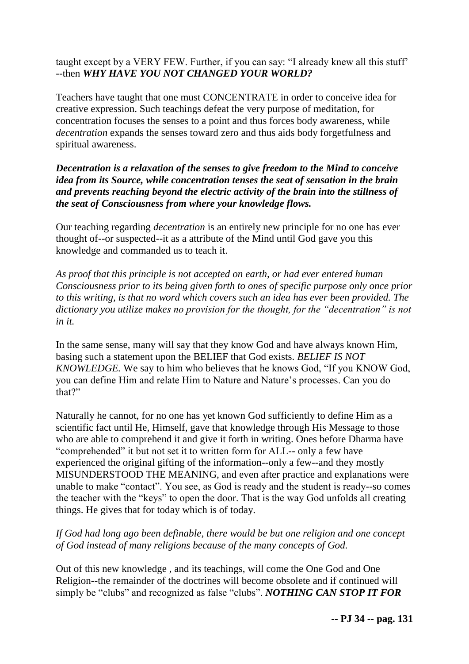taught except by a VERY FEW. Further, if you can say: "I already knew all this stuff" --then *WHY HAVE YOU NOT CHANGED YOUR WORLD?*

Teachers have taught that one must CONCENTRATE in order to conceive idea for creative expression. Such teachings defeat the very purpose of meditation, for concentration focuses the senses to a point and thus forces body awareness, while *decentration* expands the senses toward zero and thus aids body forgetfulness and spiritual awareness.

*Decentration is a relaxation of the senses to give freedom to the Mind to conceive idea from its Source, while concentration tenses the seat of sensation in the brain and prevents reaching beyond the electric activity of the brain into the stillness of the seat of Consciousness from where your knowledge flows.* 

Our teaching regarding *decentration* is an entirely new principle for no one has ever thought of--or suspected--it as a attribute of the Mind until God gave you this knowledge and commanded us to teach it.

*As proof that this principle is not accepted on earth, or had ever entered human Consciousness prior to its being given forth to ones of specific purpose only once prior to this writing, is that no word which covers such an idea has ever been provided. The dictionary you utilize makes no provision for the thought, for the "decentration" is not in it.* 

In the same sense, many will say that they know God and have always known Him, basing such a statement upon the BELIEF that God exists. *BELIEF IS NOT KNOWLEDGE*. We say to him who believes that he knows God, "If you KNOW God, you can define Him and relate Him to Nature and Nature's processes. Can you do that?"

Naturally he cannot, for no one has yet known God sufficiently to define Him as a scientific fact until He, Himself, gave that knowledge through His Message to those who are able to comprehend it and give it forth in writing. Ones before Dharma have "comprehended" it but not set it to written form for ALL-- only a few have experienced the original gifting of the information--only a few--and they mostly MISUNDERSTOOD THE MEANING, and even after practice and explanations were unable to make "contact". You see, as God is ready and the student is ready--so comes the teacher with the "keys" to open the door. That is the way God unfolds all creating things. He gives that for today which is of today.

# *If God had long ago been definable, there would be but one religion and one concept of God instead of many religions because of the many concepts of God.*

Out of this new knowledge , and its teachings, will come the One God and One Religion--the remainder of the doctrines will become obsolete and if continued will simply be "clubs" and recognized as false "clubs". *NOTHING CAN STOP IT FOR*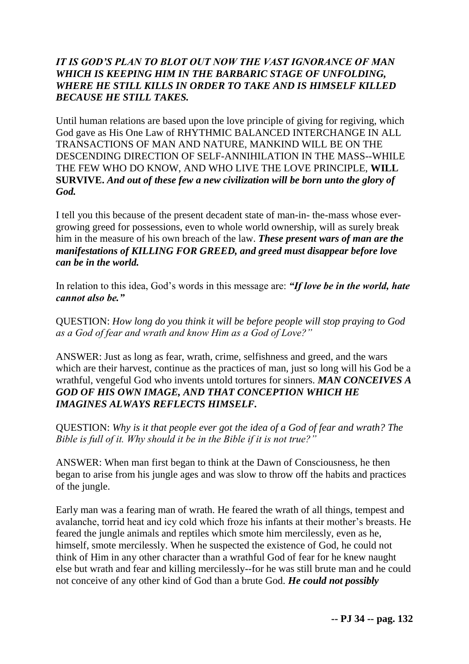# *IT IS GOD"S PLAN TO BLOT OUT NOW THE VAST IGNORANCE OF MAN WHICH IS KEEPING HIM IN THE BARBARIC STAGE OF UNFOLDING, WHERE HE STILL KILLS IN ORDER TO TAKE AND IS HIMSELF KILLED BECAUSE HE STILL TAKES.*

Until human relations are based upon the love principle of giving for regiving, which God gave as His One Law of RHYTHMIC BALANCED INTERCHANGE IN ALL TRANSACTIONS OF MAN AND NATURE, MANKIND WILL BE ON THE DESCENDING DIRECTION OF SELF-ANNIHILATION IN THE MASS--WHILE THE FEW WHO DO KNOW, AND WHO LIVE THE LOVE PRINCIPLE, **WILL SURVIVE.** *And out of these few a new civilization will be born unto the glory of God.*

I tell you this because of the present decadent state of man-in- the-mass whose evergrowing greed for possessions, even to whole world ownership, will as surely break him in the measure of his own breach of the law. *These present wars of man are the manifestations of KILLING FOR GREED, and greed must disappear before love can be in the world.* 

In relation to this idea, God's words in this message are: *"If love be in the world, hate cannot also be."* 

QUESTION: *How long do you think it will be before people will stop praying to God as a God of fear and wrath and know Him as a God of Love?"* 

ANSWER: Just as long as fear, wrath, crime, selfishness and greed, and the wars which are their harvest, continue as the practices of man, just so long will his God be a wrathful, vengeful God who invents untold tortures for sinners. *MAN CONCEIVES A GOD OF HIS OWN IMAGE, AND THAT CONCEPTION WHICH HE IMAGINES ALWAYS REFLECTS HIMSELF.* 

QUESTION: *Why is it that people ever got the idea of a God of fear and wrath? The Bible is full of it. Why should it be in the Bible if it is not true?"*

ANSWER: When man first began to think at the Dawn of Consciousness, he then began to arise from his jungle ages and was slow to throw off the habits and practices of the jungle.

Early man was a fearing man of wrath. He feared the wrath of all things, tempest and avalanche, torrid heat and icy cold which froze his infants at their mother's breasts. He feared the jungle animals and reptiles which smote him mercilessly, even as he, himself, smote mercilessly. When he suspected the existence of God, he could not think of Him in any other character than a wrathful God of fear for he knew naught else but wrath and fear and killing mercilessly--for he was still brute man and he could not conceive of any other kind of God than a brute God. *He could not possibly*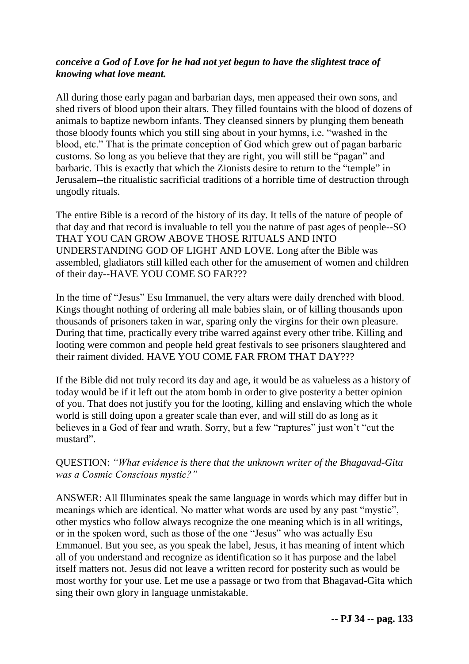# *conceive a God of Love for he had not yet begun to have the slightest trace of knowing what love meant.*

All during those early pagan and barbarian days, men appeased their own sons, and shed rivers of blood upon their altars. They filled fountains with the blood of dozens of animals to baptize newborn infants. They cleansed sinners by plunging them beneath those bloody founts which you still sing about in your hymns, i.e. "washed in the blood, etc." That is the primate conception of God which grew out of pagan barbaric customs. So long as you believe that they are right, you will still be "pagan" and barbaric. This is exactly that which the Zionists desire to return to the "temple" in Jerusalem--the ritualistic sacrificial traditions of a horrible time of destruction through ungodly rituals.

The entire Bible is a record of the history of its day. It tells of the nature of people of that day and that record is invaluable to tell you the nature of past ages of people--SO THAT YOU CAN GROW ABOVE THOSE RITUALS AND INTO UNDERSTANDING GOD OF LIGHT AND LOVE. Long after the Bible was assembled, gladiators still killed each other for the amusement of women and children of their day--HAVE YOU COME SO FAR???

In the time of "Jesus" Esu Immanuel, the very altars were daily drenched with blood. Kings thought nothing of ordering all male babies slain, or of killing thousands upon thousands of prisoners taken in war, sparing only the virgins for their own pleasure. During that time, practically every tribe warred against every other tribe. Killing and looting were common and people held great festivals to see prisoners slaughtered and their raiment divided. HAVE YOU COME FAR FROM THAT DAY???

If the Bible did not truly record its day and age, it would be as valueless as a history of today would be if it left out the atom bomb in order to give posterity a better opinion of you. That does not justify you for the looting, killing and enslaving which the whole world is still doing upon a greater scale than ever, and will still do as long as it believes in a God of fear and wrath. Sorry, but a few "raptures" just won't "cut the mustard".

QUESTION: *"What evidence is there that the unknown writer of the Bhagavad-Gita was a Cosmic Conscious mystic?"* 

ANSWER: All Illuminates speak the same language in words which may differ but in meanings which are identical. No matter what words are used by any past "mystic", other mystics who follow always recognize the one meaning which is in all writings, or in the spoken word, such as those of the one "Jesus" who was actually Esu Emmanuel. But you see, as you speak the label, Jesus, it has meaning of intent which all of you understand and recognize as identification so it has purpose and the label itself matters not. Jesus did not leave a written record for posterity such as would be most worthy for your use. Let me use a passage or two from that Bhagavad-Gita which sing their own glory in language unmistakable.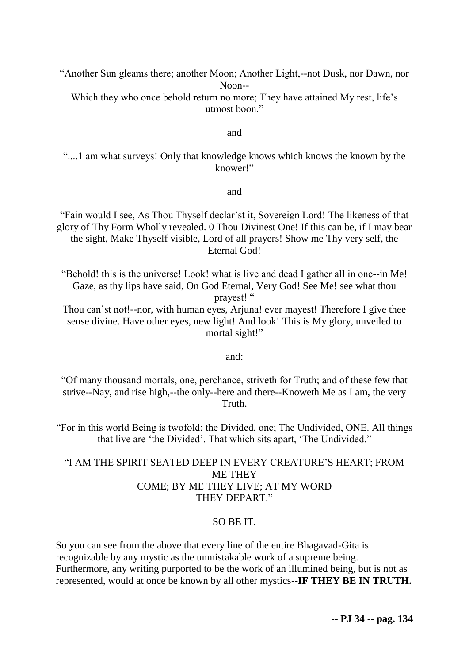―Another Sun gleams there; another Moon; Another Light,--not Dusk, nor Dawn, nor Noon--

Which they who once behold return no more; They have attained My rest, life's utmost boon."

and

―....1 am what surveys! Only that knowledge knows which knows the known by the knower!"

and

―Fain would I see, As Thou Thyself declar'st it, Sovereign Lord! The likeness of that glory of Thy Form Wholly revealed. 0 Thou Divinest One! If this can be, if I may bear the sight, Make Thyself visible, Lord of all prayers! Show me Thy very self, the Eternal God!

"Behold! this is the universe! Look! what is live and dead I gather all in one--in Me! Gaze, as thy lips have said, On God Eternal, Very God! See Me! see what thou prayest! "

Thou can'st not!--nor, with human eyes, Arjuna! ever mayest! Therefore I give thee sense divine. Have other eyes, new light! And look! This is My glory, unveiled to mortal sight!"

and:

―Of many thousand mortals, one, perchance, striveth for Truth; and of these few that strive--Nay, and rise high,--the only--here and there--Knoweth Me as I am, the very Truth.

―For in this world Being is twofold; the Divided, one; The Undivided, ONE. All things that live are 'the Divided'. That which sits apart, 'The Undivided."

# "I AM THE SPIRIT SEATED DEEP IN EVERY CREATURE'S HEART: FROM ME THEY COME; BY ME THEY LIVE; AT MY WORD THEY DEPART."

### SO BE IT.

So you can see from the above that every line of the entire Bhagavad-Gita is recognizable by any mystic as the unmistakable work of a supreme being. Furthermore, any writing purported to be the work of an illumined being, but is not as represented, would at once be known by all other mystics--**IF THEY BE IN TRUTH.**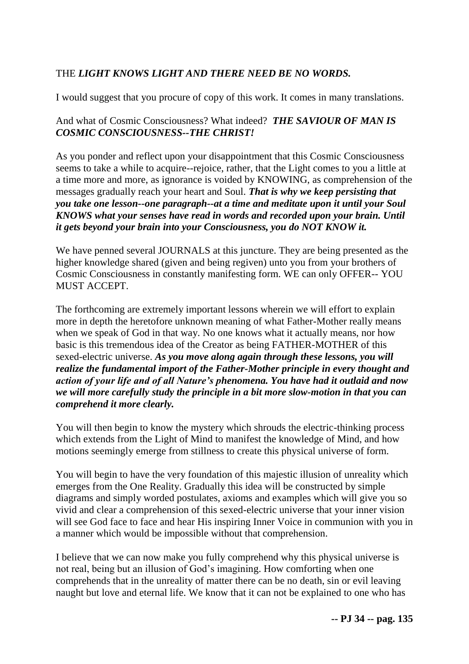# THE *LIGHT KNOWS LIGHT AND THERE NEED BE NO WORDS.*

I would suggest that you procure of copy of this work. It comes in many translations.

# And what of Cosmic Consciousness? What indeed? *THE SAVIOUR OF MAN IS COSMIC CONSCIOUSNESS--THE CHRIST!*

As you ponder and reflect upon your disappointment that this Cosmic Consciousness seems to take a while to acquire--rejoice, rather, that the Light comes to you a little at a time more and more, as ignorance is voided by KNOWING, as comprehension of the messages gradually reach your heart and Soul. *That is why we keep persisting that you take one lesson--one paragraph--at a time and meditate upon it until your Soul KNOWS what your senses have read in words and recorded upon your brain. Until it gets beyond your brain into your Consciousness, you do NOT KNOW it.* 

We have penned several JOURNALS at this juncture. They are being presented as the higher knowledge shared (given and being regiven) unto you from your brothers of Cosmic Consciousness in constantly manifesting form. WE can only OFFER-- YOU MUST ACCEPT.

The forthcoming are extremely important lessons wherein we will effort to explain more in depth the heretofore unknown meaning of what Father-Mother really means when we speak of God in that way. No one knows what it actually means, nor how basic is this tremendous idea of the Creator as being FATHER-MOTHER of this sexed-electric universe. *As you move along again through these lessons, you will realize the fundamental import of the Father-Mother principle in every thought and action of your life and of all Nature"s phenomena. You have had it outlaid and now we will more carefully study the principle in a bit more slow-motion in that you can comprehend it more clearly.* 

You will then begin to know the mystery which shrouds the electric-thinking process which extends from the Light of Mind to manifest the knowledge of Mind, and how motions seemingly emerge from stillness to create this physical universe of form.

You will begin to have the very foundation of this majestic illusion of unreality which emerges from the One Reality. Gradually this idea will be constructed by simple diagrams and simply worded postulates, axioms and examples which will give you so vivid and clear a comprehension of this sexed-electric universe that your inner vision will see God face to face and hear His inspiring Inner Voice in communion with you in a manner which would be impossible without that comprehension.

I believe that we can now make you fully comprehend why this physical universe is not real, being but an illusion of God's imagining. How comforting when one comprehends that in the unreality of matter there can be no death, sin or evil leaving naught but love and eternal life. We know that it can not be explained to one who has